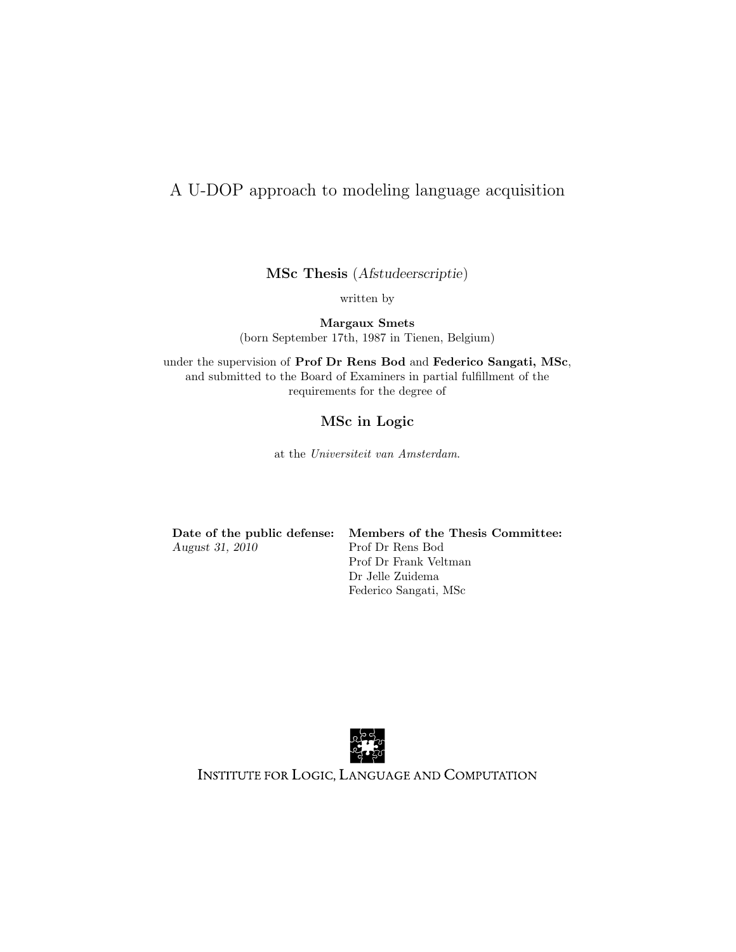## A U-DOP approach to modeling language acquisition

MSc Thesis (Afstudeerscriptie)

written by

Margaux Smets (born September 17th, 1987 in Tienen, Belgium)

under the supervision of Prof Dr Rens Bod and Federico Sangati, MSc, and submitted to the Board of Examiners in partial fulfillment of the requirements for the degree of

### MSc in Logic

at the Universiteit van Amsterdam.

| Date of the public defense |  |
|----------------------------|--|
| August 31, 2010            |  |

e: Members of the Thesis Committee: Prof Dr Rens Bod Prof Dr Frank Veltman Dr Jelle Zuidema Federico Sangati, MSc



INSTITUTE FOR LOGIC, LANGUAGE AND COMPUTATION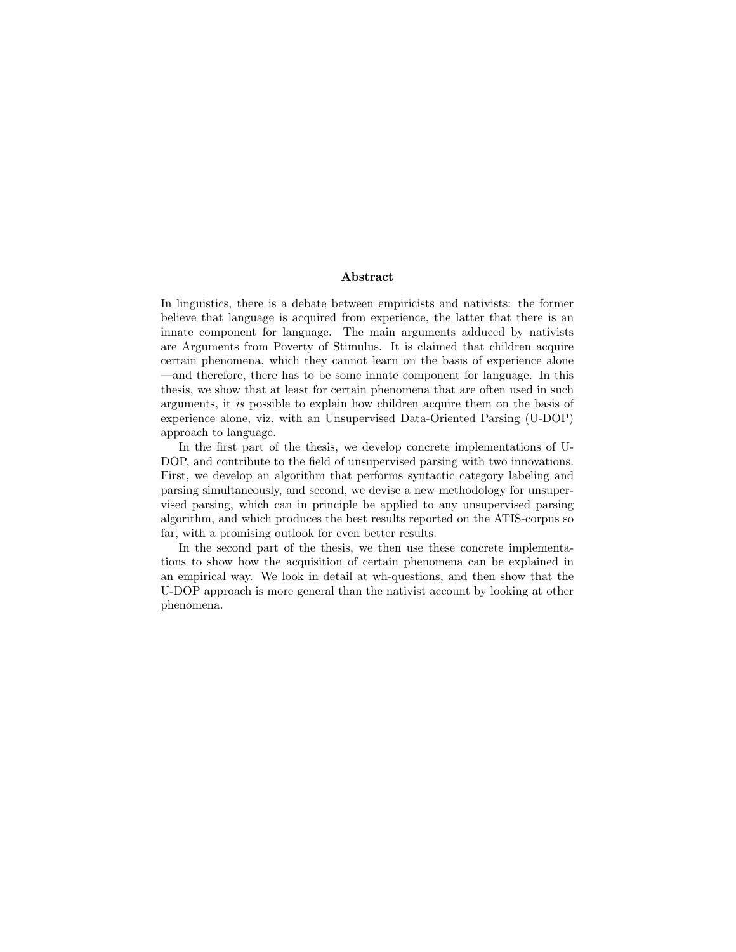### Abstract

In linguistics, there is a debate between empiricists and nativists: the former believe that language is acquired from experience, the latter that there is an innate component for language. The main arguments adduced by nativists are Arguments from Poverty of Stimulus. It is claimed that children acquire certain phenomena, which they cannot learn on the basis of experience alone —and therefore, there has to be some innate component for language. In this thesis, we show that at least for certain phenomena that are often used in such arguments, it is possible to explain how children acquire them on the basis of experience alone, viz. with an Unsupervised Data-Oriented Parsing (U-DOP) approach to language.

In the first part of the thesis, we develop concrete implementations of U-DOP, and contribute to the field of unsupervised parsing with two innovations. First, we develop an algorithm that performs syntactic category labeling and parsing simultaneously, and second, we devise a new methodology for unsupervised parsing, which can in principle be applied to any unsupervised parsing algorithm, and which produces the best results reported on the ATIS-corpus so far, with a promising outlook for even better results.

In the second part of the thesis, we then use these concrete implementations to show how the acquisition of certain phenomena can be explained in an empirical way. We look in detail at wh-questions, and then show that the U-DOP approach is more general than the nativist account by looking at other phenomena.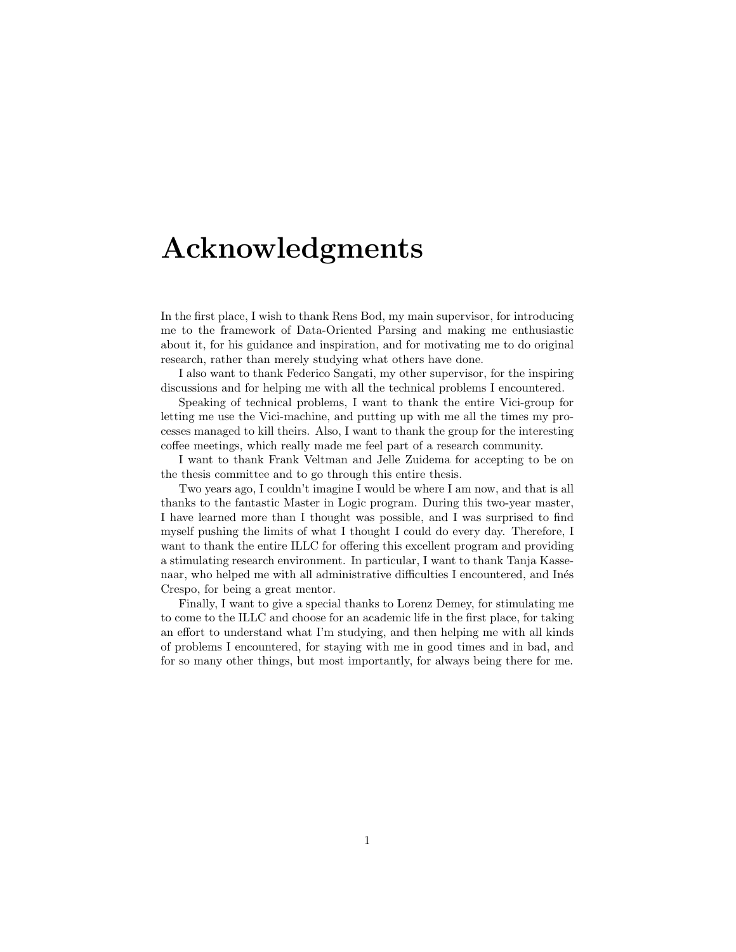# Acknowledgments

In the first place, I wish to thank Rens Bod, my main supervisor, for introducing me to the framework of Data-Oriented Parsing and making me enthusiastic about it, for his guidance and inspiration, and for motivating me to do original research, rather than merely studying what others have done.

I also want to thank Federico Sangati, my other supervisor, for the inspiring discussions and for helping me with all the technical problems I encountered.

Speaking of technical problems, I want to thank the entire Vici-group for letting me use the Vici-machine, and putting up with me all the times my processes managed to kill theirs. Also, I want to thank the group for the interesting coffee meetings, which really made me feel part of a research community.

I want to thank Frank Veltman and Jelle Zuidema for accepting to be on the thesis committee and to go through this entire thesis.

Two years ago, I couldn't imagine I would be where I am now, and that is all thanks to the fantastic Master in Logic program. During this two-year master, I have learned more than I thought was possible, and I was surprised to find myself pushing the limits of what I thought I could do every day. Therefore, I want to thank the entire ILLC for offering this excellent program and providing a stimulating research environment. In particular, I want to thank Tanja Kassenaar, who helped me with all administrative difficulties I encountered, and Inés Crespo, for being a great mentor.

Finally, I want to give a special thanks to Lorenz Demey, for stimulating me to come to the ILLC and choose for an academic life in the first place, for taking an effort to understand what I'm studying, and then helping me with all kinds of problems I encountered, for staying with me in good times and in bad, and for so many other things, but most importantly, for always being there for me.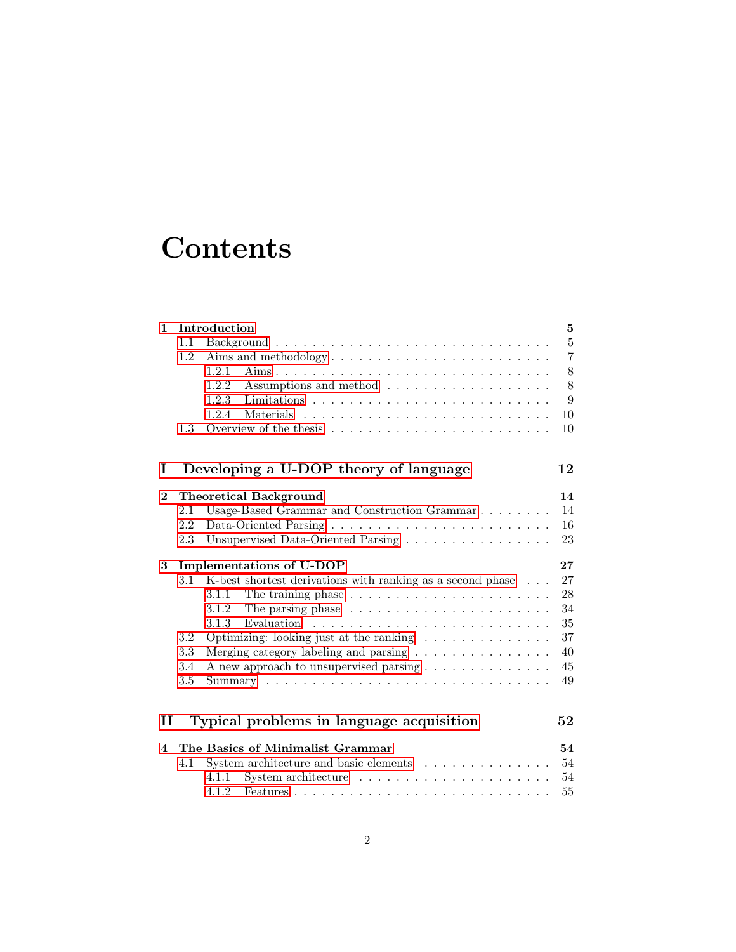# **Contents**

|              |     | Introduction                                                                                                                                        | 5              |
|--------------|-----|-----------------------------------------------------------------------------------------------------------------------------------------------------|----------------|
|              | 1.1 |                                                                                                                                                     | $\overline{5}$ |
|              | 1.2 |                                                                                                                                                     | $\overline{7}$ |
|              |     | 1.2.1                                                                                                                                               | 8              |
|              |     | 1.2.2<br>Assumptions and method                                                                                                                     | 8              |
|              |     | 1.2.3                                                                                                                                               | 9              |
|              |     | 1.2.4<br><b>Materials</b><br><u>. A shekarar a shekara ta shekara ta shekara ta 1989 a shekara ta 1989 a shekara ta 1989 a ta 1989 a ta 1989 a </u> | 10             |
|              | 1.3 |                                                                                                                                                     | 10             |
| Ι            |     | Developing a U-DOP theory of language                                                                                                               | 12             |
|              |     |                                                                                                                                                     |                |
| $\bf{2}$     |     | <b>Theoretical Background</b>                                                                                                                       | 14             |
|              | 2.1 | Usage-Based Grammar and Construction Grammar                                                                                                        | 14             |
|              | 2.2 |                                                                                                                                                     | 16             |
|              | 2.3 | Unsupervised Data-Oriented Parsing                                                                                                                  | 23             |
| 3            |     | Implementations of U-DOP                                                                                                                            | $27\,$         |
|              | 3.1 | K-best shortest derivations with ranking as a second phase                                                                                          |                |
|              |     |                                                                                                                                                     | 27             |
|              |     | 3.1.1                                                                                                                                               | 28             |
|              |     | The parsing phase $\ldots \ldots \ldots \ldots \ldots \ldots \ldots$<br>3.1.2                                                                       | 34             |
|              |     | 3.1.3                                                                                                                                               | 35             |
|              | 3.2 | Optimizing: looking just at the ranking $\dots \dots \dots \dots$                                                                                   | 37             |
|              | 3.3 | Merging category labeling and parsing $\ldots \ldots \ldots \ldots \ldots$                                                                          | 40             |
|              | 3.4 | A new approach to unsupervised parsing                                                                                                              | 45             |
|              | 3.5 |                                                                                                                                                     | 49             |
|              |     |                                                                                                                                                     |                |
| $\mathbf{I}$ |     | Typical problems in language acquisition                                                                                                            | 52             |
| 4            |     | The Basics of Minimalist Grammar                                                                                                                    | 54             |
|              | 4.1 | System architecture and basic elements                                                                                                              | 54             |
|              |     | System architecture $\ldots \ldots \ldots \ldots \ldots \ldots$<br>4.1.1<br>4.1.2                                                                   | 54<br>55       |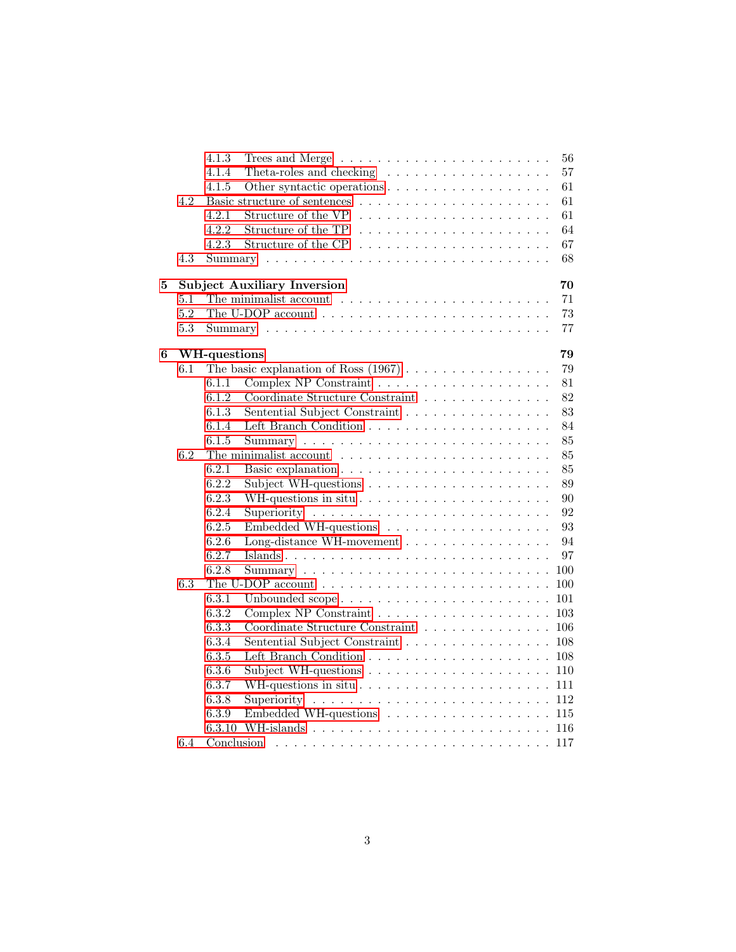|   |     | 4.1.3        | 56                                                                                                                            |
|---|-----|--------------|-------------------------------------------------------------------------------------------------------------------------------|
|   |     | 4.1.4        | 57<br>Theta-roles and checking $\dots \dots \dots \dots \dots \dots$                                                          |
|   |     | 4.1.5        | 61                                                                                                                            |
|   | 4.2 |              | 61                                                                                                                            |
|   |     | 4.2.1        | 61<br>Structure of the VP                                                                                                     |
|   |     | 4.2.2        | Structure of the TP<br>64                                                                                                     |
|   |     | 4.2.3        | 67                                                                                                                            |
|   | 4.3 |              | 68                                                                                                                            |
| 5 |     |              | <b>Subject Auxiliary Inversion</b><br>70                                                                                      |
|   | 5.1 |              | 71<br>The minimalist account $\dots \dots \dots \dots \dots \dots \dots \dots$                                                |
|   | 5.2 |              | 73<br>The U-DOP account $\dots \dots \dots \dots \dots \dots \dots \dots \dots \dots$                                         |
|   | 5.3 |              | 77                                                                                                                            |
| 6 |     | WH-questions | 79                                                                                                                            |
|   | 6.1 |              | The basic explanation of Ross $(1967) \ldots \ldots \ldots \ldots \ldots$<br>79                                               |
|   |     | 6.1.1        | 81                                                                                                                            |
|   |     | 6.1.2        | Coordinate Structure Constraint $\ldots \ldots \ldots \ldots \ldots$<br>82                                                    |
|   |     | 6.1.3        | 83<br>Sentential Subject Constraint                                                                                           |
|   |     | 6.1.4        | 84                                                                                                                            |
|   |     | 6.1.5        | 85                                                                                                                            |
|   | 6.2 |              | 85                                                                                                                            |
|   |     | 6.2.1        | 85                                                                                                                            |
|   |     | 6.2.2        | 89<br>Subject WH-questions $\ldots \ldots \ldots \ldots \ldots \ldots$                                                        |
|   |     | 6.2.3        | 90                                                                                                                            |
|   |     | 6.2.4        | 92                                                                                                                            |
|   |     | 6.2.5        | 93<br>Embedded WH-questions                                                                                                   |
|   |     | 6.2.6        | Long-distance WH-movement<br>94                                                                                               |
|   |     | 6.2.7        | 97                                                                                                                            |
|   |     | 6.2.8        | 100                                                                                                                           |
|   | 6.3 |              | 100                                                                                                                           |
|   |     | 6.3.1        | 101<br>Unbounded scope                                                                                                        |
|   |     | 6.3.2        | 103                                                                                                                           |
|   |     | 6.3.3        | $\label{eq:coordinate} \text{Coordinate Structure Constraint} \quad \ldots \quad \ldots \quad \ldots \quad \ldots \,.$<br>106 |
|   |     | 6.3.4        | Sentential Subject Constraint<br>108                                                                                          |
|   |     | 6.3.5        | 108                                                                                                                           |
|   |     | 6.3.6        | Subject WH-questions $\ldots \ldots \ldots \ldots \ldots \ldots$<br>110                                                       |
|   |     | 6.3.7        | 111                                                                                                                           |
|   |     | 6.3.8        | 112                                                                                                                           |
|   |     | 6.3.9        | Embedded WH-questions<br>115                                                                                                  |
|   |     | 6.3.10       | 116                                                                                                                           |
|   | 6.4 |              |                                                                                                                               |
|   |     |              |                                                                                                                               |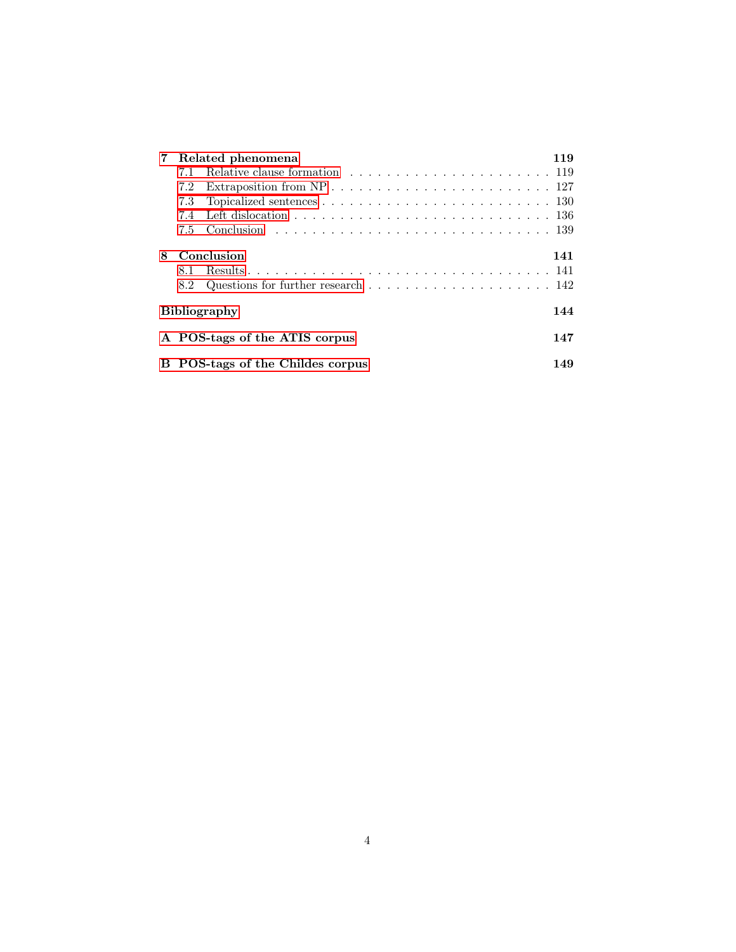|                            |                                       | 7 Related phenomena                                                                        | 119 |  |  |  |  |  |
|----------------------------|---------------------------------------|--------------------------------------------------------------------------------------------|-----|--|--|--|--|--|
|                            | 7.1                                   |                                                                                            |     |  |  |  |  |  |
|                            | 7.2                                   |                                                                                            |     |  |  |  |  |  |
|                            | 7.3                                   | Topicalized sentences $\ldots \ldots \ldots \ldots \ldots \ldots \ldots \ldots \ldots 130$ |     |  |  |  |  |  |
|                            | 7.4                                   | Left dislocation $\ldots \ldots \ldots \ldots \ldots \ldots \ldots \ldots \ldots \ldots$   |     |  |  |  |  |  |
|                            | 7.5                                   |                                                                                            |     |  |  |  |  |  |
| 8                          |                                       | Conclusion                                                                                 | 141 |  |  |  |  |  |
|                            | 8.1.                                  |                                                                                            |     |  |  |  |  |  |
|                            | 8.2                                   | Questions for further research $\ldots \ldots \ldots \ldots \ldots \ldots \ldots 142$      |     |  |  |  |  |  |
| <b>Bibliography</b><br>144 |                                       |                                                                                            |     |  |  |  |  |  |
|                            |                                       | A POS-tags of the ATIS corpus                                                              | 147 |  |  |  |  |  |
| в                          | POS-tags of the Childes corpus<br>149 |                                                                                            |     |  |  |  |  |  |
|                            |                                       |                                                                                            |     |  |  |  |  |  |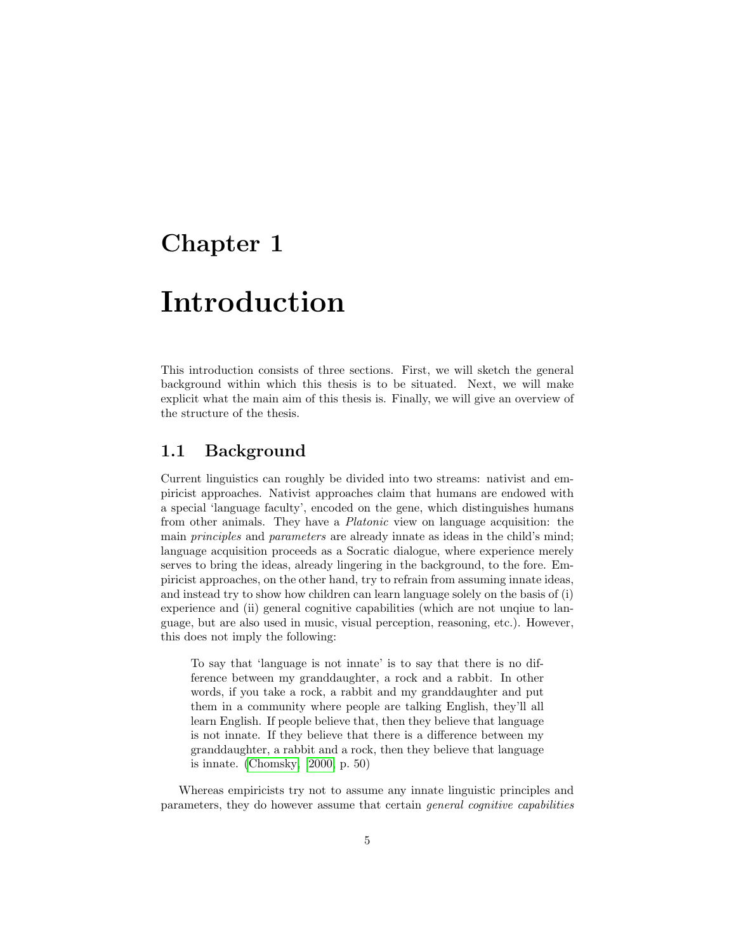# <span id="page-6-0"></span>Chapter 1

# Introduction

This introduction consists of three sections. First, we will sketch the general background within which this thesis is to be situated. Next, we will make explicit what the main aim of this thesis is. Finally, we will give an overview of the structure of the thesis.

## <span id="page-6-1"></span>1.1 Background

Current linguistics can roughly be divided into two streams: nativist and empiricist approaches. Nativist approaches claim that humans are endowed with a special 'language faculty', encoded on the gene, which distinguishes humans from other animals. They have a Platonic view on language acquisition: the main principles and parameters are already innate as ideas in the child's mind; language acquisition proceeds as a Socratic dialogue, where experience merely serves to bring the ideas, already lingering in the background, to the fore. Empiricist approaches, on the other hand, try to refrain from assuming innate ideas, and instead try to show how children can learn language solely on the basis of (i) experience and (ii) general cognitive capabilities (which are not unqiue to language, but are also used in music, visual perception, reasoning, etc.). However, this does not imply the following:

To say that 'language is not innate' is to say that there is no difference between my granddaughter, a rock and a rabbit. In other words, if you take a rock, a rabbit and my granddaughter and put them in a community where people are talking English, they'll all learn English. If people believe that, then they believe that language is not innate. If they believe that there is a difference between my granddaughter, a rabbit and a rock, then they believe that language is innate. [\(Chomsky, 2000,](#page-146-0) p. 50)

Whereas empiricists try not to assume any innate linguistic principles and parameters, they do however assume that certain general cognitive capabilities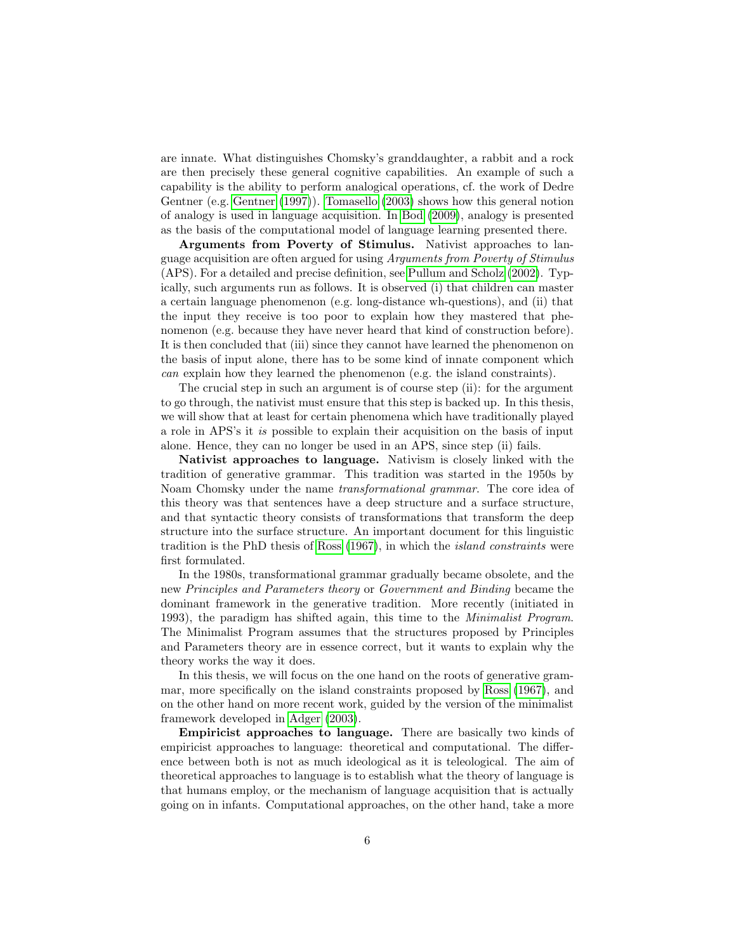are innate. What distinguishes Chomsky's granddaughter, a rabbit and a rock are then precisely these general cognitive capabilities. An example of such a capability is the ability to perform analogical operations, cf. the work of Dedre Gentner (e.g. [Gentner](#page-146-1) [\(1997\)](#page-146-1)). [Tomasello](#page-147-0) [\(2003\)](#page-147-0) shows how this general notion of analogy is used in language acquisition. In [Bod](#page-145-0) [\(2009\)](#page-145-0), analogy is presented as the basis of the computational model of language learning presented there.

Arguments from Poverty of Stimulus. Nativist approaches to language acquisition are often argued for using Arguments from Poverty of Stimulus (APS). For a detailed and precise definition, see [Pullum and Scholz](#page-147-1) [\(2002\)](#page-147-1). Typically, such arguments run as follows. It is observed (i) that children can master a certain language phenomenon (e.g. long-distance wh-questions), and (ii) that the input they receive is too poor to explain how they mastered that phenomenon (e.g. because they have never heard that kind of construction before). It is then concluded that (iii) since they cannot have learned the phenomenon on the basis of input alone, there has to be some kind of innate component which can explain how they learned the phenomenon (e.g. the island constraints).

The crucial step in such an argument is of course step (ii): for the argument to go through, the nativist must ensure that this step is backed up. In this thesis, we will show that at least for certain phenomena which have traditionally played a role in APS's it is possible to explain their acquisition on the basis of input alone. Hence, they can no longer be used in an APS, since step (ii) fails.

Nativist approaches to language. Nativism is closely linked with the tradition of generative grammar. This tradition was started in the 1950s by Noam Chomsky under the name transformational grammar. The core idea of this theory was that sentences have a deep structure and a surface structure, and that syntactic theory consists of transformations that transform the deep structure into the surface structure. An important document for this linguistic tradition is the PhD thesis of [Ross](#page-147-2) [\(1967\)](#page-147-2), in which the island constraints were first formulated.

In the 1980s, transformational grammar gradually became obsolete, and the new Principles and Parameters theory or Government and Binding became the dominant framework in the generative tradition. More recently (initiated in 1993), the paradigm has shifted again, this time to the Minimalist Program. The Minimalist Program assumes that the structures proposed by Principles and Parameters theory are in essence correct, but it wants to explain why the theory works the way it does.

In this thesis, we will focus on the one hand on the roots of generative grammar, more specifically on the island constraints proposed by [Ross](#page-147-2) [\(1967\)](#page-147-2), and on the other hand on more recent work, guided by the version of the minimalist framework developed in [Adger](#page-145-1) [\(2003\)](#page-145-1).

Empiricist approaches to language. There are basically two kinds of empiricist approaches to language: theoretical and computational. The difference between both is not as much ideological as it is teleological. The aim of theoretical approaches to language is to establish what the theory of language is that humans employ, or the mechanism of language acquisition that is actually going on in infants. Computational approaches, on the other hand, take a more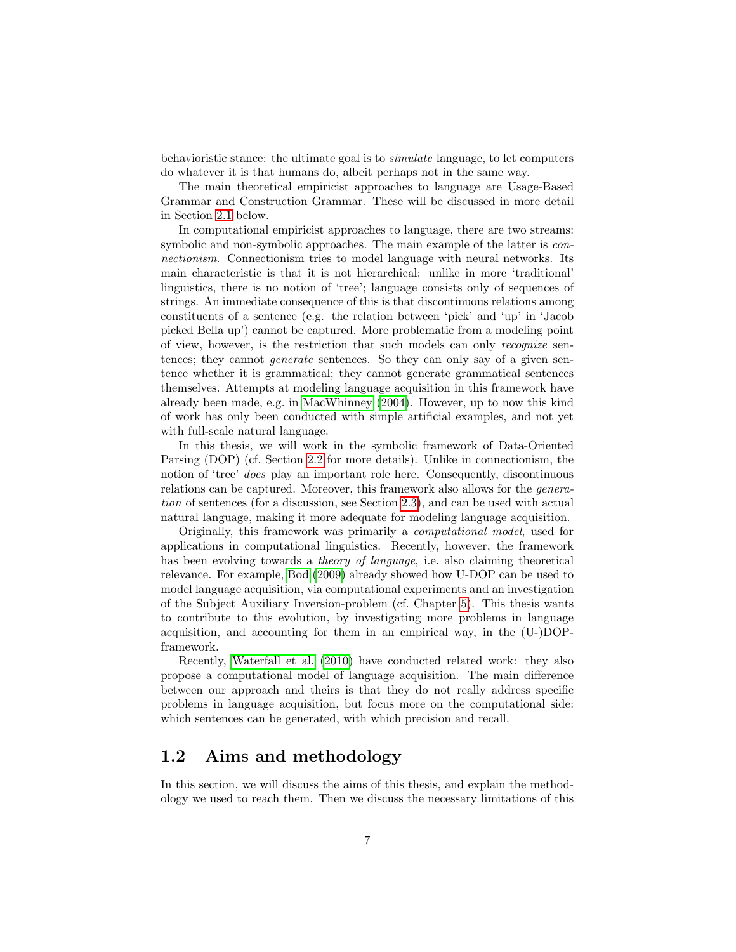behavioristic stance: the ultimate goal is to simulate language, to let computers do whatever it is that humans do, albeit perhaps not in the same way.

The main theoretical empiricist approaches to language are Usage-Based Grammar and Construction Grammar. These will be discussed in more detail in Section [2.1](#page-15-1) below.

In computational empiricist approaches to language, there are two streams: symbolic and non-symbolic approaches. The main example of the latter is connectionism. Connectionism tries to model language with neural networks. Its main characteristic is that it is not hierarchical: unlike in more 'traditional' linguistics, there is no notion of 'tree'; language consists only of sequences of strings. An immediate consequence of this is that discontinuous relations among constituents of a sentence (e.g. the relation between 'pick' and 'up' in 'Jacob picked Bella up') cannot be captured. More problematic from a modeling point of view, however, is the restriction that such models can only recognize sentences; they cannot generate sentences. So they can only say of a given sentence whether it is grammatical; they cannot generate grammatical sentences themselves. Attempts at modeling language acquisition in this framework have already been made, e.g. in [MacWhinney](#page-146-2) [\(2004\)](#page-146-2). However, up to now this kind of work has only been conducted with simple artificial examples, and not yet with full-scale natural language.

In this thesis, we will work in the symbolic framework of Data-Oriented Parsing (DOP) (cf. Section [2.2](#page-17-0) for more details). Unlike in connectionism, the notion of 'tree' does play an important role here. Consequently, discontinuous relations can be captured. Moreover, this framework also allows for the generation of sentences (for a discussion, see Section [2.3\)](#page-24-0), and can be used with actual natural language, making it more adequate for modeling language acquisition.

Originally, this framework was primarily a computational model, used for applications in computational linguistics. Recently, however, the framework has been evolving towards a theory of language, i.e. also claiming theoretical relevance. For example, [Bod](#page-145-0) [\(2009\)](#page-145-0) already showed how U-DOP can be used to model language acquisition, via computational experiments and an investigation of the Subject Auxiliary Inversion-problem (cf. Chapter [5\)](#page-71-0). This thesis wants to contribute to this evolution, by investigating more problems in language acquisition, and accounting for them in an empirical way, in the (U-)DOPframework.

Recently, [Waterfall et al.](#page-147-3) [\(2010\)](#page-147-3) have conducted related work: they also propose a computational model of language acquisition. The main difference between our approach and theirs is that they do not really address specific problems in language acquisition, but focus more on the computational side: which sentences can be generated, with which precision and recall.

## <span id="page-8-0"></span>1.2 Aims and methodology

In this section, we will discuss the aims of this thesis, and explain the methodology we used to reach them. Then we discuss the necessary limitations of this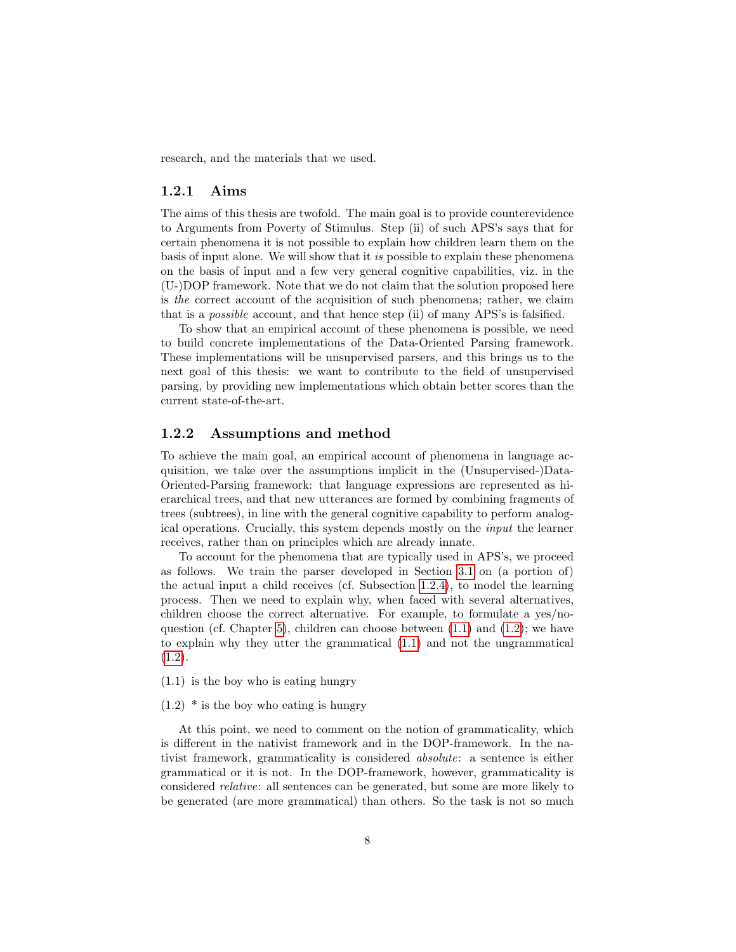research, and the materials that we used.

### <span id="page-9-0"></span>1.2.1 Aims

The aims of this thesis are twofold. The main goal is to provide counterevidence to Arguments from Poverty of Stimulus. Step (ii) of such APS's says that for certain phenomena it is not possible to explain how children learn them on the basis of input alone. We will show that it is possible to explain these phenomena on the basis of input and a few very general cognitive capabilities, viz. in the (U-)DOP framework. Note that we do not claim that the solution proposed here is the correct account of the acquisition of such phenomena; rather, we claim that is a possible account, and that hence step (ii) of many APS's is falsified.

To show that an empirical account of these phenomena is possible, we need to build concrete implementations of the Data-Oriented Parsing framework. These implementations will be unsupervised parsers, and this brings us to the next goal of this thesis: we want to contribute to the field of unsupervised parsing, by providing new implementations which obtain better scores than the current state-of-the-art.

### <span id="page-9-1"></span>1.2.2 Assumptions and method

To achieve the main goal, an empirical account of phenomena in language acquisition, we take over the assumptions implicit in the (Unsupervised-)Data-Oriented-Parsing framework: that language expressions are represented as hierarchical trees, and that new utterances are formed by combining fragments of trees (subtrees), in line with the general cognitive capability to perform analogical operations. Crucially, this system depends mostly on the input the learner receives, rather than on principles which are already innate.

To account for the phenomena that are typically used in APS's, we proceed as follows. We train the parser developed in Section [3.1](#page-28-1) on (a portion of) the actual input a child receives (cf. Subsection [1.2.4\)](#page-11-0), to model the learning process. Then we need to explain why, when faced with several alternatives, children choose the correct alternative. For example, to formulate a yes/noquestion (cf. Chapter [5\)](#page-71-0), children can choose between [\(1.1\)](#page-9-2) and [\(1.2\)](#page-9-3); we have to explain why they utter the grammatical [\(1.1\)](#page-9-2) and not the ungrammatical  $(1.2).$  $(1.2).$ 

- <span id="page-9-2"></span>(1.1) is the boy who is eating hungry
- <span id="page-9-3"></span> $(1.2)$  \* is the boy who eating is hungry

At this point, we need to comment on the notion of grammaticality, which is different in the nativist framework and in the DOP-framework. In the nativist framework, grammaticality is considered absolute: a sentence is either grammatical or it is not. In the DOP-framework, however, grammaticality is considered relative: all sentences can be generated, but some are more likely to be generated (are more grammatical) than others. So the task is not so much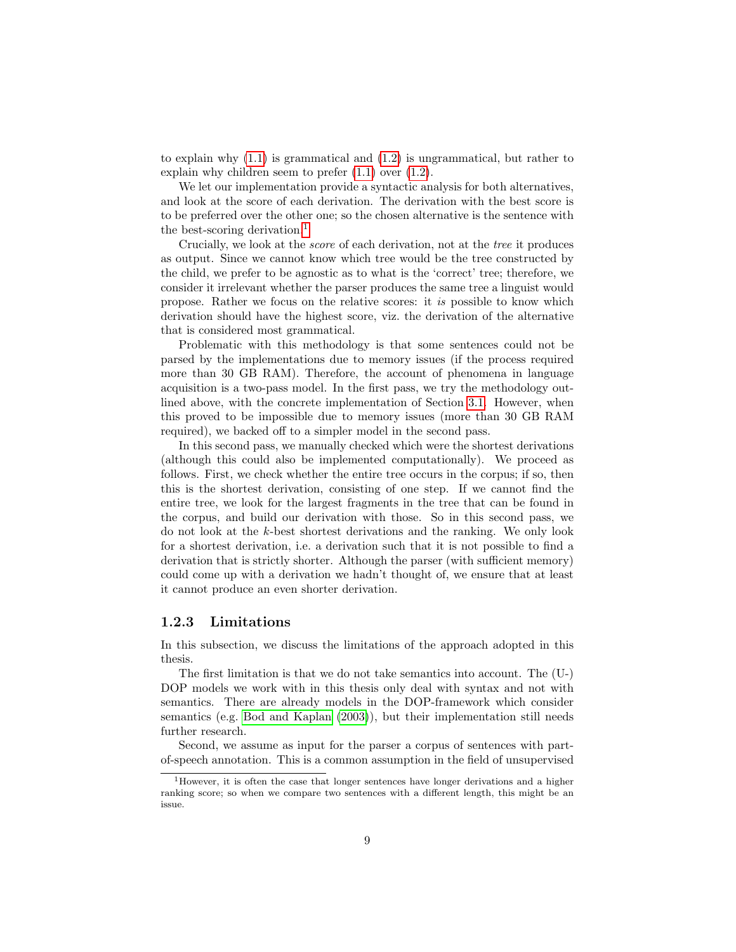to explain why  $(1.1)$  is grammatical and  $(1.2)$  is ungrammatical, but rather to explain why children seem to prefer [\(1.1\)](#page-9-2) over [\(1.2\)](#page-9-3).

We let our implementation provide a syntactic analysis for both alternatives, and look at the score of each derivation. The derivation with the best score is to be preferred over the other one; so the chosen alternative is the sentence with the best-scoring derivation.<sup>[1](#page-10-1)</sup>

Crucially, we look at the score of each derivation, not at the tree it produces as output. Since we cannot know which tree would be the tree constructed by the child, we prefer to be agnostic as to what is the 'correct' tree; therefore, we consider it irrelevant whether the parser produces the same tree a linguist would propose. Rather we focus on the relative scores: it is possible to know which derivation should have the highest score, viz. the derivation of the alternative that is considered most grammatical.

Problematic with this methodology is that some sentences could not be parsed by the implementations due to memory issues (if the process required more than 30 GB RAM). Therefore, the account of phenomena in language acquisition is a two-pass model. In the first pass, we try the methodology outlined above, with the concrete implementation of Section [3.1.](#page-28-1) However, when this proved to be impossible due to memory issues (more than 30 GB RAM required), we backed off to a simpler model in the second pass.

In this second pass, we manually checked which were the shortest derivations (although this could also be implemented computationally). We proceed as follows. First, we check whether the entire tree occurs in the corpus; if so, then this is the shortest derivation, consisting of one step. If we cannot find the entire tree, we look for the largest fragments in the tree that can be found in the corpus, and build our derivation with those. So in this second pass, we do not look at the k-best shortest derivations and the ranking. We only look for a shortest derivation, i.e. a derivation such that it is not possible to find a derivation that is strictly shorter. Although the parser (with sufficient memory) could come up with a derivation we hadn't thought of, we ensure that at least it cannot produce an even shorter derivation.

### <span id="page-10-0"></span>1.2.3 Limitations

In this subsection, we discuss the limitations of the approach adopted in this thesis.

The first limitation is that we do not take semantics into account. The (U-) DOP models we work with in this thesis only deal with syntax and not with semantics. There are already models in the DOP-framework which consider semantics (e.g. [Bod and Kaplan](#page-145-2) [\(2003\)](#page-145-2)), but their implementation still needs further research.

Second, we assume as input for the parser a corpus of sentences with partof-speech annotation. This is a common assumption in the field of unsupervised

<span id="page-10-1"></span><sup>&</sup>lt;sup>1</sup>However, it is often the case that longer sentences have longer derivations and a higher ranking score; so when we compare two sentences with a different length, this might be an issue.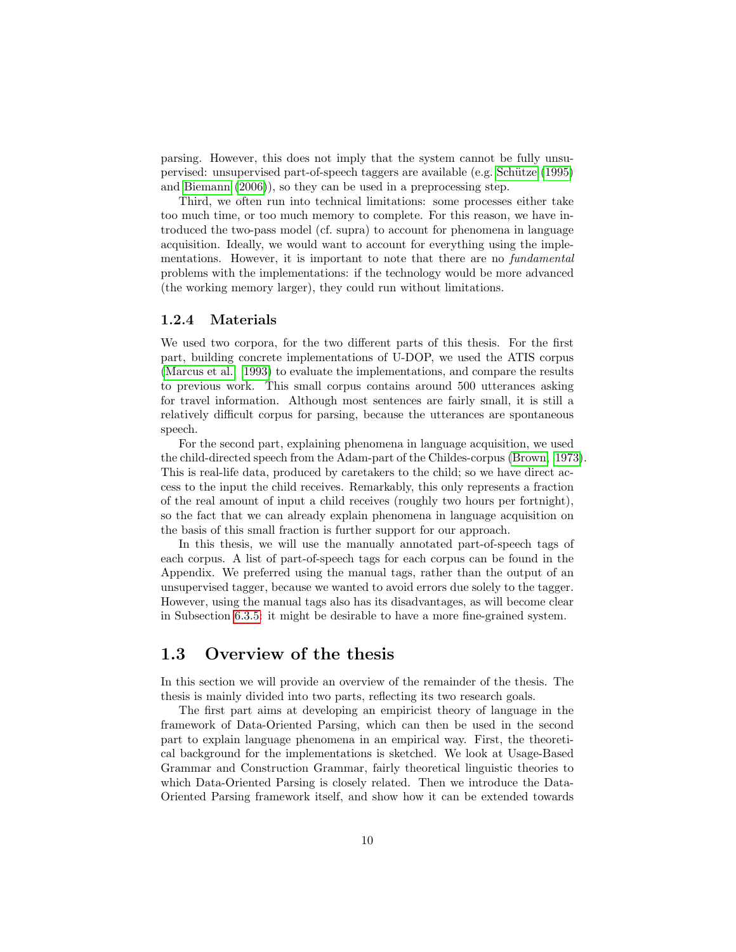parsing. However, this does not imply that the system cannot be fully unsupervised: unsupervised part-of-speech taggers are available (e.g. [Sch¨utze](#page-147-4) [\(1995\)](#page-147-4) and [Biemann](#page-145-3) [\(2006\)](#page-145-3)), so they can be used in a preprocessing step.

Third, we often run into technical limitations: some processes either take too much time, or too much memory to complete. For this reason, we have introduced the two-pass model (cf. supra) to account for phenomena in language acquisition. Ideally, we would want to account for everything using the implementations. However, it is important to note that there are no fundamental problems with the implementations: if the technology would be more advanced (the working memory larger), they could run without limitations.

### <span id="page-11-0"></span>1.2.4 Materials

We used two corpora, for the two different parts of this thesis. For the first part, building concrete implementations of U-DOP, we used the ATIS corpus [\(Marcus et al., 1993\)](#page-147-5) to evaluate the implementations, and compare the results to previous work. This small corpus contains around 500 utterances asking for travel information. Although most sentences are fairly small, it is still a relatively difficult corpus for parsing, because the utterances are spontaneous speech.

For the second part, explaining phenomena in language acquisition, we used the child-directed speech from the Adam-part of the Childes-corpus [\(Brown, 1973\)](#page-146-3). This is real-life data, produced by caretakers to the child; so we have direct access to the input the child receives. Remarkably, this only represents a fraction of the real amount of input a child receives (roughly two hours per fortnight), so the fact that we can already explain phenomena in language acquisition on the basis of this small fraction is further support for our approach.

In this thesis, we will use the manually annotated part-of-speech tags of each corpus. A list of part-of-speech tags for each corpus can be found in the Appendix. We preferred using the manual tags, rather than the output of an unsupervised tagger, because we wanted to avoid errors due solely to the tagger. However, using the manual tags also has its disadvantages, as will become clear in Subsection [6.3.5:](#page-109-1) it might be desirable to have a more fine-grained system.

## <span id="page-11-1"></span>1.3 Overview of the thesis

In this section we will provide an overview of the remainder of the thesis. The thesis is mainly divided into two parts, reflecting its two research goals.

The first part aims at developing an empiricist theory of language in the framework of Data-Oriented Parsing, which can then be used in the second part to explain language phenomena in an empirical way. First, the theoretical background for the implementations is sketched. We look at Usage-Based Grammar and Construction Grammar, fairly theoretical linguistic theories to which Data-Oriented Parsing is closely related. Then we introduce the Data-Oriented Parsing framework itself, and show how it can be extended towards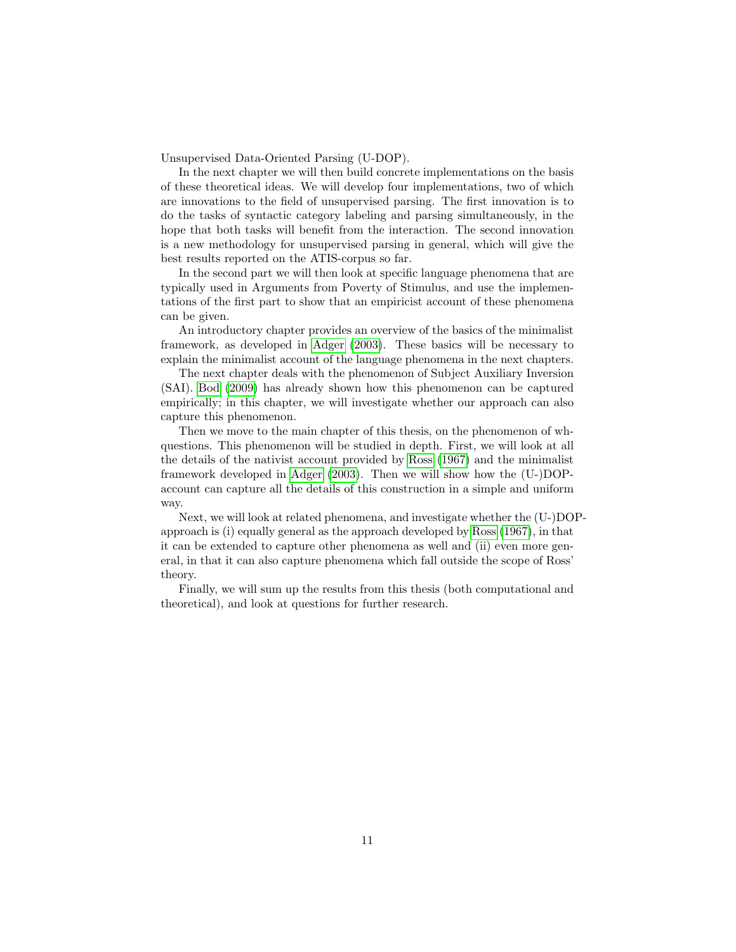Unsupervised Data-Oriented Parsing (U-DOP).

In the next chapter we will then build concrete implementations on the basis of these theoretical ideas. We will develop four implementations, two of which are innovations to the field of unsupervised parsing. The first innovation is to do the tasks of syntactic category labeling and parsing simultaneously, in the hope that both tasks will benefit from the interaction. The second innovation is a new methodology for unsupervised parsing in general, which will give the best results reported on the ATIS-corpus so far.

In the second part we will then look at specific language phenomena that are typically used in Arguments from Poverty of Stimulus, and use the implementations of the first part to show that an empiricist account of these phenomena can be given.

An introductory chapter provides an overview of the basics of the minimalist framework, as developed in [Adger](#page-145-1) [\(2003\)](#page-145-1). These basics will be necessary to explain the minimalist account of the language phenomena in the next chapters.

The next chapter deals with the phenomenon of Subject Auxiliary Inversion (SAI). [Bod](#page-145-0) [\(2009\)](#page-145-0) has already shown how this phenomenon can be captured empirically; in this chapter, we will investigate whether our approach can also capture this phenomenon.

Then we move to the main chapter of this thesis, on the phenomenon of whquestions. This phenomenon will be studied in depth. First, we will look at all the details of the nativist account provided by [Ross](#page-147-2) [\(1967\)](#page-147-2) and the minimalist framework developed in [Adger](#page-145-1) [\(2003\)](#page-145-1). Then we will show how the (U-)DOPaccount can capture all the details of this construction in a simple and uniform way.

Next, we will look at related phenomena, and investigate whether the (U-)DOPapproach is (i) equally general as the approach developed by [Ross](#page-147-2) [\(1967\)](#page-147-2), in that it can be extended to capture other phenomena as well and (ii) even more general, in that it can also capture phenomena which fall outside the scope of Ross' theory.

Finally, we will sum up the results from this thesis (both computational and theoretical), and look at questions for further research.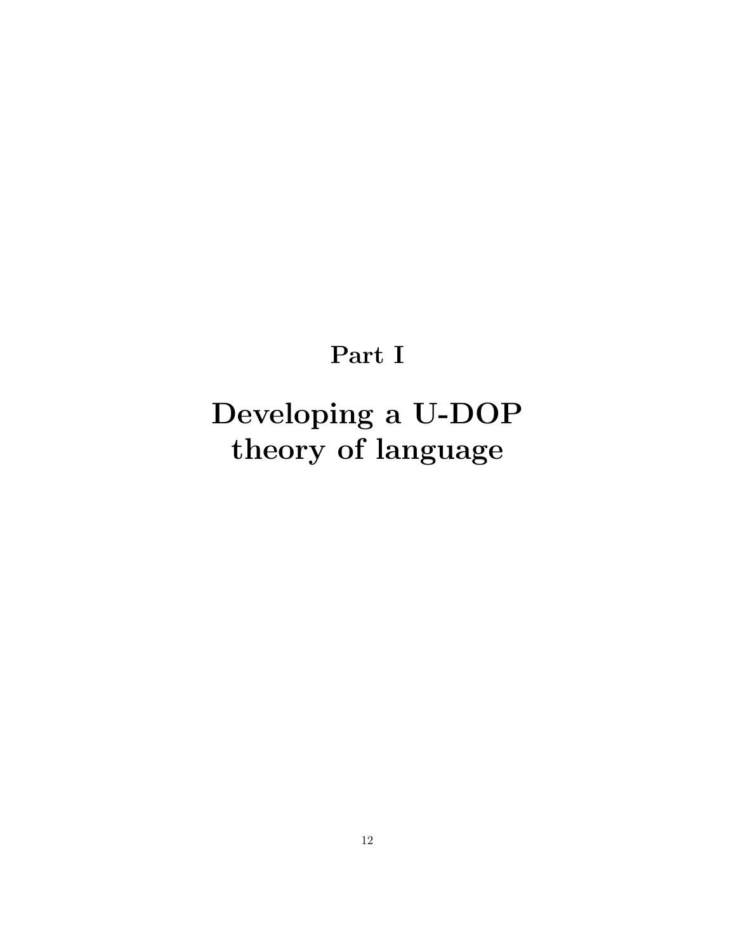# Part I

# <span id="page-13-0"></span>Developing a U-DOP theory of language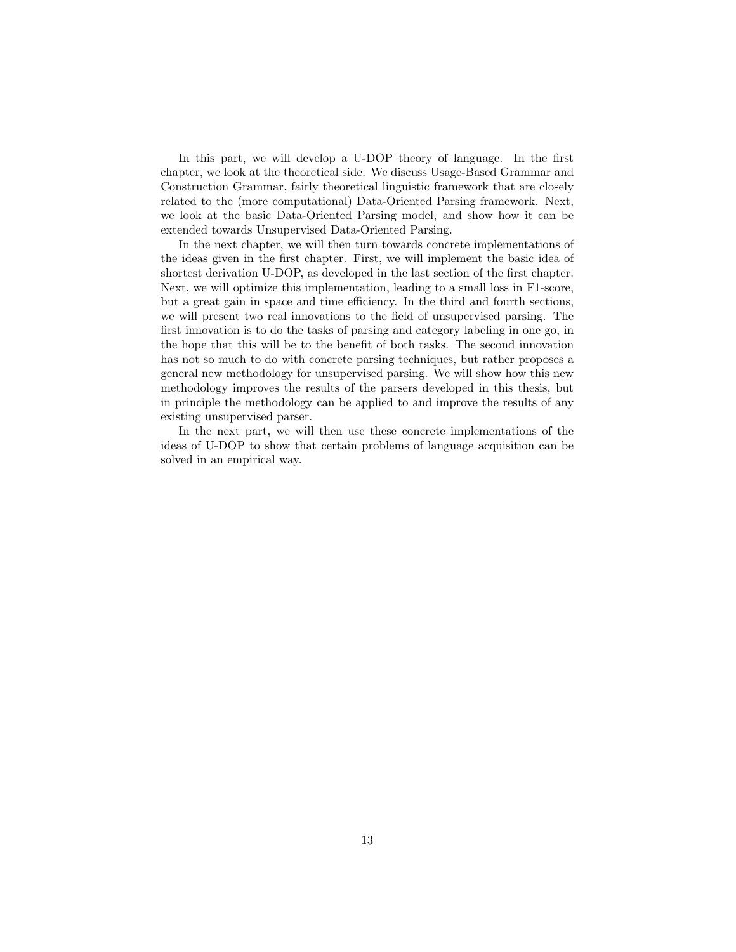In this part, we will develop a U-DOP theory of language. In the first chapter, we look at the theoretical side. We discuss Usage-Based Grammar and Construction Grammar, fairly theoretical linguistic framework that are closely related to the (more computational) Data-Oriented Parsing framework. Next, we look at the basic Data-Oriented Parsing model, and show how it can be extended towards Unsupervised Data-Oriented Parsing.

In the next chapter, we will then turn towards concrete implementations of the ideas given in the first chapter. First, we will implement the basic idea of shortest derivation U-DOP, as developed in the last section of the first chapter. Next, we will optimize this implementation, leading to a small loss in F1-score, but a great gain in space and time efficiency. In the third and fourth sections, we will present two real innovations to the field of unsupervised parsing. The first innovation is to do the tasks of parsing and category labeling in one go, in the hope that this will be to the benefit of both tasks. The second innovation has not so much to do with concrete parsing techniques, but rather proposes a general new methodology for unsupervised parsing. We will show how this new methodology improves the results of the parsers developed in this thesis, but in principle the methodology can be applied to and improve the results of any existing unsupervised parser.

In the next part, we will then use these concrete implementations of the ideas of U-DOP to show that certain problems of language acquisition can be solved in an empirical way.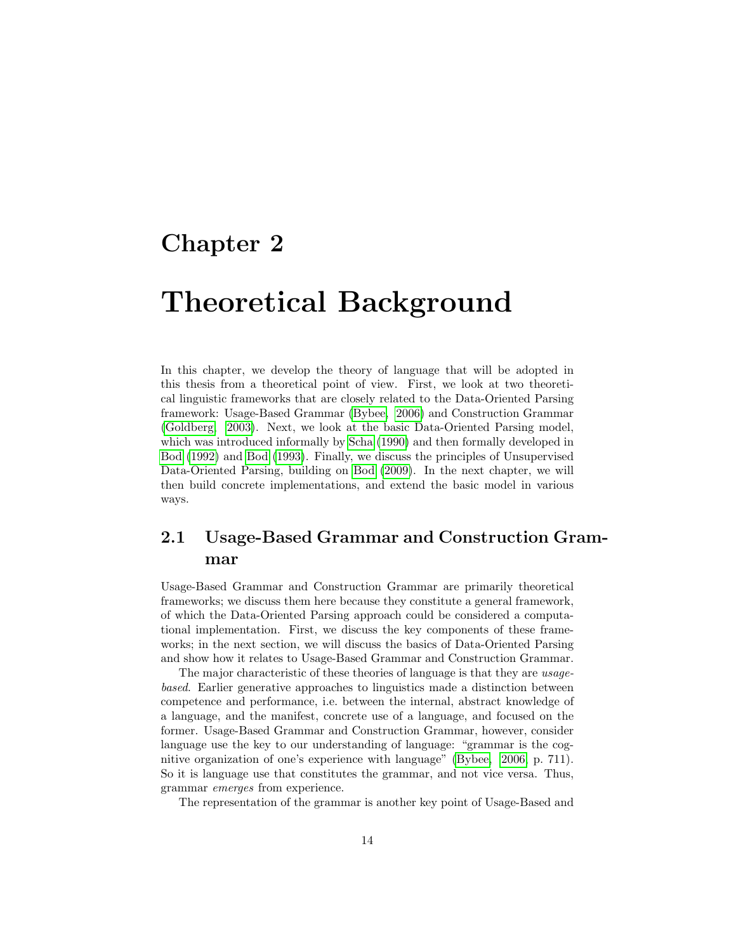# <span id="page-15-0"></span>Chapter 2

# Theoretical Background

In this chapter, we develop the theory of language that will be adopted in this thesis from a theoretical point of view. First, we look at two theoretical linguistic frameworks that are closely related to the Data-Oriented Parsing framework: Usage-Based Grammar [\(Bybee, 2006\)](#page-146-4) and Construction Grammar [\(Goldberg, 2003\)](#page-146-5). Next, we look at the basic Data-Oriented Parsing model, which was introduced informally by [Scha](#page-147-6) [\(1990\)](#page-147-6) and then formally developed in [Bod](#page-145-4) [\(1992\)](#page-145-4) and [Bod](#page-145-5) [\(1993\)](#page-145-5). Finally, we discuss the principles of Unsupervised Data-Oriented Parsing, building on [Bod](#page-145-0) [\(2009\)](#page-145-0). In the next chapter, we will then build concrete implementations, and extend the basic model in various ways.

# <span id="page-15-1"></span>2.1 Usage-Based Grammar and Construction Grammar

Usage-Based Grammar and Construction Grammar are primarily theoretical frameworks; we discuss them here because they constitute a general framework, of which the Data-Oriented Parsing approach could be considered a computational implementation. First, we discuss the key components of these frameworks; in the next section, we will discuss the basics of Data-Oriented Parsing and show how it relates to Usage-Based Grammar and Construction Grammar.

The major characteristic of these theories of language is that they are usagebased. Earlier generative approaches to linguistics made a distinction between competence and performance, i.e. between the internal, abstract knowledge of a language, and the manifest, concrete use of a language, and focused on the former. Usage-Based Grammar and Construction Grammar, however, consider language use the key to our understanding of language: "grammar is the cognitive organization of one's experience with language" [\(Bybee, 2006,](#page-146-4) p. 711). So it is language use that constitutes the grammar, and not vice versa. Thus, grammar emerges from experience.

The representation of the grammar is another key point of Usage-Based and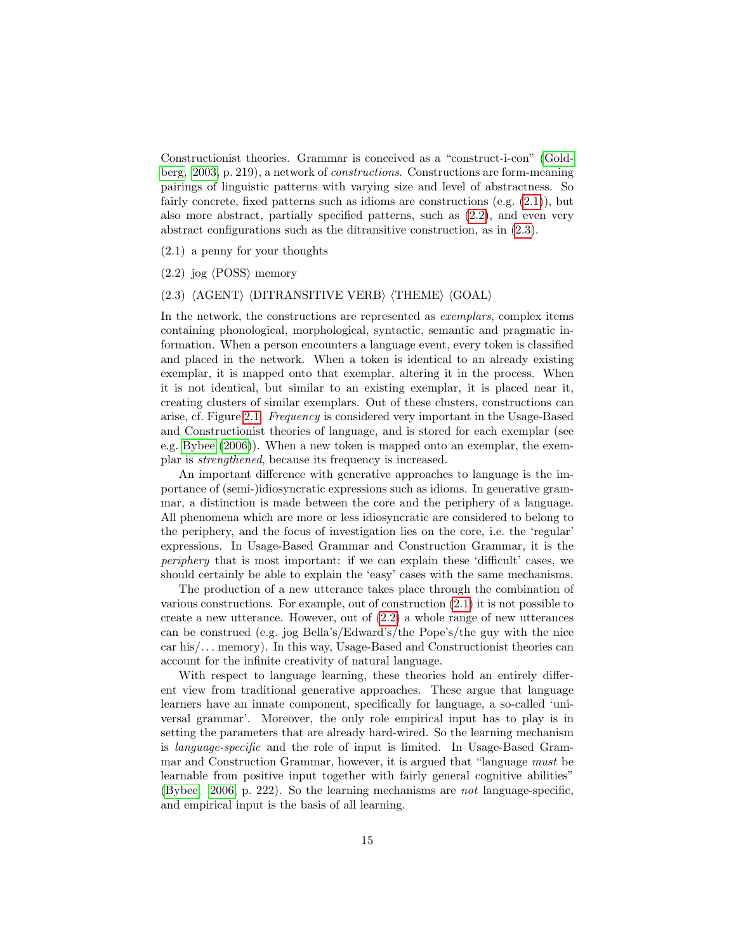Constructionist theories. Grammar is conceived as a "construct-i-con" [\(Gold](#page-146-5)[berg, 2003,](#page-146-5) p. 219), a network of constructions. Constructions are form-meaning pairings of linguistic patterns with varying size and level of abstractness. So fairly concrete, fixed patterns such as idioms are constructions (e.g.  $(2.1)$ ), but also more abstract, partially specified patterns, such as [\(2.2\)](#page-16-1), and even very abstract configurations such as the ditransitive construction, as in [\(2.3\)](#page-16-2).

<span id="page-16-0"></span>(2.1) a penny for your thoughts

<span id="page-16-1"></span> $(2.2)$  jog  $\langle$ POSS $\rangle$  memory

#### <span id="page-16-2"></span>(2.3)  $\langle$ AGENT $\rangle$   $\langle$ DITRANSITIVE VERB $\rangle$   $\langle$ THEME $\rangle$   $\langle$ GOAL $\rangle$

In the network, the constructions are represented as *exemplars*, complex items containing phonological, morphological, syntactic, semantic and pragmatic information. When a person encounters a language event, every token is classified and placed in the network. When a token is identical to an already existing exemplar, it is mapped onto that exemplar, altering it in the process. When it is not identical, but similar to an existing exemplar, it is placed near it, creating clusters of similar exemplars. Out of these clusters, constructions can arise, cf. Figure [2.1.](#page-17-1) Frequency is considered very important in the Usage-Based and Constructionist theories of language, and is stored for each exemplar (see e.g. [Bybee](#page-146-4) [\(2006\)](#page-146-4)). When a new token is mapped onto an exemplar, the exemplar is strengthened, because its frequency is increased.

An important difference with generative approaches to language is the importance of (semi-)idiosyncratic expressions such as idioms. In generative grammar, a distinction is made between the core and the periphery of a language. All phenomena which are more or less idiosyncratic are considered to belong to the periphery, and the focus of investigation lies on the core, i.e. the 'regular' expressions. In Usage-Based Grammar and Construction Grammar, it is the periphery that is most important: if we can explain these 'difficult' cases, we should certainly be able to explain the 'easy' cases with the same mechanisms.

The production of a new utterance takes place through the combination of various constructions. For example, out of construction [\(2.1\)](#page-16-0) it is not possible to create a new utterance. However, out of [\(2.2\)](#page-16-1) a whole range of new utterances can be construed (e.g. jog Bella's/Edward's/the Pope's/the guy with the nice  $car\ his/\dots$  memory). In this way, Usage-Based and Constructionist theories can account for the infinite creativity of natural language.

With respect to language learning, these theories hold an entirely different view from traditional generative approaches. These argue that language learners have an innate component, specifically for language, a so-called 'universal grammar'. Moreover, the only role empirical input has to play is in setting the parameters that are already hard-wired. So the learning mechanism is language-specific and the role of input is limited. In Usage-Based Grammar and Construction Grammar, however, it is argued that "language must be learnable from positive input together with fairly general cognitive abilities" [\(Bybee, 2006,](#page-146-4) p. 222). So the learning mechanisms are not language-specific, and empirical input is the basis of all learning.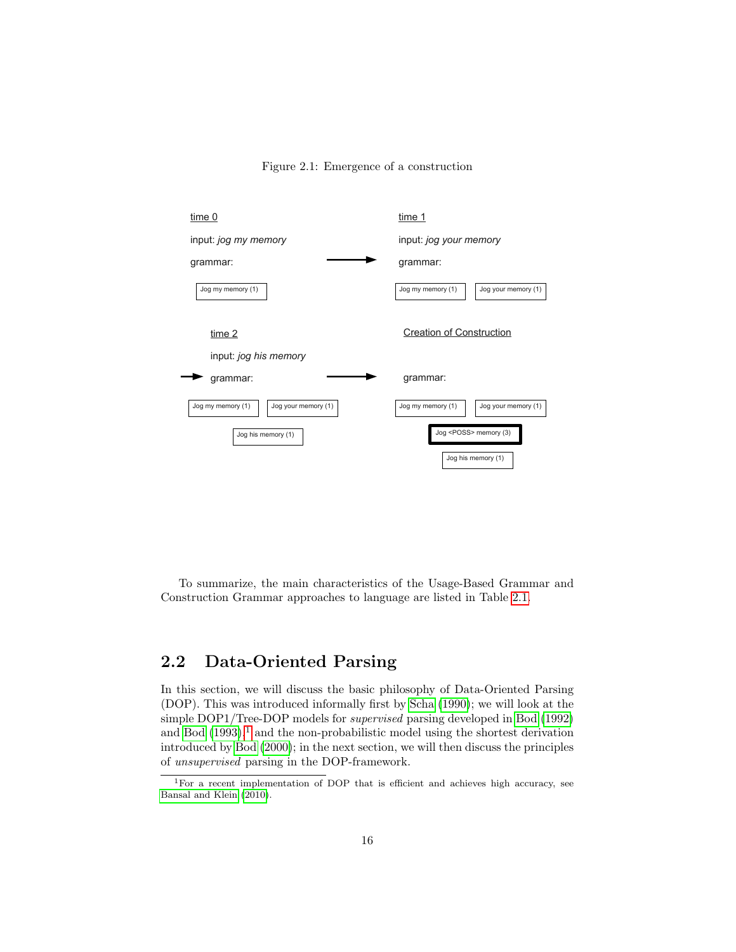

<span id="page-17-1"></span>

To summarize, the main characteristics of the Usage-Based Grammar and Construction Grammar approaches to language are listed in Table [2.1.](#page-18-0)

## <span id="page-17-0"></span>2.2 Data-Oriented Parsing

In this section, we will discuss the basic philosophy of Data-Oriented Parsing (DOP). This was introduced informally first by [Scha](#page-147-6) [\(1990\)](#page-147-6); we will look at the simple DOP1/Tree-DOP models for supervised parsing developed in [Bod](#page-145-4) [\(1992\)](#page-145-4) and [Bod](#page-145-5)  $(1993)$ ,<sup>[1](#page-17-2)</sup> and the non-probabilistic model using the shortest derivation introduced by [Bod](#page-145-6) [\(2000\)](#page-145-6); in the next section, we will then discuss the principles of unsupervised parsing in the DOP-framework.

<span id="page-17-2"></span><sup>1</sup>For a recent implementation of DOP that is efficient and achieves high accuracy, see [Bansal and Klein](#page-145-7) [\(2010\)](#page-145-7).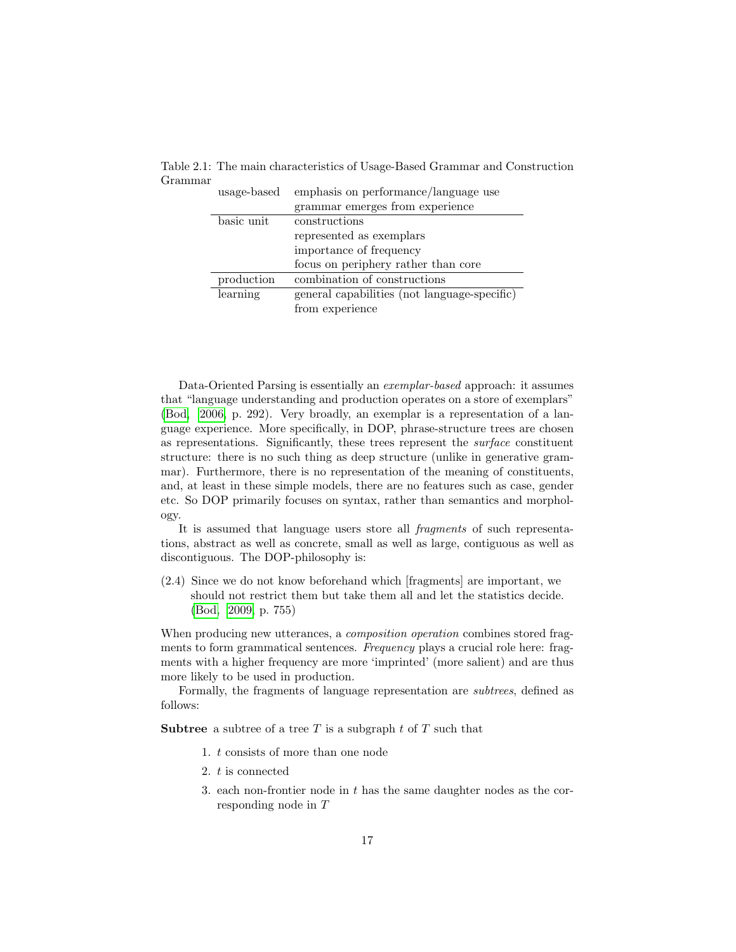| usage-based | emphasis on performance/language use         |
|-------------|----------------------------------------------|
|             | grammar emerges from experience              |
| basic unit  | constructions                                |
|             | represented as exemplars                     |
|             | importance of frequency                      |
|             | focus on periphery rather than core          |
| production  | combination of constructions                 |
| learning    | general capabilities (not language-specific) |
|             | from experience                              |

<span id="page-18-0"></span>Table 2.1: The main characteristics of Usage-Based Grammar and Construction Grammar

Data-Oriented Parsing is essentially an exemplar-based approach: it assumes that "language understanding and production operates on a store of exemplars" [\(Bod, 2006,](#page-145-8) p. 292). Very broadly, an exemplar is a representation of a language experience. More specifically, in DOP, phrase-structure trees are chosen as representations. Significantly, these trees represent the surface constituent structure: there is no such thing as deep structure (unlike in generative grammar). Furthermore, there is no representation of the meaning of constituents, and, at least in these simple models, there are no features such as case, gender etc. So DOP primarily focuses on syntax, rather than semantics and morphology.

It is assumed that language users store all fragments of such representations, abstract as well as concrete, small as well as large, contiguous as well as discontiguous. The DOP-philosophy is:

<span id="page-18-1"></span>(2.4) Since we do not know beforehand which [fragments] are important, we should not restrict them but take them all and let the statistics decide. [\(Bod, 2009,](#page-145-0) p. 755)

When producing new utterances, a *composition operation* combines stored fragments to form grammatical sentences. Frequency plays a crucial role here: fragments with a higher frequency are more 'imprinted' (more salient) and are thus more likely to be used in production.

Formally, the fragments of language representation are subtrees, defined as follows:

**Subtree** a subtree of a tree T is a subgraph t of T such that

- 1. t consists of more than one node
- 2. t is connected
- 3. each non-frontier node in t has the same daughter nodes as the corresponding node in T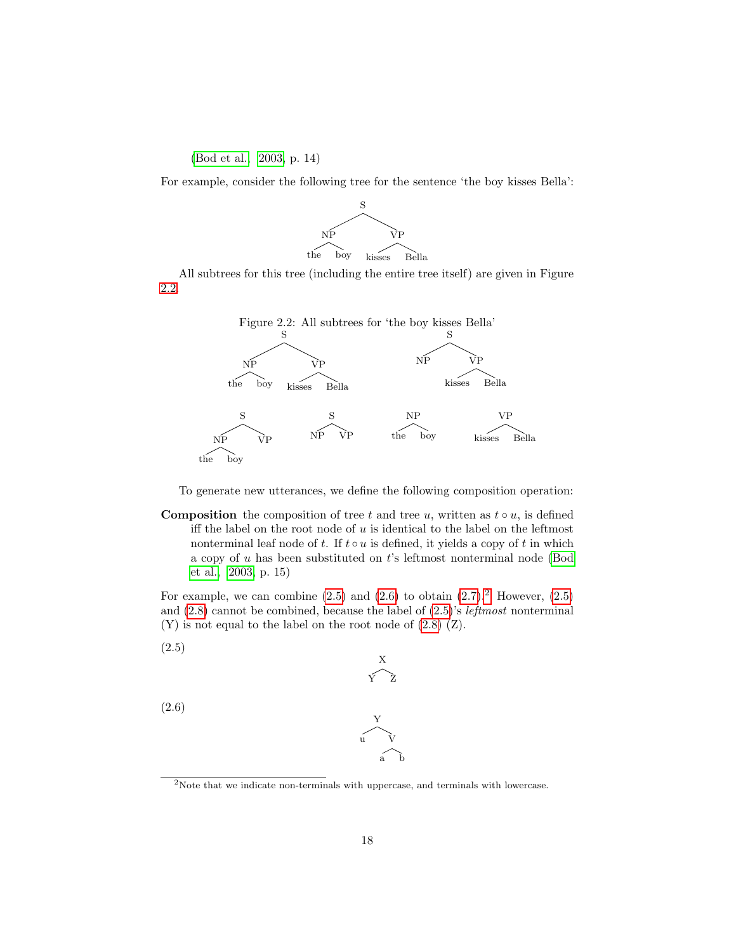### [\(Bod et al., 2003,](#page-145-9) p. 14)

For example, consider the following tree for the sentence 'the boy kisses Bella':



All subtrees for this tree (including the entire tree itself) are given in Figure [2.2.](#page-19-0)

<span id="page-19-0"></span>

To generate new utterances, we define the following composition operation:

**Composition** the composition of tree t and tree u, written as  $t \circ u$ , is defined iff the label on the root node of  $u$  is identical to the label on the leftmost nonterminal leaf node of t. If  $t \circ u$  is defined, it yields a copy of t in which a copy of  $u$  has been substituted on  $t$ 's leftmost nonterminal node [\(Bod](#page-145-9) [et al., 2003,](#page-145-9) p. 15)

For example, we can combine  $(2.5)$  and  $(2.6)$  to obtain  $(2.7).<sup>2</sup>$  $(2.7).<sup>2</sup>$  $(2.7).<sup>2</sup>$  $(2.7).<sup>2</sup>$  However,  $(2.5)$ and  $(2.8)$  cannot be combined, because the label of  $(2.5)$ 's *leftmost* nonterminal (Y) is not equal to the label on the root node of [\(2.8\)](#page-20-1) (Z).

<span id="page-19-1"></span>(2.5)

<span id="page-19-2"></span>(2.6)

$$
\begin{array}{c}\nY \\
\downarrow \\
\downarrow \\
a\n\end{array}
$$

X Y Z

<span id="page-19-3"></span> $^2\rm{Note}$  that we indicate non-terminals with uppercase, and terminals with lowercase.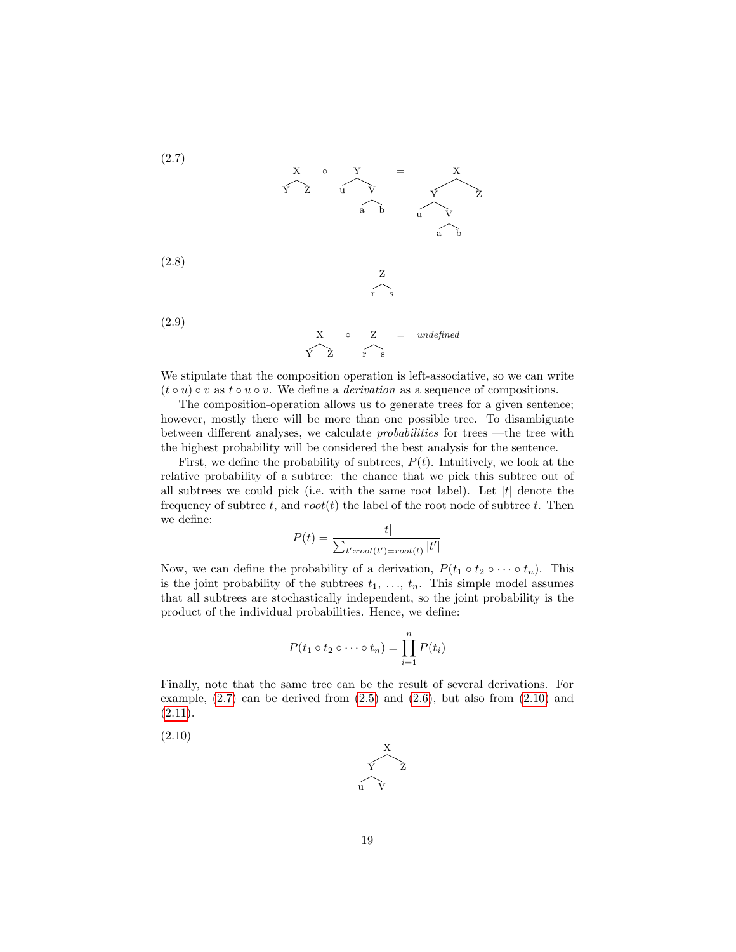<span id="page-20-0"></span>(2.7)

$$
\begin{array}{ccc}\nX & \circ & Y & = & X \\
\hline\nY & Z & u & V & Y & Z \\
\hline\na & b & u & V & \\
\hline\nZ & & & & & \\
Z & & & & & \\
Y & S & & & & \\
\end{array}
$$

(2.9)

<span id="page-20-1"></span>(2.8)

$$
X \circ Z = undefined
$$
  
Y Z r s

We stipulate that the composition operation is left-associative, so we can write  $(t \circ u) \circ v$  as  $t \circ u \circ v$ . We define a *derivation* as a sequence of compositions.

The composition-operation allows us to generate trees for a given sentence; however, mostly there will be more than one possible tree. To disambiguate between different analyses, we calculate *probabilities* for trees —the tree with the highest probability will be considered the best analysis for the sentence.

First, we define the probability of subtrees,  $P(t)$ . Intuitively, we look at the relative probability of a subtree: the chance that we pick this subtree out of all subtrees we could pick (i.e. with the same root label). Let  $|t|$  denote the frequency of subtree t, and  $root(t)$  the label of the root node of subtree t. Then we define:

$$
P(t) = \frac{|t|}{\sum_{t':root(t') = root(t)} |t'|}
$$

Now, we can define the probability of a derivation,  $P(t_1 \circ t_2 \circ \cdots \circ t_n)$ . This is the joint probability of the subtrees  $t_1, \ldots, t_n$ . This simple model assumes that all subtrees are stochastically independent, so the joint probability is the product of the individual probabilities. Hence, we define:

$$
P(t_1 \circ t_2 \circ \cdots \circ t_n) = \prod_{i=1}^n P(t_i)
$$

Finally, note that the same tree can be the result of several derivations. For example,  $(2.7)$  can be derived from  $(2.5)$  and  $(2.6)$ , but also from  $(2.10)$  and  $(2.11).$  $(2.11).$ 

<span id="page-20-2"></span>(2.10)

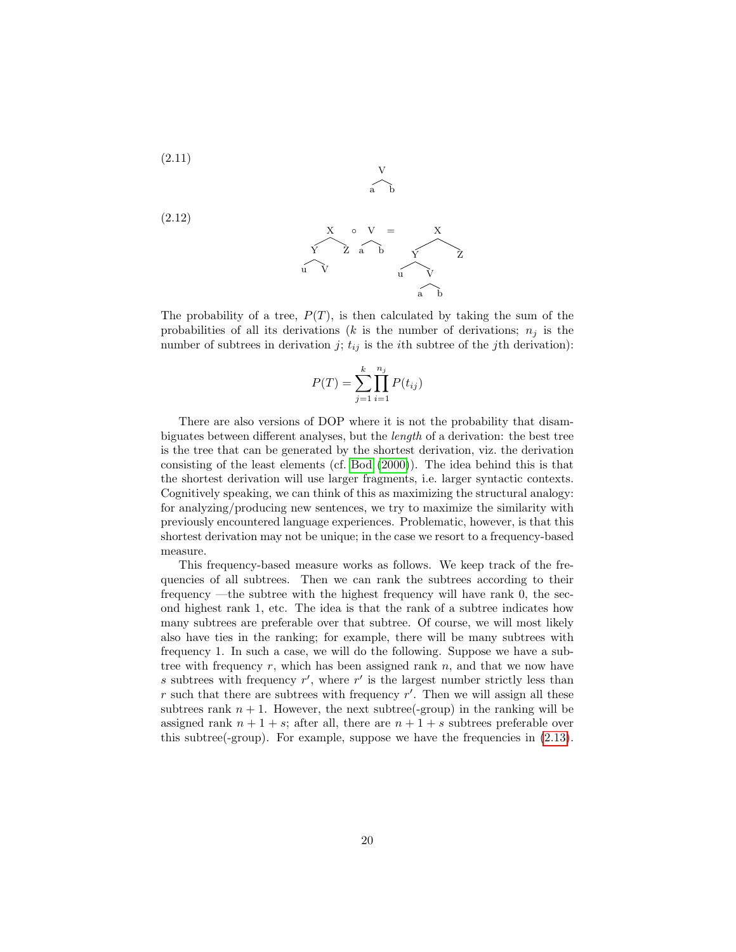<span id="page-21-0"></span>
$$
(2.11)
$$

(2.12)

$$
X \circ V = X
$$
  
\n
$$
Y \circ Z \circ D \circ Y
$$
  
\n
$$
U \circ V
$$
  
\n
$$
U \circ V
$$
  
\n
$$
U \circ Y
$$
  
\n
$$
V \circ Z
$$
  
\n
$$
V \circ Z
$$
  
\n
$$
V \circ Z
$$
  
\n
$$
V \circ Z
$$

 $\mathbf{V}$ a b

The probability of a tree,  $P(T)$ , is then calculated by taking the sum of the probabilities of all its derivations (k is the number of derivations;  $n_j$  is the number of subtrees in derivation j;  $t_{ij}$  is the *i*th subtree of the jth derivation):

$$
P(T) = \sum_{j=1}^{k} \prod_{i=1}^{n_j} P(t_{ij})
$$

There are also versions of DOP where it is not the probability that disambiguates between different analyses, but the length of a derivation: the best tree is the tree that can be generated by the shortest derivation, viz. the derivation consisting of the least elements (cf. [Bod](#page-145-6) [\(2000\)](#page-145-6)). The idea behind this is that the shortest derivation will use larger fragments, i.e. larger syntactic contexts. Cognitively speaking, we can think of this as maximizing the structural analogy: for analyzing/producing new sentences, we try to maximize the similarity with previously encountered language experiences. Problematic, however, is that this shortest derivation may not be unique; in the case we resort to a frequency-based measure.

This frequency-based measure works as follows. We keep track of the frequencies of all subtrees. Then we can rank the subtrees according to their frequency —the subtree with the highest frequency will have rank 0, the second highest rank 1, etc. The idea is that the rank of a subtree indicates how many subtrees are preferable over that subtree. Of course, we will most likely also have ties in the ranking; for example, there will be many subtrees with frequency 1. In such a case, we will do the following. Suppose we have a subtree with frequency  $r$ , which has been assigned rank  $n$ , and that we now have s subtrees with frequency  $r'$ , where  $r'$  is the largest number strictly less than  $r$  such that there are subtrees with frequency  $r'$ . Then we will assign all these subtrees rank  $n + 1$ . However, the next subtree(-group) in the ranking will be assigned rank  $n + 1 + s$ ; after all, there are  $n + 1 + s$  subtrees preferable over this subtree(-group). For example, suppose we have the frequencies in [\(2.13\)](#page-22-0).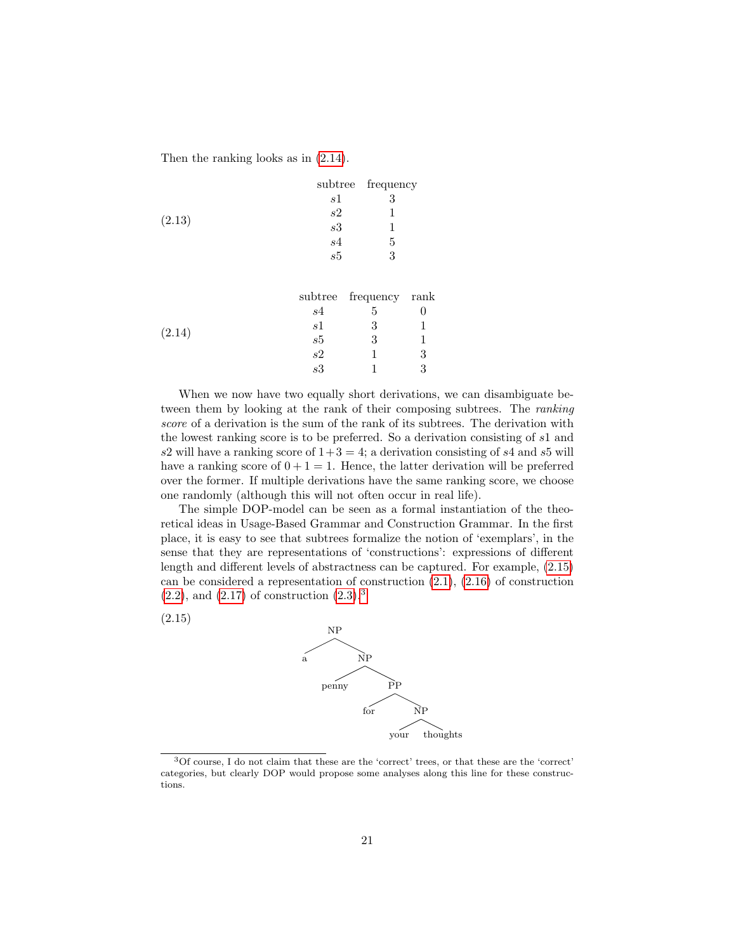<span id="page-22-0"></span>Then the ranking looks as in [\(2.14\)](#page-22-1).

|        |    | subtree frequency |
|--------|----|-------------------|
|        | s1 | 3                 |
|        | s2 |                   |
| (2.13) | s3 |                   |
|        | s4 | 5                 |
|        | s5 | 3                 |
|        |    |                   |

<span id="page-22-1"></span>

|        |     | subtree frequency rank |  |
|--------|-----|------------------------|--|
|        | s4  |                        |  |
|        | s l |                        |  |
| (2.14) | s5  |                        |  |
|        | s2  |                        |  |
|        | s3  |                        |  |

When we now have two equally short derivations, we can disambiguate between them by looking at the rank of their composing subtrees. The ranking score of a derivation is the sum of the rank of its subtrees. The derivation with the lowest ranking score is to be preferred. So a derivation consisting of s1 and s2 will have a ranking score of  $1+3=4$ ; a derivation consisting of s4 and s5 will have a ranking score of  $0+1=1$ . Hence, the latter derivation will be preferred over the former. If multiple derivations have the same ranking score, we choose one randomly (although this will not often occur in real life).

The simple DOP-model can be seen as a formal instantiation of the theoretical ideas in Usage-Based Grammar and Construction Grammar. In the first place, it is easy to see that subtrees formalize the notion of 'exemplars', in the sense that they are representations of 'constructions': expressions of different length and different levels of abstractness can be captured. For example, [\(2.15\)](#page-22-2) can be considered a representation of construction  $(2.1)$ ,  $(2.16)$  of construction  $(2.2)$ , and  $(2.17)$  of construction  $(2.3).<sup>3</sup>$  $(2.3).<sup>3</sup>$  $(2.3).<sup>3</sup>$  $(2.3).<sup>3</sup>$ 

<span id="page-22-2"></span>(2.15)



<span id="page-22-3"></span><sup>3</sup>Of course, I do not claim that these are the 'correct' trees, or that these are the 'correct' categories, but clearly DOP would propose some analyses along this line for these constructions.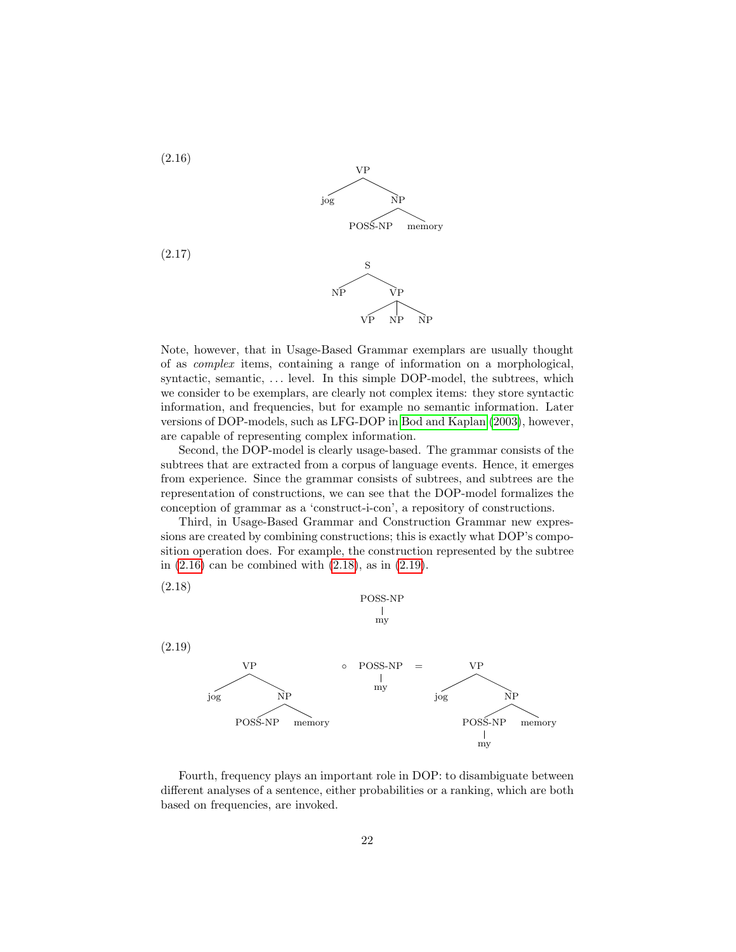<span id="page-23-1"></span><span id="page-23-0"></span>

Note, however, that in Usage-Based Grammar exemplars are usually thought of as complex items, containing a range of information on a morphological, syntactic, semantic, ... level. In this simple DOP-model, the subtrees, which we consider to be exemplars, are clearly not complex items: they store syntactic information, and frequencies, but for example no semantic information. Later versions of DOP-models, such as LFG-DOP in [Bod and Kaplan](#page-145-2) [\(2003\)](#page-145-2), however, are capable of representing complex information.

Second, the DOP-model is clearly usage-based. The grammar consists of the subtrees that are extracted from a corpus of language events. Hence, it emerges from experience. Since the grammar consists of subtrees, and subtrees are the representation of constructions, we can see that the DOP-model formalizes the conception of grammar as a 'construct-i-con', a repository of constructions.

Third, in Usage-Based Grammar and Construction Grammar new expressions are created by combining constructions; this is exactly what DOP's composition operation does. For example, the construction represented by the subtree in [\(2.16\)](#page-23-0) can be combined with [\(2.18\)](#page-23-2), as in [\(2.19\)](#page-23-3).

<span id="page-23-3"></span><span id="page-23-2"></span>

Fourth, frequency plays an important role in DOP: to disambiguate between different analyses of a sentence, either probabilities or a ranking, which are both based on frequencies, are invoked.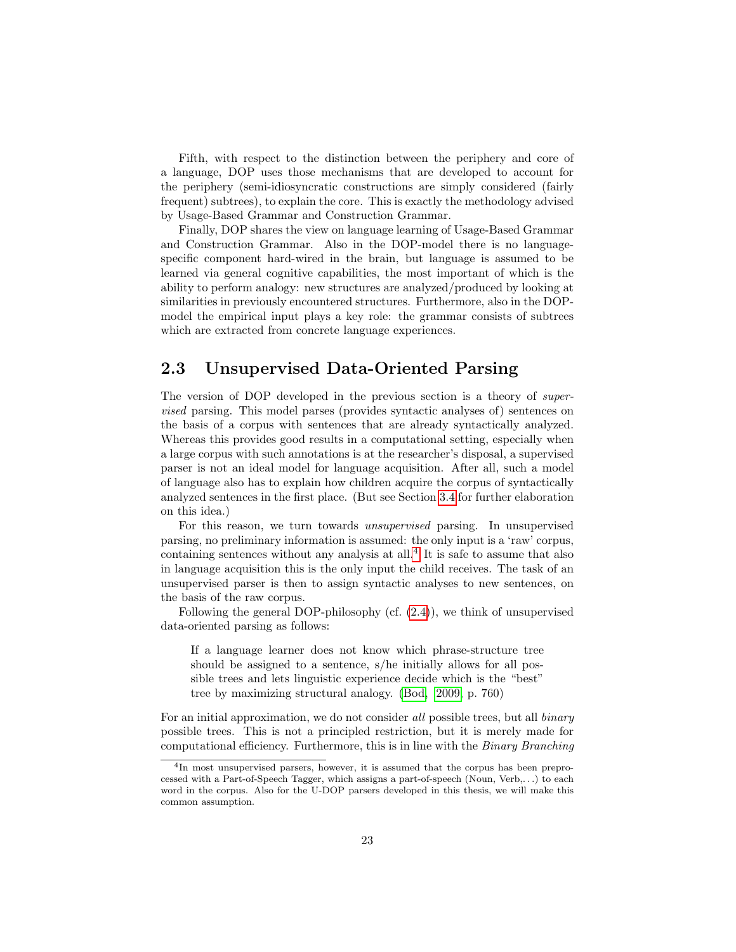Fifth, with respect to the distinction between the periphery and core of a language, DOP uses those mechanisms that are developed to account for the periphery (semi-idiosyncratic constructions are simply considered (fairly frequent) subtrees), to explain the core. This is exactly the methodology advised by Usage-Based Grammar and Construction Grammar.

Finally, DOP shares the view on language learning of Usage-Based Grammar and Construction Grammar. Also in the DOP-model there is no languagespecific component hard-wired in the brain, but language is assumed to be learned via general cognitive capabilities, the most important of which is the ability to perform analogy: new structures are analyzed/produced by looking at similarities in previously encountered structures. Furthermore, also in the DOPmodel the empirical input plays a key role: the grammar consists of subtrees which are extracted from concrete language experiences.

## <span id="page-24-0"></span>2.3 Unsupervised Data-Oriented Parsing

The version of DOP developed in the previous section is a theory of *super*vised parsing. This model parses (provides syntactic analyses of) sentences on the basis of a corpus with sentences that are already syntactically analyzed. Whereas this provides good results in a computational setting, especially when a large corpus with such annotations is at the researcher's disposal, a supervised parser is not an ideal model for language acquisition. After all, such a model of language also has to explain how children acquire the corpus of syntactically analyzed sentences in the first place. (But see Section [3.4](#page-46-0) for further elaboration on this idea.)

For this reason, we turn towards unsupervised parsing. In unsupervised parsing, no preliminary information is assumed: the only input is a 'raw' corpus, containing sentences without any analysis at all. $<sup>4</sup>$  $<sup>4</sup>$  $<sup>4</sup>$  It is safe to assume that also</sup> in language acquisition this is the only input the child receives. The task of an unsupervised parser is then to assign syntactic analyses to new sentences, on the basis of the raw corpus.

Following the general DOP-philosophy (cf. [\(2.4\)](#page-18-1)), we think of unsupervised data-oriented parsing as follows:

If a language learner does not know which phrase-structure tree should be assigned to a sentence, s/he initially allows for all possible trees and lets linguistic experience decide which is the "best" tree by maximizing structural analogy. [\(Bod, 2009,](#page-145-0) p. 760)

For an initial approximation, we do not consider all possible trees, but all *binary* possible trees. This is not a principled restriction, but it is merely made for computational efficiency. Furthermore, this is in line with the Binary Branching

<span id="page-24-1"></span><sup>&</sup>lt;sup>4</sup>In most unsupervised parsers, however, it is assumed that the corpus has been preprocessed with a Part-of-Speech Tagger, which assigns a part-of-speech (Noun, Verb,. . .) to each word in the corpus. Also for the U-DOP parsers developed in this thesis, we will make this common assumption.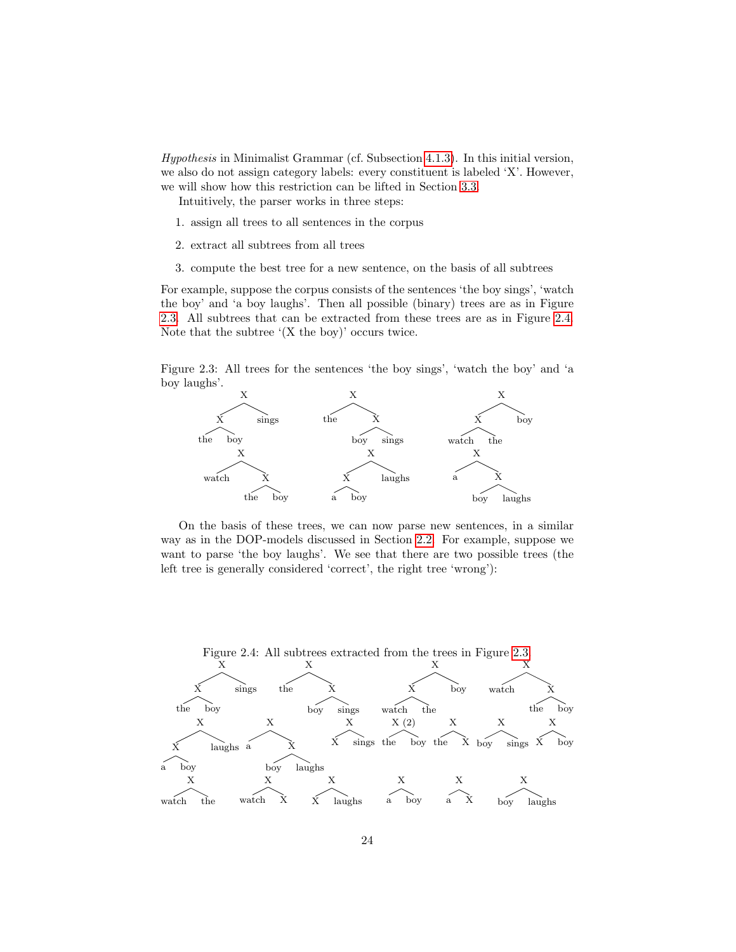Hypothesis in Minimalist Grammar (cf. Subsection [4.1.3\)](#page-57-0). In this initial version, we also do not assign category labels: every constituent is labeled 'X'. However, we will show how this restriction can be lifted in Section [3.3.](#page-41-0)

Intuitively, the parser works in three steps:

- 1. assign all trees to all sentences in the corpus
- 2. extract all subtrees from all trees
- 3. compute the best tree for a new sentence, on the basis of all subtrees

For example, suppose the corpus consists of the sentences 'the boy sings', 'watch the boy' and 'a boy laughs'. Then all possible (binary) trees are as in Figure [2.3.](#page-25-0) All subtrees that can be extracted from these trees are as in Figure [2.4.](#page-25-1) Note that the subtree  $(X$  the boy)' occurs twice.

<span id="page-25-0"></span>Figure 2.3: All trees for the sentences 'the boy sings', 'watch the boy' and 'a boy laughs'.



On the basis of these trees, we can now parse new sentences, in a similar way as in the DOP-models discussed in Section [2.2.](#page-17-0) For example, suppose we want to parse 'the boy laughs'. We see that there are two possible trees (the left tree is generally considered 'correct', the right tree 'wrong'):

<span id="page-25-1"></span>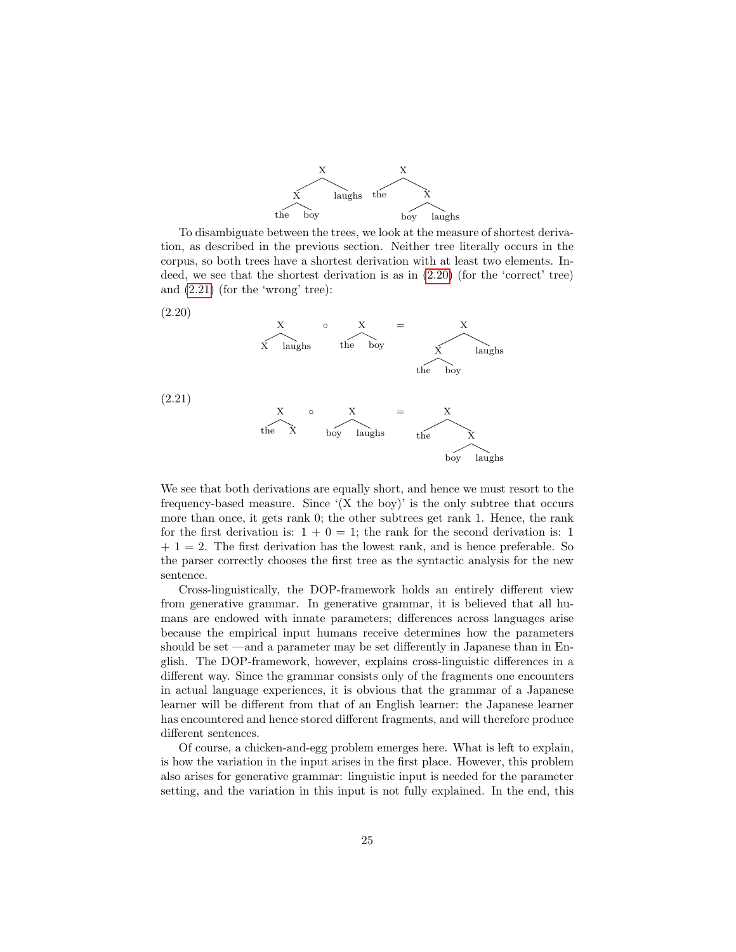

To disambiguate between the trees, we look at the measure of shortest derivation, as described in the previous section. Neither tree literally occurs in the corpus, so both trees have a shortest derivation with at least two elements. Indeed, we see that the shortest derivation is as in [\(2.20\)](#page-26-0) (for the 'correct' tree) and [\(2.21\)](#page-26-1) (for the 'wrong' tree):

<span id="page-26-0"></span>(2.20)

$$
X = \n\begin{matrix}\nX & \circ & X \\
X & \text{la }X & \text{d }X\n\end{matrix}
$$
\nthe boy

<span id="page-26-1"></span>(2.21)

$$
X \circ X = \overbrace{\text{boy \; laughs}}^X
$$

We see that both derivations are equally short, and hence we must resort to the frequency-based measure. Since  $(X$  the boy)' is the only subtree that occurs more than once, it gets rank 0; the other subtrees get rank 1. Hence, the rank for the first derivation is:  $1 + 0 = 1$ ; the rank for the second derivation is: 1  $+ 1 = 2$ . The first derivation has the lowest rank, and is hence preferable. So the parser correctly chooses the first tree as the syntactic analysis for the new sentence.

Cross-linguistically, the DOP-framework holds an entirely different view from generative grammar. In generative grammar, it is believed that all humans are endowed with innate parameters; differences across languages arise because the empirical input humans receive determines how the parameters should be set —and a parameter may be set differently in Japanese than in English. The DOP-framework, however, explains cross-linguistic differences in a different way. Since the grammar consists only of the fragments one encounters in actual language experiences, it is obvious that the grammar of a Japanese learner will be different from that of an English learner: the Japanese learner has encountered and hence stored different fragments, and will therefore produce different sentences.

Of course, a chicken-and-egg problem emerges here. What is left to explain, is how the variation in the input arises in the first place. However, this problem also arises for generative grammar: linguistic input is needed for the parameter setting, and the variation in this input is not fully explained. In the end, this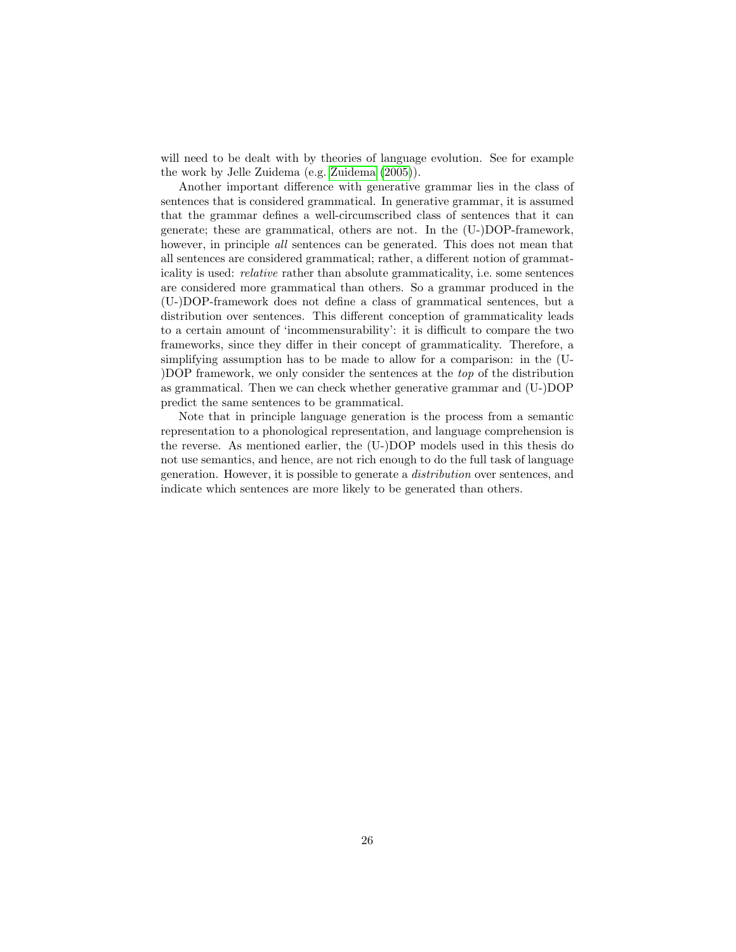will need to be dealt with by theories of language evolution. See for example the work by Jelle Zuidema (e.g. [Zuidema](#page-147-7) [\(2005\)](#page-147-7)).

Another important difference with generative grammar lies in the class of sentences that is considered grammatical. In generative grammar, it is assumed that the grammar defines a well-circumscribed class of sentences that it can generate; these are grammatical, others are not. In the (U-)DOP-framework, however, in principle *all* sentences can be generated. This does not mean that all sentences are considered grammatical; rather, a different notion of grammaticality is used: relative rather than absolute grammaticality, i.e. some sentences are considered more grammatical than others. So a grammar produced in the (U-)DOP-framework does not define a class of grammatical sentences, but a distribution over sentences. This different conception of grammaticality leads to a certain amount of 'incommensurability': it is difficult to compare the two frameworks, since they differ in their concept of grammaticality. Therefore, a simplifying assumption has to be made to allow for a comparison: in the (U- )DOP framework, we only consider the sentences at the top of the distribution as grammatical. Then we can check whether generative grammar and (U-)DOP predict the same sentences to be grammatical.

Note that in principle language generation is the process from a semantic representation to a phonological representation, and language comprehension is the reverse. As mentioned earlier, the (U-)DOP models used in this thesis do not use semantics, and hence, are not rich enough to do the full task of language generation. However, it is possible to generate a distribution over sentences, and indicate which sentences are more likely to be generated than others.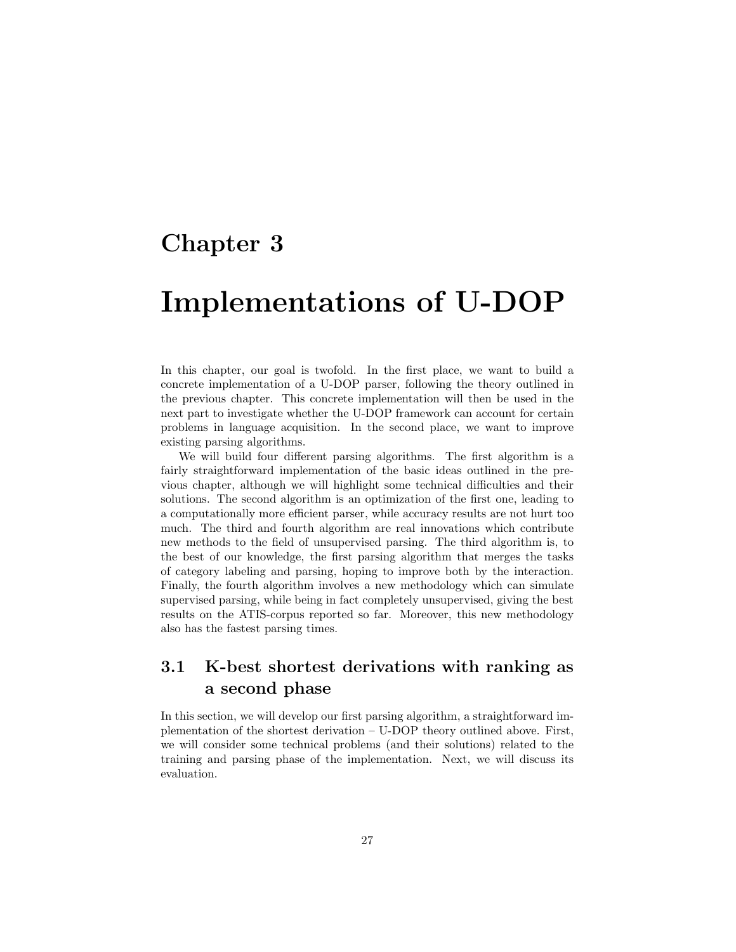# <span id="page-28-0"></span>Chapter 3

# Implementations of U-DOP

In this chapter, our goal is twofold. In the first place, we want to build a concrete implementation of a U-DOP parser, following the theory outlined in the previous chapter. This concrete implementation will then be used in the next part to investigate whether the U-DOP framework can account for certain problems in language acquisition. In the second place, we want to improve existing parsing algorithms.

We will build four different parsing algorithms. The first algorithm is a fairly straightforward implementation of the basic ideas outlined in the previous chapter, although we will highlight some technical difficulties and their solutions. The second algorithm is an optimization of the first one, leading to a computationally more efficient parser, while accuracy results are not hurt too much. The third and fourth algorithm are real innovations which contribute new methods to the field of unsupervised parsing. The third algorithm is, to the best of our knowledge, the first parsing algorithm that merges the tasks of category labeling and parsing, hoping to improve both by the interaction. Finally, the fourth algorithm involves a new methodology which can simulate supervised parsing, while being in fact completely unsupervised, giving the best results on the ATIS-corpus reported so far. Moreover, this new methodology also has the fastest parsing times.

## <span id="page-28-1"></span>3.1 K-best shortest derivations with ranking as a second phase

In this section, we will develop our first parsing algorithm, a straightforward implementation of the shortest derivation – U-DOP theory outlined above. First, we will consider some technical problems (and their solutions) related to the training and parsing phase of the implementation. Next, we will discuss its evaluation.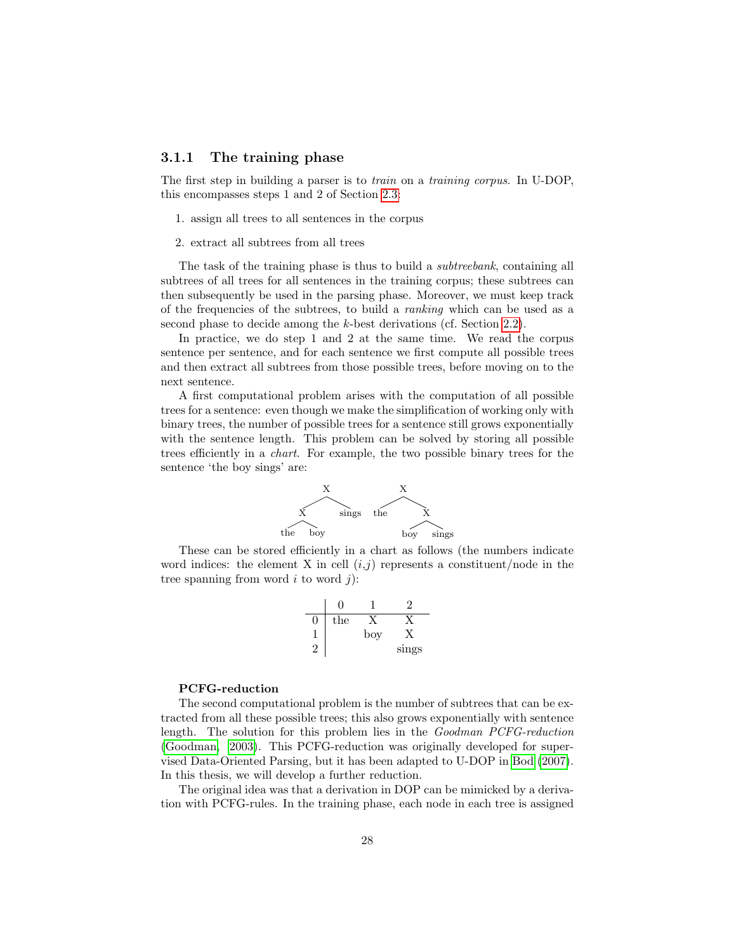### <span id="page-29-0"></span>3.1.1 The training phase

The first step in building a parser is to train on a training corpus. In U-DOP, this encompasses steps 1 and 2 of Section [2.3:](#page-24-0)

- 1. assign all trees to all sentences in the corpus
- 2. extract all subtrees from all trees

The task of the training phase is thus to build a *subtreebank*, containing all subtrees of all trees for all sentences in the training corpus; these subtrees can then subsequently be used in the parsing phase. Moreover, we must keep track of the frequencies of the subtrees, to build a ranking which can be used as a second phase to decide among the k-best derivations (cf. Section [2.2\)](#page-17-0).

In practice, we do step 1 and 2 at the same time. We read the corpus sentence per sentence, and for each sentence we first compute all possible trees and then extract all subtrees from those possible trees, before moving on to the next sentence.

A first computational problem arises with the computation of all possible trees for a sentence: even though we make the simplification of working only with binary trees, the number of possible trees for a sentence still grows exponentially with the sentence length. This problem can be solved by storing all possible trees efficiently in a chart. For example, the two possible binary trees for the sentence 'the boy sings' are:



These can be stored efficiently in a chart as follows (the numbers indicate word indices: the element X in cell  $(i,j)$  represents a constituent/node in the tree spanning from word  $i$  to word  $j$ ):

0 1 2 0 the X X 1 boy X 2 sings

#### PCFG-reduction

The second computational problem is the number of subtrees that can be extracted from all these possible trees; this also grows exponentially with sentence length. The solution for this problem lies in the Goodman PCFG-reduction [\(Goodman, 2003\)](#page-146-6). This PCFG-reduction was originally developed for supervised Data-Oriented Parsing, but it has been adapted to U-DOP in [Bod](#page-145-10) [\(2007\)](#page-145-10). In this thesis, we will develop a further reduction.

The original idea was that a derivation in DOP can be mimicked by a derivation with PCFG-rules. In the training phase, each node in each tree is assigned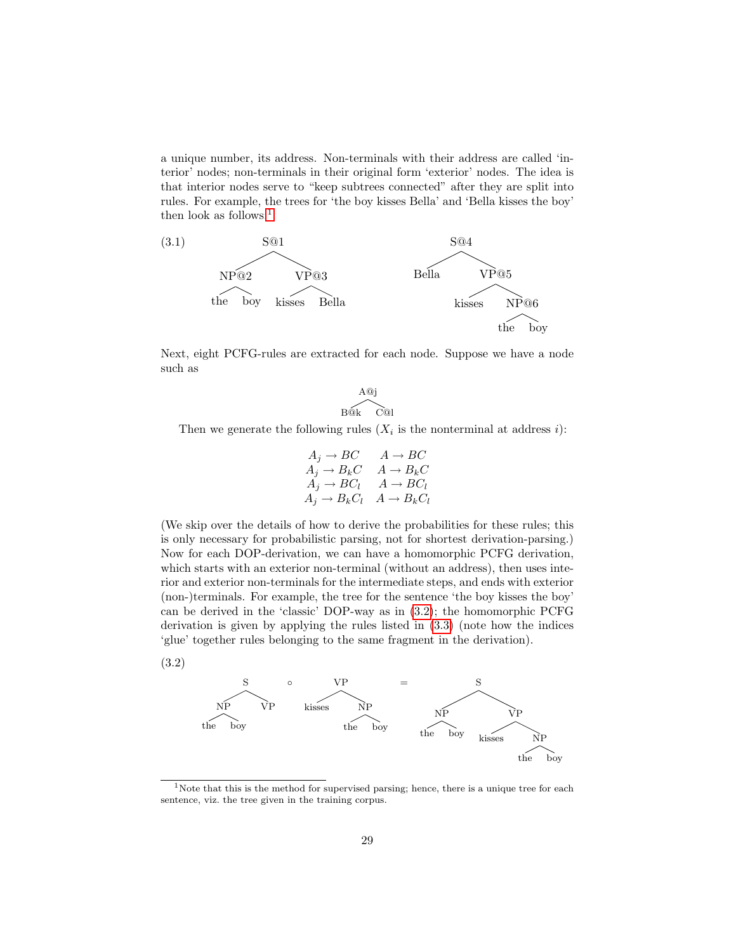a unique number, its address. Non-terminals with their address are called 'interior' nodes; non-terminals in their original form 'exterior' nodes. The idea is that interior nodes serve to "keep subtrees connected" after they are split into rules. For example, the trees for 'the boy kisses Bella' and 'Bella kisses the boy' then look as follows: $<sup>1</sup>$  $<sup>1</sup>$  $<sup>1</sup>$ </sup>



Next, eight PCFG-rules are extracted for each node. Suppose we have a node such as

> A@j B@k C@l

Then we generate the following rules  $(X_i$  is the nonterminal at address i):

$$
A_j \to BC \qquad A \to BC
$$
  
\n
$$
A_j \to B_kC \qquad A \to B_kC
$$
  
\n
$$
A_j \to BC_l \qquad A \to BC_l
$$
  
\n
$$
A_j \to B_kC_l \qquad A \to B_kC_l
$$

(We skip over the details of how to derive the probabilities for these rules; this is only necessary for probabilistic parsing, not for shortest derivation-parsing.) Now for each DOP-derivation, we can have a homomorphic PCFG derivation, which starts with an exterior non-terminal (without an address), then uses interior and exterior non-terminals for the intermediate steps, and ends with exterior (non-)terminals. For example, the tree for the sentence 'the boy kisses the boy' can be derived in the 'classic' DOP-way as in [\(3.2\)](#page-30-1); the homomorphic PCFG derivation is given by applying the rules listed in [\(3.3\)](#page-31-0) (note how the indices 'glue' together rules belonging to the same fragment in the derivation).

<span id="page-30-1"></span>



<span id="page-30-0"></span><sup>&</sup>lt;sup>1</sup>Note that this is the method for supervised parsing; hence, there is a unique tree for each sentence, viz. the tree given in the training corpus.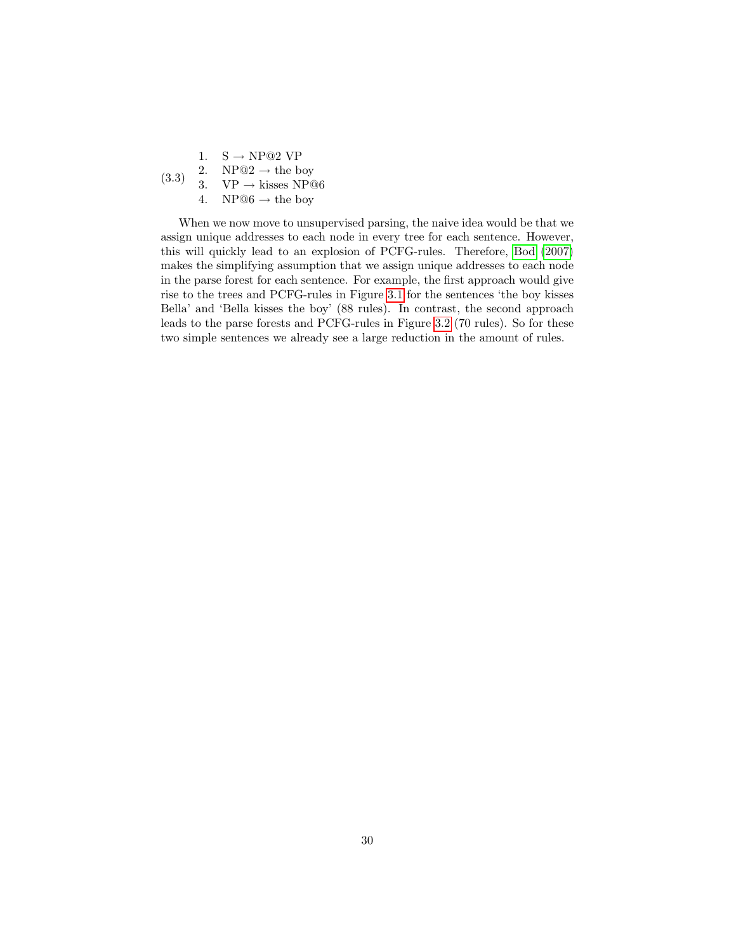<span id="page-31-0"></span>1.  $S \rightarrow NP@2 VP$ 2. NP $@2 \rightarrow$  the boy

(3.3) 3.  $VP \rightarrow kisses NP@6$ 

4. NP $@6 \rightarrow$  the boy

When we now move to unsupervised parsing, the naive idea would be that we assign unique addresses to each node in every tree for each sentence. However, this will quickly lead to an explosion of PCFG-rules. Therefore, [Bod](#page-145-10) [\(2007\)](#page-145-10) makes the simplifying assumption that we assign unique addresses to each node in the parse forest for each sentence. For example, the first approach would give rise to the trees and PCFG-rules in Figure [3.1](#page-32-0) for the sentences 'the boy kisses Bella' and 'Bella kisses the boy' (88 rules). In contrast, the second approach leads to the parse forests and PCFG-rules in Figure [3.2](#page-33-0) (70 rules). So for these two simple sentences we already see a large reduction in the amount of rules.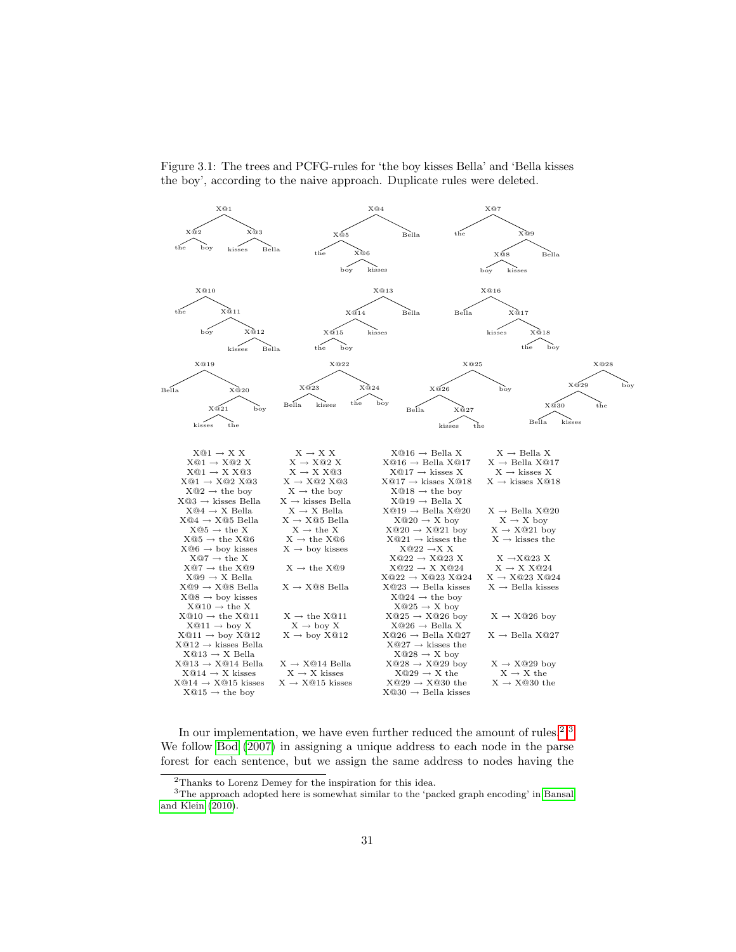

<span id="page-32-0"></span>Figure 3.1: The trees and PCFG-rules for 'the boy kisses Bella' and 'Bella kisses the boy', according to the naive approach. Duplicate rules were deleted.

In our implementation, we have even further reduced the amount of rules.<sup>[2,](#page-32-1)[3](#page-32-2)</sup> We follow [Bod](#page-145-10) [\(2007\)](#page-145-10) in assigning a unique address to each node in the parse forest for each sentence, but we assign the same address to nodes having the

<span id="page-32-2"></span><span id="page-32-1"></span><sup>2</sup>Thanks to Lorenz Demey for the inspiration for this idea.

<sup>&</sup>lt;sup>3</sup>The approach adopted here is somewhat similar to the 'packed graph encoding' in [Bansal](#page-145-7) [and Klein](#page-145-7) [\(2010\)](#page-145-7).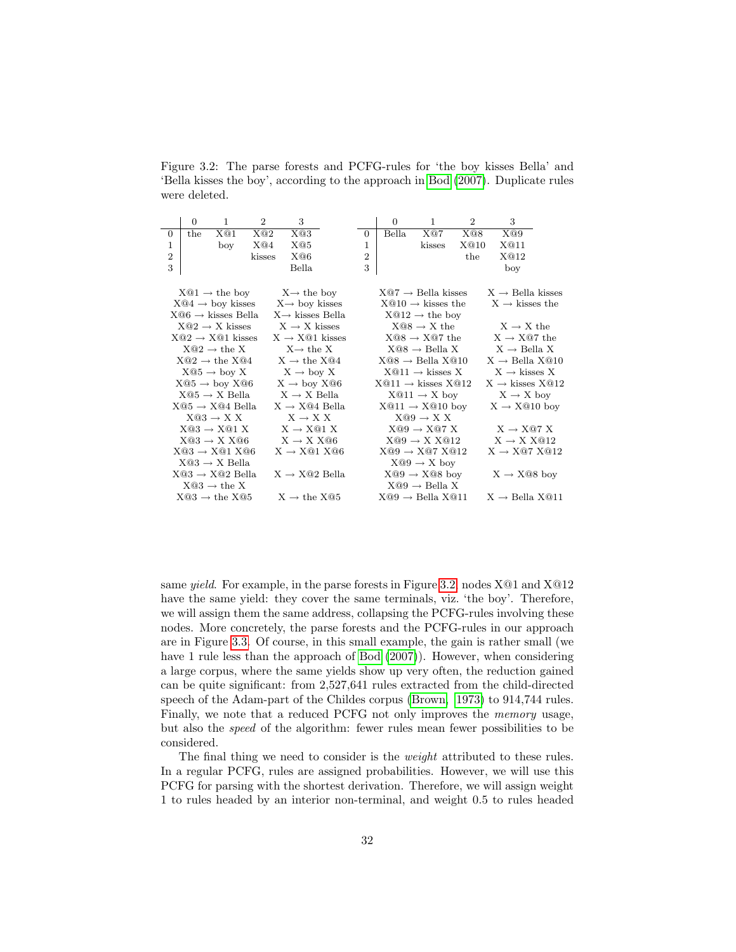<span id="page-33-0"></span>Figure 3.2: The parse forests and PCFG-rules for 'the boy kisses Bella' and 'Bella kisses the boy', according to the approach in [Bod](#page-145-10) [\(2007\)](#page-145-10). Duplicate rules were deleted.

|                | $\Omega$ | $\mathbf{1}$                      | $\overline{2}$ | 3                                                       |  |                | $\Omega$ | $\mathbf{1}$                   | $\overline{2}$ | 3                              |  |
|----------------|----------|-----------------------------------|----------------|---------------------------------------------------------|--|----------------|----------|--------------------------------|----------------|--------------------------------|--|
| $\overline{0}$ | the      | X@1                               | X@2            | X@3                                                     |  | $\overline{0}$ | Bella    | X@7                            | X@8            | X@9                            |  |
| $\mathbf{1}$   |          | boy                               | X@4            | X@5                                                     |  | $\mathbf{1}$   |          | kisses                         | X@10           | X@11                           |  |
| $\overline{2}$ |          |                                   | kisses         | X@6                                                     |  | $\overline{2}$ |          |                                | the            | X@12                           |  |
| 3              |          |                                   |                | Bella                                                   |  | 3              |          |                                |                | boy                            |  |
|                |          |                                   |                |                                                         |  |                |          |                                |                |                                |  |
|                |          | $X@1 \rightarrow$ the boy         |                | $X \rightarrow$ the boy                                 |  |                |          | $X@7 \rightarrow$ Bella kisses |                | $X \rightarrow$ Bella kisses   |  |
|                |          |                                   |                | $X@4 \rightarrow boy$ kisses $X \rightarrow boy$ kisses |  |                |          | $X@10 \rightarrow k$ isses the |                | $X \rightarrow k$ isses the    |  |
|                |          | $X@6 \rightarrow k$ isses Bella   |                | $X \rightarrow k$ isses Bella                           |  |                |          | $X@12 \rightarrow$ the boy     |                |                                |  |
|                |          | $X@2 \rightarrow X$ kisses        |                | $X \rightarrow X$ kisses                                |  |                |          | $X@8 \rightarrow X$ the        |                | $X \rightarrow X$ the          |  |
|                |          | $X@2 \rightarrow X@1$ kisses      |                | $X \rightarrow X@1$ kisses                              |  |                |          | $X@8 \rightarrow X@7$ the      |                | $X \rightarrow X@7$ the        |  |
|                |          | $X@2 \rightarrow \text{the } X$   |                | $X \rightarrow$ the X                                   |  |                |          | $X@8 \rightarrow$ Bella X      |                | $X \rightarrow$ Bella X        |  |
|                |          | $X@2 \rightarrow \text{the } X@4$ |                | $X \rightarrow$ the $X@4$                               |  |                |          | $X@8 \rightarrow$ Bella $X@10$ |                | $X \rightarrow$ Bella $X@10$   |  |
|                |          | $X@5 \rightarrow boy X$           |                | $X \rightarrow boy X$                                   |  |                |          | $X@11 \rightarrow kisses X$    |                | $X \rightarrow k$ isses X      |  |
|                |          | $X@5 \rightarrow boy X@6$         |                | $X \rightarrow boy X@6$                                 |  |                |          | $X@11 \rightarrow kisses X@12$ |                | $X \rightarrow k$ isses $X@12$ |  |
|                |          | $X@5 \rightarrow X$ Bella         |                | $X \rightarrow X$ Bella                                 |  |                |          | $X@11 \rightarrow X$ boy       |                | $X \rightarrow X$ boy          |  |
|                |          | $X@5 \rightarrow X@4$ Bella       |                | $X \rightarrow X@4$ Bella                               |  |                |          | $X@11 \rightarrow X@10$ boy    |                | $X \rightarrow X@10$ boy       |  |
|                |          | $X@3 \rightarrow X X$             |                | $X \rightarrow X X$                                     |  |                |          | $X@9 \rightarrow X X$          |                |                                |  |
|                |          | $X@3 \rightarrow X@1 X$           |                | $X \rightarrow X@1 X$                                   |  |                |          | $X@9 \rightarrow X@7X$         |                | $X \rightarrow X@7X$           |  |
|                |          | $X@3 \rightarrow X X@6$           |                | $X \rightarrow X X@6$                                   |  |                |          | $X@9 \rightarrow X X@12$       |                | $X \rightarrow X X@12$         |  |
|                |          | $X@3 \rightarrow X@1 X@6$         |                | $X \rightarrow X@1 X@6$                                 |  |                |          | $X@9 \rightarrow X@7 X@12$     |                | $X \rightarrow X@7 X@12$       |  |
|                |          | $X@3 \rightarrow X$ Bella         |                |                                                         |  |                |          | $X@9 \rightarrow X$ boy        |                |                                |  |
|                |          | $X@3 \rightarrow X@2$ Bella       |                | $X \rightarrow X@2$ Bella                               |  |                |          | $X@9 \rightarrow X@8$ boy      |                | $X \rightarrow X@8$ boy        |  |
|                |          | $X@3 \rightarrow \text{the } X$   |                |                                                         |  |                |          | $X@9 \rightarrow$ Bella X      |                |                                |  |
|                |          | $X@3 \rightarrow \text{the } X@5$ |                | $X \rightarrow$ the X@5                                 |  |                |          | $X@9 \rightarrow$ Bella $X@11$ |                | $X \rightarrow$ Bella X@11     |  |

same *yield*. For example, in the parse forests in Figure [3.2,](#page-33-0) nodes X@1 and X@12 have the same yield: they cover the same terminals, viz. 'the boy'. Therefore, we will assign them the same address, collapsing the PCFG-rules involving these nodes. More concretely, the parse forests and the PCFG-rules in our approach are in Figure [3.3.](#page-34-0) Of course, in this small example, the gain is rather small (we have 1 rule less than the approach of [Bod](#page-145-10)  $(2007)$ ). However, when considering a large corpus, where the same yields show up very often, the reduction gained can be quite significant: from 2,527,641 rules extracted from the child-directed speech of the Adam-part of the Childes corpus [\(Brown, 1973\)](#page-146-3) to 914,744 rules. Finally, we note that a reduced PCFG not only improves the memory usage, but also the speed of the algorithm: fewer rules mean fewer possibilities to be considered.

The final thing we need to consider is the *weight* attributed to these rules. In a regular PCFG, rules are assigned probabilities. However, we will use this PCFG for parsing with the shortest derivation. Therefore, we will assign weight 1 to rules headed by an interior non-terminal, and weight 0.5 to rules headed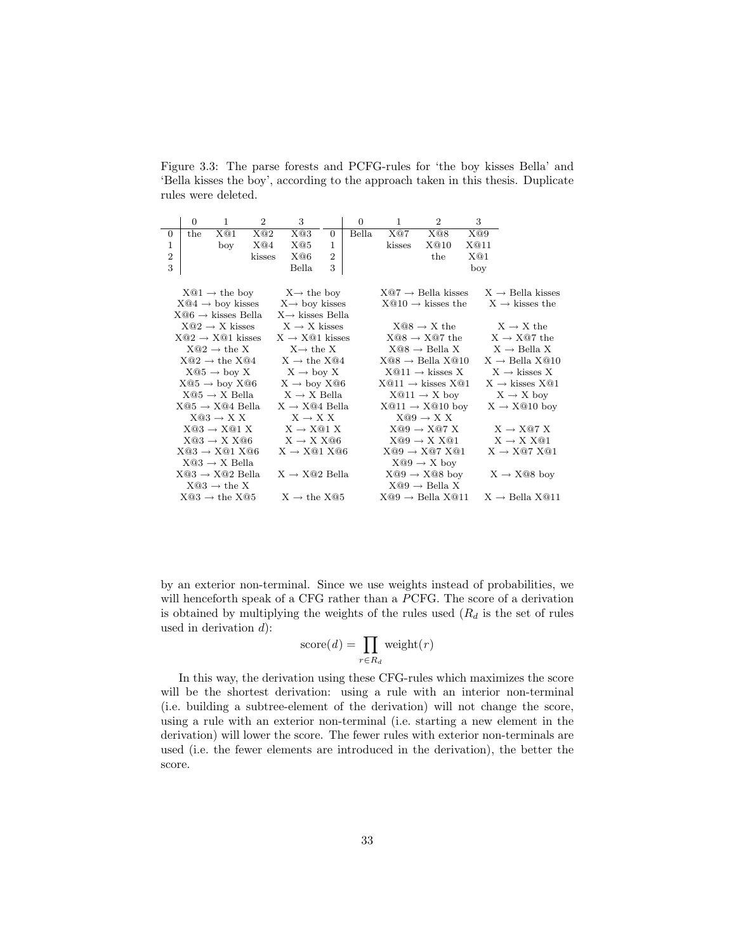<span id="page-34-0"></span>Figure 3.3: The parse forests and PCFG-rules for 'the boy kisses Bella' and 'Bella kisses the boy', according to the approach taken in this thesis. Duplicate rules were deleted.

|                                                                                                                        | $\theta$ | $\mathbf{1}$                      | $\overline{2}$ | 3                                                       |                | $\overline{0}$ | $\mathbf{1}$                   | $\overline{2}$                 | 3    |                              |
|------------------------------------------------------------------------------------------------------------------------|----------|-----------------------------------|----------------|---------------------------------------------------------|----------------|----------------|--------------------------------|--------------------------------|------|------------------------------|
| $\theta$                                                                                                               | the      | X@1                               | X@2            | X@3                                                     | $\overline{0}$ | <b>Bella</b>   | X@7                            | X@8                            | X@9  |                              |
| $\mathbf{1}$                                                                                                           |          | boy                               | X@4            | X@5                                                     | 1              |                | kisses                         | X@10                           | X@11 |                              |
| $\overline{2}$                                                                                                         |          |                                   | kisses         | X@6                                                     | $\overline{2}$ |                |                                | the                            | X@1  |                              |
| 3                                                                                                                      |          |                                   |                | Bella                                                   | 3              |                |                                |                                | boy  |                              |
|                                                                                                                        |          |                                   |                |                                                         |                |                |                                |                                |      |                              |
| $X@7 \rightarrow$ Bella kisses<br>$X \rightarrow$ Bella kisses<br>$X@1 \rightarrow$ the boy<br>$X \rightarrow$ the boy |          |                                   |                |                                                         |                |                |                                |                                |      |                              |
|                                                                                                                        |          |                                   |                | $X@4 \rightarrow boy$ kisses $X \rightarrow boy$ kisses |                |                |                                | $X@10 \rightarrow k$ isses the |      | $X \rightarrow k$ isses the  |
|                                                                                                                        |          | $X@6 \rightarrow k$ isses Bella   |                | $X \rightarrow k$ isses Bella                           |                |                |                                |                                |      |                              |
|                                                                                                                        |          | $X@2 \rightarrow X$ kisses        |                | $X \rightarrow X$ kisses                                |                |                |                                | $X@8 \rightarrow X$ the        |      | $X \rightarrow X$ the        |
|                                                                                                                        |          | $X@2 \rightarrow X@1$ kisses      |                | $X \rightarrow X@1$ kisses                              |                |                |                                | $X@8 \rightarrow X@7$ the      |      | $X \rightarrow X@7$ the      |
|                                                                                                                        |          | $X@2 \rightarrow \text{the } X$   |                | $X \rightarrow$ the X                                   |                |                |                                | $X@8 \rightarrow$ Bella X      |      | $X \rightarrow$ Bella X      |
|                                                                                                                        |          | $X@2 \rightarrow \text{the } X@4$ |                | $X \rightarrow$ the $X@4$                               |                |                | $X@8 \rightarrow$ Bella $X@10$ |                                |      | $X \rightarrow$ Bella $X@10$ |
|                                                                                                                        |          | $X@5 \rightarrow boy X$           |                | $X \rightarrow boy X$                                   |                |                |                                | $X@11 \rightarrow k$ isses X   |      | $X \rightarrow k$ isses X    |
|                                                                                                                        |          |                                   |                | $X@5 \rightarrow boy X@6$ $X \rightarrow boy X@6$       |                |                | $X@11 \rightarrow kisses X@1$  |                                |      | $X \rightarrow k$ isses XQ1  |
|                                                                                                                        |          | $X@5 \rightarrow X$ Bella         |                | $X \rightarrow X$ Bella                                 |                |                |                                | $X@11 \rightarrow X$ boy       |      | $X \rightarrow X$ boy        |
|                                                                                                                        |          | $X@5 \rightarrow X@4$ Bella       |                | $X \rightarrow X@4$ Bella                               |                |                |                                | $X@11 \rightarrow X@10$ boy    |      | $X \rightarrow X@10$ boy     |
|                                                                                                                        |          | $X@3 \rightarrow X X$             |                | $X \rightarrow X X$                                     |                |                |                                | $X@9 \rightarrow X X$          |      |                              |
|                                                                                                                        |          | $X@3 \rightarrow X@1X$            |                | $X \rightarrow X@1 X$                                   |                |                |                                | $X@9 \rightarrow X@7X$         |      | $X \rightarrow X@7 X$        |
|                                                                                                                        |          | $X@3 \rightarrow X X@6$           |                | $X \rightarrow X X @6$                                  |                |                |                                | $X@9 \rightarrow X X@1$        |      | $X \rightarrow X X@1$        |
|                                                                                                                        |          | $X@3 \rightarrow X@1 X@6$         |                | $X \rightarrow X@1 X@6$                                 |                |                |                                | $X@9 \rightarrow X@7 X@1$      |      | $X \rightarrow X@7 X@1$      |
|                                                                                                                        |          | $X@3 \rightarrow X$ Bella         |                |                                                         |                |                |                                | $X@9 \rightarrow X$ boy        |      |                              |
|                                                                                                                        |          | $X@3 \rightarrow X@2$ Bella       |                | $X \rightarrow X@2$ Bella                               |                |                |                                | $X@9 \rightarrow X@8$ boy      |      | $X \rightarrow X@8$ boy      |
|                                                                                                                        |          | $X@3 \rightarrow \text{the } X$   |                |                                                         |                |                |                                | $X@9 \rightarrow$ Bella X      |      |                              |
|                                                                                                                        |          | $X@3 \rightarrow \text{the } X@5$ |                | $X \rightarrow$ the $X@5$                               |                |                | $X@9 \rightarrow$ Bella $X@11$ |                                |      | $X \rightarrow$ Bella X@11   |

by an exterior non-terminal. Since we use weights instead of probabilities, we will henceforth speak of a CFG rather than a PCFG. The score of a derivation is obtained by multiplying the weights of the rules used  $(R_d$  is the set of rules used in derivation  $d$ :

score
$$
(d)
$$
 =  $\prod_{r \in R_d}$  weight $(r)$ 

In this way, the derivation using these CFG-rules which maximizes the score will be the shortest derivation: using a rule with an interior non-terminal (i.e. building a subtree-element of the derivation) will not change the score, using a rule with an exterior non-terminal (i.e. starting a new element in the derivation) will lower the score. The fewer rules with exterior non-terminals are used (i.e. the fewer elements are introduced in the derivation), the better the score.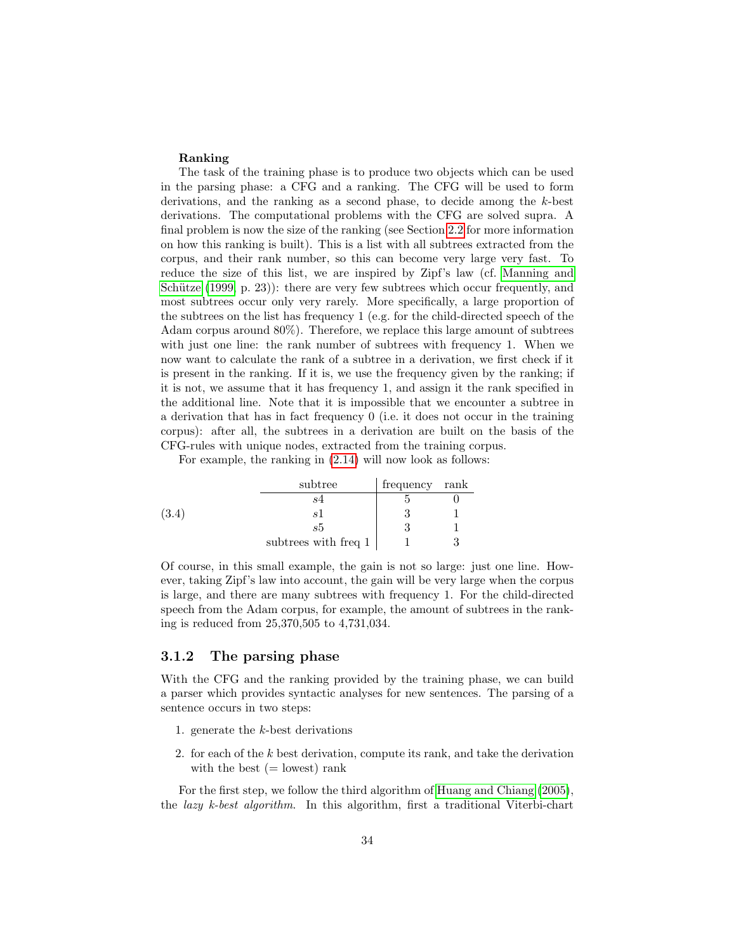#### Ranking

The task of the training phase is to produce two objects which can be used in the parsing phase: a CFG and a ranking. The CFG will be used to form derivations, and the ranking as a second phase, to decide among the k-best derivations. The computational problems with the CFG are solved supra. A final problem is now the size of the ranking (see Section [2.2](#page-17-0) for more information on how this ranking is built). This is a list with all subtrees extracted from the corpus, and their rank number, so this can become very large very fast. To reduce the size of this list, we are inspired by Zipf's law (cf. [Manning and](#page-146-7) Schütze  $(1999, p. 23)$  $(1999, p. 23)$ : there are very few subtrees which occur frequently, and most subtrees occur only very rarely. More specifically, a large proportion of the subtrees on the list has frequency 1 (e.g. for the child-directed speech of the Adam corpus around 80%). Therefore, we replace this large amount of subtrees with just one line: the rank number of subtrees with frequency 1. When we now want to calculate the rank of a subtree in a derivation, we first check if it is present in the ranking. If it is, we use the frequency given by the ranking; if it is not, we assume that it has frequency 1, and assign it the rank specified in the additional line. Note that it is impossible that we encounter a subtree in a derivation that has in fact frequency 0 (i.e. it does not occur in the training corpus): after all, the subtrees in a derivation are built on the basis of the CFG-rules with unique nodes, extracted from the training corpus.

For example, the ranking in [\(2.14\)](#page-22-1) will now look as follows:

|       | subtree              | frequency rank |  |
|-------|----------------------|----------------|--|
|       |                      |                |  |
| (3.4) | -e i                 |                |  |
|       | s5                   |                |  |
|       | subtrees with freq 1 |                |  |

Of course, in this small example, the gain is not so large: just one line. However, taking Zipf's law into account, the gain will be very large when the corpus is large, and there are many subtrees with frequency 1. For the child-directed speech from the Adam corpus, for example, the amount of subtrees in the ranking is reduced from 25,370,505 to 4,731,034.

### <span id="page-35-0"></span>3.1.2 The parsing phase

With the CFG and the ranking provided by the training phase, we can build a parser which provides syntactic analyses for new sentences. The parsing of a sentence occurs in two steps:

- 1. generate the k-best derivations
- 2. for each of the  $k$  best derivation, compute its rank, and take the derivation with the best  $(=$  lowest) rank

For the first step, we follow the third algorithm of [Huang and Chiang](#page-146-8) [\(2005\)](#page-146-8), the lazy k-best algorithm. In this algorithm, first a traditional Viterbi-chart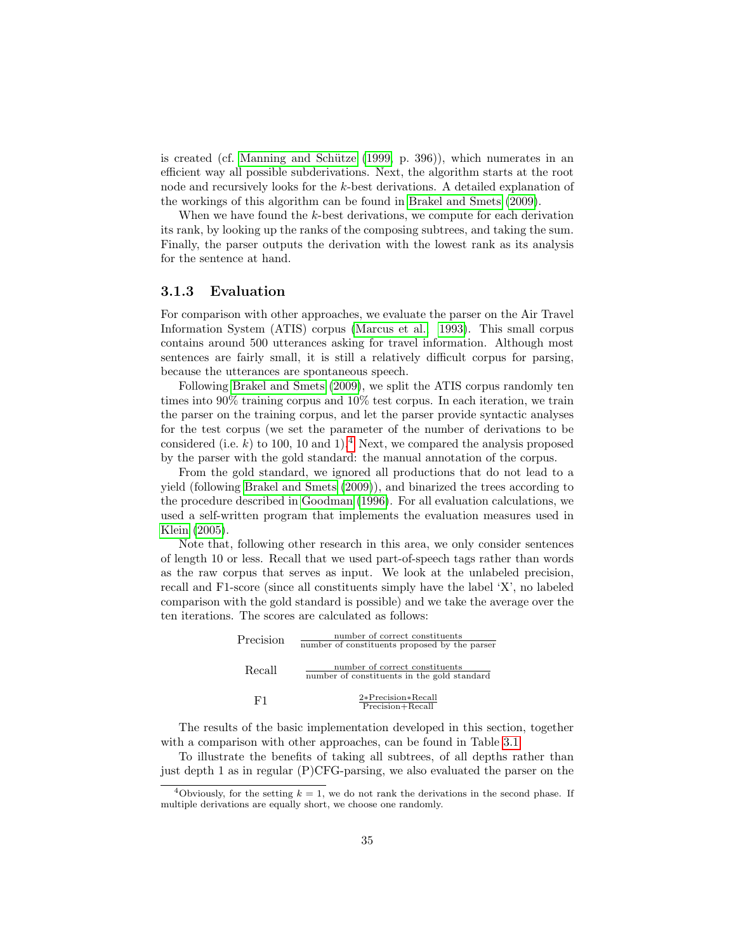is created (cf. Manning and Schütze [\(1999,](#page-146-0) p. 396)), which numerates in an efficient way all possible subderivations. Next, the algorithm starts at the root node and recursively looks for the k-best derivations. A detailed explanation of the workings of this algorithm can be found in [Brakel and Smets](#page-146-1) [\(2009\)](#page-146-1).

When we have found the k-best derivations, we compute for each derivation its rank, by looking up the ranks of the composing subtrees, and taking the sum. Finally, the parser outputs the derivation with the lowest rank as its analysis for the sentence at hand.

#### <span id="page-36-1"></span>3.1.3 Evaluation

For comparison with other approaches, we evaluate the parser on the Air Travel Information System (ATIS) corpus [\(Marcus et al., 1993\)](#page-147-0). This small corpus contains around 500 utterances asking for travel information. Although most sentences are fairly small, it is still a relatively difficult corpus for parsing, because the utterances are spontaneous speech.

Following [Brakel and Smets](#page-146-1) [\(2009\)](#page-146-1), we split the ATIS corpus randomly ten times into 90% training corpus and 10% test corpus. In each iteration, we train the parser on the training corpus, and let the parser provide syntactic analyses for the test corpus (we set the parameter of the number of derivations to be considered (i.e. k) to 100, 10 and 1).<sup>[4](#page-36-0)</sup> Next, we compared the analysis proposed by the parser with the gold standard: the manual annotation of the corpus.

From the gold standard, we ignored all productions that do not lead to a yield (following [Brakel and Smets](#page-146-1) [\(2009\)](#page-146-1)), and binarized the trees according to the procedure described in [Goodman](#page-146-2) [\(1996\)](#page-146-2). For all evaluation calculations, we used a self-written program that implements the evaluation measures used in [Klein](#page-146-3) [\(2005\)](#page-146-3).

Note that, following other research in this area, we only consider sentences of length 10 or less. Recall that we used part-of-speech tags rather than words as the raw corpus that serves as input. We look at the unlabeled precision, recall and F1-score (since all constituents simply have the label 'X', no labeled comparison with the gold standard is possible) and we take the average over the ten iterations. The scores are calculated as follows:

| Precision | number of correct constituents<br>number of constituents proposed by the parser |
|-----------|---------------------------------------------------------------------------------|
| Recall    | number of correct constituents<br>number of constituents in the gold standard   |
| F1.       | $2*Precision*Recall$<br>Precision+Recall                                        |

The results of the basic implementation developed in this section, together with a comparison with other approaches, can be found in Table [3.1.](#page-37-0)

To illustrate the benefits of taking all subtrees, of all depths rather than just depth 1 as in regular (P)CFG-parsing, we also evaluated the parser on the

<span id="page-36-0"></span><sup>&</sup>lt;sup>4</sup>Obviously, for the setting  $k = 1$ , we do not rank the derivations in the second phase. If multiple derivations are equally short, we choose one randomly.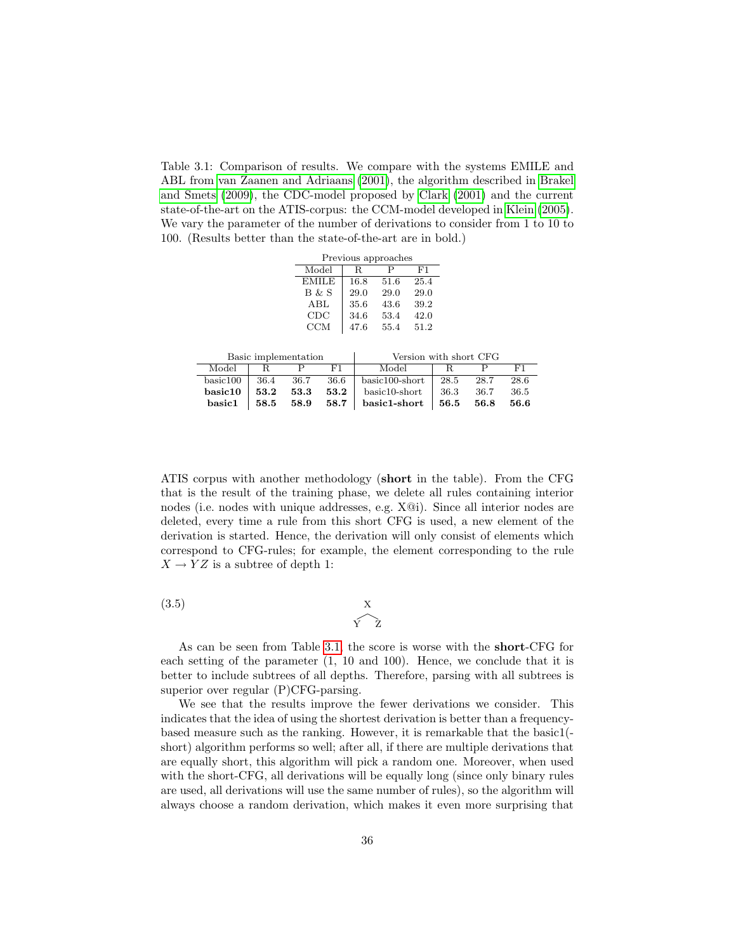<span id="page-37-0"></span>Table 3.1: Comparison of results. We compare with the systems EMILE and ABL from [van Zaanen and Adriaans](#page-147-1) [\(2001\)](#page-147-1), the algorithm described in [Brakel](#page-146-1) [and Smets](#page-146-1) [\(2009\)](#page-146-1), the CDC-model proposed by [Clark](#page-146-4) [\(2001\)](#page-146-4) and the current state-of-the-art on the ATIS-corpus: the CCM-model developed in [Klein](#page-146-3) [\(2005\)](#page-146-3). We vary the parameter of the number of derivations to consider from 1 to 10 to 100. (Results better than the state-of-the-art are in bold.)

|                     |                      |            |       |      | Previous approaches |      |                        |      |      |
|---------------------|----------------------|------------|-------|------|---------------------|------|------------------------|------|------|
|                     |                      | Model      |       | R    | Р                   | F1   |                        |      |      |
|                     |                      |            | EMILE | 16.8 | 51.6                | 25.4 |                        |      |      |
|                     |                      |            | B & S | 29.0 | 29.0                | 29.0 |                        |      |      |
|                     |                      |            | ABL   | 35.6 | 43.6                | 39.2 |                        |      |      |
|                     |                      |            | CDC   | 34.6 | 53.4                | 42.0 |                        |      |      |
|                     |                      | <b>CCM</b> |       | 47.6 | 55.4                | 51.2 |                        |      |      |
|                     |                      |            |       |      |                     |      |                        |      |      |
|                     | Basic implementation |            |       |      |                     |      | Version with short CFG |      |      |
| Model               | R                    | Р          | F1    |      | Model               |      | R                      | Р    | F1   |
| $\mathrm{basic}100$ | 36.4                 | 36.7       | 36.6  |      | basic100-short      |      | 28.5                   | 28.7 | 28.6 |
| $_{\rm basic10}$    | 53.2                 | 53.3       | 53.2  |      | basic10-short       |      | 36.3                   | 36.7 | 36.5 |
| basic1              | 58.5                 | 58.9       | 58.7  |      | basic1-short        |      | 56.5                   | 56.8 | 56.6 |

ATIS corpus with another methodology (short in the table). From the CFG that is the result of the training phase, we delete all rules containing interior nodes (i.e. nodes with unique addresses, e.g. X@i). Since all interior nodes are deleted, every time a rule from this short CFG is used, a new element of the derivation is started. Hence, the derivation will only consist of elements which correspond to CFG-rules; for example, the element corresponding to the rule  $X \rightarrow YZ$  is a subtree of depth 1:

 $(3.5)$ 

 $\begin{matrix} x \\ y \end{matrix}$ 

As can be seen from Table [3.1,](#page-37-0) the score is worse with the short-CFG for each setting of the parameter (1, 10 and 100). Hence, we conclude that it is better to include subtrees of all depths. Therefore, parsing with all subtrees is superior over regular (P)CFG-parsing.

We see that the results improve the fewer derivations we consider. This indicates that the idea of using the shortest derivation is better than a frequencybased measure such as the ranking. However, it is remarkable that the basic1( short) algorithm performs so well; after all, if there are multiple derivations that are equally short, this algorithm will pick a random one. Moreover, when used with the short-CFG, all derivations will be equally long (since only binary rules are used, all derivations will use the same number of rules), so the algorithm will always choose a random derivation, which makes it even more surprising that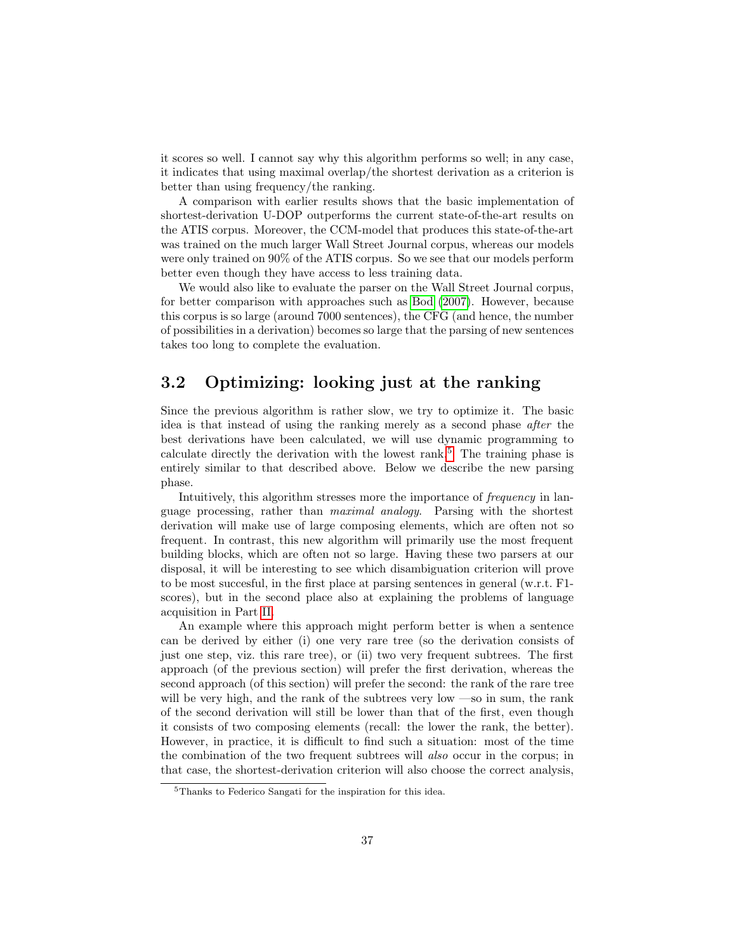it scores so well. I cannot say why this algorithm performs so well; in any case, it indicates that using maximal overlap/the shortest derivation as a criterion is better than using frequency/the ranking.

A comparison with earlier results shows that the basic implementation of shortest-derivation U-DOP outperforms the current state-of-the-art results on the ATIS corpus. Moreover, the CCM-model that produces this state-of-the-art was trained on the much larger Wall Street Journal corpus, whereas our models were only trained on 90% of the ATIS corpus. So we see that our models perform better even though they have access to less training data.

We would also like to evaluate the parser on the Wall Street Journal corpus, for better comparison with approaches such as [Bod](#page-145-0) [\(2007\)](#page-145-0). However, because this corpus is so large (around 7000 sentences), the CFG (and hence, the number of possibilities in a derivation) becomes so large that the parsing of new sentences takes too long to complete the evaluation.

#### <span id="page-38-1"></span>3.2 Optimizing: looking just at the ranking

Since the previous algorithm is rather slow, we try to optimize it. The basic idea is that instead of using the ranking merely as a second phase after the best derivations have been calculated, we will use dynamic programming to calculate directly the derivation with the lowest rank.<sup>[5](#page-38-0)</sup> The training phase is entirely similar to that described above. Below we describe the new parsing phase.

Intuitively, this algorithm stresses more the importance of frequency in language processing, rather than maximal analogy. Parsing with the shortest derivation will make use of large composing elements, which are often not so frequent. In contrast, this new algorithm will primarily use the most frequent building blocks, which are often not so large. Having these two parsers at our disposal, it will be interesting to see which disambiguation criterion will prove to be most succesful, in the first place at parsing sentences in general (w.r.t. F1 scores), but in the second place also at explaining the problems of language acquisition in Part [II.](#page-53-0)

An example where this approach might perform better is when a sentence can be derived by either (i) one very rare tree (so the derivation consists of just one step, viz. this rare tree), or (ii) two very frequent subtrees. The first approach (of the previous section) will prefer the first derivation, whereas the second approach (of this section) will prefer the second: the rank of the rare tree will be very high, and the rank of the subtrees very low —so in sum, the rank of the second derivation will still be lower than that of the first, even though it consists of two composing elements (recall: the lower the rank, the better). However, in practice, it is difficult to find such a situation: most of the time the combination of the two frequent subtrees will also occur in the corpus; in that case, the shortest-derivation criterion will also choose the correct analysis,

<span id="page-38-0"></span><sup>5</sup>Thanks to Federico Sangati for the inspiration for this idea.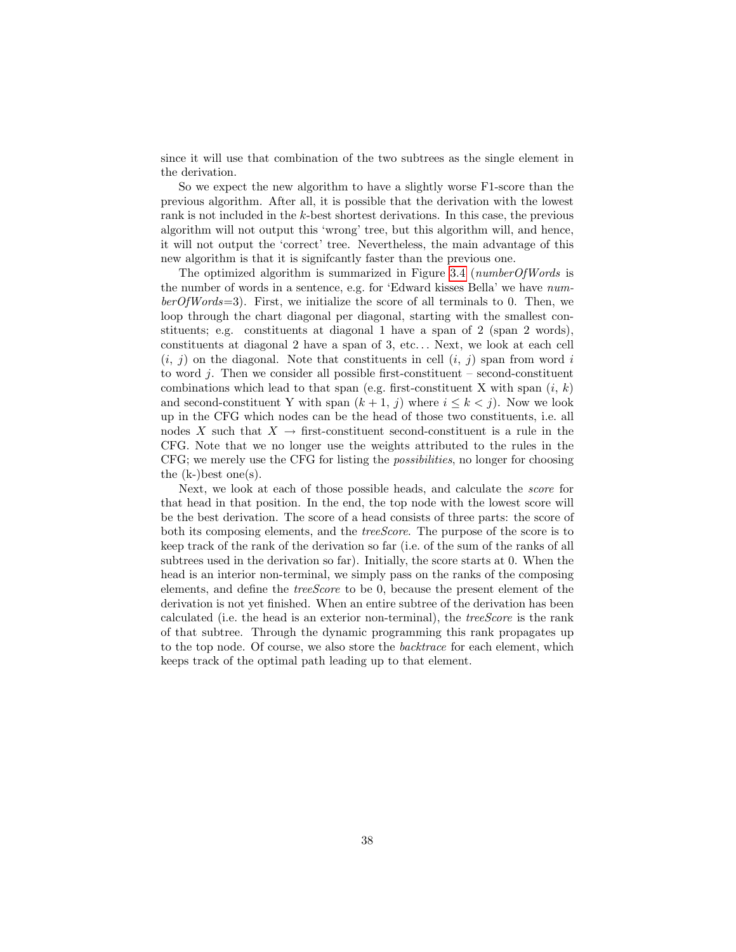since it will use that combination of the two subtrees as the single element in the derivation.

So we expect the new algorithm to have a slightly worse F1-score than the previous algorithm. After all, it is possible that the derivation with the lowest rank is not included in the k-best shortest derivations. In this case, the previous algorithm will not output this 'wrong' tree, but this algorithm will, and hence, it will not output the 'correct' tree. Nevertheless, the main advantage of this new algorithm is that it is signifcantly faster than the previous one.

The optimized algorithm is summarized in Figure [3.4](#page-40-0) (numberOfWords is the number of words in a sentence, e.g. for 'Edward kisses Bella' we have num $berOfWords=3$ ). First, we initialize the score of all terminals to 0. Then, we loop through the chart diagonal per diagonal, starting with the smallest constituents; e.g. constituents at diagonal 1 have a span of 2 (span 2 words), constituents at diagonal 2 have a span of 3, etc. . . Next, we look at each cell  $(i, j)$  on the diagonal. Note that constituents in cell  $(i, j)$  span from word i to word  $j$ . Then we consider all possible first-constituent – second-constituent combinations which lead to that span (e.g. first-constituent X with span  $(i, k)$ ) and second-constituent Y with span  $(k+1, j)$  where  $i \leq k < j$ ). Now we look up in the CFG which nodes can be the head of those two constituents, i.e. all nodes X such that  $X \to$  first-constituent second-constituent is a rule in the CFG. Note that we no longer use the weights attributed to the rules in the CFG; we merely use the CFG for listing the possibilities, no longer for choosing the  $(k-)$ best one $(s)$ .

Next, we look at each of those possible heads, and calculate the score for that head in that position. In the end, the top node with the lowest score will be the best derivation. The score of a head consists of three parts: the score of both its composing elements, and the *treeScore*. The purpose of the score is to keep track of the rank of the derivation so far (i.e. of the sum of the ranks of all subtrees used in the derivation so far). Initially, the score starts at 0. When the head is an interior non-terminal, we simply pass on the ranks of the composing elements, and define the treeScore to be 0, because the present element of the derivation is not yet finished. When an entire subtree of the derivation has been calculated (i.e. the head is an exterior non-terminal), the treeScore is the rank of that subtree. Through the dynamic programming this rank propagates up to the top node. Of course, we also store the backtrace for each element, which keeps track of the optimal path leading up to that element.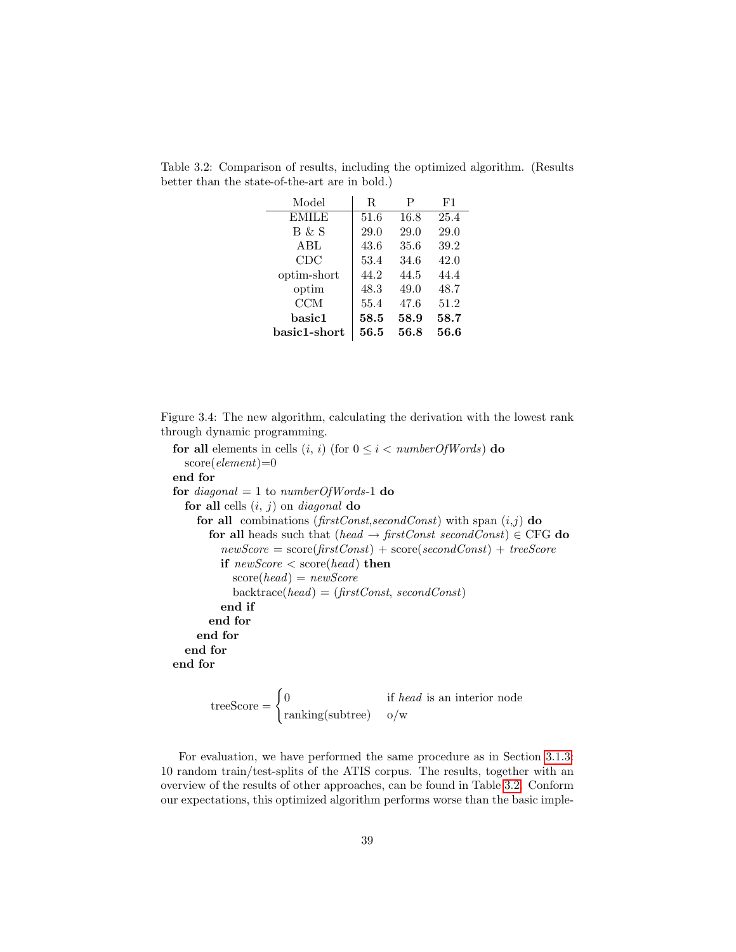| Model        | R    | Ρ    | F1   |
|--------------|------|------|------|
| <b>EMILE</b> | 51.6 | 16.8 | 25.4 |
| B & S        | 29.0 | 29.0 | 29.0 |
| ABL          | 43.6 | 35.6 | 39.2 |
| CDC          | 53.4 | 34.6 | 42.0 |
| optim-short  | 44.2 | 44.5 | 44.4 |
| optim        | 48.3 | 49.0 | 48.7 |
| <b>CCM</b>   | 55.4 | 47.6 | 51.2 |
| basic1       | 58.5 | 58.9 | 58.7 |
| basic1-short | 56.5 | 56.8 | 56.6 |

<span id="page-40-1"></span>Table 3.2: Comparison of results, including the optimized algorithm. (Results better than the state-of-the-art are in bold.)

<span id="page-40-0"></span>Figure 3.4: The new algorithm, calculating the derivation with the lowest rank through dynamic programming.

for all elements in cells  $(i, i)$  (for  $0 \leq i < numberOfWords)$  do  $score(element)=0$ end for for diagonal = 1 to numberOfWords-1 do for all cells  $(i, j)$  on *diagonal* do for all combinations (firstConst,secondConst) with span  $(i,j)$  do for all heads such that (head  $\rightarrow$  firstConst secondConst)  $\in$  CFG do  $newScore = score(firstConst) + score(secondConst) + treeScore$ if  $newScore < score(head)$  then  $score(head) = newScore$  $\text{backtrace}(head) = (\text{firstConst}, \text{secondConst})$ end if end for end for end for end for

treeScore = 
$$
\begin{cases} 0 & \text{if } head \text{ is an interior node} \\ \text{ranking(subtree)} & o/w \end{cases}
$$

For evaluation, we have performed the same procedure as in Section [3.1.3:](#page-36-1) 10 random train/test-splits of the ATIS corpus. The results, together with an overview of the results of other approaches, can be found in Table [3.2.](#page-40-1) Conform our expectations, this optimized algorithm performs worse than the basic imple-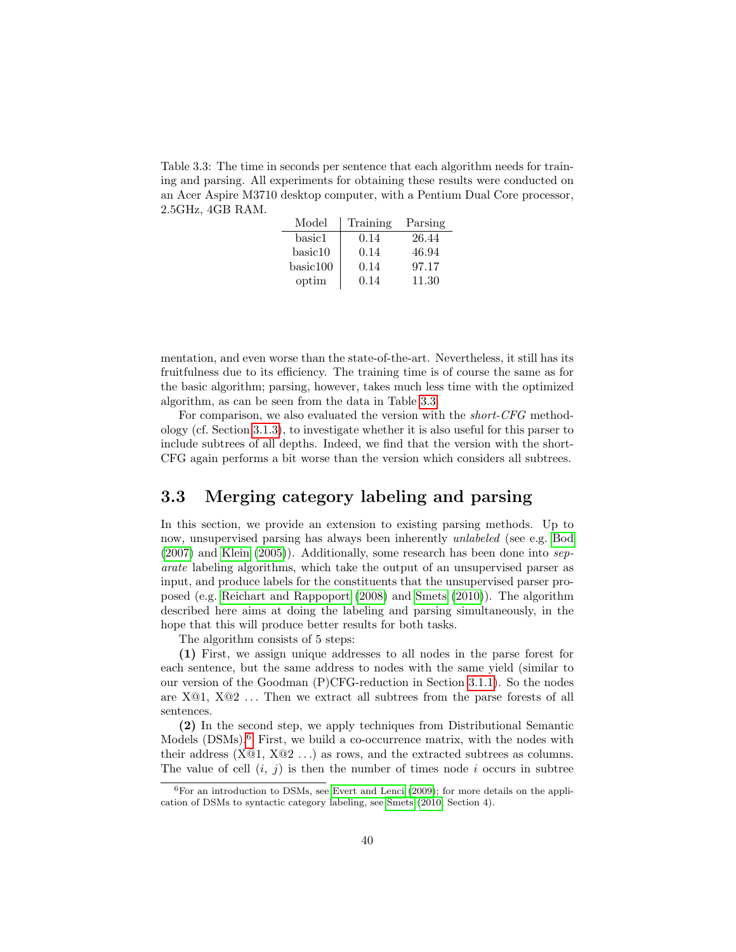<span id="page-41-0"></span>Table 3.3: The time in seconds per sentence that each algorithm needs for training and parsing. All experiments for obtaining these results were conducted on an Acer Aspire M3710 desktop computer, with a Pentium Dual Core processor, 2.5GHz, 4GB RAM.

| Model    | Training | Parsing |
|----------|----------|---------|
| basic1   | 0.14     | 26.44   |
| basic10  | 0.14     | 46.94   |
| basic100 | 0.14     | 97.17   |
| optim    | 0.14     | 11.30   |

mentation, and even worse than the state-of-the-art. Nevertheless, it still has its fruitfulness due to its efficiency. The training time is of course the same as for the basic algorithm; parsing, however, takes much less time with the optimized algorithm, as can be seen from the data in Table [3.3.](#page-41-0)

For comparison, we also evaluated the version with the short-CFG methodology (cf. Section [3.1.3\)](#page-36-1), to investigate whether it is also useful for this parser to include subtrees of all depths. Indeed, we find that the version with the short-CFG again performs a bit worse than the version which considers all subtrees.

#### <span id="page-41-2"></span>3.3 Merging category labeling and parsing

In this section, we provide an extension to existing parsing methods. Up to now, unsupervised parsing has always been inherently unlabeled (see e.g. [Bod](#page-145-0) [\(2007\)](#page-145-0) and [Klein](#page-146-3) [\(2005\)](#page-146-3)). Additionally, some research has been done into separate labeling algorithms, which take the output of an unsupervised parser as input, and produce labels for the constituents that the unsupervised parser proposed (e.g. [Reichart and Rappoport](#page-147-2) [\(2008\)](#page-147-2) and [Smets](#page-147-3) [\(2010\)](#page-147-3)). The algorithm described here aims at doing the labeling and parsing simultaneously, in the hope that this will produce better results for both tasks.

The algorithm consists of 5 steps:

(1) First, we assign unique addresses to all nodes in the parse forest for each sentence, but the same address to nodes with the same yield (similar to our version of the Goodman (P)CFG-reduction in Section [3.1.1\)](#page-29-0). So the nodes are  $X@1$ ,  $X@2$ ... Then we extract all subtrees from the parse forests of all sentences.

(2) In the second step, we apply techniques from Distributional Semantic Models (DSMs).<sup>[6](#page-41-1)</sup> First, we build a co-occurrence matrix, with the nodes with their address  $(X@1, X@2...)$  as rows, and the extracted subtrees as columns. The value of cell  $(i, j)$  is then the number of times node i occurs in subtree

<span id="page-41-1"></span> $6$  For an introduction to DSMs, see [Evert and Lenci](#page-146-5) [\(2009\)](#page-146-5); for more details on the application of DSMs to syntactic category labeling, see [Smets](#page-147-3) [\(2010,](#page-147-3) Section 4).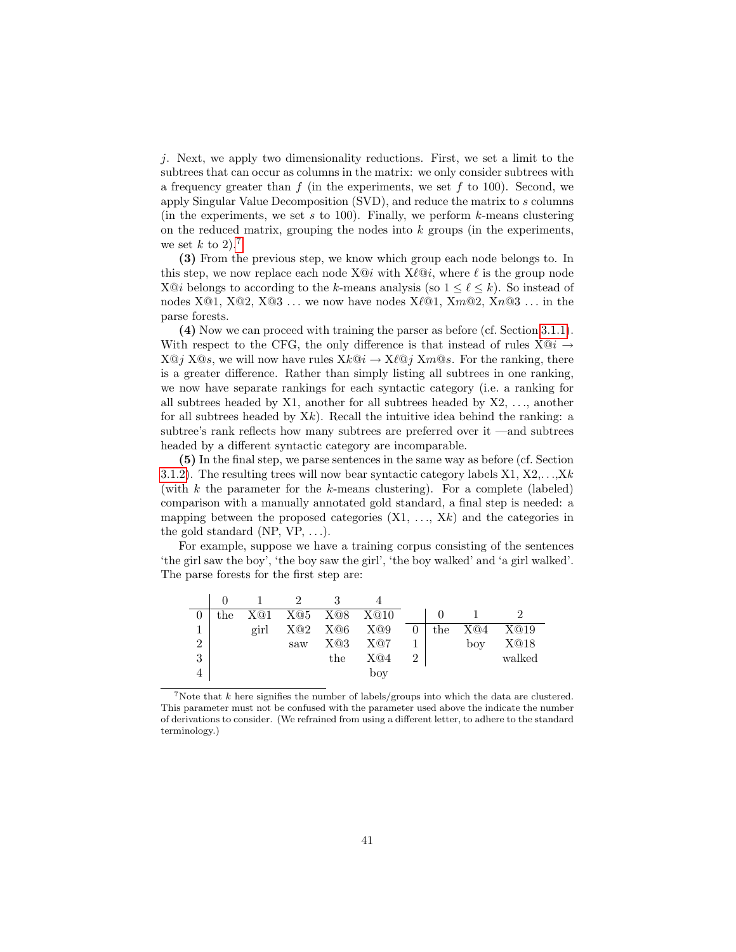j. Next, we apply two dimensionality reductions. First, we set a limit to the subtrees that can occur as columns in the matrix: we only consider subtrees with a frequency greater than f (in the experiments, we set f to 100). Second, we apply Singular Value Decomposition (SVD), and reduce the matrix to s columns (in the experiments, we set s to 100). Finally, we perform  $k$ -means clustering on the reduced matrix, grouping the nodes into  $k$  groups (in the experiments, we set k to 2).<sup>[7](#page-42-0)</sup>

(3) From the previous step, we know which group each node belongs to. In this step, we now replace each node  $X@i$  with  $X\ell@i$ , where  $\ell$  is the group node X $\mathcal{Q}i$  belongs to according to the k-means analysis (so  $1 \leq \ell \leq k$ ). So instead of nodes  $X@1$ ,  $X@2$ ,  $X@3$ ... we now have nodes  $X@1$ ,  $Xm@2$ ,  $Xn@3$ ... in the parse forests.

(4) Now we can proceed with training the parser as before (cf. Section [3.1.1\)](#page-29-0). With respect to the CFG, the only difference is that instead of rules  $X@i \rightarrow$  $X@j$   $X@s$ , we will now have rules  $Xk@i \rightarrow X\ell@j$   $Xm@s$ . For the ranking, there is a greater difference. Rather than simply listing all subtrees in one ranking, we now have separate rankings for each syntactic category (i.e. a ranking for all subtrees headed by  $X1$ , another for all subtrees headed by  $X2$ , ..., another for all subtrees headed by  $Xk$ ). Recall the intuitive idea behind the ranking: a subtree's rank reflects how many subtrees are preferred over it —and subtrees headed by a different syntactic category are incomparable.

(5) In the final step, we parse sentences in the same way as before (cf. Section [3.1.2\)](#page-35-0). The resulting trees will now bear syntactic category labels  $X1, X2, \ldots, Xk$ (with  $k$  the parameter for the  $k$ -means clustering). For a complete (labeled) comparison with a manually annotated gold standard, a final step is needed: a mapping between the proposed categories  $(X1, \ldots, Xk)$  and the categories in the gold standard (NP,  $VP$ , ...).

For example, suppose we have a training corpus consisting of the sentences 'the girl saw the boy', 'the boy saw the girl', 'the boy walked' and 'a girl walked'. The parse forests for the first step are:

| X@1  | X@5 |     |     |                |     |     |        |
|------|-----|-----|-----|----------------|-----|-----|--------|
| girl | X@2 | X@6 | X@9 | $\theta$       | the | X@4 | X@19   |
|      | saw | X@3 | X@7 |                |     | boy | X@18   |
|      |     | the | X@4 | $\overline{2}$ |     |     | walked |
|      |     |     | boy |                |     |     |        |
|      |     |     | X@8 | X@10           |     |     |        |

<span id="page-42-0"></span><sup>&</sup>lt;sup>7</sup>Note that  $k$  here signifies the number of labels/groups into which the data are clustered. This parameter must not be confused with the parameter used above the indicate the number of derivations to consider. (We refrained from using a different letter, to adhere to the standard terminology.)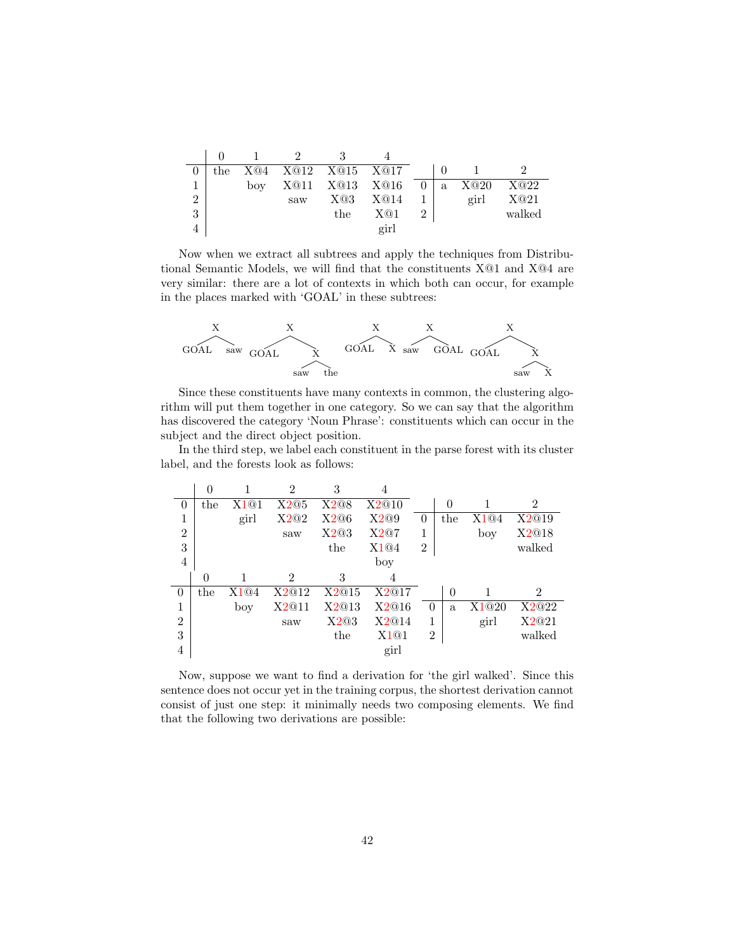|                | the |     |     | X@4 X@12 X@15 X@17 |      |                |   |      |        |
|----------------|-----|-----|-----|--------------------|------|----------------|---|------|--------|
|                |     | boy |     | X@11 X@13 X@16     |      | $\overline{0}$ | a | X@20 | X@22   |
| $\overline{2}$ |     |     | saw | X@3                | X@14 |                |   | girl | X@21   |
| 3              |     |     |     | the                | X@1  |                |   |      | walked |
|                |     |     |     |                    | girl |                |   |      |        |

Now when we extract all subtrees and apply the techniques from Distributional Semantic Models, we will find that the constituents X@1 and X@4 are very similar: there are a lot of contexts in which both can occur, for example in the places marked with 'GOAL' in these subtrees:



Since these constituents have many contexts in common, the clustering algorithm will put them together in one category. So we can say that the algorithm has discovered the category 'Noun Phrase': constituents which can occur in the subject and the direct object position.

In the third step, we label each constituent in the parse forest with its cluster label, and the forests look as follows:

|                | $\theta$ |      | $\mathcal{D}$  | 3     |       |                |          |       |                |
|----------------|----------|------|----------------|-------|-------|----------------|----------|-------|----------------|
| $\overline{0}$ | the      | X1@1 | X2@5           | X2@8  | X2@10 |                | 0        |       | $\mathfrak{D}$ |
| 1              |          | girl | X2@2           | X2@6  | X2@9  | $\theta$       | the      | X1@4  | X2@19          |
| $\overline{2}$ |          |      | saw            | X2@3  | X2@7  | 1              |          | boy   | X2@18          |
| 3              |          |      |                | the   | X1@4  | $\overline{2}$ |          |       | walked         |
| 4              |          |      |                |       | boy   |                |          |       |                |
|                | 0        |      | $\overline{2}$ | 3     | 4     |                |          |       |                |
| $\theta$       | the      | X1@4 | X2@12          | X2@15 | X2@17 |                | $\theta$ |       | $\mathfrak{D}$ |
| 1              |          | boy  | X2@11          | X2@13 | X2@16 | $\Omega$       | a.       | X1@20 | X2@22          |
| $\overline{2}$ |          |      | saw            | X2@3  | X2@14 | 1              |          | girl  | X2@21          |
| 3              |          |      |                | the   | X1@1  | $\overline{2}$ |          |       | walked         |
| $\overline{4}$ |          |      |                |       | girl  |                |          |       |                |

Now, suppose we want to find a derivation for 'the girl walked'. Since this sentence does not occur yet in the training corpus, the shortest derivation cannot consist of just one step: it minimally needs two composing elements. We find that the following two derivations are possible: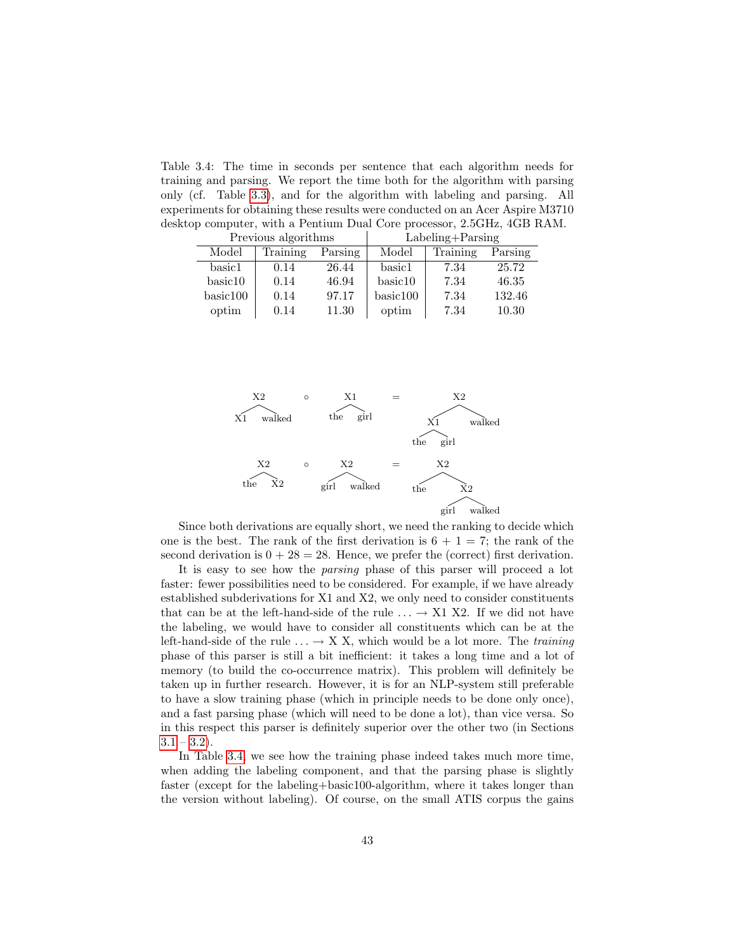<span id="page-44-0"></span>Table 3.4: The time in seconds per sentence that each algorithm needs for training and parsing. We report the time both for the algorithm with parsing only (cf. Table [3.3\)](#page-41-0), and for the algorithm with labeling and parsing. All experiments for obtaining these results were conducted on an Acer Aspire M3710 desktop computer, with a Pentium Dual Core processor, 2.5GHz, 4GB RAM.

|          | Previous algorithms |         | $Labeling + Parsing$ |          |         |  |
|----------|---------------------|---------|----------------------|----------|---------|--|
| Model    | Training            | Parsing | Model                | Training | Parsing |  |
| basic1   | 0.14                | 26.44   | basic1               | 7.34     | 25.72   |  |
| basic10  | 0.14                | 46.94   | basic10              | 7.34     | 46.35   |  |
| basic100 | 0.14                | 97.17   | basic100             | 7.34     | 132.46  |  |
| optim    | 0.14                | 11.30   | optim                | 7.34     | 10.30   |  |



Since both derivations are equally short, we need the ranking to decide which one is the best. The rank of the first derivation is  $6 + 1 = 7$ ; the rank of the second derivation is  $0 + 28 = 28$ . Hence, we prefer the (correct) first derivation.

It is easy to see how the parsing phase of this parser will proceed a lot faster: fewer possibilities need to be considered. For example, if we have already established subderivations for X1 and X2, we only need to consider constituents that can be at the left-hand-side of the rule  $\ldots \rightarrow X1$  X2. If we did not have the labeling, we would have to consider all constituents which can be at the left-hand-side of the rule  $\ldots \rightarrow X X$ , which would be a lot more. The training phase of this parser is still a bit inefficient: it takes a long time and a lot of memory (to build the co-occurrence matrix). This problem will definitely be taken up in further research. However, it is for an NLP-system still preferable to have a slow training phase (which in principle needs to be done only once), and a fast parsing phase (which will need to be done a lot), than vice versa. So in this respect this parser is definitely superior over the other two (in Sections  $3.1 - 3.2$  $3.1 - 3.2$ .

In Table [3.4,](#page-44-0) we see how the training phase indeed takes much more time, when adding the labeling component, and that the parsing phase is slightly faster (except for the labeling+basic100-algorithm, where it takes longer than the version without labeling). Of course, on the small ATIS corpus the gains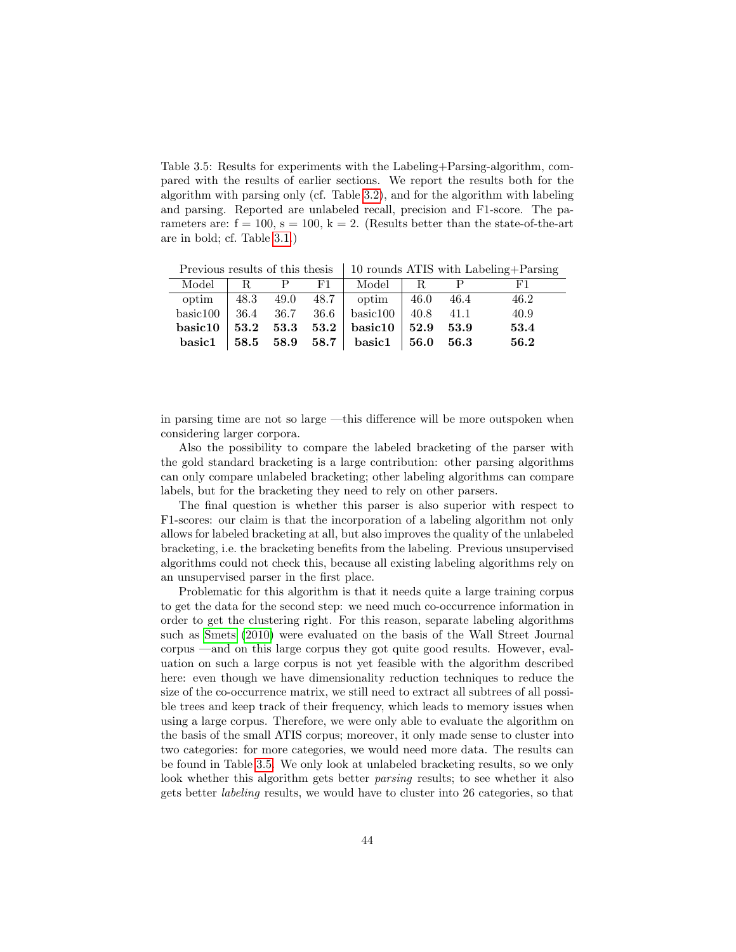<span id="page-45-0"></span>Table 3.5: Results for experiments with the Labeling+Parsing-algorithm, compared with the results of earlier sections. We report the results both for the algorithm with parsing only (cf. Table [3.2\)](#page-40-1), and for the algorithm with labeling and parsing. Reported are unlabeled recall, precision and F1-score. The parameters are:  $f = 100$ ,  $s = 100$ ,  $k = 2$ . (Results better than the state-of-the-art are in bold; cf. Table [3.1.](#page-37-0))

Previous results of this thesis  $\parallel$  10 rounds ATIS with Labeling+Parsing

|  |  | Model   R P F1   Model   R P                    |  |       |
|--|--|-------------------------------------------------|--|-------|
|  |  | optim   48.3 49.0 48.7   optim   46.0 46.4 46.2 |  |       |
|  |  |                                                 |  | -40.9 |
|  |  |                                                 |  | 53.4  |
|  |  |                                                 |  | 56.2  |

in parsing time are not so large —this difference will be more outspoken when considering larger corpora.

Also the possibility to compare the labeled bracketing of the parser with the gold standard bracketing is a large contribution: other parsing algorithms can only compare unlabeled bracketing; other labeling algorithms can compare labels, but for the bracketing they need to rely on other parsers.

The final question is whether this parser is also superior with respect to F1-scores: our claim is that the incorporation of a labeling algorithm not only allows for labeled bracketing at all, but also improves the quality of the unlabeled bracketing, i.e. the bracketing benefits from the labeling. Previous unsupervised algorithms could not check this, because all existing labeling algorithms rely on an unsupervised parser in the first place.

Problematic for this algorithm is that it needs quite a large training corpus to get the data for the second step: we need much co-occurrence information in order to get the clustering right. For this reason, separate labeling algorithms such as [Smets](#page-147-3) [\(2010\)](#page-147-3) were evaluated on the basis of the Wall Street Journal corpus —and on this large corpus they got quite good results. However, evaluation on such a large corpus is not yet feasible with the algorithm described here: even though we have dimensionality reduction techniques to reduce the size of the co-occurrence matrix, we still need to extract all subtrees of all possible trees and keep track of their frequency, which leads to memory issues when using a large corpus. Therefore, we were only able to evaluate the algorithm on the basis of the small ATIS corpus; moreover, it only made sense to cluster into two categories: for more categories, we would need more data. The results can be found in Table [3.5.](#page-45-0) We only look at unlabeled bracketing results, so we only look whether this algorithm gets better *parsing* results; to see whether it also gets better labeling results, we would have to cluster into 26 categories, so that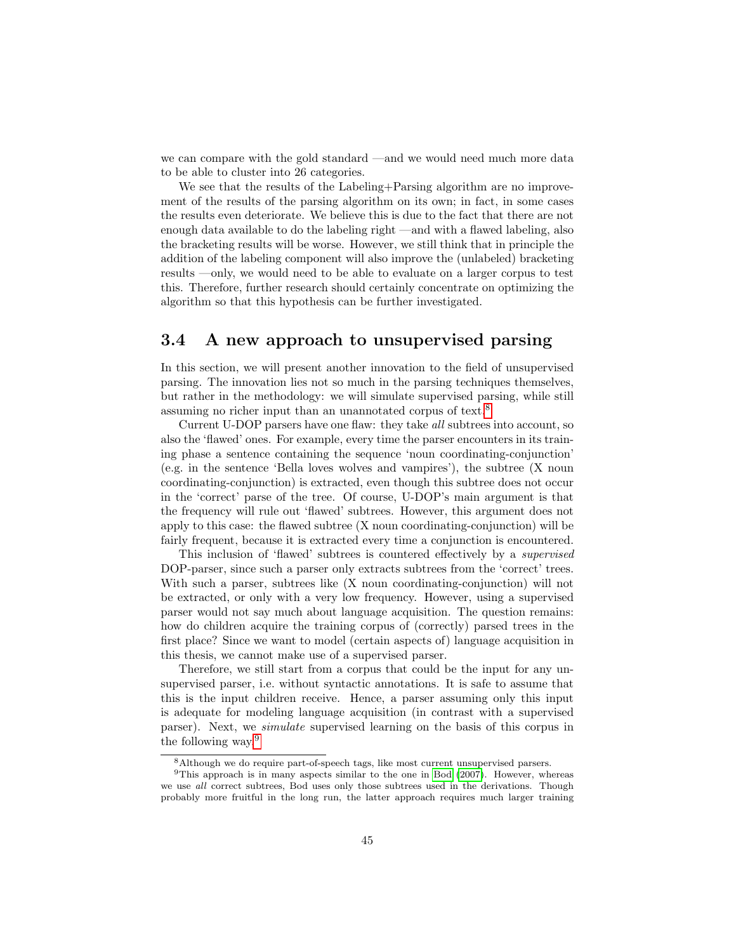we can compare with the gold standard —and we would need much more data to be able to cluster into 26 categories.

We see that the results of the Labeling+Parsing algorithm are no improvement of the results of the parsing algorithm on its own; in fact, in some cases the results even deteriorate. We believe this is due to the fact that there are not enough data available to do the labeling right —and with a flawed labeling, also the bracketing results will be worse. However, we still think that in principle the addition of the labeling component will also improve the (unlabeled) bracketing results —only, we would need to be able to evaluate on a larger corpus to test this. Therefore, further research should certainly concentrate on optimizing the algorithm so that this hypothesis can be further investigated.

#### 3.4 A new approach to unsupervised parsing

In this section, we will present another innovation to the field of unsupervised parsing. The innovation lies not so much in the parsing techniques themselves, but rather in the methodology: we will simulate supervised parsing, while still assuming no richer input than an unannotated corpus of text.[8](#page-46-0)

Current U-DOP parsers have one flaw: they take all subtrees into account, so also the 'flawed' ones. For example, every time the parser encounters in its training phase a sentence containing the sequence 'noun coordinating-conjunction' (e.g. in the sentence 'Bella loves wolves and vampires'), the subtree (X noun coordinating-conjunction) is extracted, even though this subtree does not occur in the 'correct' parse of the tree. Of course, U-DOP's main argument is that the frequency will rule out 'flawed' subtrees. However, this argument does not apply to this case: the flawed subtree (X noun coordinating-conjunction) will be fairly frequent, because it is extracted every time a conjunction is encountered.

This inclusion of 'flawed' subtrees is countered effectively by a supervised DOP-parser, since such a parser only extracts subtrees from the 'correct' trees. With such a parser, subtrees like (X noun coordinating-conjunction) will not be extracted, or only with a very low frequency. However, using a supervised parser would not say much about language acquisition. The question remains: how do children acquire the training corpus of (correctly) parsed trees in the first place? Since we want to model (certain aspects of) language acquisition in this thesis, we cannot make use of a supervised parser.

Therefore, we still start from a corpus that could be the input for any unsupervised parser, i.e. without syntactic annotations. It is safe to assume that this is the input children receive. Hence, a parser assuming only this input is adequate for modeling language acquisition (in contrast with a supervised parser). Next, we simulate supervised learning on the basis of this corpus in the following way.[9](#page-46-1)

<span id="page-46-1"></span><span id="page-46-0"></span><sup>8</sup>Although we do require part-of-speech tags, like most current unsupervised parsers.

<sup>&</sup>lt;sup>9</sup>This approach is in many aspects similar to the one in [Bod](#page-145-0) [\(2007\)](#page-145-0). However, whereas we use all correct subtrees, Bod uses only those subtrees used in the derivations. Though probably more fruitful in the long run, the latter approach requires much larger training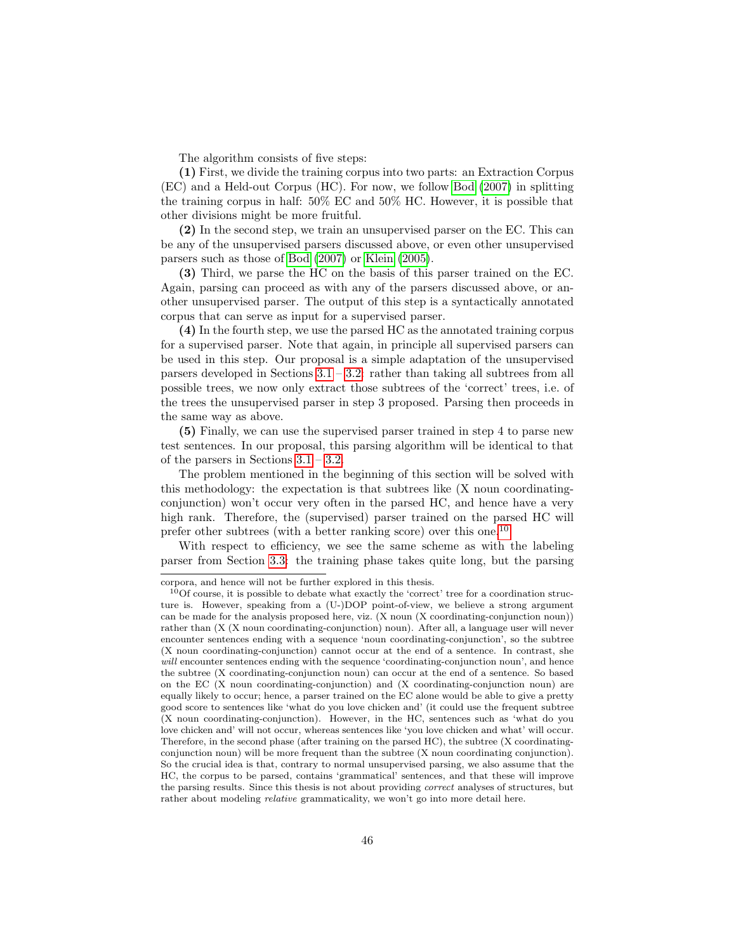The algorithm consists of five steps:

(1) First, we divide the training corpus into two parts: an Extraction Corpus (EC) and a Held-out Corpus (HC). For now, we follow [Bod](#page-145-0) [\(2007\)](#page-145-0) in splitting the training corpus in half: 50% EC and 50% HC. However, it is possible that other divisions might be more fruitful.

(2) In the second step, we train an unsupervised parser on the EC. This can be any of the unsupervised parsers discussed above, or even other unsupervised parsers such as those of [Bod](#page-145-0) [\(2007\)](#page-145-0) or [Klein](#page-146-3) [\(2005\)](#page-146-3).

(3) Third, we parse the HC on the basis of this parser trained on the EC. Again, parsing can proceed as with any of the parsers discussed above, or another unsupervised parser. The output of this step is a syntactically annotated corpus that can serve as input for a supervised parser.

(4) In the fourth step, we use the parsed HC as the annotated training corpus for a supervised parser. Note that again, in principle all supervised parsers can be used in this step. Our proposal is a simple adaptation of the unsupervised parsers developed in Sections  $3.1 - 3.2$ : rather than taking all subtrees from all possible trees, we now only extract those subtrees of the 'correct' trees, i.e. of the trees the unsupervised parser in step 3 proposed. Parsing then proceeds in the same way as above.

(5) Finally, we can use the supervised parser trained in step 4 to parse new test sentences. In our proposal, this parsing algorithm will be identical to that of the parsers in Sections [3.1](#page-28-0) – [3.2.](#page-38-1)

The problem mentioned in the beginning of this section will be solved with this methodology: the expectation is that subtrees like (X noun coordinatingconjunction) won't occur very often in the parsed HC, and hence have a very high rank. Therefore, the (supervised) parser trained on the parsed HC will prefer other subtrees (with a better ranking score) over this one.[10](#page-47-0)

With respect to efficiency, we see the same scheme as with the labeling parser from Section [3.3:](#page-41-2) the training phase takes quite long, but the parsing

corpora, and hence will not be further explored in this thesis.

<span id="page-47-0"></span> $10$ Of course, it is possible to debate what exactly the 'correct' tree for a coordination structure is. However, speaking from a (U-)DOP point-of-view, we believe a strong argument can be made for the analysis proposed here, viz. (X noun (X coordinating-conjunction noun)) rather than (X (X noun coordinating-conjunction) noun). After all, a language user will never encounter sentences ending with a sequence 'noun coordinating-conjunction', so the subtree (X noun coordinating-conjunction) cannot occur at the end of a sentence. In contrast, she will encounter sentences ending with the sequence 'coordinating-conjunction noun', and hence the subtree (X coordinating-conjunction noun) can occur at the end of a sentence. So based on the EC (X noun coordinating-conjunction) and (X coordinating-conjunction noun) are equally likely to occur; hence, a parser trained on the EC alone would be able to give a pretty good score to sentences like 'what do you love chicken and' (it could use the frequent subtree (X noun coordinating-conjunction). However, in the HC, sentences such as 'what do you love chicken and' will not occur, whereas sentences like 'you love chicken and what' will occur. Therefore, in the second phase (after training on the parsed HC), the subtree (X coordinatingconjunction noun) will be more frequent than the subtree (X noun coordinating conjunction). So the crucial idea is that, contrary to normal unsupervised parsing, we also assume that the HC, the corpus to be parsed, contains 'grammatical' sentences, and that these will improve the parsing results. Since this thesis is not about providing correct analyses of structures, but rather about modeling relative grammaticality, we won't go into more detail here.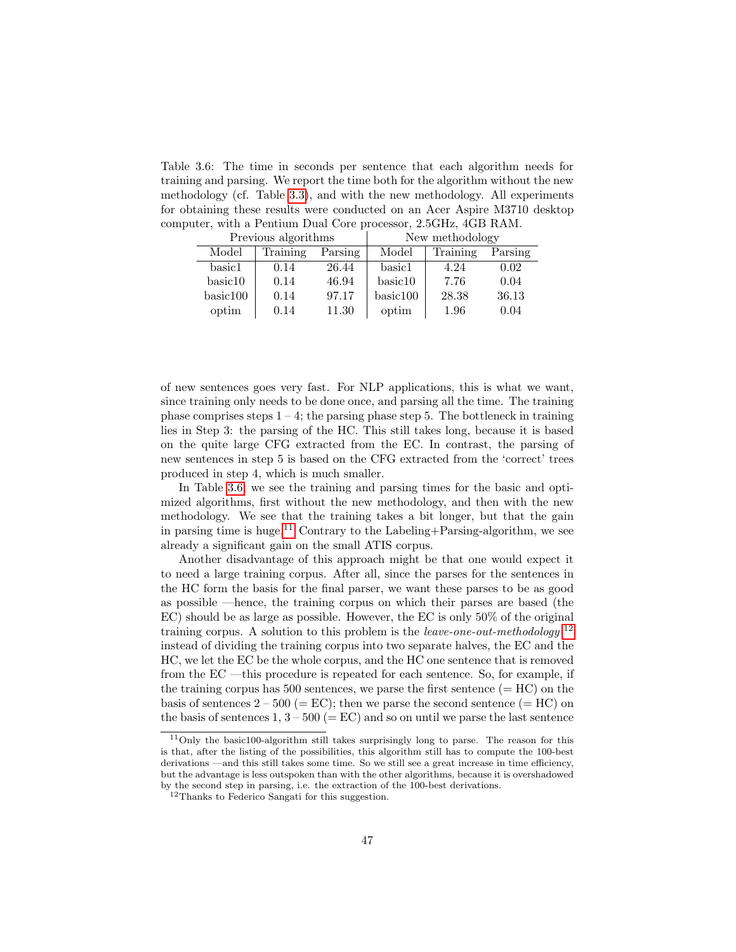<span id="page-48-0"></span>Table 3.6: The time in seconds per sentence that each algorithm needs for training and parsing. We report the time both for the algorithm without the new methodology (cf. Table [3.3\)](#page-41-0), and with the new methodology. All experiments for obtaining these results were conducted on an Acer Aspire M3710 desktop computer, with a Pentium Dual Core processor, 2.5GHz, 4GB RAM.

|          | Previous algorithms |         | New methodology |          |         |  |
|----------|---------------------|---------|-----------------|----------|---------|--|
| Model    | Training            | Parsing | Model           | Training | Parsing |  |
| basic1   | 0.14                | 26.44   | basic1          | 4.24     | 0.02    |  |
| basic10  | 0.14                | 46.94   | basic10         | 7.76     | 0.04    |  |
| basic100 | 0.14                | 97.17   | basic100        | 28.38    | 36.13   |  |
| optim    | 0.14                | 11.30   | optim           | 1.96     | 0.04    |  |

of new sentences goes very fast. For NLP applications, this is what we want, since training only needs to be done once, and parsing all the time. The training phase comprises steps  $1 - 4$ ; the parsing phase step 5. The bottleneck in training lies in Step 3: the parsing of the HC. This still takes long, because it is based on the quite large CFG extracted from the EC. In contrast, the parsing of new sentences in step 5 is based on the CFG extracted from the 'correct' trees produced in step 4, which is much smaller.

In Table [3.6,](#page-48-0) we see the training and parsing times for the basic and optimized algorithms, first without the new methodology, and then with the new methodology. We see that the training takes a bit longer, but that the gain in parsing time is huge.<sup>[11](#page-48-1)</sup> Contrary to the Labeling+Parsing-algorithm, we see already a significant gain on the small ATIS corpus.

Another disadvantage of this approach might be that one would expect it to need a large training corpus. After all, since the parses for the sentences in the HC form the basis for the final parser, we want these parses to be as good as possible —hence, the training corpus on which their parses are based (the EC) should be as large as possible. However, the EC is only 50% of the original training corpus. A solution to this problem is the *leave-one-out-methodology*:<sup>[12](#page-48-2)</sup> instead of dividing the training corpus into two separate halves, the EC and the HC, we let the EC be the whole corpus, and the HC one sentence that is removed from the EC —this procedure is repeated for each sentence. So, for example, if the training corpus has 500 sentences, we parse the first sentence  $(= HC)$  on the basis of sentences  $2 - 500$  (= EC); then we parse the second sentence (= HC) on the basis of sentences 1,  $3 - 500$  (= EC) and so on until we parse the last sentence

<span id="page-48-1"></span> $11$ Only the basic100-algorithm still takes surprisingly long to parse. The reason for this is that, after the listing of the possibilities, this algorithm still has to compute the 100-best derivations —and this still takes some time. So we still see a great increase in time efficiency, but the advantage is less outspoken than with the other algorithms, because it is overshadowed by the second step in parsing, i.e. the extraction of the 100-best derivations.

<span id="page-48-2"></span><sup>12</sup>Thanks to Federico Sangati for this suggestion.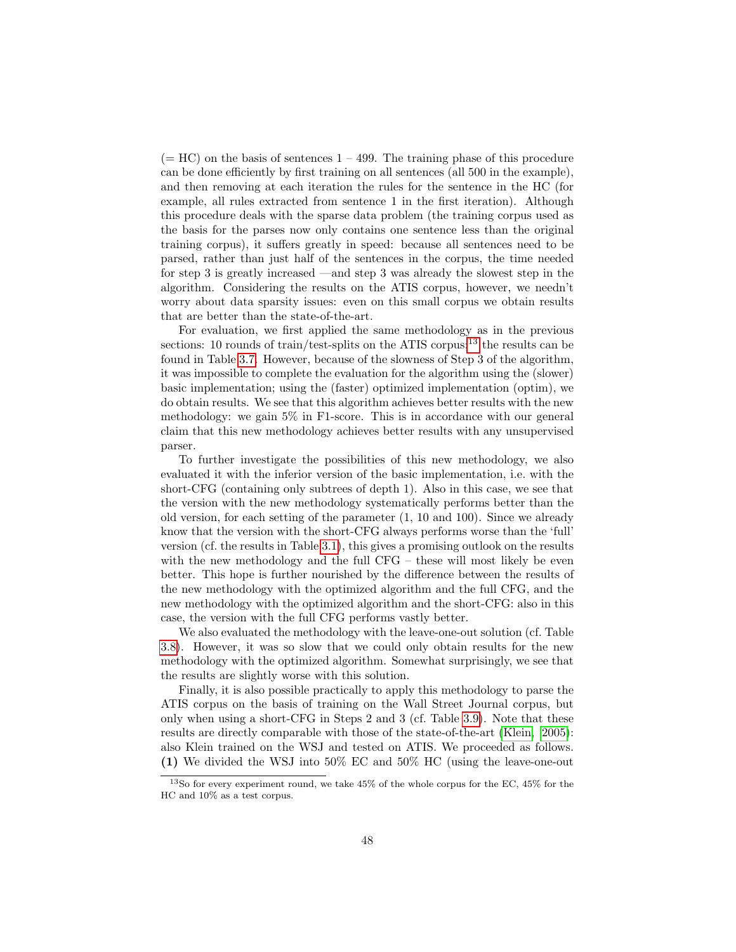$(= HC)$  on the basis of sentences  $1 - 499$ . The training phase of this procedure can be done efficiently by first training on all sentences (all 500 in the example), and then removing at each iteration the rules for the sentence in the HC (for example, all rules extracted from sentence 1 in the first iteration). Although this procedure deals with the sparse data problem (the training corpus used as the basis for the parses now only contains one sentence less than the original training corpus), it suffers greatly in speed: because all sentences need to be parsed, rather than just half of the sentences in the corpus, the time needed for step 3 is greatly increased —and step 3 was already the slowest step in the algorithm. Considering the results on the ATIS corpus, however, we needn't worry about data sparsity issues: even on this small corpus we obtain results that are better than the state-of-the-art.

For evaluation, we first applied the same methodology as in the previous sections: 10 rounds of train/test-splits on the ATIS corpus;<sup>[13](#page-49-0)</sup> the results can be found in Table [3.7.](#page-50-0) However, because of the slowness of Step 3 of the algorithm, it was impossible to complete the evaluation for the algorithm using the (slower) basic implementation; using the (faster) optimized implementation (optim), we do obtain results. We see that this algorithm achieves better results with the new methodology: we gain 5% in F1-score. This is in accordance with our general claim that this new methodology achieves better results with any unsupervised parser.

To further investigate the possibilities of this new methodology, we also evaluated it with the inferior version of the basic implementation, i.e. with the short-CFG (containing only subtrees of depth 1). Also in this case, we see that the version with the new methodology systematically performs better than the old version, for each setting of the parameter (1, 10 and 100). Since we already know that the version with the short-CFG always performs worse than the 'full' version (cf. the results in Table [3.1\)](#page-37-0), this gives a promising outlook on the results with the new methodology and the full CFG – these will most likely be even better. This hope is further nourished by the difference between the results of the new methodology with the optimized algorithm and the full CFG, and the new methodology with the optimized algorithm and the short-CFG: also in this case, the version with the full CFG performs vastly better.

We also evaluated the methodology with the leave-one-out solution (cf. Table [3.8\)](#page-51-0). However, it was so slow that we could only obtain results for the new methodology with the optimized algorithm. Somewhat surprisingly, we see that the results are slightly worse with this solution.

Finally, it is also possible practically to apply this methodology to parse the ATIS corpus on the basis of training on the Wall Street Journal corpus, but only when using a short-CFG in Steps 2 and 3 (cf. Table [3.9\)](#page-51-1). Note that these results are directly comparable with those of the state-of-the-art [\(Klein, 2005\)](#page-146-3): also Klein trained on the WSJ and tested on ATIS. We proceeded as follows. (1) We divided the WSJ into 50% EC and 50% HC (using the leave-one-out

<span id="page-49-0"></span><sup>13</sup>So for every experiment round, we take 45% of the whole corpus for the EC, 45% for the HC and 10% as a test corpus.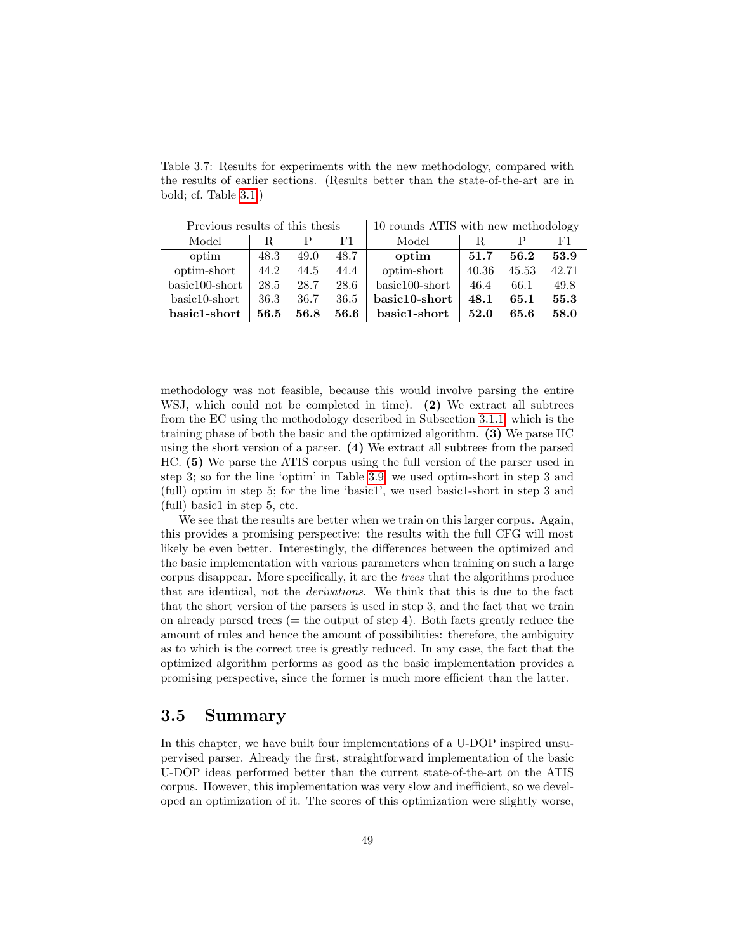<span id="page-50-0"></span>Table 3.7: Results for experiments with the new methodology, compared with the results of earlier sections. (Results better than the state-of-the-art are in bold; cf. Table [3.1.](#page-37-0))

| Previous results of this thesis |      |      |      | 10 rounds ATIS with new methodology |       |       |       |
|---------------------------------|------|------|------|-------------------------------------|-------|-------|-------|
| Model                           | R.   |      | F1.  | Model                               | R.    |       | F1.   |
| optim                           | 48.3 | 49.0 | 48.7 | optim                               | 51.7  | 56.2  | 53.9  |
| optim-short                     | 44.2 | 44.5 | 44.4 | optim-short                         | 40.36 | 45.53 | 42.71 |
| $basic100-short$                | 28.5 | 28.7 | 28.6 | $basic100-short$                    | 46.4  | 66.1  | 49.8  |
| $basic10-short$                 | 36.3 | 36.7 | 36.5 | basic10-short                       | 48.1  | 65.1  | 55.3  |
| basic1-short                    | 56.5 | 56.8 | 56.6 | basic1-short                        | 52.0  | 65.6  | 58.0  |

methodology was not feasible, because this would involve parsing the entire WSJ, which could not be completed in time). (2) We extract all subtrees from the EC using the methodology described in Subsection [3.1.1,](#page-29-0) which is the training phase of both the basic and the optimized algorithm. (3) We parse HC using the short version of a parser. (4) We extract all subtrees from the parsed HC. (5) We parse the ATIS corpus using the full version of the parser used in step 3; so for the line 'optim' in Table [3.9,](#page-51-1) we used optim-short in step 3 and (full) optim in step 5; for the line 'basic1', we used basic1-short in step 3 and (full) basic1 in step 5, etc.

We see that the results are better when we train on this larger corpus. Again, this provides a promising perspective: the results with the full CFG will most likely be even better. Interestingly, the differences between the optimized and the basic implementation with various parameters when training on such a large corpus disappear. More specifically, it are the trees that the algorithms produce that are identical, not the derivations. We think that this is due to the fact that the short version of the parsers is used in step 3, and the fact that we train on already parsed trees  $(=$  the output of step 4). Both facts greatly reduce the amount of rules and hence the amount of possibilities: therefore, the ambiguity as to which is the correct tree is greatly reduced. In any case, the fact that the optimized algorithm performs as good as the basic implementation provides a promising perspective, since the former is much more efficient than the latter.

#### 3.5 Summary

In this chapter, we have built four implementations of a U-DOP inspired unsupervised parser. Already the first, straightforward implementation of the basic U-DOP ideas performed better than the current state-of-the-art on the ATIS corpus. However, this implementation was very slow and inefficient, so we developed an optimization of it. The scores of this optimization were slightly worse,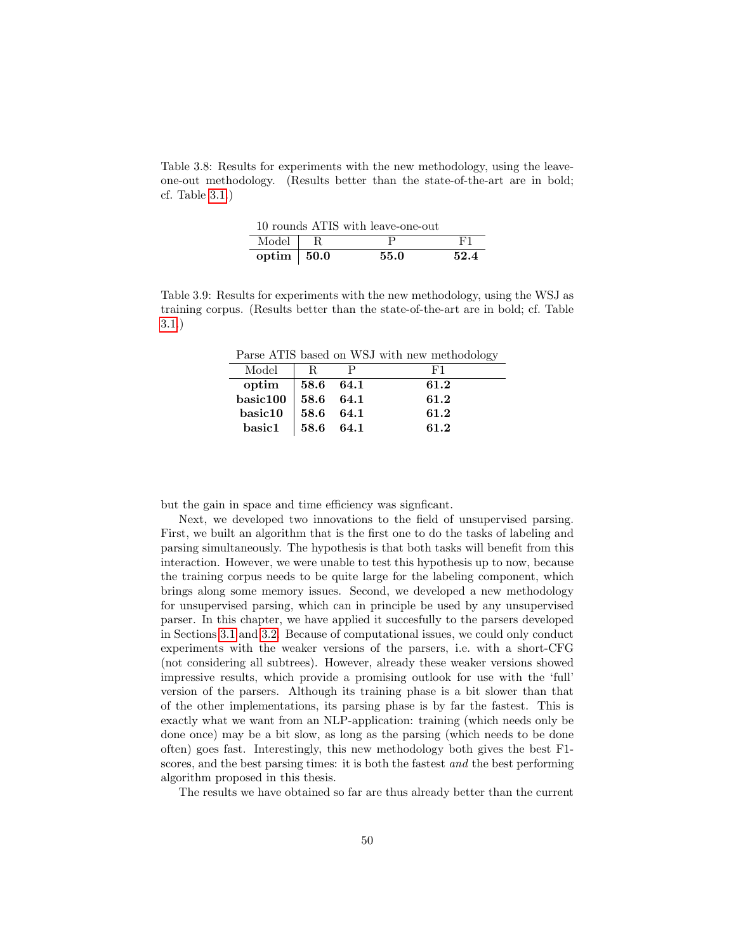<span id="page-51-0"></span>Table 3.8: Results for experiments with the new methodology, using the leaveone-out methodology. (Results better than the state-of-the-art are in bold; cf. Table [3.1.](#page-37-0))

|                          | 10 rounds ATIS with leave-one-out |      |
|--------------------------|-----------------------------------|------|
| Model $\overline{R}$     |                                   | L'1  |
| optim $\vert 50.0 \vert$ | 55.0                              | 52.4 |

<span id="page-51-1"></span>Table 3.9: Results for experiments with the new methodology, using the WSJ as training corpus. (Results better than the state-of-the-art are in bold; cf. Table [3.1.](#page-37-0))

Parse ATIS based on WSJ with new methodology

| Model                   | - R.                                            |      |
|-------------------------|-------------------------------------------------|------|
| optim                   | $\begin{array}{ c} 58.6 \quad 64.1 \end{array}$ | 61.2 |
| basic100   58.6 64.1    |                                                 | 61.2 |
| basic10                 | $ 58.6 \t64.1$                                  | 61.2 |
| $\operatorname{basic1}$ | $\vert$ 58.6 64.1                               | 61.2 |

but the gain in space and time efficiency was signficant.

Next, we developed two innovations to the field of unsupervised parsing. First, we built an algorithm that is the first one to do the tasks of labeling and parsing simultaneously. The hypothesis is that both tasks will benefit from this interaction. However, we were unable to test this hypothesis up to now, because the training corpus needs to be quite large for the labeling component, which brings along some memory issues. Second, we developed a new methodology for unsupervised parsing, which can in principle be used by any unsupervised parser. In this chapter, we have applied it succesfully to the parsers developed in Sections [3.1](#page-28-0) and [3.2.](#page-38-1) Because of computational issues, we could only conduct experiments with the weaker versions of the parsers, i.e. with a short-CFG (not considering all subtrees). However, already these weaker versions showed impressive results, which provide a promising outlook for use with the 'full' version of the parsers. Although its training phase is a bit slower than that of the other implementations, its parsing phase is by far the fastest. This is exactly what we want from an NLP-application: training (which needs only be done once) may be a bit slow, as long as the parsing (which needs to be done often) goes fast. Interestingly, this new methodology both gives the best F1 scores, and the best parsing times: it is both the fastest *and* the best performing algorithm proposed in this thesis.

The results we have obtained so far are thus already better than the current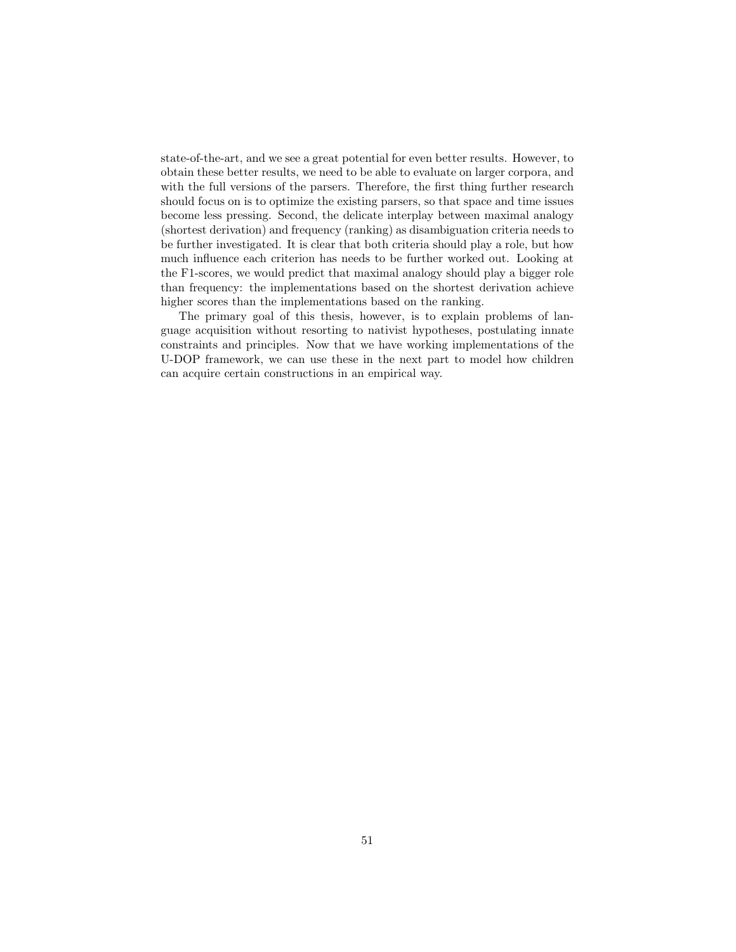state-of-the-art, and we see a great potential for even better results. However, to obtain these better results, we need to be able to evaluate on larger corpora, and with the full versions of the parsers. Therefore, the first thing further research should focus on is to optimize the existing parsers, so that space and time issues become less pressing. Second, the delicate interplay between maximal analogy (shortest derivation) and frequency (ranking) as disambiguation criteria needs to be further investigated. It is clear that both criteria should play a role, but how much influence each criterion has needs to be further worked out. Looking at the F1-scores, we would predict that maximal analogy should play a bigger role than frequency: the implementations based on the shortest derivation achieve higher scores than the implementations based on the ranking.

The primary goal of this thesis, however, is to explain problems of language acquisition without resorting to nativist hypotheses, postulating innate constraints and principles. Now that we have working implementations of the U-DOP framework, we can use these in the next part to model how children can acquire certain constructions in an empirical way.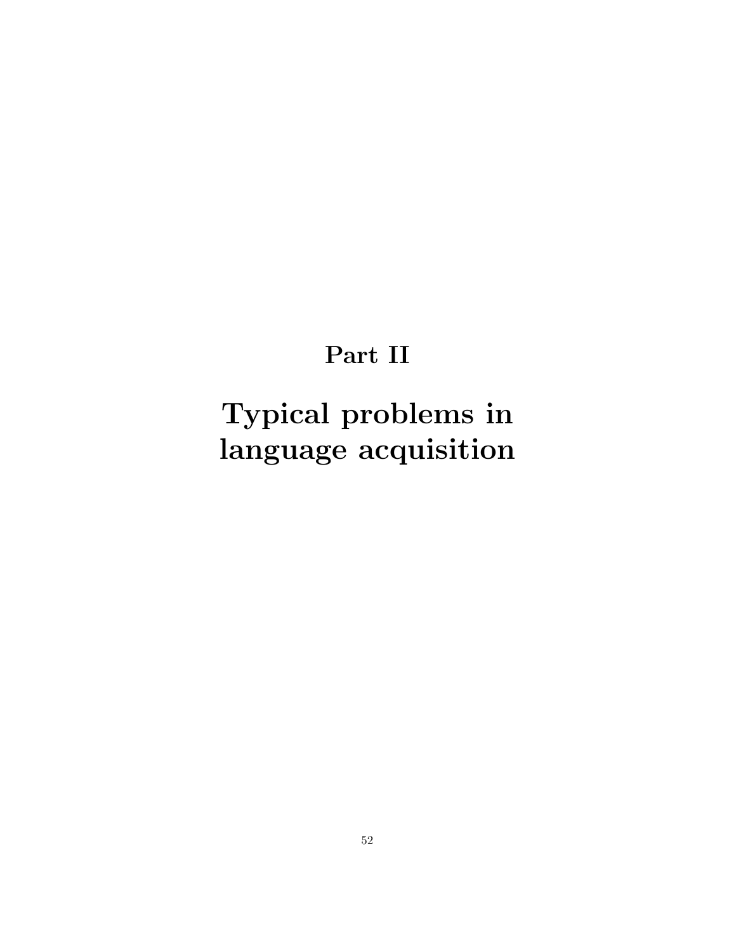## Part II

# <span id="page-53-0"></span>Typical problems in language acquisition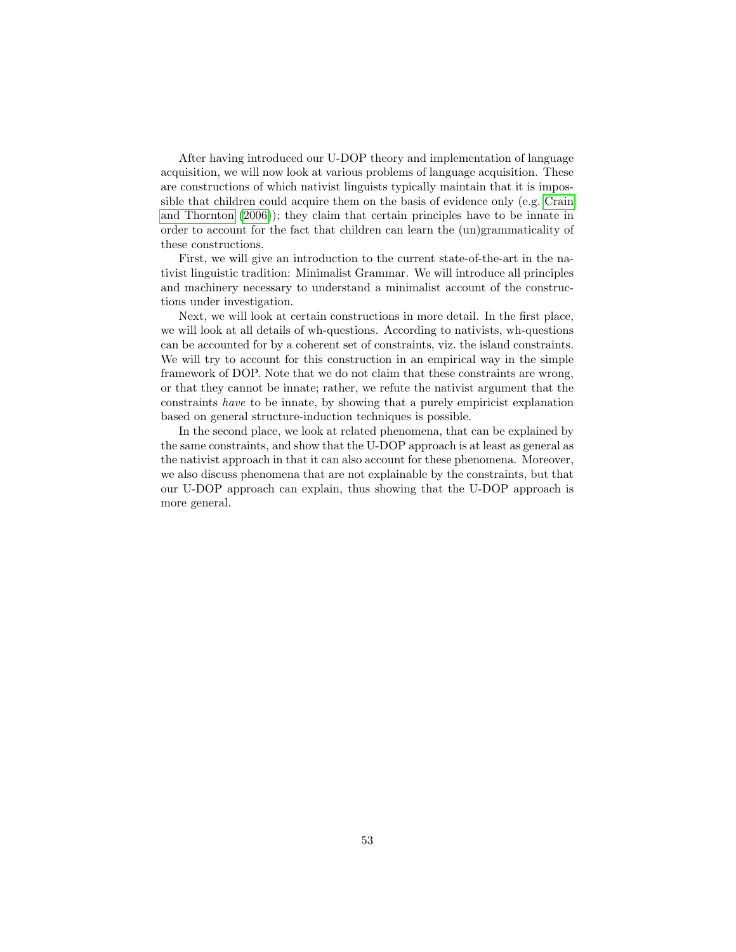After having introduced our U-DOP theory and implementation of language acquisition, we will now look at various problems of language acquisition. These are constructions of which nativist linguists typically maintain that it is impossible that children could acquire them on the basis of evidence only (e.g. [Crain](#page-146-6) [and Thornton](#page-146-6) [\(2006\)](#page-146-6)); they claim that certain principles have to be innate in order to account for the fact that children can learn the (un)grammaticality of these constructions.

First, we will give an introduction to the current state-of-the-art in the nativist linguistic tradition: Minimalist Grammar. We will introduce all principles and machinery necessary to understand a minimalist account of the constructions under investigation.

Next, we will look at certain constructions in more detail. In the first place, we will look at all details of wh-questions. According to nativists, wh-questions can be accounted for by a coherent set of constraints, viz. the island constraints. We will try to account for this construction in an empirical way in the simple framework of DOP. Note that we do not claim that these constraints are wrong, or that they cannot be innate; rather, we refute the nativist argument that the constraints have to be innate, by showing that a purely empiricist explanation based on general structure-induction techniques is possible.

In the second place, we look at related phenomena, that can be explained by the same constraints, and show that the U-DOP approach is at least as general as the nativist approach in that it can also account for these phenomena. Moreover, we also discuss phenomena that are not explainable by the constraints, but that our U-DOP approach can explain, thus showing that the U-DOP approach is more general.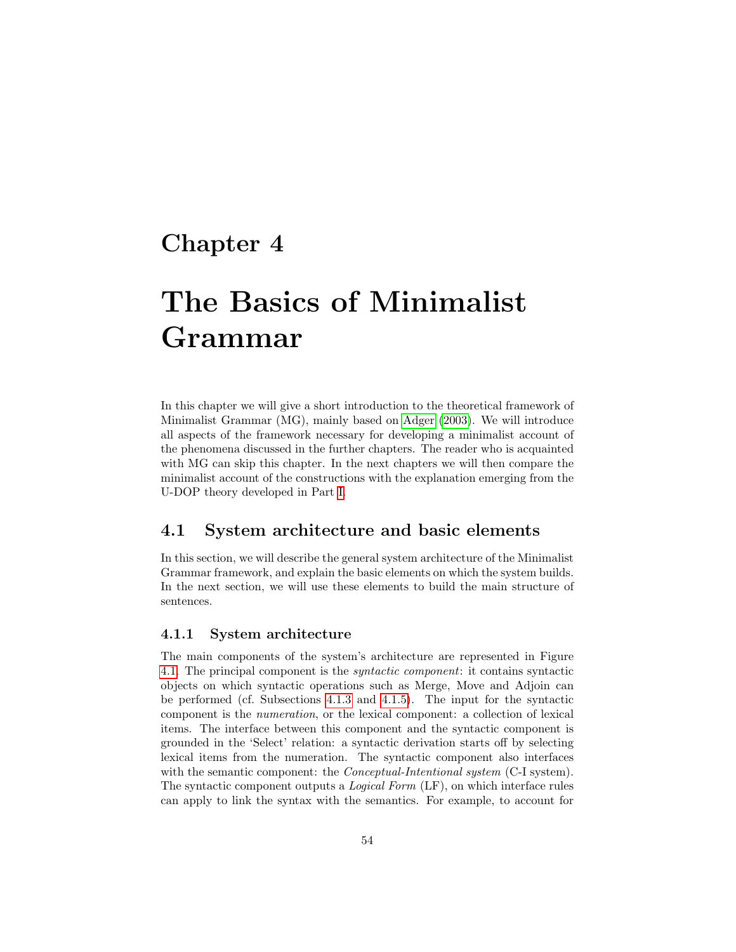### Chapter 4

# The Basics of Minimalist Grammar

In this chapter we will give a short introduction to the theoretical framework of Minimalist Grammar (MG), mainly based on [Adger](#page-145-1) [\(2003\)](#page-145-1). We will introduce all aspects of the framework necessary for developing a minimalist account of the phenomena discussed in the further chapters. The reader who is acquainted with MG can skip this chapter. In the next chapters we will then compare the minimalist account of the constructions with the explanation emerging from the U-DOP theory developed in Part [I.](#page-13-0)

#### 4.1 System architecture and basic elements

In this section, we will describe the general system architecture of the Minimalist Grammar framework, and explain the basic elements on which the system builds. In the next section, we will use these elements to build the main structure of sentences.

#### 4.1.1 System architecture

The main components of the system's architecture are represented in Figure [4.1.](#page-56-0) The principal component is the syntactic component: it contains syntactic objects on which syntactic operations such as Merge, Move and Adjoin can be performed (cf. Subsections [4.1.3](#page-57-0) and [4.1.5\)](#page-62-0). The input for the syntactic component is the numeration, or the lexical component: a collection of lexical items. The interface between this component and the syntactic component is grounded in the 'Select' relation: a syntactic derivation starts off by selecting lexical items from the numeration. The syntactic component also interfaces with the semantic component: the *Conceptual-Intentional system* (C-I system). The syntactic component outputs a Logical Form (LF), on which interface rules can apply to link the syntax with the semantics. For example, to account for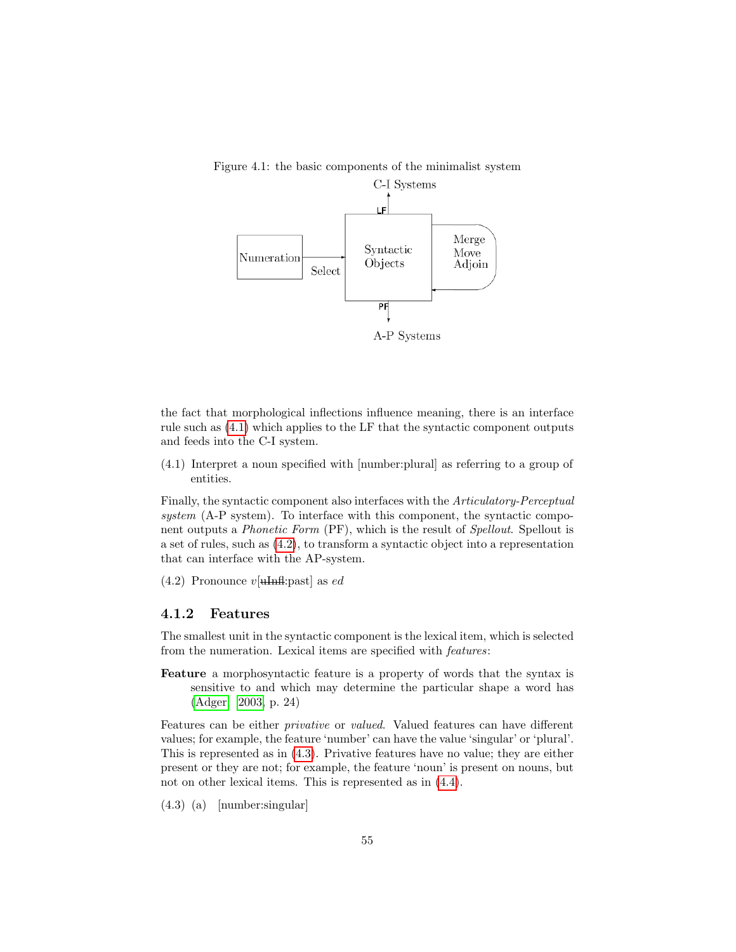

<span id="page-56-0"></span>Figure 4.1: the basic components of the minimalist system

the fact that morphological inflections influence meaning, there is an interface rule such as [\(4.1\)](#page-56-1) which applies to the LF that the syntactic component outputs and feeds into the C-I system.

<span id="page-56-1"></span>(4.1) Interpret a noun specified with [number:plural] as referring to a group of entities.

Finally, the syntactic component also interfaces with the Articulatory-Perceptual system (A-P system). To interface with this component, the syntactic component outputs a Phonetic Form (PF), which is the result of Spellout. Spellout is a set of rules, such as [\(4.2\)](#page-56-2), to transform a syntactic object into a representation that can interface with the AP-system.

<span id="page-56-2"></span> $(4.2)$  Pronounce  $v[\text{thm}$ fl:past as ed

#### 4.1.2 Features

The smallest unit in the syntactic component is the lexical item, which is selected from the numeration. Lexical items are specified with features:

Feature a morphosyntactic feature is a property of words that the syntax is sensitive to and which may determine the particular shape a word has [\(Adger, 2003,](#page-145-1) p. 24)

Features can be either privative or valued. Valued features can have different values; for example, the feature 'number' can have the value 'singular' or 'plural'. This is represented as in [\(4.3\)](#page-56-3). Privative features have no value; they are either present or they are not; for example, the feature 'noun' is present on nouns, but not on other lexical items. This is represented as in [\(4.4\)](#page-57-1).

<span id="page-56-3"></span>(4.3) (a) [number:singular]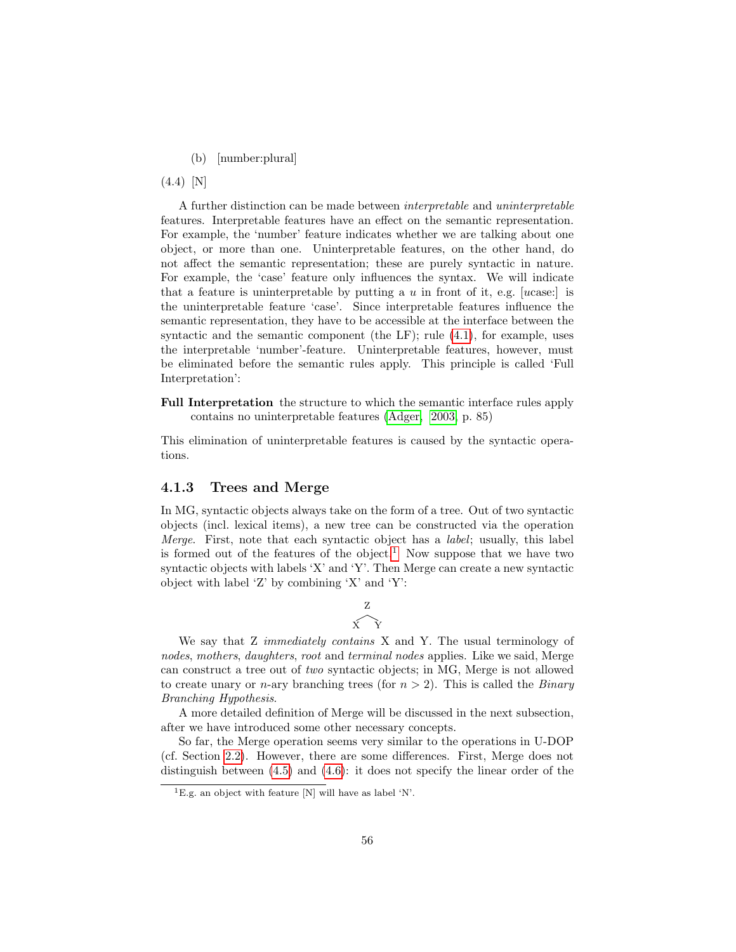(b) [number:plural]

<span id="page-57-1"></span>(4.4) [N]

A further distinction can be made between interpretable and uninterpretable features. Interpretable features have an effect on the semantic representation. For example, the 'number' feature indicates whether we are talking about one object, or more than one. Uninterpretable features, on the other hand, do not affect the semantic representation; these are purely syntactic in nature. For example, the 'case' feature only influences the syntax. We will indicate that a feature is uninterpretable by putting a  $u$  in front of it, e.g. [ucase:] is the uninterpretable feature 'case'. Since interpretable features influence the semantic representation, they have to be accessible at the interface between the syntactic and the semantic component (the  $LF$ ); rule  $(4.1)$ , for example, uses the interpretable 'number'-feature. Uninterpretable features, however, must be eliminated before the semantic rules apply. This principle is called 'Full Interpretation':

Full Interpretation the structure to which the semantic interface rules apply contains no uninterpretable features [\(Adger, 2003,](#page-145-1) p. 85)

This elimination of uninterpretable features is caused by the syntactic operations.

#### <span id="page-57-0"></span>4.1.3 Trees and Merge

In MG, syntactic objects always take on the form of a tree. Out of two syntactic objects (incl. lexical items), a new tree can be constructed via the operation Merge. First, note that each syntactic object has a *label*; usually, this label is formed out of the features of the object.<sup>[1](#page-57-2)</sup> Now suppose that we have two syntactic objects with labels 'X' and 'Y'. Then Merge can create a new syntactic object with label 'Z' by combining 'X' and 'Y':



We say that Z *immediately contains* X and Y. The usual terminology of nodes, mothers, daughters, root and terminal nodes applies. Like we said, Merge can construct a tree out of two syntactic objects; in MG, Merge is not allowed to create unary or *n*-ary branching trees (for  $n > 2$ ). This is called the *Binary* Branching Hypothesis.

A more detailed definition of Merge will be discussed in the next subsection, after we have introduced some other necessary concepts.

So far, the Merge operation seems very similar to the operations in U-DOP (cf. Section [2.2\)](#page-17-0). However, there are some differences. First, Merge does not distinguish between [\(4.5\)](#page-58-0) and [\(4.6\)](#page-58-1): it does not specify the linear order of the

<span id="page-57-2"></span><sup>&</sup>lt;sup>1</sup>E.g. an object with feature  $[N]$  will have as label 'N'.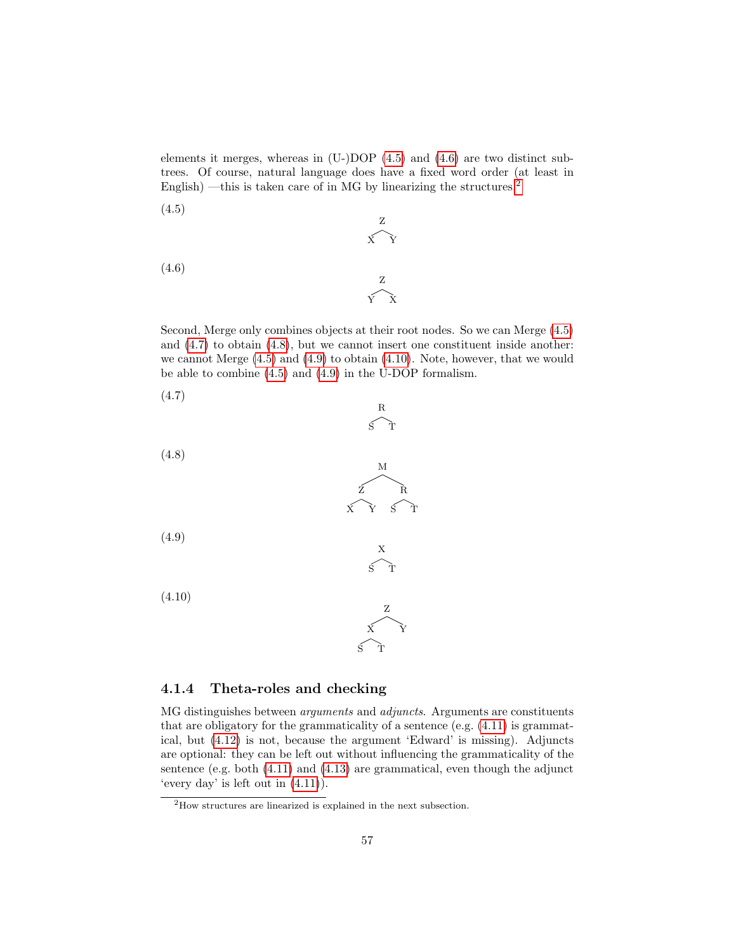elements it merges, whereas in (U-)DOP [\(4.5\)](#page-58-0) and [\(4.6\)](#page-58-1) are two distinct subtrees. Of course, natural language does have a fixed word order (at least in English) —this is taken care of in MG by linearizing the structures.<sup>[2](#page-58-2)</sup>

<span id="page-58-1"></span><span id="page-58-0"></span>(4.5) Z X Y (4.6) Z Y X

Second, Merge only combines objects at their root nodes. So we can Merge [\(4.5\)](#page-58-0) and  $(4.7)$  to obtain  $(4.8)$ , but we cannot insert one constituent inside another: we cannot Merge [\(4.5\)](#page-58-0) and [\(4.9\)](#page-58-5) to obtain [\(4.10\)](#page-58-6). Note, however, that we would be able to combine [\(4.5\)](#page-58-0) and [\(4.9\)](#page-58-5) in the U-DOP formalism.

> R  $\widetilde{\mathbf{s}}$

<span id="page-58-3"></span>

<span id="page-58-4"></span>(4.8)



<span id="page-58-5"></span>(4.9)

<span id="page-58-6"></span>(4.10)



X S T

#### 4.1.4 Theta-roles and checking

MG distinguishes between arguments and adjuncts. Arguments are constituents that are obligatory for the grammaticality of a sentence (e.g. [\(4.11\)](#page-59-0) is grammatical, but [\(4.12\)](#page-59-1) is not, because the argument 'Edward' is missing). Adjuncts are optional: they can be left out without influencing the grammaticality of the sentence (e.g. both [\(4.11\)](#page-59-0) and [\(4.13\)](#page-59-2) are grammatical, even though the adjunct 'every day' is left out in  $(4.11)$ ).

<span id="page-58-2"></span><sup>&</sup>lt;sup>2</sup>How structures are linearized is explained in the next subsection.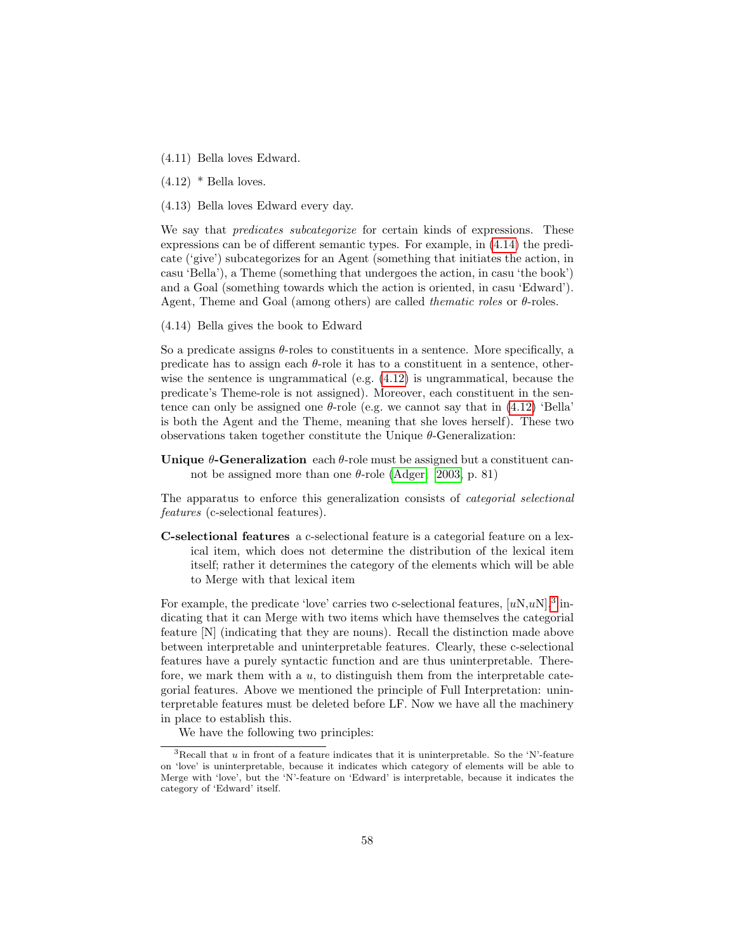- <span id="page-59-0"></span>(4.11) Bella loves Edward.
- <span id="page-59-1"></span> $(4.12)$  \* Bella loves.

<span id="page-59-2"></span>(4.13) Bella loves Edward every day.

We say that *predicates subcategorize* for certain kinds of expressions. These expressions can be of different semantic types. For example, in [\(4.14\)](#page-59-3) the predicate ('give') subcategorizes for an Agent (something that initiates the action, in casu 'Bella'), a Theme (something that undergoes the action, in casu 'the book') and a Goal (something towards which the action is oriented, in casu 'Edward'). Agent, Theme and Goal (among others) are called *the matic roles* or  $\theta$ -roles.

<span id="page-59-3"></span>(4.14) Bella gives the book to Edward

So a predicate assigns  $\theta$ -roles to constituents in a sentence. More specifically, a predicate has to assign each  $\theta$ -role it has to a constituent in a sentence, otherwise the sentence is ungrammatical (e.g. [\(4.12\)](#page-59-1) is ungrammatical, because the predicate's Theme-role is not assigned). Moreover, each constituent in the sentence can only be assigned one  $\theta$ -role (e.g. we cannot say that in [\(4.12\)](#page-59-1) 'Bella' is both the Agent and the Theme, meaning that she loves herself). These two observations taken together constitute the Unique  $\theta$ -Generalization:

Unique  $\theta$ -Generalization each  $\theta$ -role must be assigned but a constituent cannot be assigned more than one  $\theta$ -role [\(Adger, 2003,](#page-145-1) p. 81)

The apparatus to enforce this generalization consists of categorial selectional features (c-selectional features).

C-selectional features a c-selectional feature is a categorial feature on a lexical item, which does not determine the distribution of the lexical item itself; rather it determines the category of the elements which will be able to Merge with that lexical item

For example, the predicate 'love' carries two c-selectional features,  $[uN,uN]$ <sup>[3](#page-59-4)</sup> indicating that it can Merge with two items which have themselves the categorial feature [N] (indicating that they are nouns). Recall the distinction made above between interpretable and uninterpretable features. Clearly, these c-selectional features have a purely syntactic function and are thus uninterpretable. Therefore, we mark them with a  $u$ , to distinguish them from the interpretable categorial features. Above we mentioned the principle of Full Interpretation: uninterpretable features must be deleted before LF. Now we have all the machinery in place to establish this.

<span id="page-59-4"></span>We have the following two principles:

 $3$ Recall that  $u$  in front of a feature indicates that it is uninterpretable. So the 'N'-feature on 'love' is uninterpretable, because it indicates which category of elements will be able to Merge with 'love', but the 'N'-feature on 'Edward' is interpretable, because it indicates the category of 'Edward' itself.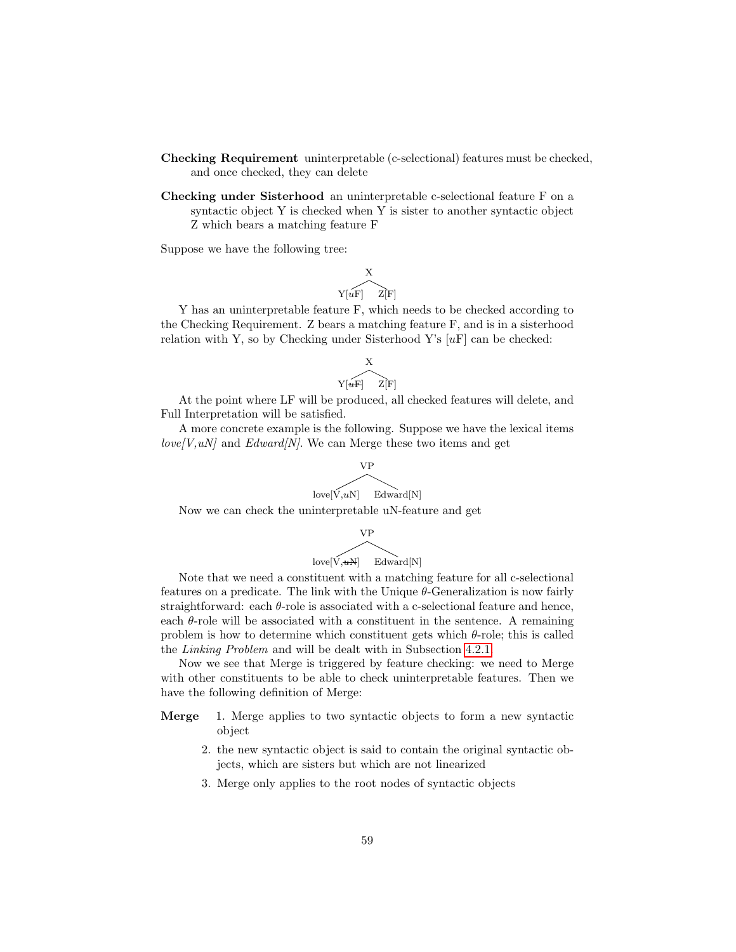- Checking Requirement uninterpretable (c-selectional) features must be checked, and once checked, they can delete
- Checking under Sisterhood an uninterpretable c-selectional feature F on a syntactic object Y is checked when Y is sister to another syntactic object Z which bears a matching feature F

Suppose we have the following tree:

$$
\begin{matrix}\nX \\
Y[uF] & Z[F]\n\end{matrix}
$$

Y has an uninterpretable feature F, which needs to be checked according to the Checking Requirement. Z bears a matching feature F, and is in a sisterhood relation with Y, so by Checking under Sisterhood Y's  $[uF]$  can be checked:

$$
\begin{matrix}\nX \\
Y[\widehat{uF}]\n\end{matrix}
$$

At the point where LF will be produced, all checked features will delete, and Full Interpretation will be satisfied.

A more concrete example is the following. Suppose we have the lexical items  $love/V,uN]$  and  $Edward/N$ . We can Merge these two items and get

$$
\underbrace{\hbox{VP}}_{\hbox{love[V,uN]}} \quad \ \, \underbrace{\hbox{Edward[N]}}
$$

Now we can check the uninterpretable uN-feature and get

$$
\underbrace{\text{VP}}_{\text{love}[V,\text{wN}]}\quad \ \ \text{Edward[N]}
$$

Note that we need a constituent with a matching feature for all c-selectional features on a predicate. The link with the Unique  $\theta$ -Generalization is now fairly straightforward: each θ-role is associated with a c-selectional feature and hence, each  $\theta$ -role will be associated with a constituent in the sentence. A remaining problem is how to determine which constituent gets which  $\theta$ -role; this is called the Linking Problem and will be dealt with in Subsection [4.2.1.](#page-62-1)

Now we see that Merge is triggered by feature checking: we need to Merge with other constituents to be able to check uninterpretable features. Then we have the following definition of Merge:

- Merge 1. Merge applies to two syntactic objects to form a new syntactic object
	- 2. the new syntactic object is said to contain the original syntactic objects, which are sisters but which are not linearized
	- 3. Merge only applies to the root nodes of syntactic objects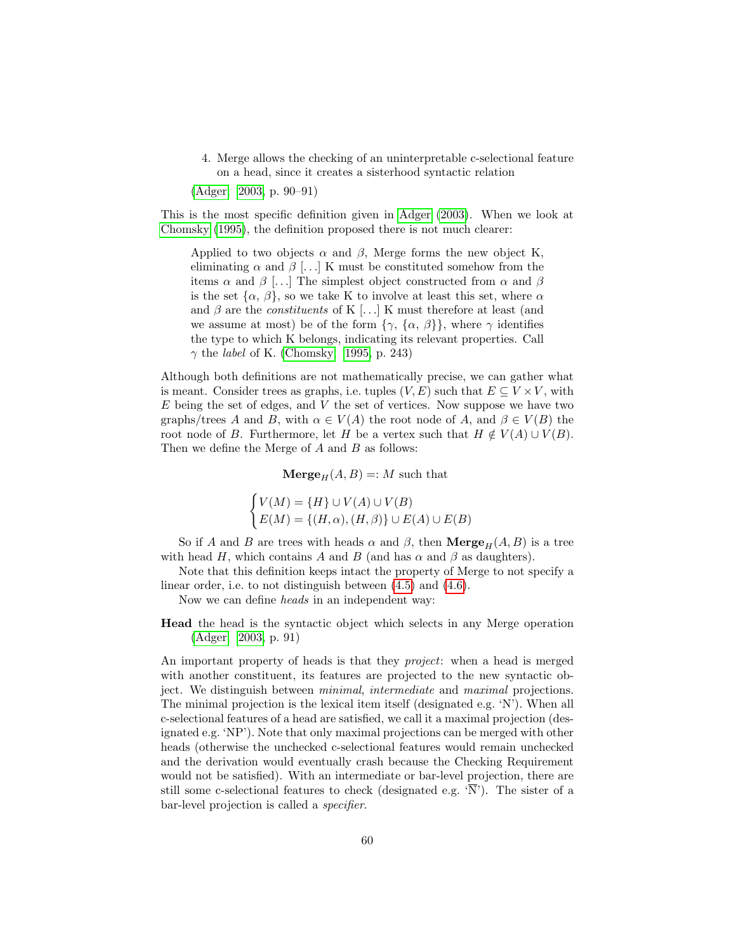4. Merge allows the checking of an uninterpretable c-selectional feature on a head, since it creates a sisterhood syntactic relation

[\(Adger, 2003,](#page-145-1) p. 90–91)

This is the most specific definition given in [Adger](#page-145-1) [\(2003\)](#page-145-1). When we look at [Chomsky](#page-146-7) [\(1995\)](#page-146-7), the definition proposed there is not much clearer:

Applied to two objects  $\alpha$  and  $\beta$ , Merge forms the new object K, eliminating  $\alpha$  and  $\beta$  [...] K must be constituted somehow from the items  $\alpha$  and  $\beta$  [...] The simplest object constructed from  $\alpha$  and  $\beta$ is the set  $\{\alpha, \beta\}$ , so we take K to involve at least this set, where  $\alpha$ and  $\beta$  are the *constituents* of K [...] K must therefore at least (and we assume at most) be of the form  $\{\gamma, \{\alpha, \beta\}\}\$ , where  $\gamma$  identifies the type to which K belongs, indicating its relevant properties. Call  $\gamma$  the *label* of K. [\(Chomsky, 1995,](#page-146-7) p. 243)

Although both definitions are not mathematically precise, we can gather what is meant. Consider trees as graphs, i.e. tuples  $(V, E)$  such that  $E \subseteq V \times V$ , with  $E$  being the set of edges, and  $V$  the set of vertices. Now suppose we have two graphs/trees A and B, with  $\alpha \in V(A)$  the root node of A, and  $\beta \in V(B)$  the root node of B. Furthermore, let H be a vertex such that  $H \notin V(A) \cup V(B)$ . Then we define the Merge of  $A$  and  $B$  as follows:

 $\mathbf{Merge}_{H}(A, B) =: M$  such that

 $\int V(M) = \{H\} \cup V(A) \cup V(B)$  $E(M) = \{(H, \alpha), (H, \beta)\} \cup E(A) \cup E(B)$ 

So if A and B are trees with heads  $\alpha$  and  $\beta$ , then  $\mathbf{Merge}_H(A, B)$  is a tree with head H, which contains A and B (and has  $\alpha$  and  $\beta$  as daughters).

Note that this definition keeps intact the property of Merge to not specify a linear order, i.e. to not distinguish between [\(4.5\)](#page-58-0) and [\(4.6\)](#page-58-1).

Now we can define heads in an independent way:

Head the head is the syntactic object which selects in any Merge operation [\(Adger, 2003,](#page-145-1) p. 91)

An important property of heads is that they *project*: when a head is merged with another constituent, its features are projected to the new syntactic object. We distinguish between minimal, intermediate and maximal projections. The minimal projection is the lexical item itself (designated e.g. 'N'). When all c-selectional features of a head are satisfied, we call it a maximal projection (designated e.g. 'NP'). Note that only maximal projections can be merged with other heads (otherwise the unchecked c-selectional features would remain unchecked and the derivation would eventually crash because the Checking Requirement would not be satisfied). With an intermediate or bar-level projection, there are still some c-selectional features to check (designated e.g.  $\overline{N}$ ). The sister of a bar-level projection is called a specifier.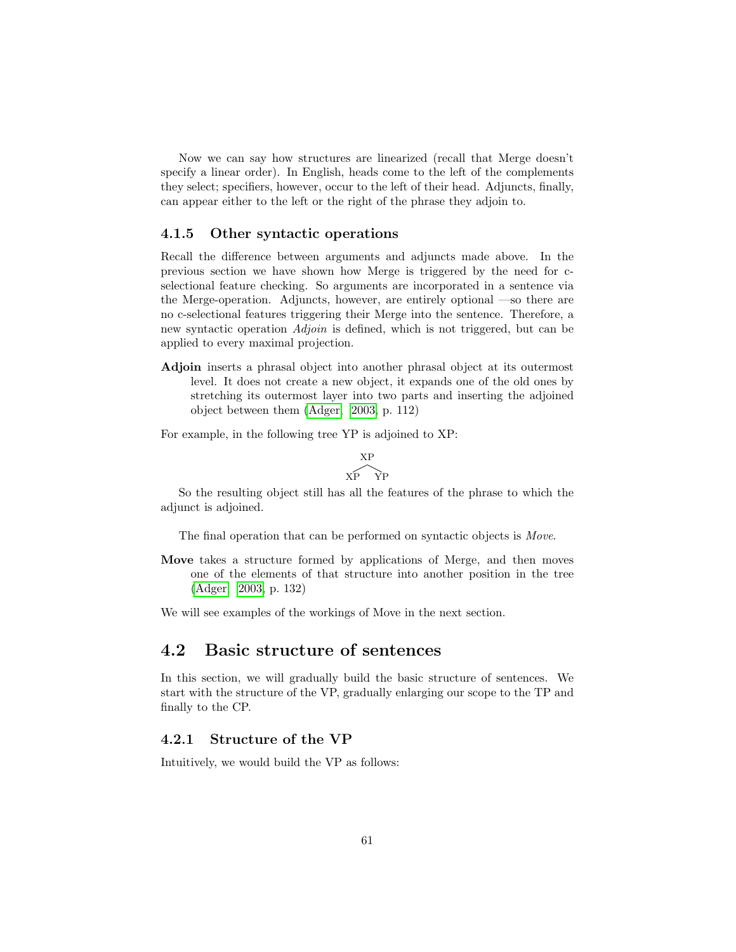Now we can say how structures are linearized (recall that Merge doesn't specify a linear order). In English, heads come to the left of the complements they select; specifiers, however, occur to the left of their head. Adjuncts, finally, can appear either to the left or the right of the phrase they adjoin to.

#### <span id="page-62-0"></span>4.1.5 Other syntactic operations

Recall the difference between arguments and adjuncts made above. In the previous section we have shown how Merge is triggered by the need for cselectional feature checking. So arguments are incorporated in a sentence via the Merge-operation. Adjuncts, however, are entirely optional —so there are no c-selectional features triggering their Merge into the sentence. Therefore, a new syntactic operation *Adjoin* is defined, which is not triggered, but can be applied to every maximal projection.

Adjoin inserts a phrasal object into another phrasal object at its outermost level. It does not create a new object, it expands one of the old ones by stretching its outermost layer into two parts and inserting the adjoined object between them [\(Adger, 2003,](#page-145-1) p. 112)

For example, in the following tree YP is adjoined to XP:

$$
\frac{XP}{XP\quad\rm{YP}}
$$

So the resulting object still has all the features of the phrase to which the adjunct is adjoined.

The final operation that can be performed on syntactic objects is Move.

Move takes a structure formed by applications of Merge, and then moves one of the elements of that structure into another position in the tree [\(Adger, 2003,](#page-145-1) p. 132)

We will see examples of the workings of Move in the next section.

#### 4.2 Basic structure of sentences

In this section, we will gradually build the basic structure of sentences. We start with the structure of the VP, gradually enlarging our scope to the TP and finally to the CP.

#### <span id="page-62-1"></span>4.2.1 Structure of the VP

Intuitively, we would build the VP as follows: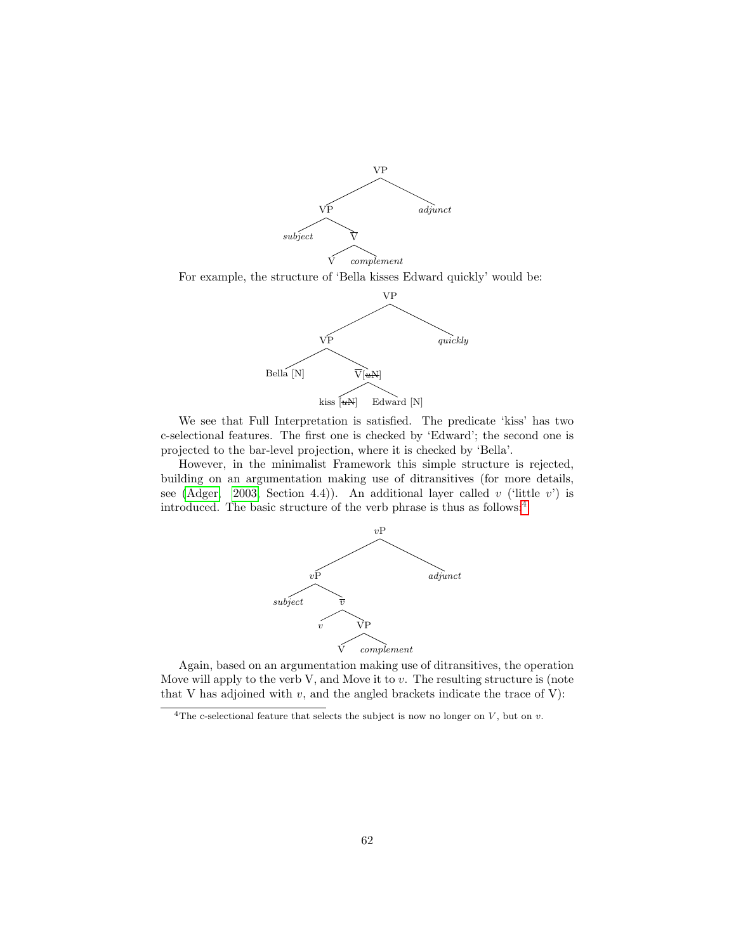

For example, the structure of 'Bella kisses Edward quickly' would be:



We see that Full Interpretation is satisfied. The predicate 'kiss' has two c-selectional features. The first one is checked by 'Edward'; the second one is projected to the bar-level projection, where it is checked by 'Bella'.

However, in the minimalist Framework this simple structure is rejected, building on an argumentation making use of ditransitives (for more details, see [\(Adger, 2003,](#page-145-1) Section 4.4)). An additional layer called v ('little v') is introduced. The basic structure of the verb phrase is thus as follows:[4](#page-63-0)



Again, based on an argumentation making use of ditransitives, the operation Move will apply to the verb V, and Move it to  $v$ . The resulting structure is (note that V has adjoined with  $v$ , and the angled brackets indicate the trace of V):

<span id="page-63-0"></span> $\overline{^{4}$ The c-selectional feature that selects the subject is now no longer on V, but on v.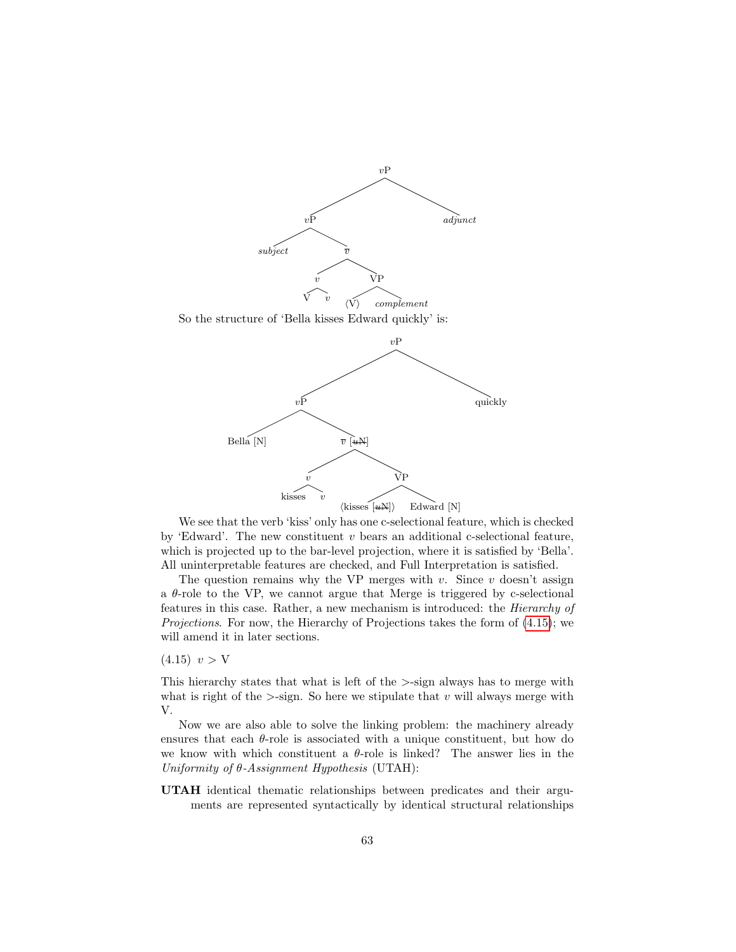

We see that the verb 'kiss' only has one c-selectional feature, which is checked by 'Edward'. The new constituent  $v$  bears an additional c-selectional feature, which is projected up to the bar-level projection, where it is satisfied by 'Bella'. All uninterpretable features are checked, and Full Interpretation is satisfied.

The question remains why the VP merges with  $v$ . Since  $v$  doesn't assign a  $\theta$ -role to the VP, we cannot argue that Merge is triggered by c-selectional features in this case. Rather, a new mechanism is introduced: the Hierarchy of Projections. For now, the Hierarchy of Projections takes the form of [\(4.15\)](#page-64-0); we will amend it in later sections.

<span id="page-64-0"></span> $(4.15)$   $v > V$ 

This hierarchy states that what is left of the >-sign always has to merge with what is right of the  $>$ -sign. So here we stipulate that v will always merge with V.

Now we are also able to solve the linking problem: the machinery already ensures that each  $\theta$ -role is associated with a unique constituent, but how do we know with which constituent a  $\theta$ -role is linked? The answer lies in the Uniformity of  $\theta$ -Assignment Hypothesis (UTAH):

UTAH identical thematic relationships between predicates and their arguments are represented syntactically by identical structural relationships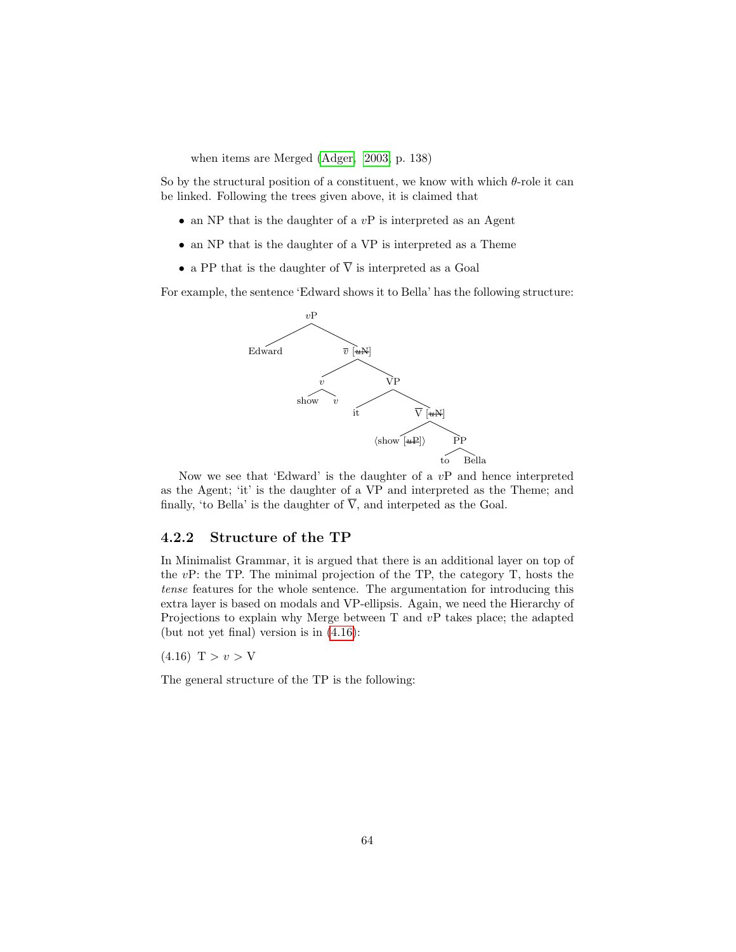when items are Merged [\(Adger, 2003,](#page-145-1) p. 138)

So by the structural position of a constituent, we know with which  $\theta$ -role it can be linked. Following the trees given above, it is claimed that

- an NP that is the daughter of a  $vP$  is interpreted as an Agent
- an NP that is the daughter of a VP is interpreted as a Theme
- a PP that is the daughter of  $\overline{V}$  is interpreted as a Goal

For example, the sentence 'Edward shows it to Bella' has the following structure:



Now we see that 'Edward' is the daughter of a  $vP$  and hence interpreted as the Agent; 'it' is the daughter of a VP and interpreted as the Theme; and finally, 'to Bella' is the daughter of  $\overline{V}$ , and interpeted as the Goal.

#### 4.2.2 Structure of the TP

In Minimalist Grammar, it is argued that there is an additional layer on top of the vP: the TP. The minimal projection of the TP, the category T, hosts the tense features for the whole sentence. The argumentation for introducing this extra layer is based on modals and VP-ellipsis. Again, we need the Hierarchy of Projections to explain why Merge between T and vP takes place; the adapted (but not yet final) version is in [\(4.16\)](#page-65-0):

<span id="page-65-0"></span> $(4.16)$  T >  $v > V$ 

The general structure of the TP is the following: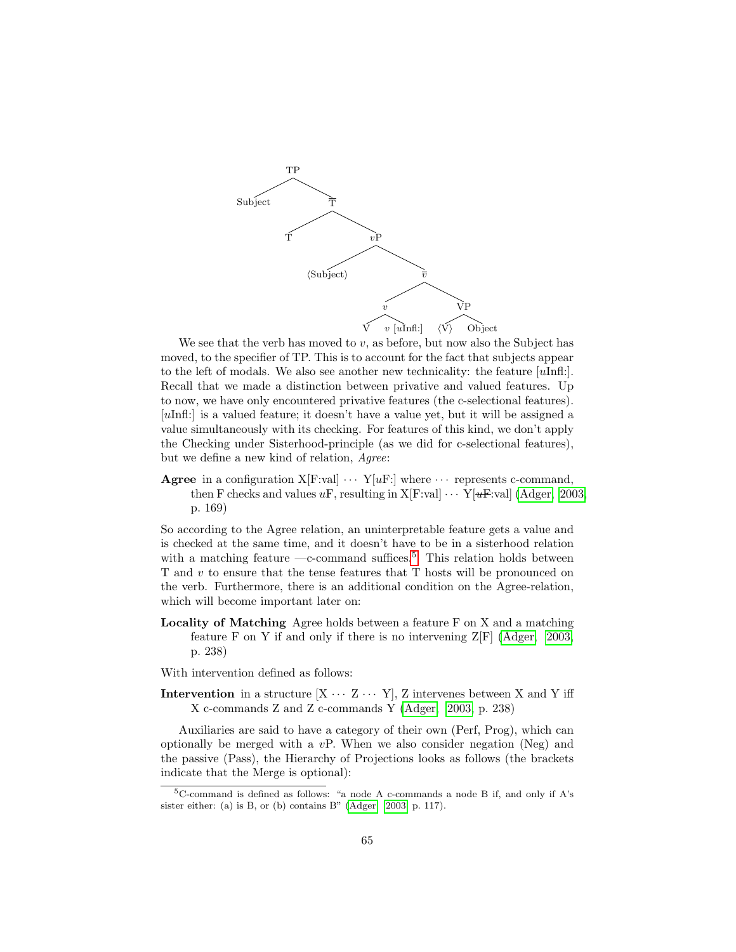

We see that the verb has moved to  $v$ , as before, but now also the Subject has moved, to the specifier of TP. This is to account for the fact that subjects appear to the left of modals. We also see another new technicality: the feature  $[u\text{Infl}$ : Recall that we made a distinction between privative and valued features. Up to now, we have only encountered privative features (the c-selectional features). [uInfl:] is a valued feature; it doesn't have a value yet, but it will be assigned a value simultaneously with its checking. For features of this kind, we don't apply the Checking under Sisterhood-principle (as we did for c-selectional features), but we define a new kind of relation, Agree:

Agree in a configuration  $X[F:val] \cdots Y[uF:]$  where  $\cdots$  represents c-command, then F checks and values uF, resulting in X[F:val]  $\cdots$  Y[ $u$ F:val] [\(Adger, 2003,](#page-145-1) p. 169)

So according to the Agree relation, an uninterpretable feature gets a value and is checked at the same time, and it doesn't have to be in a sisterhood relation with a matching feature —c-command suffices.<sup>[5](#page-66-0)</sup> This relation holds between T and v to ensure that the tense features that T hosts will be pronounced on the verb. Furthermore, there is an additional condition on the Agree-relation, which will become important later on:

Locality of Matching Agree holds between a feature F on X and a matching feature F on Y if and only if there is no intervening  $Z[F]$  [\(Adger, 2003,](#page-145-1) p. 238)

With intervention defined as follows:

Intervention in a structure  $[X \cdots Z \cdots Y]$ , Z intervenes between X and Y iff X c-commands Z and Z c-commands Y [\(Adger, 2003,](#page-145-1) p. 238)

Auxiliaries are said to have a category of their own (Perf, Prog), which can optionally be merged with a  $vP$ . When we also consider negation (Neg) and the passive (Pass), the Hierarchy of Projections looks as follows (the brackets indicate that the Merge is optional):

<span id="page-66-0"></span> $5C$ -command is defined as follows: "a node A c-commands a node B if, and only if A's sister either: (a) is B, or (b) contains B" [\(Adger, 2003,](#page-145-1) p. 117).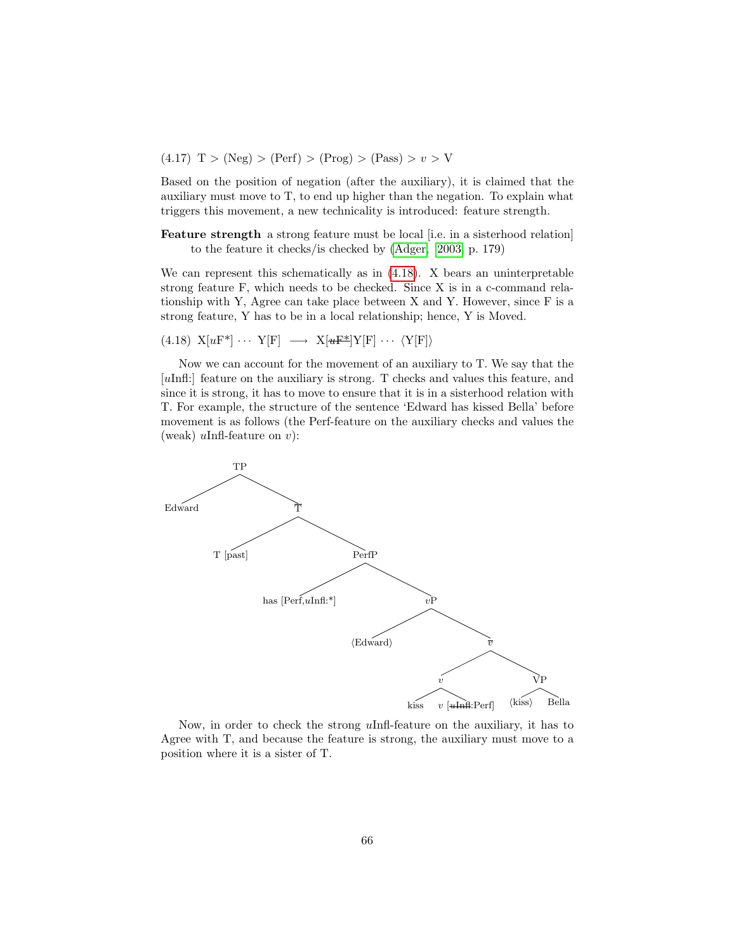$(4.17)$  T > (Neg) > (Perf) > (Prog) > (Pass) >  $v > V$ 

Based on the position of negation (after the auxiliary), it is claimed that the auxiliary must move to T, to end up higher than the negation. To explain what triggers this movement, a new technicality is introduced: feature strength.

Feature strength a strong feature must be local [i.e. in a sisterhood relation] to the feature it checks/is checked by [\(Adger, 2003,](#page-145-1) p. 179)

We can represent this schematically as in [\(4.18\)](#page-67-0). X bears an uninterpretable strong feature F, which needs to be checked. Since X is in a c-command relationship with Y, Agree can take place between X and Y. However, since F is a strong feature, Y has to be in a local relationship; hence, Y is Moved.

<span id="page-67-0"></span>(4.18) 
$$
X[uF^*] \cdots Y[F] \longrightarrow X[uF^*]Y[F] \cdots \langle Y[F] \rangle
$$

Now we can account for the movement of an auxiliary to T. We say that the [uInfl:] feature on the auxiliary is strong. T checks and values this feature, and since it is strong, it has to move to ensure that it is in a sisterhood relation with T. For example, the structure of the sentence 'Edward has kissed Bella' before movement is as follows (the Perf-feature on the auxiliary checks and values the (weak)  $u$ Infl-feature on  $v$ ):



Now, in order to check the strong uInfl-feature on the auxiliary, it has to Agree with T, and because the feature is strong, the auxiliary must move to a position where it is a sister of T.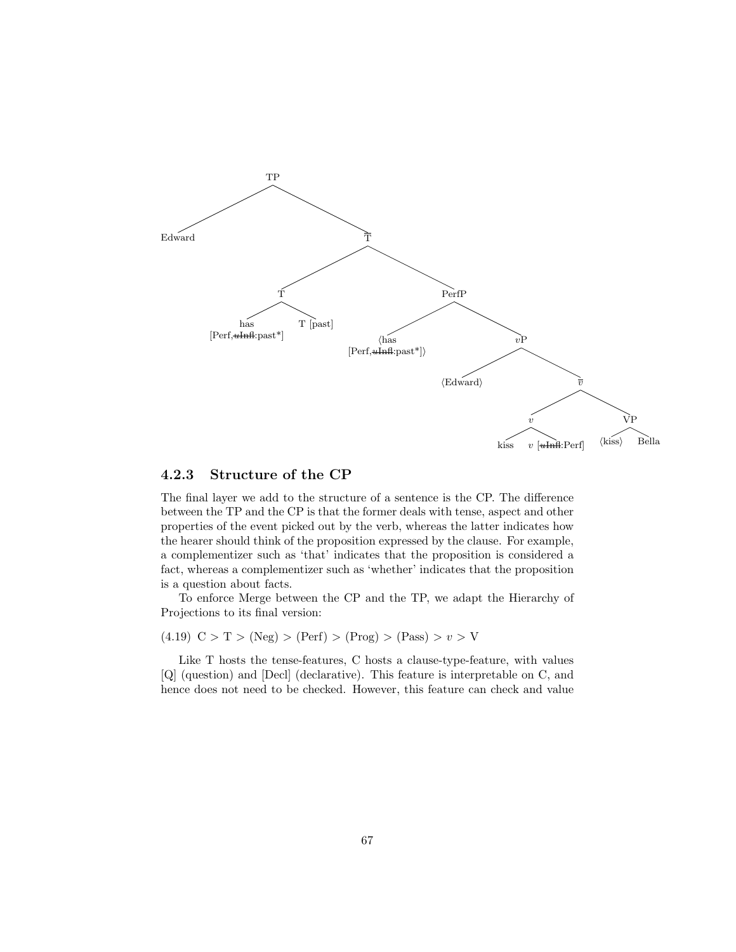

#### 4.2.3 Structure of the CP

The final layer we add to the structure of a sentence is the CP. The difference between the TP and the CP is that the former deals with tense, aspect and other properties of the event picked out by the verb, whereas the latter indicates how the hearer should think of the proposition expressed by the clause. For example, a complementizer such as 'that' indicates that the proposition is considered a fact, whereas a complementizer such as 'whether' indicates that the proposition is a question about facts.

To enforce Merge between the CP and the TP, we adapt the Hierarchy of Projections to its final version:

(4.19)  $C > T > (Neg) > (Perf) > (Prog) > (Pass) > v > V$ 

Like T hosts the tense-features, C hosts a clause-type-feature, with values [Q] (question) and [Decl] (declarative). This feature is interpretable on C, and hence does not need to be checked. However, this feature can check and value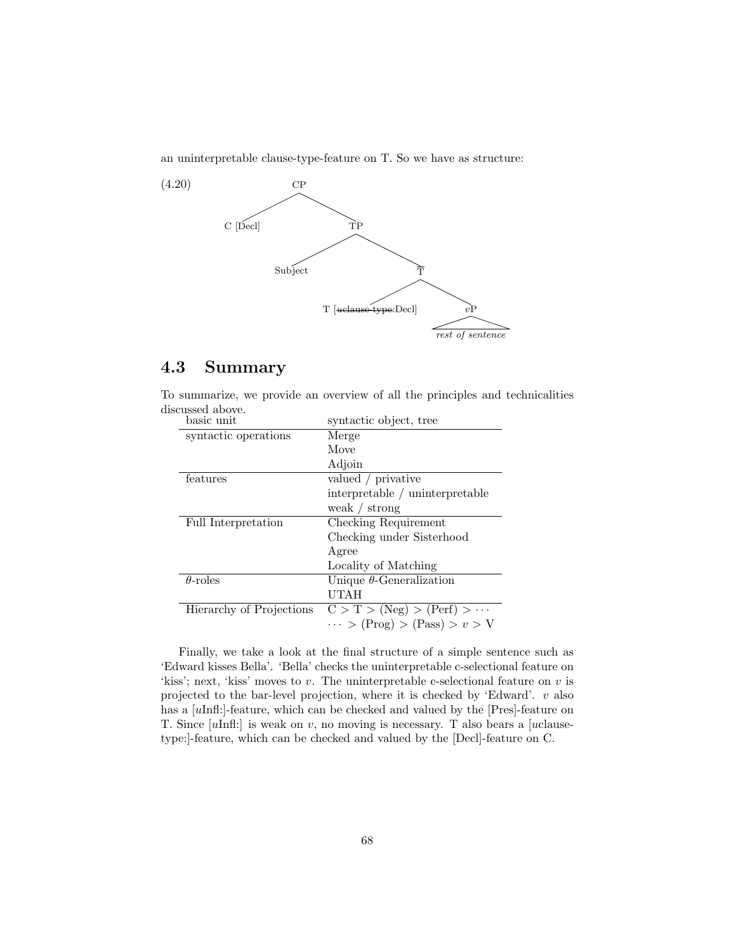an uninterpretable clause-type-feature on T. So we have as structure:



#### 4.3 Summary

| basic unit               | syntactic object, tree               |  |
|--------------------------|--------------------------------------|--|
| syntactic operations     | Merge                                |  |
|                          | Move                                 |  |
|                          | Adjoin                               |  |
| features                 | valued / privative                   |  |
|                          | interpretable / uninterpretable      |  |
|                          | weak $/$ strong                      |  |
| Full Interpretation      | Checking Requirement                 |  |
|                          | Checking under Sisterhood            |  |
|                          | Agree                                |  |
|                          | Locality of Matching                 |  |
| $\theta$ -roles          | Unique $\theta$ -Generalization      |  |
|                          | UTAH                                 |  |
| Hierarchy of Projections | $C > T > (Neg) > (Perf) > \cdots$    |  |
|                          | $\cdots$ > (Prog) > (Pass) > $v$ > V |  |

To summarize, we provide an overview of all the principles and technicalities discussed above.

Finally, we take a look at the final structure of a simple sentence such as 'Edward kisses Bella'. 'Bella' checks the uninterpretable c-selectional feature on 'kiss'; next, 'kiss' moves to  $v$ . The uninterpretable c-selectional feature on  $v$  is projected to the bar-level projection, where it is checked by 'Edward'.  $v$  also has a [uInfl:]-feature, which can be checked and valued by the [Pres]-feature on T. Since  $[u\text{Infl:}]$  is weak on v, no moving is necessary. T also bears a  $[u\text{clause-}$ type:]-feature, which can be checked and valued by the [Decl]-feature on C.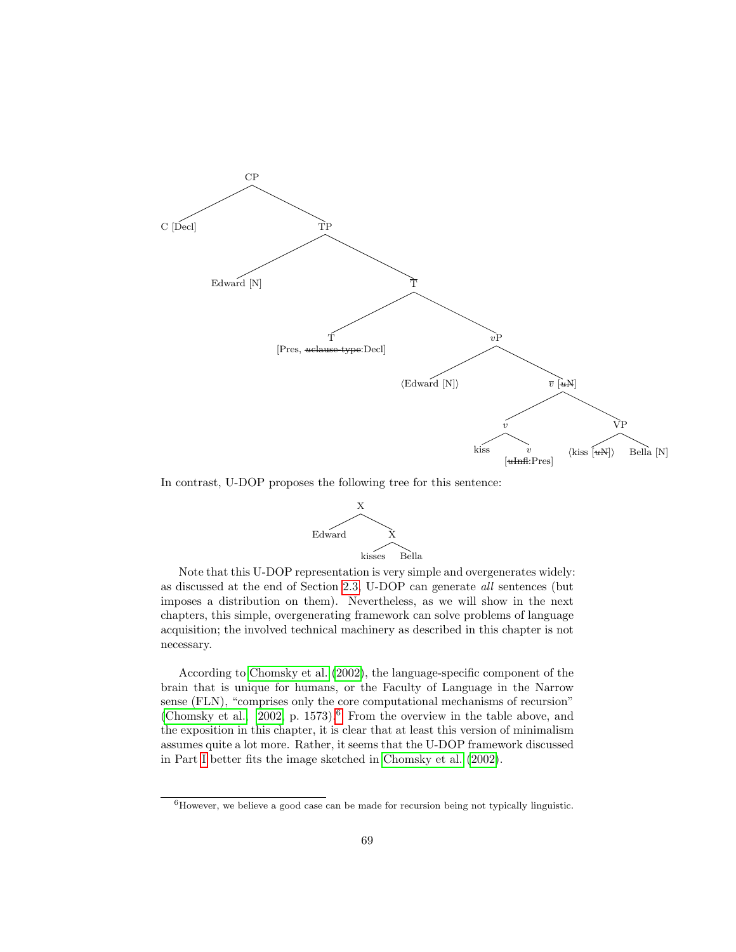

In contrast, U-DOP proposes the following tree for this sentence:



Note that this U-DOP representation is very simple and overgenerates widely: as discussed at the end of Section [2.3,](#page-24-0) U-DOP can generate all sentences (but imposes a distribution on them). Nevertheless, as we will show in the next chapters, this simple, overgenerating framework can solve problems of language acquisition; the involved technical machinery as described in this chapter is not necessary.

According to [Chomsky et al.](#page-146-8) [\(2002\)](#page-146-8), the language-specific component of the brain that is unique for humans, or the Faculty of Language in the Narrow sense (FLN), "comprises only the core computational mechanisms of recursion" [\(Chomsky et al., 2002,](#page-146-8) p. 1573).<sup>[6](#page-70-0)</sup> From the overview in the table above, and the exposition in this chapter, it is clear that at least this version of minimalism assumes quite a lot more. Rather, it seems that the U-DOP framework discussed in Part [I](#page-13-0) better fits the image sketched in [Chomsky et al.](#page-146-8) [\(2002\)](#page-146-8).

<span id="page-70-0"></span> ${}^{6}$ However, we believe a good case can be made for recursion being not typically linguistic.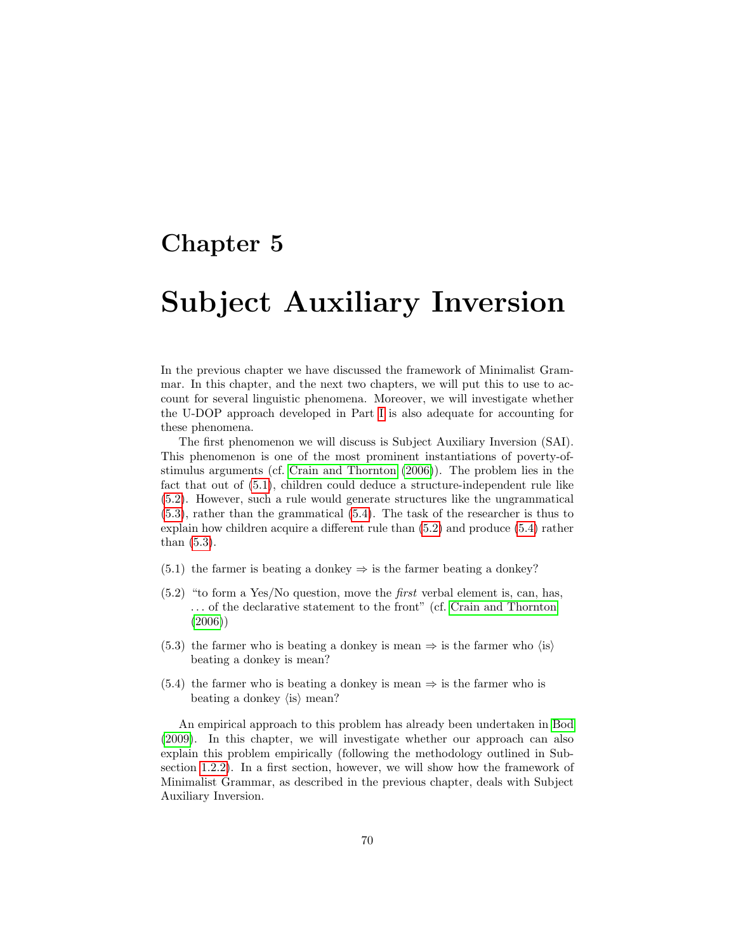### Chapter 5

## Subject Auxiliary Inversion

In the previous chapter we have discussed the framework of Minimalist Grammar. In this chapter, and the next two chapters, we will put this to use to account for several linguistic phenomena. Moreover, we will investigate whether the U-DOP approach developed in Part [I](#page-13-0) is also adequate for accounting for these phenomena.

The first phenomenon we will discuss is Subject Auxiliary Inversion (SAI). This phenomenon is one of the most prominent instantiations of poverty-ofstimulus arguments (cf. [Crain and Thornton](#page-146-6) [\(2006\)](#page-146-6)). The problem lies in the fact that out of [\(5.1\)](#page-71-0), children could deduce a structure-independent rule like [\(5.2\)](#page-71-1). However, such a rule would generate structures like the ungrammatical [\(5.3\)](#page-71-2), rather than the grammatical [\(5.4\)](#page-71-3). The task of the researcher is thus to explain how children acquire a different rule than [\(5.2\)](#page-71-1) and produce [\(5.4\)](#page-71-3) rather than [\(5.3\)](#page-71-2).

- <span id="page-71-0"></span>(5.1) the farmer is beating a donkey  $\Rightarrow$  is the farmer beating a donkey?
- <span id="page-71-1"></span> $(5.2)$  "to form a Yes/No question, move the *first* verbal element is, can, has, . . . of the declarative statement to the front" (cf. [Crain and Thornton](#page-146-6) [\(2006\)](#page-146-6))
- <span id="page-71-2"></span>(5.3) the farmer who is beating a donkey is mean  $\Rightarrow$  is the farmer who  $\langle$ is $\rangle$ beating a donkey is mean?
- <span id="page-71-3"></span>(5.4) the farmer who is beating a donkey is mean  $\Rightarrow$  is the farmer who is beating a donkey  $\langle$  is  $\rangle$  mean?

An empirical approach to this problem has already been undertaken in [Bod](#page-145-2) [\(2009\)](#page-145-2). In this chapter, we will investigate whether our approach can also explain this problem empirically (following the methodology outlined in Subsection [1.2.2\)](#page-9-0). In a first section, however, we will show how the framework of Minimalist Grammar, as described in the previous chapter, deals with Subject Auxiliary Inversion.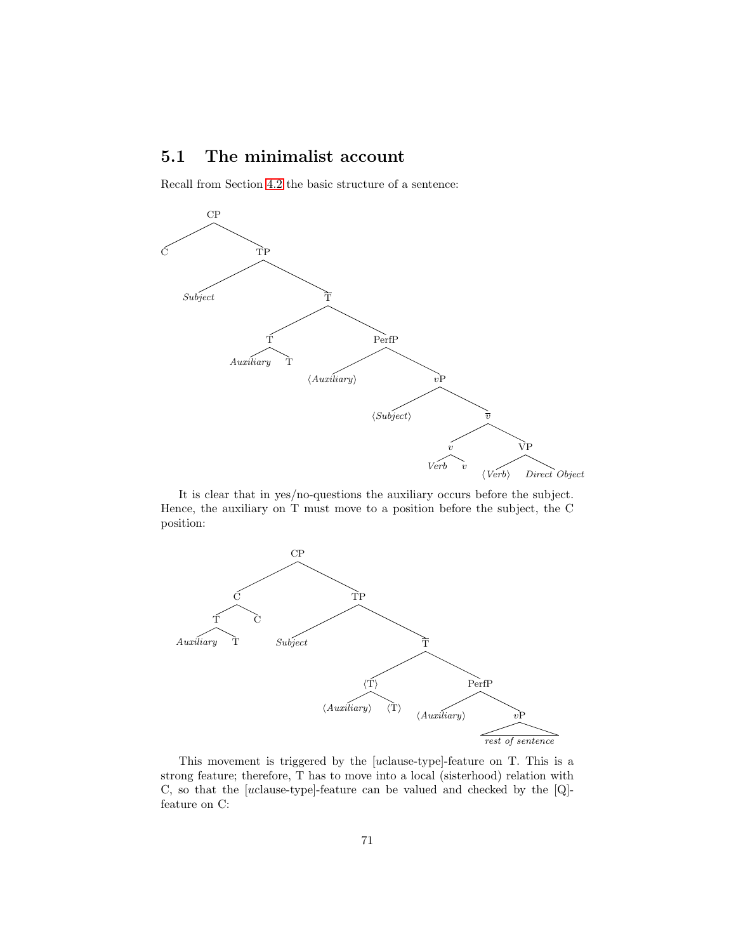# <span id="page-72-0"></span>5.1 The minimalist account

Recall from Section [4.2](#page-62-0) the basic structure of a sentence:



It is clear that in yes/no-questions the auxiliary occurs before the subject. Hence, the auxiliary on T must move to a position before the subject, the C position:



This movement is triggered by the [uclause-type]-feature on T. This is a strong feature; therefore, T has to move into a local (sisterhood) relation with C, so that the [uclause-type]-feature can be valued and checked by the [Q] feature on C: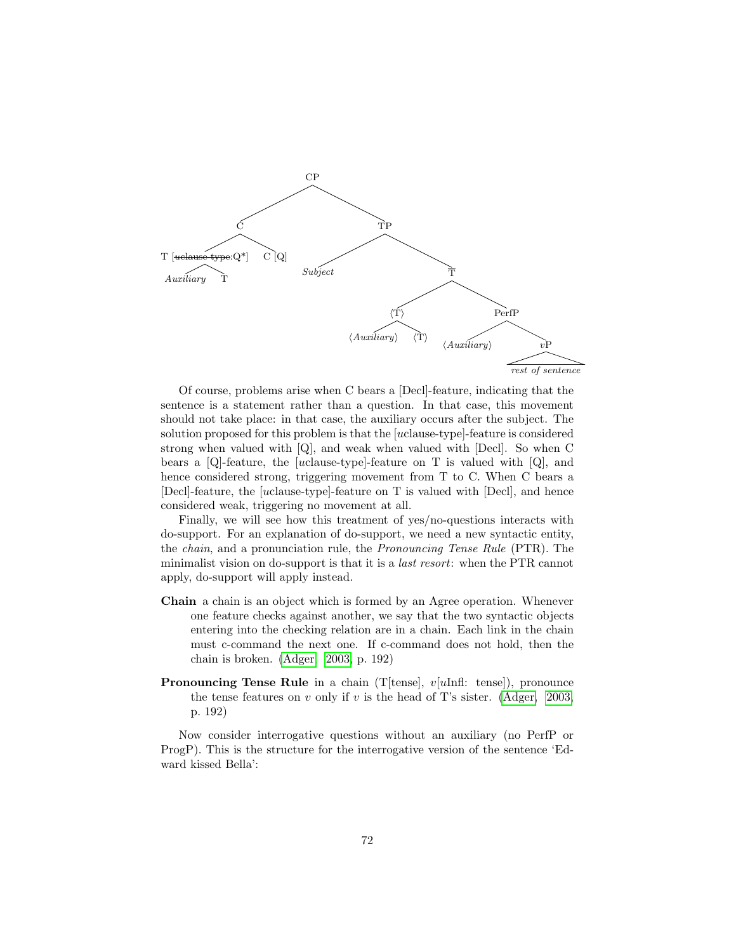

Of course, problems arise when C bears a [Decl]-feature, indicating that the sentence is a statement rather than a question. In that case, this movement should not take place: in that case, the auxiliary occurs after the subject. The solution proposed for this problem is that the [uclause-type]-feature is considered strong when valued with [Q], and weak when valued with [Decl]. So when C bears a [Q]-feature, the [uclause-type]-feature on T is valued with [Q], and hence considered strong, triggering movement from T to C. When C bears a [Decl]-feature, the [uclause-type]-feature on T is valued with [Decl], and hence considered weak, triggering no movement at all.

Finally, we will see how this treatment of yes/no-questions interacts with do-support. For an explanation of do-support, we need a new syntactic entity, the chain, and a pronunciation rule, the Pronouncing Tense Rule (PTR). The minimalist vision on do-support is that it is a last resort: when the PTR cannot apply, do-support will apply instead.

- Chain a chain is an object which is formed by an Agree operation. Whenever one feature checks against another, we say that the two syntactic objects entering into the checking relation are in a chain. Each link in the chain must c-command the next one. If c-command does not hold, then the chain is broken. [\(Adger, 2003,](#page-145-0) p. 192)
- **Pronouncing Tense Rule** in a chain (T[tense],  $v[u \text{Infl:} \text{tense}]$ ), pronounce the tense features on v only if v is the head of T's sister. [\(Adger, 2003,](#page-145-0) p. 192)

Now consider interrogative questions without an auxiliary (no PerfP or ProgP). This is the structure for the interrogative version of the sentence 'Edward kissed Bella':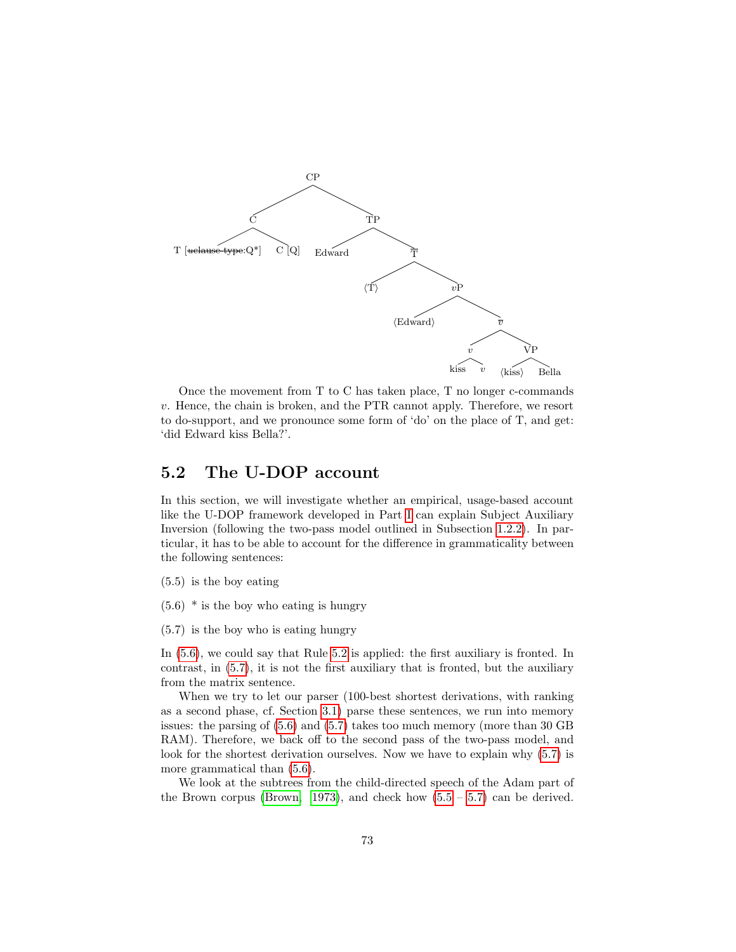

Once the movement from T to C has taken place, T no longer c-commands v. Hence, the chain is broken, and the PTR cannot apply. Therefore, we resort to do-support, and we pronounce some form of 'do' on the place of T, and get: 'did Edward kiss Bella?'.

# 5.2 The U-DOP account

In this section, we will investigate whether an empirical, usage-based account like the U-DOP framework developed in Part [I](#page-13-0) can explain Subject Auxiliary Inversion (following the two-pass model outlined in Subsection [1.2.2\)](#page-9-0). In particular, it has to be able to account for the difference in grammaticality between the following sentences:

<span id="page-74-2"></span>(5.5) is the boy eating

<span id="page-74-0"></span> $(5.6)$  \* is the boy who eating is hungry

<span id="page-74-1"></span>(5.7) is the boy who is eating hungry

In [\(5.6\)](#page-74-0), we could say that Rule [5.2](#page-71-0) is applied: the first auxiliary is fronted. In contrast, in [\(5.7\)](#page-74-1), it is not the first auxiliary that is fronted, but the auxiliary from the matrix sentence.

When we try to let our parser (100-best shortest derivations, with ranking as a second phase, cf. Section [3.1\)](#page-28-0) parse these sentences, we run into memory issues: the parsing of [\(5.6\)](#page-74-0) and [\(5.7\)](#page-74-1) takes too much memory (more than 30 GB RAM). Therefore, we back off to the second pass of the two-pass model, and look for the shortest derivation ourselves. Now we have to explain why [\(5.7\)](#page-74-1) is more grammatical than [\(5.6\)](#page-74-0).

We look at the subtrees from the child-directed speech of the Adam part of the Brown corpus [\(Brown, 1973\)](#page-146-0), and check how  $(5.5 - 5.7)$  $(5.5 - 5.7)$  $(5.5 - 5.7)$  can be derived.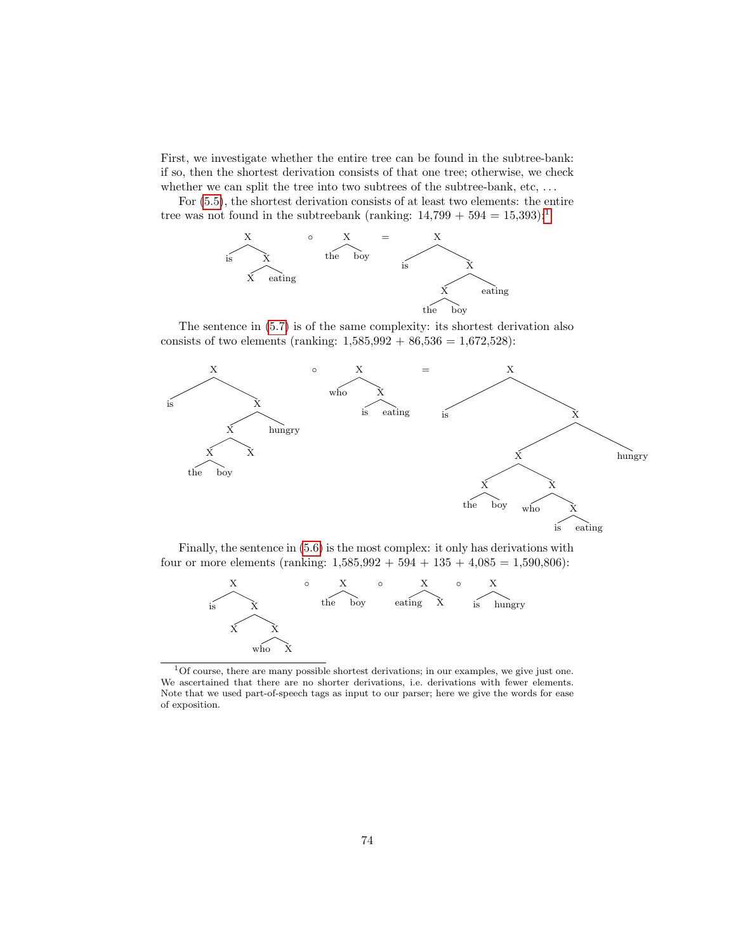First, we investigate whether the entire tree can be found in the subtree-bank: if so, then the shortest derivation consists of that one tree; otherwise, we check whether we can split the tree into two subtrees of the subtree-bank, etc, ...

For [\(5.5\)](#page-74-2), the shortest derivation consists of at least two elements: the entire tree was not found in the subtreebank (ranking:  $14,799 + 594 = 15,393$  $14,799 + 594 = 15,393$ ):<sup>1</sup>



The sentence in [\(5.7\)](#page-74-1) is of the same complexity: its shortest derivation also consists of two elements (ranking:  $1,585,992 + 86,536 = 1,672,528$ ):



Finally, the sentence in [\(5.6\)](#page-74-0) is the most complex: it only has derivations with four or more elements (ranking:  $1,585,992 + 594 + 135 + 4,085 = 1,590,806$ ):



<span id="page-75-0"></span><sup>1</sup>Of course, there are many possible shortest derivations; in our examples, we give just one. We ascertained that there are no shorter derivations, i.e. derivations with fewer elements. Note that we used part-of-speech tags as input to our parser; here we give the words for ease of exposition.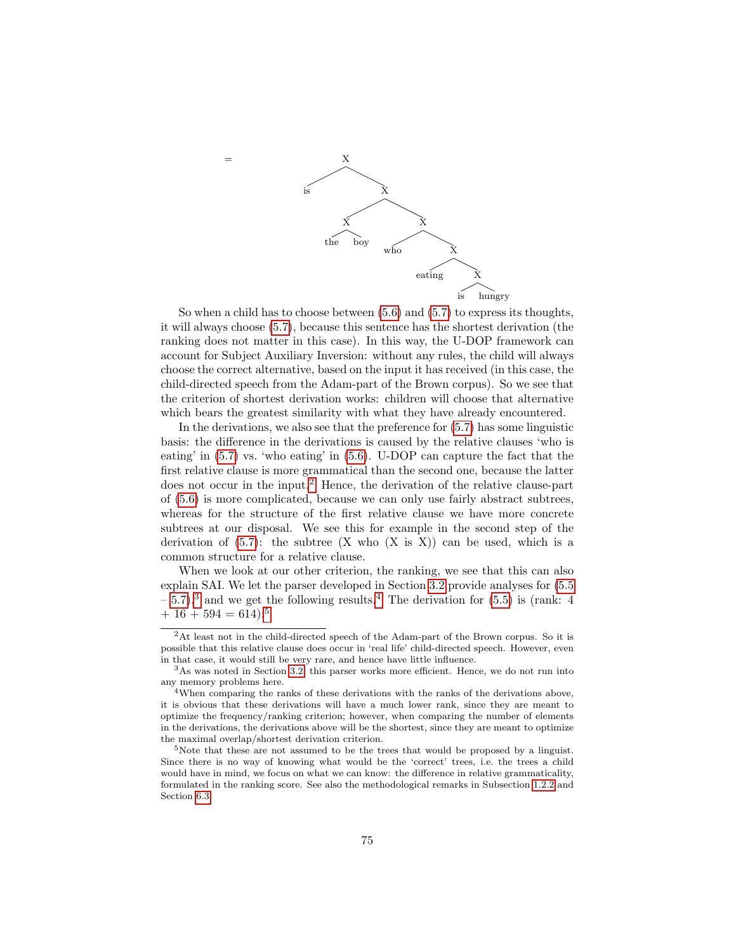

So when a child has to choose between  $(5.6)$  and  $(5.7)$  to express its thoughts, it will always choose [\(5.7\)](#page-74-1), because this sentence has the shortest derivation (the ranking does not matter in this case). In this way, the U-DOP framework can account for Subject Auxiliary Inversion: without any rules, the child will always choose the correct alternative, based on the input it has received (in this case, the child-directed speech from the Adam-part of the Brown corpus). So we see that the criterion of shortest derivation works: children will choose that alternative which bears the greatest similarity with what they have already encountered.

In the derivations, we also see that the preference for [\(5.7\)](#page-74-1) has some linguistic basis: the difference in the derivations is caused by the relative clauses 'who is eating' in [\(5.7\)](#page-74-1) vs. 'who eating' in [\(5.6\)](#page-74-0). U-DOP can capture the fact that the first relative clause is more grammatical than the second one, because the latter does not occur in the input.<sup>[2](#page-76-0)</sup> Hence, the derivation of the relative clause-part of [\(5.6\)](#page-74-0) is more complicated, because we can only use fairly abstract subtrees, whereas for the structure of the first relative clause we have more concrete subtrees at our disposal. We see this for example in the second step of the derivation of  $(5.7)$ : the subtree  $(X \text{ who } (X \text{ is } X))$  can be used, which is a common structure for a relative clause.

When we look at our other criterion, the ranking, we see that this can also explain SAI. We let the parser developed in Section [3.2](#page-38-0) provide analyses for [\(5.5](#page-74-2)  $-5.7$ ),<sup>[3](#page-76-1)</sup> and we get the following results.<sup>[4](#page-76-2)</sup> The derivation for [\(5.5\)](#page-74-2) is (rank: 4  $+ 16 + 594 = 614$  $+ 16 + 594 = 614$  $+ 16 + 594 = 614$ :<sup>5</sup>

<span id="page-76-0"></span> $2$ At least not in the child-directed speech of the Adam-part of the Brown corpus. So it is possible that this relative clause does occur in 'real life' child-directed speech. However, even in that case, it would still be very rare, and hence have little influence.

<span id="page-76-1"></span><sup>3</sup>As was noted in Section [3.2,](#page-38-0) this parser works more efficient. Hence, we do not run into any memory problems here.

<span id="page-76-2"></span><sup>4</sup>When comparing the ranks of these derivations with the ranks of the derivations above, it is obvious that these derivations will have a much lower rank, since they are meant to optimize the frequency/ranking criterion; however, when comparing the number of elements in the derivations, the derivations above will be the shortest, since they are meant to optimize the maximal overlap/shortest derivation criterion.

<span id="page-76-3"></span><sup>&</sup>lt;sup>5</sup>Note that these are not assumed to be the trees that would be proposed by a linguist. Since there is no way of knowing what would be the 'correct' trees, i.e. the trees a child would have in mind, we focus on what we can know: the difference in relative grammaticality, formulated in the ranking score. See also the methodological remarks in Subsection [1.2.2](#page-9-0) and Section [6.3.](#page-101-0)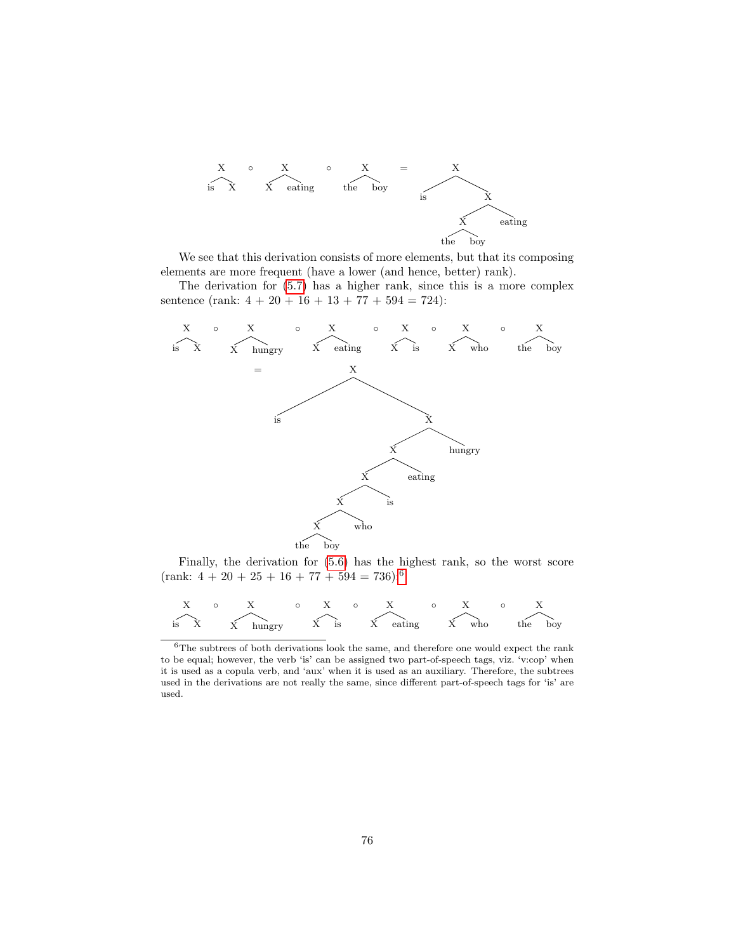

We see that this derivation consists of more elements, but that its composing elements are more frequent (have a lower (and hence, better) rank).

The derivation for [\(5.7\)](#page-74-1) has a higher rank, since this is a more complex sentence (rank:  $4 + 20 + 16 + 13 + 77 + 594 = 724$ ):



Finally, the derivation for [\(5.6\)](#page-74-0) has the highest rank, so the worst score  $(rank: 4 + 20 + 25 + 16 + 77 + 594 = 736)$  $(rank: 4 + 20 + 25 + 16 + 77 + 594 = 736)$  $(rank: 4 + 20 + 25 + 16 + 77 + 594 = 736)$ :<sup>6</sup>

$$
\begin{array}{ccccccccc} & X & \circ & X & \circ & X & \circ & X & \circ & X \\ & \searrow & & & & & & & \swarrow & \\ \text{is} & X & & & & & & \swarrow & \\ & & & & & & & \searrow & & \searrow & \\ \end{array}
$$

<span id="page-77-0"></span> ${}^{6}\mathrm{The}$  subtrees of both derivations look the same, and therefore one would expect the rank to be equal; however, the verb 'is' can be assigned two part-of-speech tags, viz. 'v:cop' when it is used as a copula verb, and 'aux' when it is used as an auxiliary. Therefore, the subtrees used in the derivations are not really the same, since different part-of-speech tags for 'is' are used.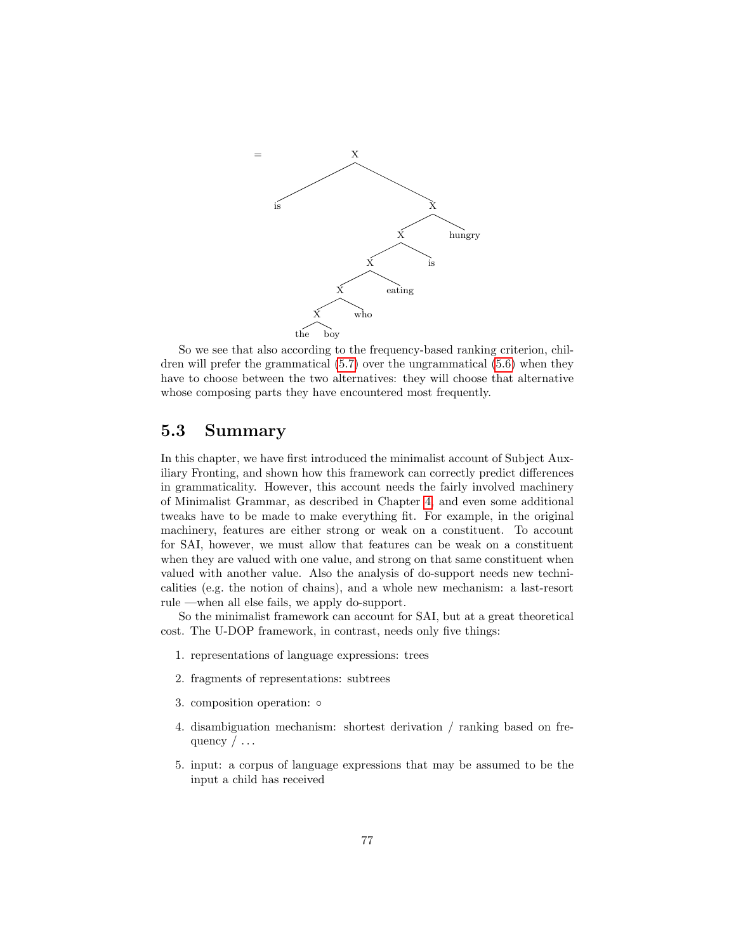

So we see that also according to the frequency-based ranking criterion, children will prefer the grammatical [\(5.7\)](#page-74-1) over the ungrammatical [\(5.6\)](#page-74-0) when they have to choose between the two alternatives: they will choose that alternative whose composing parts they have encountered most frequently.

# 5.3 Summary

In this chapter, we have first introduced the minimalist account of Subject Auxiliary Fronting, and shown how this framework can correctly predict differences in grammaticality. However, this account needs the fairly involved machinery of Minimalist Grammar, as described in Chapter [4,](#page-55-0) and even some additional tweaks have to be made to make everything fit. For example, in the original machinery, features are either strong or weak on a constituent. To account for SAI, however, we must allow that features can be weak on a constituent when they are valued with one value, and strong on that same constituent when valued with another value. Also the analysis of do-support needs new technicalities (e.g. the notion of chains), and a whole new mechanism: a last-resort rule —when all else fails, we apply do-support.

So the minimalist framework can account for SAI, but at a great theoretical cost. The U-DOP framework, in contrast, needs only five things:

- 1. representations of language expressions: trees
- 2. fragments of representations: subtrees
- 3. composition operation: ◦
- 4. disambiguation mechanism: shortest derivation / ranking based on frequency  $/\ldots$
- 5. input: a corpus of language expressions that may be assumed to be the input a child has received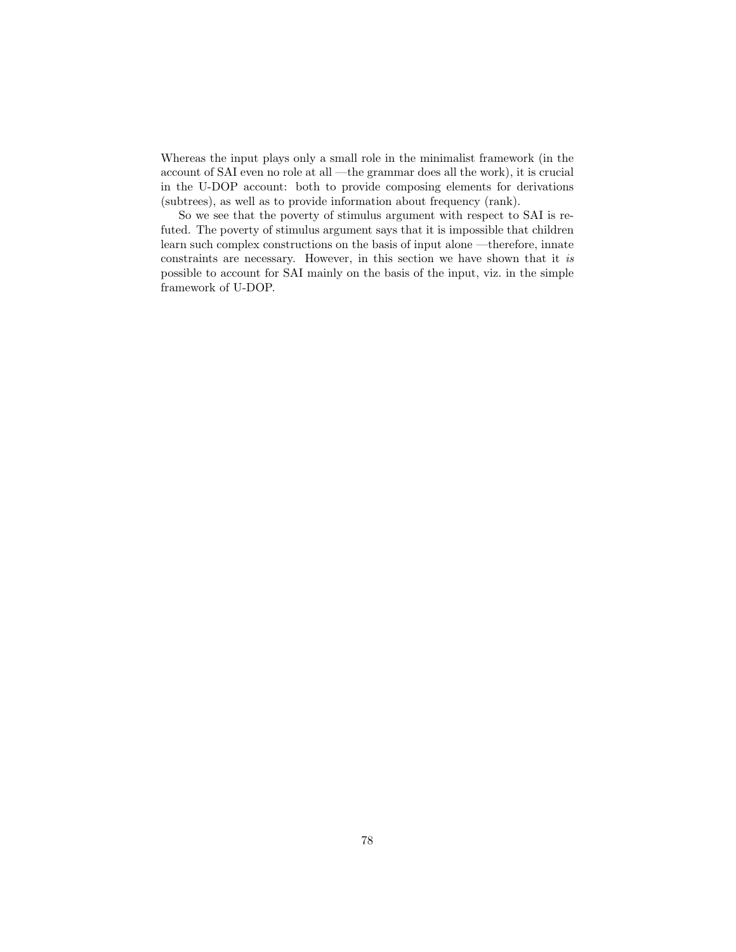Whereas the input plays only a small role in the minimalist framework (in the account of SAI even no role at all —the grammar does all the work), it is crucial in the U-DOP account: both to provide composing elements for derivations (subtrees), as well as to provide information about frequency (rank).

So we see that the poverty of stimulus argument with respect to SAI is refuted. The poverty of stimulus argument says that it is impossible that children learn such complex constructions on the basis of input alone —therefore, innate constraints are necessary. However, in this section we have shown that it is possible to account for SAI mainly on the basis of the input, viz. in the simple framework of U-DOP.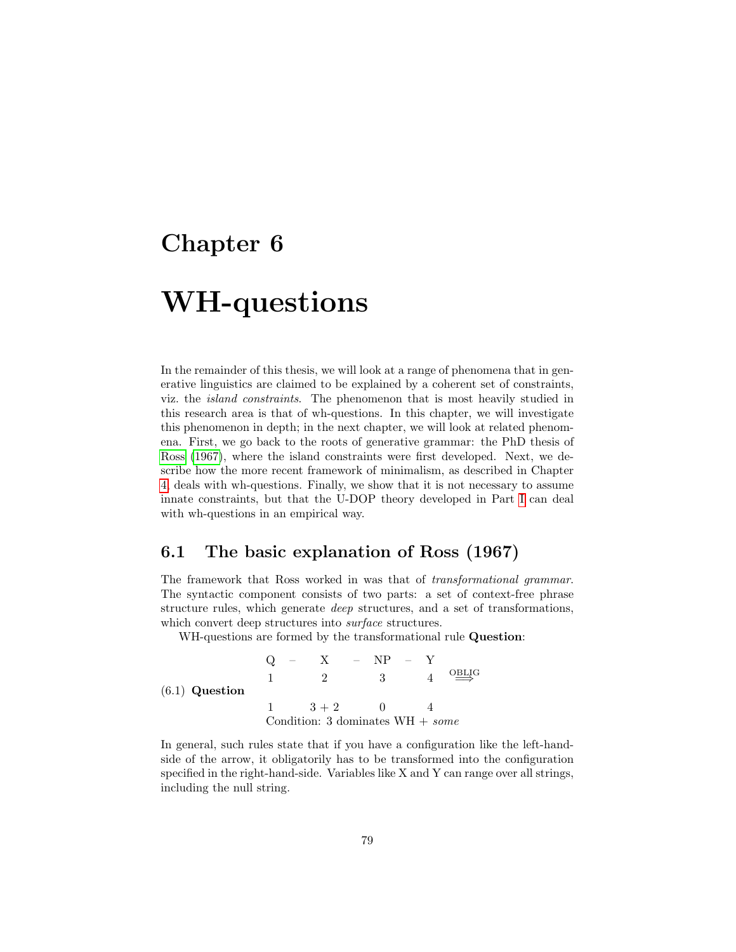# Chapter 6

 $(6.1)$ 

# WH-questions

In the remainder of this thesis, we will look at a range of phenomena that in generative linguistics are claimed to be explained by a coherent set of constraints, viz. the island constraints. The phenomenon that is most heavily studied in this research area is that of wh-questions. In this chapter, we will investigate this phenomenon in depth; in the next chapter, we will look at related phenomena. First, we go back to the roots of generative grammar: the PhD thesis of [Ross](#page-147-0) [\(1967\)](#page-147-0), where the island constraints were first developed. Next, we describe how the more recent framework of minimalism, as described in Chapter [4,](#page-55-0) deals with wh-questions. Finally, we show that it is not necessary to assume innate constraints, but that the U-DOP theory developed in Part [I](#page-13-0) can deal with wh-questions in an empirical way.

### <span id="page-80-1"></span>6.1 The basic explanation of Ross (1967)

The framework that Ross worked in was that of transformational grammar. The syntactic component consists of two parts: a set of context-free phrase structure rules, which generate deep structures, and a set of transformations, which convert deep structures into *surface* structures.

WH-questions are formed by the transformational rule **Question**:

<span id="page-80-0"></span>
$$
Q - X - NP - Y
$$
  
\n1 2 3 4  $\stackrel{\text{OBLIG}}{\Longrightarrow}$   
\n1 3 + 2 0 4  
\nCondition: 3 dominates WH + some

In general, such rules state that if you have a configuration like the left-handside of the arrow, it obligatorily has to be transformed into the configuration specified in the right-hand-side. Variables like X and Y can range over all strings, including the null string.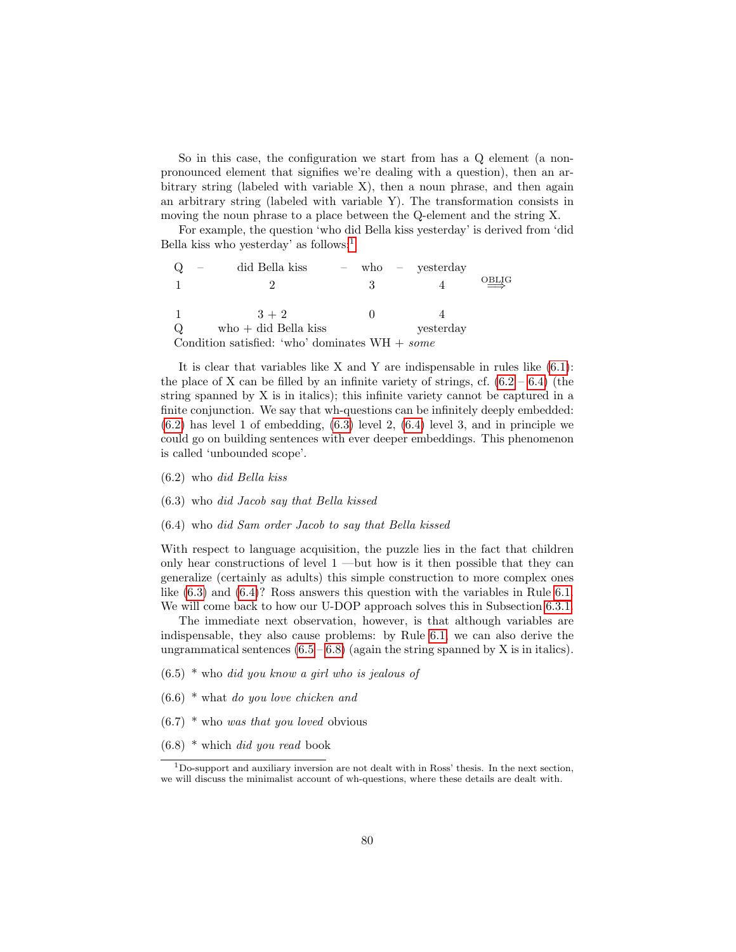So in this case, the configuration we start from has a Q element (a nonpronounced element that signifies we're dealing with a question), then an arbitrary string (labeled with variable  $X$ ), then a noun phrase, and then again an arbitrary string (labeled with variable Y). The transformation consists in moving the noun phrase to a place between the Q-element and the string X.

For example, the question 'who did Bella kiss yesterday' is derived from 'did Bella kiss who yesterday' as follows: $<sup>1</sup>$  $<sup>1</sup>$  $<sup>1</sup>$ </sup>

|                                                  | did Bella kiss         |   | $-$ who $-$ vesterday |                          |  |
|--------------------------------------------------|------------------------|---|-----------------------|--------------------------|--|
|                                                  |                        | 3 |                       | $\overrightarrow{OBLIG}$ |  |
|                                                  |                        |   |                       |                          |  |
|                                                  | $3 + 2$                |   |                       |                          |  |
| $\circ$                                          | $who + did$ Bella kiss |   | vesterday             |                          |  |
| Condition satisfied: 'who' dominates $WH + some$ |                        |   |                       |                          |  |

It is clear that variables like X and Y are indispensable in rules like  $(6.1)$ : the place of X can be filled by an infinite variety of strings, cf.  $(6.2 - 6.4)$  $(6.2 - 6.4)$  $(6.2 - 6.4)$  (the string spanned by X is in italics); this infinite variety cannot be captured in a finite conjunction. We say that wh-questions can be infinitely deeply embedded:  $(6.2)$  has level 1 of embedding,  $(6.3)$  level 2,  $(6.4)$  level 3, and in principle we could go on building sentences with ever deeper embeddings. This phenomenon is called 'unbounded scope'.

- <span id="page-81-1"></span>(6.2) who did Bella kiss
- <span id="page-81-3"></span>(6.3) who did Jacob say that Bella kissed
- <span id="page-81-2"></span>(6.4) who did Sam order Jacob to say that Bella kissed

With respect to language acquisition, the puzzle lies in the fact that children only hear constructions of level 1 —but how is it then possible that they can generalize (certainly as adults) this simple construction to more complex ones like [\(6.3\)](#page-81-3) and [\(6.4\)](#page-81-2)? Ross answers this question with the variables in Rule [6.1.](#page-80-0) We will come back to how our U-DOP approach solves this in Subsection [6.3.1.](#page-102-0)

The immediate next observation, however, is that although variables are indispensable, they also cause problems: by Rule [6.1,](#page-80-0) we can also derive the ungrammatical sentences  $(6.5 - 6.8)$  $(6.5 - 6.8)$  $(6.5 - 6.8)$  (again the string spanned by X is in italics).

- <span id="page-81-4"></span> $(6.5)$  \* who did you know a girl who is jealous of
- <span id="page-81-6"></span> $(6.6)$  \* what do you love chicken and
- $(6.7)$  \* who *was that you loved* obvious
- <span id="page-81-5"></span> $(6.8)$  \* which *did you read* book

<span id="page-81-0"></span> $1$ Do-support and auxiliary inversion are not dealt with in Ross' thesis. In the next section, we will discuss the minimalist account of wh-questions, where these details are dealt with.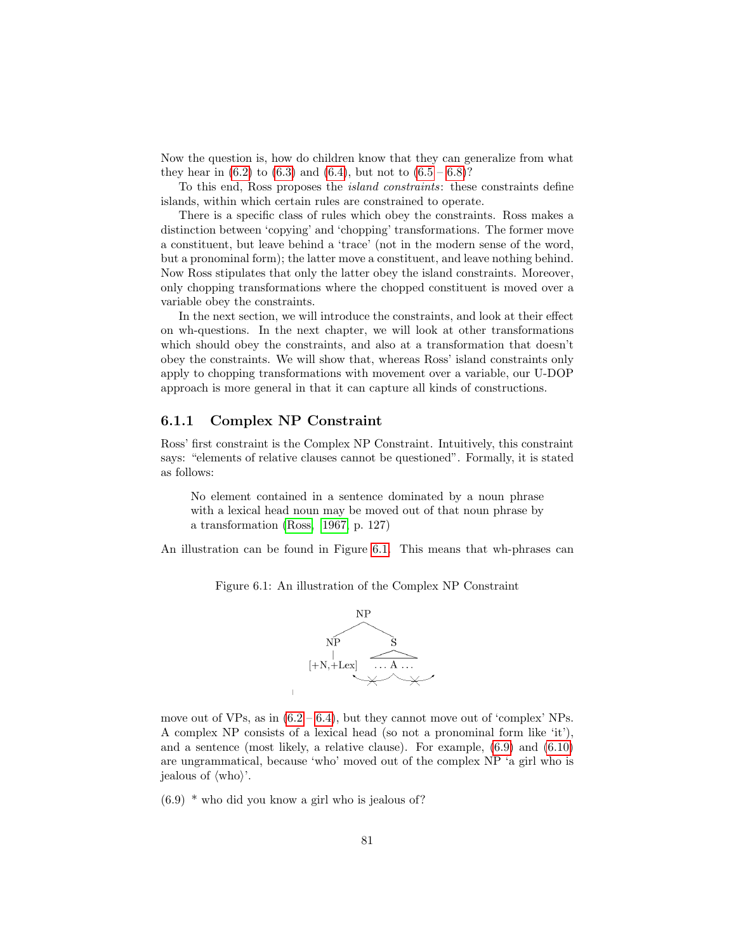Now the question is, how do children know that they can generalize from what they hear in  $(6.2)$  to  $(6.3)$  and  $(6.4)$ , but not to  $(6.5 - 6.8)$  $(6.5 - 6.8)$  $(6.5 - 6.8)$ ?

To this end, Ross proposes the island constraints: these constraints define islands, within which certain rules are constrained to operate.

There is a specific class of rules which obey the constraints. Ross makes a distinction between 'copying' and 'chopping' transformations. The former move a constituent, but leave behind a 'trace' (not in the modern sense of the word, but a pronominal form); the latter move a constituent, and leave nothing behind. Now Ross stipulates that only the latter obey the island constraints. Moreover, only chopping transformations where the chopped constituent is moved over a variable obey the constraints.

In the next section, we will introduce the constraints, and look at their effect on wh-questions. In the next chapter, we will look at other transformations which should obey the constraints, and also at a transformation that doesn't obey the constraints. We will show that, whereas Ross' island constraints only apply to chopping transformations with movement over a variable, our U-DOP approach is more general in that it can capture all kinds of constructions.

#### <span id="page-82-2"></span>6.1.1 Complex NP Constraint

Ross' first constraint is the Complex NP Constraint. Intuitively, this constraint says: "elements of relative clauses cannot be questioned". Formally, it is stated as follows:

No element contained in a sentence dominated by a noun phrase with a lexical head noun may be moved out of that noun phrase by a transformation [\(Ross, 1967,](#page-147-0) p. 127)

<span id="page-82-0"></span>An illustration can be found in Figure [6.1.](#page-82-0) This means that wh-phrases can

Figure 6.1: An illustration of the Complex NP Constraint



move out of VPs, as in  $(6.2 - 6.4)$  $(6.2 - 6.4)$  $(6.2 - 6.4)$ , but they cannot move out of 'complex' NPs. A complex NP consists of a lexical head (so not a pronominal form like 'it'), and a sentence (most likely, a relative clause). For example, [\(6.9\)](#page-82-1) and [\(6.10\)](#page-83-0) are ungrammatical, because 'who' moved out of the complex NP 'a girl who is jealous of  $\langle \text{who} \rangle$ .

<span id="page-82-1"></span> $(6.9)$  \* who did you know a girl who is jealous of?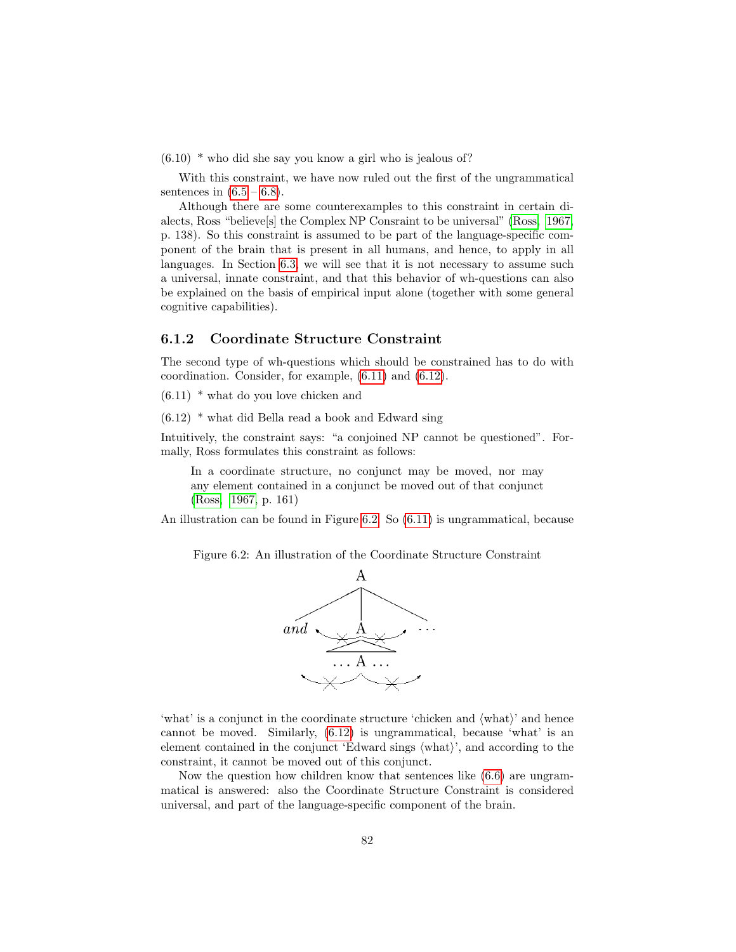<span id="page-83-0"></span> $(6.10)$  \* who did she say you know a girl who is jealous of?

With this constraint, we have now ruled out the first of the ungrammatical sentences in  $(6.5 - 6.8)$  $(6.5 - 6.8)$  $(6.5 - 6.8)$ .

Although there are some counterexamples to this constraint in certain dialects, Ross "believe[s] the Complex NP Consraint to be universal" [\(Ross, 1967,](#page-147-0) p. 138). So this constraint is assumed to be part of the language-specific component of the brain that is present in all humans, and hence, to apply in all languages. In Section [6.3,](#page-101-0) we will see that it is not necessary to assume such a universal, innate constraint, and that this behavior of wh-questions can also be explained on the basis of empirical input alone (together with some general cognitive capabilities).

#### <span id="page-83-4"></span>6.1.2 Coordinate Structure Constraint

The second type of wh-questions which should be constrained has to do with coordination. Consider, for example, [\(6.11\)](#page-83-1) and [\(6.12\)](#page-83-2).

<span id="page-83-1"></span> $(6.11)$  \* what do you love chicken and

<span id="page-83-2"></span> $(6.12)$  \* what did Bella read a book and Edward sing

Intuitively, the constraint says: "a conjoined NP cannot be questioned". Formally, Ross formulates this constraint as follows:

In a coordinate structure, no conjunct may be moved, nor may any element contained in a conjunct be moved out of that conjunct [\(Ross, 1967,](#page-147-0) p. 161)

<span id="page-83-3"></span>An illustration can be found in Figure [6.2.](#page-83-3) So [\(6.11\)](#page-83-1) is ungrammatical, because

Figure 6.2: An illustration of the Coordinate Structure Constraint



'what' is a conjunct in the coordinate structure 'chicken and  $\langle \text{what}\rangle$ ' and hence cannot be moved. Similarly, [\(6.12\)](#page-83-2) is ungrammatical, because 'what' is an element contained in the conjunct 'Edward sings  $\langle \text{what}\rangle$ ', and according to the constraint, it cannot be moved out of this conjunct.

Now the question how children know that sentences like [\(6.6\)](#page-81-6) are ungrammatical is answered: also the Coordinate Structure Constraint is considered universal, and part of the language-specific component of the brain.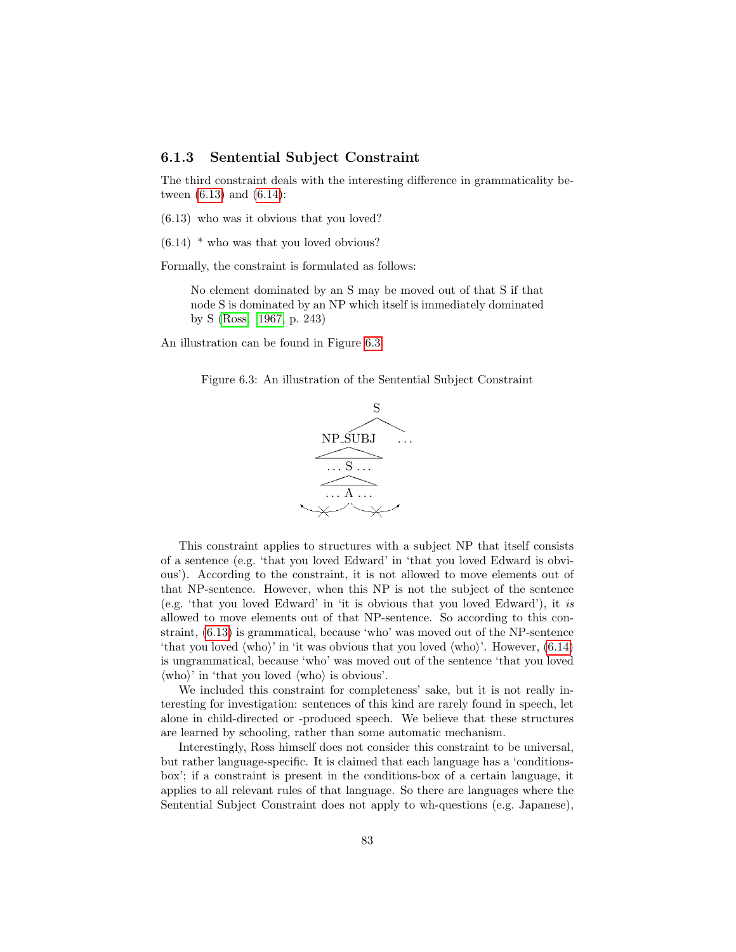#### 6.1.3 Sentential Subject Constraint

The third constraint deals with the interesting difference in grammaticality between [\(6.13\)](#page-84-0) and [\(6.14\)](#page-84-1):

- <span id="page-84-0"></span>(6.13) who was it obvious that you loved?
- <span id="page-84-1"></span> $(6.14)$  \* who was that you loved obvious?

Formally, the constraint is formulated as follows:

No element dominated by an S may be moved out of that S if that node S is dominated by an NP which itself is immediately dominated by S [\(Ross, 1967,](#page-147-0) p. 243)

<span id="page-84-2"></span>An illustration can be found in Figure [6.3.](#page-84-2)

Figure 6.3: An illustration of the Sentential Subject Constraint



This constraint applies to structures with a subject NP that itself consists of a sentence (e.g. 'that you loved Edward' in 'that you loved Edward is obvious'). According to the constraint, it is not allowed to move elements out of that NP-sentence. However, when this NP is not the subject of the sentence (e.g. 'that you loved Edward' in 'it is obvious that you loved Edward'), it is allowed to move elements out of that NP-sentence. So according to this constraint, [\(6.13\)](#page-84-0) is grammatical, because 'who' was moved out of the NP-sentence 'that you loved  $\langle \text{who} \rangle$ ' in 'it was obvious that you loved  $\langle \text{who} \rangle$ '. However,  $(6.14)$ is ungrammatical, because 'who' was moved out of the sentence 'that you loved  $\langle \text{who} \rangle'$  in 'that you loved  $\langle \text{who} \rangle$  is obvious'.

We included this constraint for completeness' sake, but it is not really interesting for investigation: sentences of this kind are rarely found in speech, let alone in child-directed or -produced speech. We believe that these structures are learned by schooling, rather than some automatic mechanism.

Interestingly, Ross himself does not consider this constraint to be universal, but rather language-specific. It is claimed that each language has a 'conditionsbox'; if a constraint is present in the conditions-box of a certain language, it applies to all relevant rules of that language. So there are languages where the Sentential Subject Constraint does not apply to wh-questions (e.g. Japanese),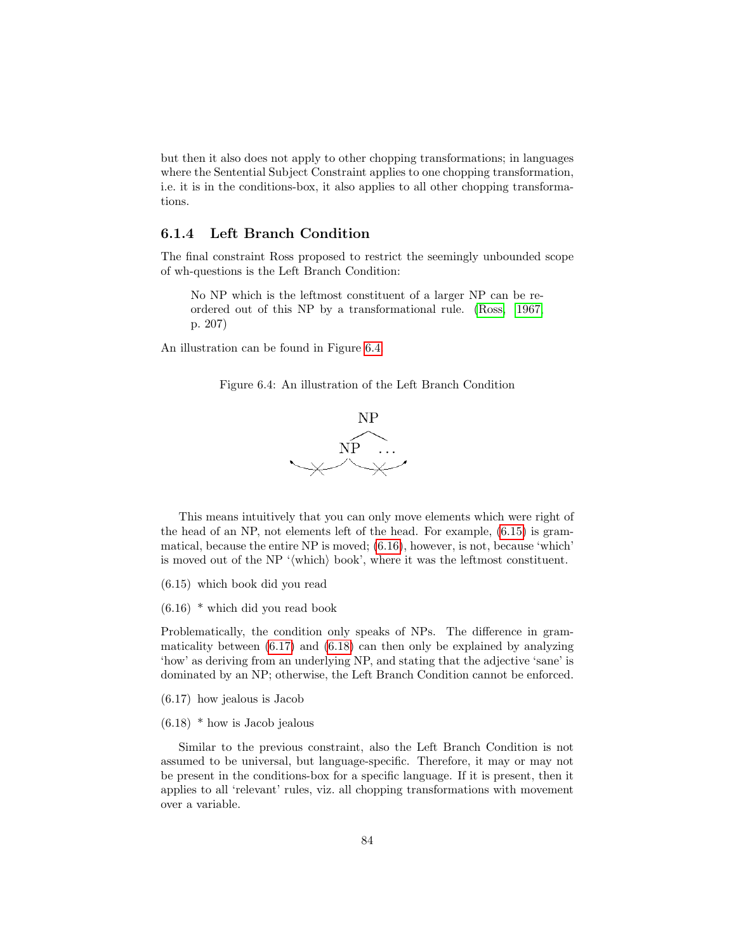but then it also does not apply to other chopping transformations; in languages where the Sentential Subject Constraint applies to one chopping transformation, i.e. it is in the conditions-box, it also applies to all other chopping transformations.

#### <span id="page-85-5"></span>6.1.4 Left Branch Condition

The final constraint Ross proposed to restrict the seemingly unbounded scope of wh-questions is the Left Branch Condition:

No NP which is the leftmost constituent of a larger NP can be reordered out of this NP by a transformational rule. [\(Ross, 1967,](#page-147-0) p. 207)

<span id="page-85-0"></span>An illustration can be found in Figure [6.4.](#page-85-0)





This means intuitively that you can only move elements which were right of the head of an NP, not elements left of the head. For example, [\(6.15\)](#page-85-1) is grammatical, because the entire NP is moved; [\(6.16\)](#page-85-2), however, is not, because 'which' is moved out of the NP '(which) book', where it was the leftmost constituent.

- <span id="page-85-1"></span>(6.15) which book did you read
- <span id="page-85-2"></span>(6.16) \* which did you read book

Problematically, the condition only speaks of NPs. The difference in grammaticality between [\(6.17\)](#page-85-3) and [\(6.18\)](#page-85-4) can then only be explained by analyzing 'how' as deriving from an underlying NP, and stating that the adjective 'sane' is dominated by an NP; otherwise, the Left Branch Condition cannot be enforced.

- <span id="page-85-3"></span>(6.17) how jealous is Jacob
- <span id="page-85-4"></span> $(6.18)$  \* how is Jacob jealous

Similar to the previous constraint, also the Left Branch Condition is not assumed to be universal, but language-specific. Therefore, it may or may not be present in the conditions-box for a specific language. If it is present, then it applies to all 'relevant' rules, viz. all chopping transformations with movement over a variable.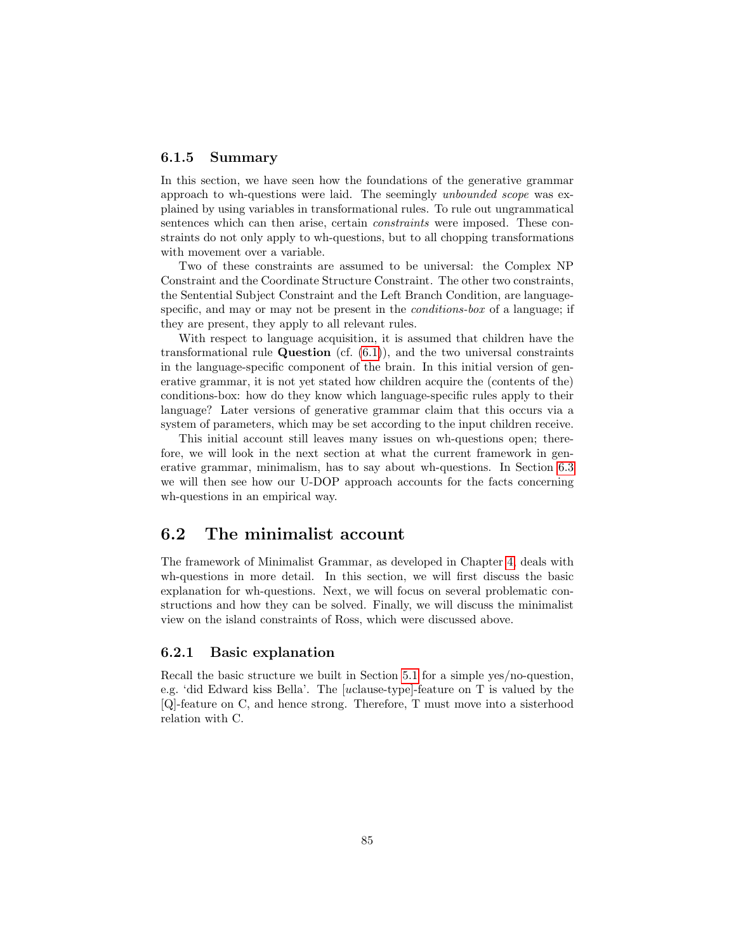#### 6.1.5 Summary

In this section, we have seen how the foundations of the generative grammar approach to wh-questions were laid. The seemingly unbounded scope was explained by using variables in transformational rules. To rule out ungrammatical sentences which can then arise, certain constraints were imposed. These constraints do not only apply to wh-questions, but to all chopping transformations with movement over a variable.

Two of these constraints are assumed to be universal: the Complex NP Constraint and the Coordinate Structure Constraint. The other two constraints, the Sentential Subject Constraint and the Left Branch Condition, are languagespecific, and may or may not be present in the *conditions-box* of a language; if they are present, they apply to all relevant rules.

With respect to language acquisition, it is assumed that children have the transformational rule **Question** (cf.  $(6.1)$ ), and the two universal constraints in the language-specific component of the brain. In this initial version of generative grammar, it is not yet stated how children acquire the (contents of the) conditions-box: how do they know which language-specific rules apply to their language? Later versions of generative grammar claim that this occurs via a system of parameters, which may be set according to the input children receive.

This initial account still leaves many issues on wh-questions open; therefore, we will look in the next section at what the current framework in generative grammar, minimalism, has to say about wh-questions. In Section [6.3](#page-101-0) we will then see how our U-DOP approach accounts for the facts concerning wh-questions in an empirical way.

#### 6.2 The minimalist account

The framework of Minimalist Grammar, as developed in Chapter [4,](#page-55-0) deals with wh-questions in more detail. In this section, we will first discuss the basic explanation for wh-questions. Next, we will focus on several problematic constructions and how they can be solved. Finally, we will discuss the minimalist view on the island constraints of Ross, which were discussed above.

#### 6.2.1 Basic explanation

Recall the basic structure we built in Section [5.1](#page-72-0) for a simple yes/no-question, e.g. 'did Edward kiss Bella'. The [uclause-type]-feature on T is valued by the [Q]-feature on C, and hence strong. Therefore, T must move into a sisterhood relation with C.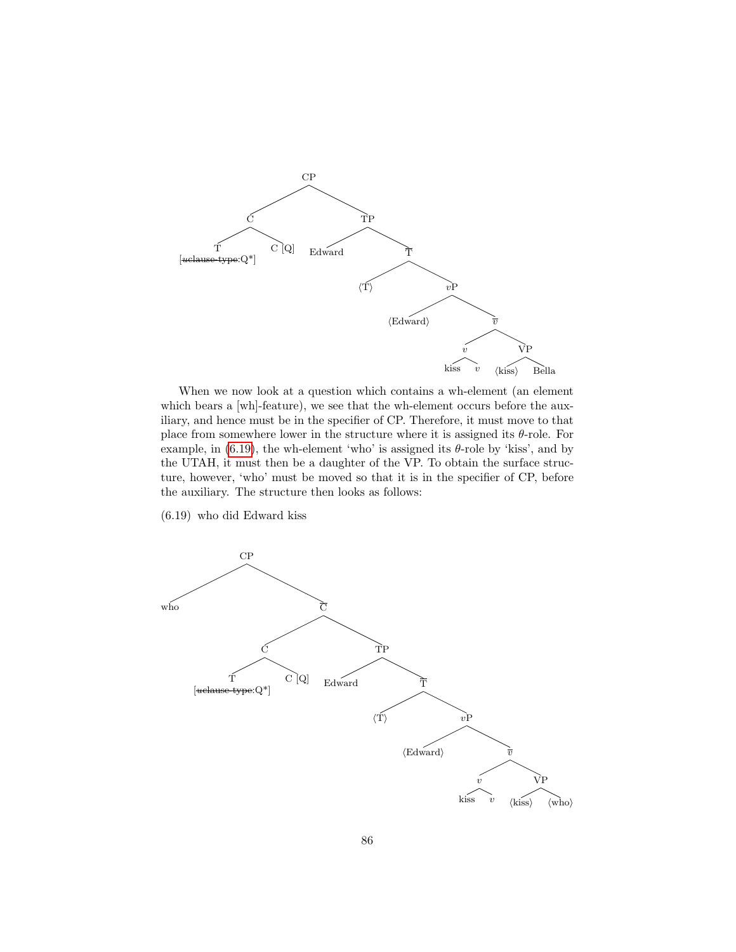

When we now look at a question which contains a wh-element (an element which bears a [wh]-feature], we see that the wh-element occurs before the auxiliary, and hence must be in the specifier of CP. Therefore, it must move to that place from somewhere lower in the structure where it is assigned its  $\theta$ -role. For example, in  $(6.19)$ , the wh-element 'who' is assigned its  $\theta$ -role by 'kiss', and by the UTAH, it must then be a daughter of the VP. To obtain the surface structure, however, 'who' must be moved so that it is in the specifier of CP, before the auxiliary. The structure then looks as follows:

<span id="page-87-0"></span>(6.19) who did Edward kiss

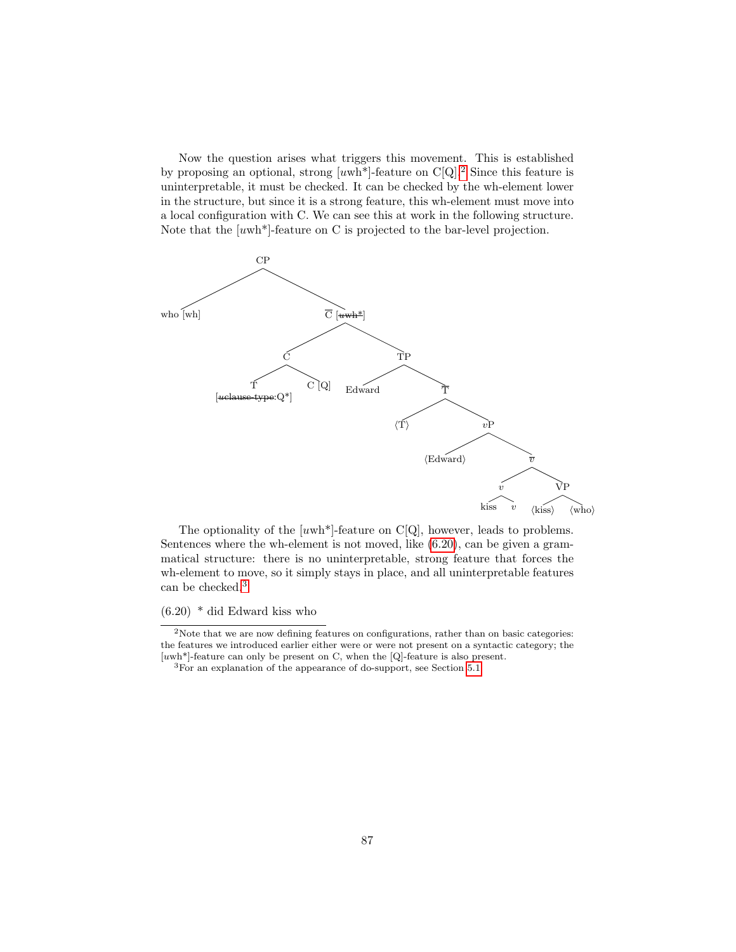Now the question arises what triggers this movement. This is established by proposing an optional, strong  $[uwh<sup>*</sup>]$ -feature on C[Q].<sup>[2](#page-88-0)</sup> Since this feature is uninterpretable, it must be checked. It can be checked by the wh-element lower in the structure, but since it is a strong feature, this wh-element must move into a local configuration with C. We can see this at work in the following structure. Note that the  $[uwh*]$ -feature on C is projected to the bar-level projection.



The optionality of the  $[uwh<sup>*</sup>]$ -feature on C[Q], however, leads to problems. Sentences where the wh-element is not moved, like [\(6.20\)](#page-88-1), can be given a grammatical structure: there is no uninterpretable, strong feature that forces the wh-element to move, so it simply stays in place, and all uninterpretable features can be checked.<sup>[3](#page-88-2)</sup>

<span id="page-88-1"></span>(6.20) \* did Edward kiss who

<span id="page-88-0"></span> $\rm ^2$  Note that we are now defining features on configurations, rather than on basic categories: the features we introduced earlier either were or were not present on a syntactic category; the  $[uwh<sup>*</sup>]$ -feature can only be present on C, when the  $[Q]$ -feature is also present.

<span id="page-88-2"></span><sup>3</sup>For an explanation of the appearance of do-support, see Section [5.1.](#page-72-0)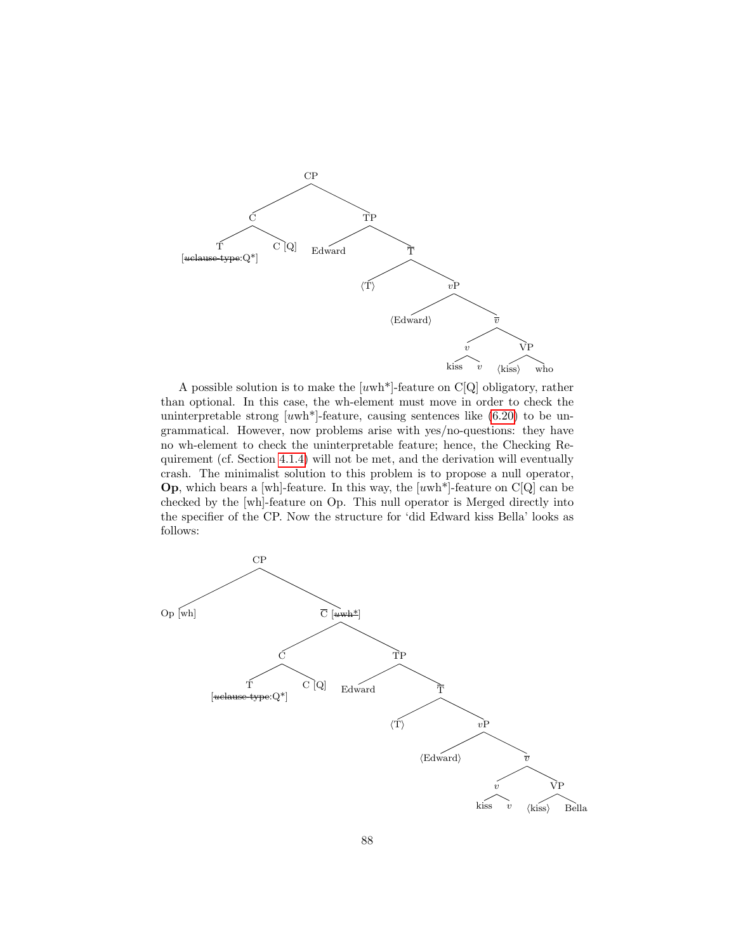

A possible solution is to make the [uwh\*]-feature on C[Q] obligatory, rather than optional. In this case, the wh-element must move in order to check the uninterpretable strong  $[uwh<sup>*</sup>]$ -feature, causing sentences like  $(6.20)$  to be ungrammatical. However, now problems arise with yes/no-questions: they have no wh-element to check the uninterpretable feature; hence, the Checking Requirement (cf. Section [4.1.4\)](#page-58-0) will not be met, and the derivation will eventually crash. The minimalist solution to this problem is to propose a null operator, **Op**, which bears a [wh]-feature. In this way, the  $[uwh^*]$ -feature on C[Q] can be checked by the [wh]-feature on Op. This null operator is Merged directly into the specifier of the CP. Now the structure for 'did Edward kiss Bella' looks as follows:

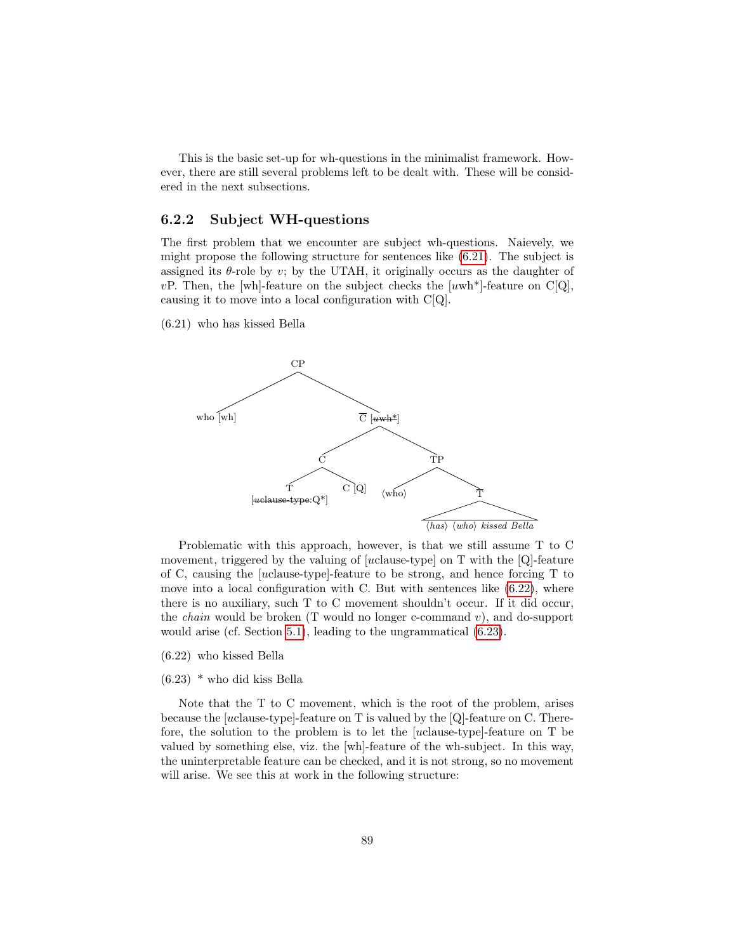This is the basic set-up for wh-questions in the minimalist framework. However, there are still several problems left to be dealt with. These will be considered in the next subsections.

#### 6.2.2 Subject WH-questions

The first problem that we encounter are subject wh-questions. Naievely, we might propose the following structure for sentences like [\(6.21\)](#page-90-0). The subject is assigned its  $\theta$ -role by v; by the UTAH, it originally occurs as the daughter of vP. Then, the [wh]-feature on the subject checks the  $[uwh*]$ -feature on C[Q], causing it to move into a local configuration with C[Q].

<span id="page-90-0"></span>(6.21) who has kissed Bella



Problematic with this approach, however, is that we still assume T to C movement, triggered by the valuing of [uclause-type] on T with the [Q]-feature of C, causing the [uclause-type]-feature to be strong, and hence forcing T to move into a local configuration with C. But with sentences like [\(6.22\)](#page-90-1), where there is no auxiliary, such T to C movement shouldn't occur. If it did occur, the *chain* would be broken (T would no longer c-command  $v$ ), and do-support would arise (cf. Section [5.1\)](#page-72-0), leading to the ungrammatical [\(6.23\)](#page-90-2).

- <span id="page-90-1"></span>(6.22) who kissed Bella
- <span id="page-90-2"></span>(6.23) \* who did kiss Bella

Note that the T to C movement, which is the root of the problem, arises because the [uclause-type]-feature on T is valued by the [Q]-feature on C. Therefore, the solution to the problem is to let the [uclause-type]-feature on T be valued by something else, viz. the [wh]-feature of the wh-subject. In this way, the uninterpretable feature can be checked, and it is not strong, so no movement will arise. We see this at work in the following structure: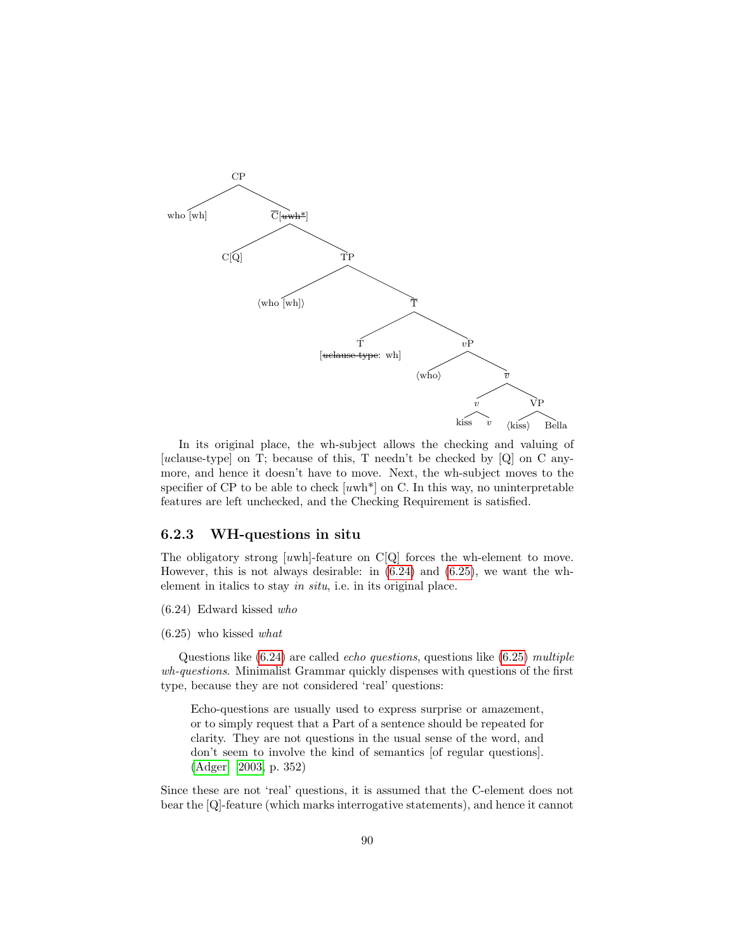

In its original place, the wh-subject allows the checking and valuing of [uclause-type] on T; because of this, T needn't be checked by [Q] on C anymore, and hence it doesn't have to move. Next, the wh-subject moves to the specifier of CP to be able to check  $[uwh*]$  on C. In this way, no uninterpretable features are left unchecked, and the Checking Requirement is satisfied.

#### 6.2.3 WH-questions in situ

The obligatory strong [uwh]-feature on C[Q] forces the wh-element to move. However, this is not always desirable: in [\(6.24\)](#page-91-0) and [\(6.25\)](#page-91-1), we want the whelement in italics to stay in situ, i.e. in its original place.

<span id="page-91-0"></span>(6.24) Edward kissed who

<span id="page-91-1"></span>(6.25) who kissed what

Questions like  $(6.24)$  are called *echo questions*, questions like  $(6.25)$  multiple wh-questions. Minimalist Grammar quickly dispenses with questions of the first type, because they are not considered 'real' questions:

Echo-questions are usually used to express surprise or amazement, or to simply request that a Part of a sentence should be repeated for clarity. They are not questions in the usual sense of the word, and don't seem to involve the kind of semantics [of regular questions]. [\(Adger, 2003,](#page-145-0) p. 352)

Since these are not 'real' questions, it is assumed that the C-element does not bear the [Q]-feature (which marks interrogative statements), and hence it cannot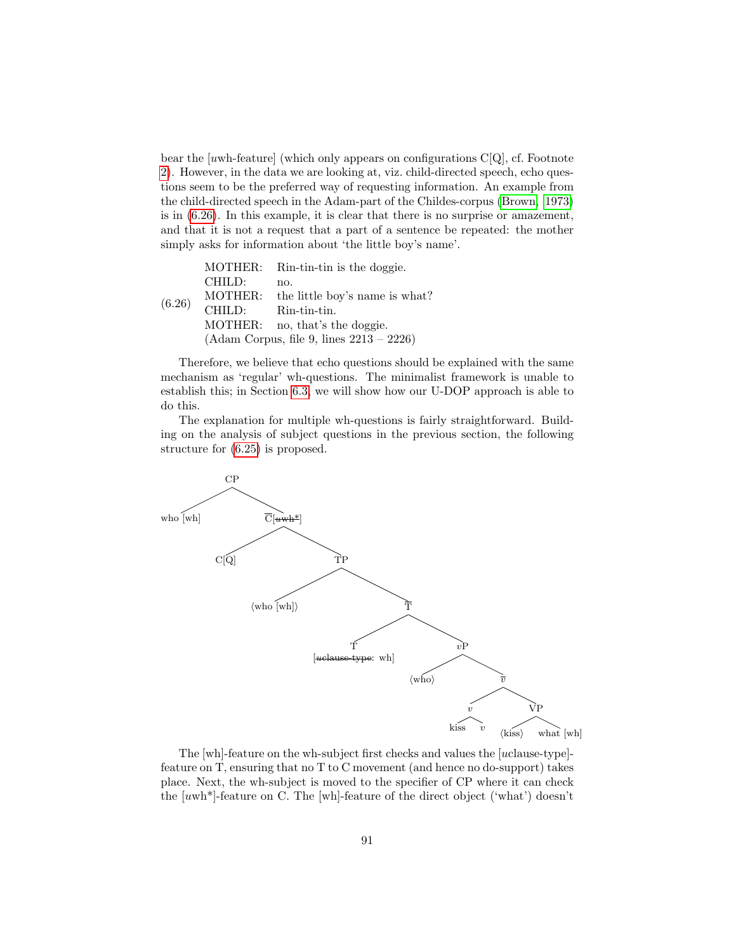bear the  $[uwh$ -feature] (which only appears on configurations  $C[Q]$ , cf. Footnote [2\)](#page-88-0). However, in the data we are looking at, viz. child-directed speech, echo questions seem to be the preferred way of requesting information. An example from the child-directed speech in the Adam-part of the Childes-corpus [\(Brown, 1973\)](#page-146-0) is in [\(6.26\)](#page-92-0). In this example, it is clear that there is no surprise or amazement, and that it is not a request that a part of a sentence be repeated: the mother simply asks for information about 'the little boy's name'.

<span id="page-92-0"></span>

|        |         | MOTHER: Rin-tin-tin is the doggie.         |
|--------|---------|--------------------------------------------|
|        | CHILD:  | no.                                        |
| (6.26) | MOTHER: | the little boy's name is what?             |
|        | CHILD:  | Rin-tin-tin.                               |
|        | MOTHER: | no, that's the doggie.                     |
|        |         | $(Adam Corpus, file 9, lines 2213 - 2226)$ |

Therefore, we believe that echo questions should be explained with the same mechanism as 'regular' wh-questions. The minimalist framework is unable to establish this; in Section [6.3,](#page-101-0) we will show how our U-DOP approach is able to do this.

The explanation for multiple wh-questions is fairly straightforward. Building on the analysis of subject questions in the previous section, the following structure for [\(6.25\)](#page-91-1) is proposed.



The [wh]-feature on the wh-subject first checks and values the [uclause-type] feature on T, ensuring that no T to C movement (and hence no do-support) takes place. Next, the wh-subject is moved to the specifier of CP where it can check the [uwh\*]-feature on C. The [wh]-feature of the direct object ('what') doesn't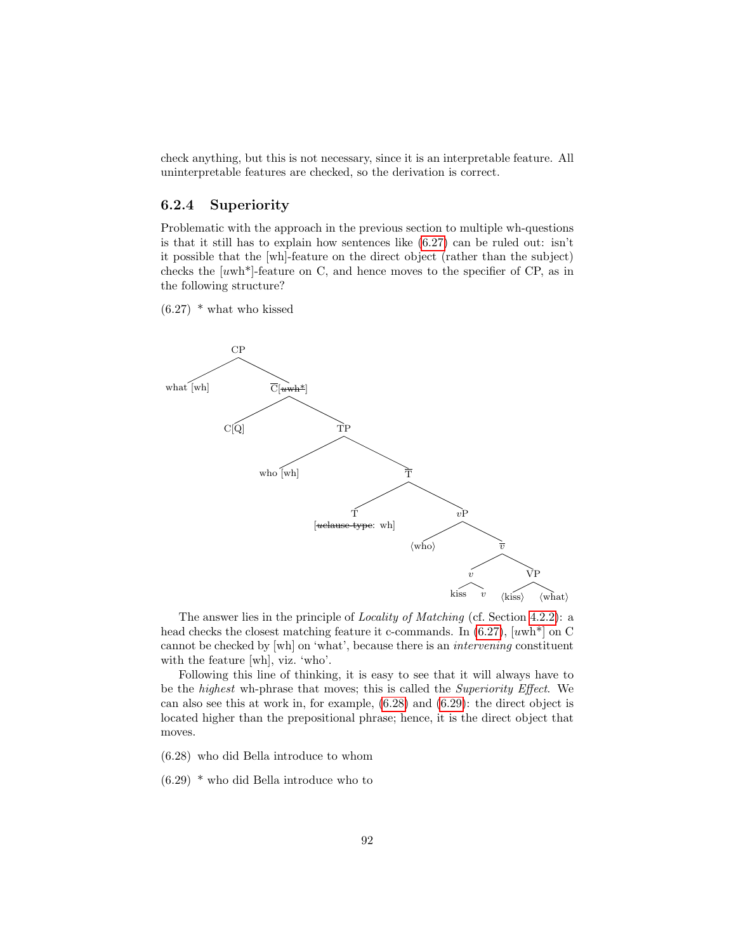check anything, but this is not necessary, since it is an interpretable feature. All uninterpretable features are checked, so the derivation is correct.

#### 6.2.4 Superiority

Problematic with the approach in the previous section to multiple wh-questions is that it still has to explain how sentences like [\(6.27\)](#page-93-0) can be ruled out: isn't it possible that the [wh]-feature on the direct object (rather than the subject) checks the  $[uwh*]$ -feature on C, and hence moves to the specifier of CP, as in the following structure?

<span id="page-93-0"></span> $(6.27)$  \* what who kissed



The answer lies in the principle of Locality of Matching (cf. Section [4.2.2\)](#page-65-0): a head checks the closest matching feature it c-commands. In  $(6.27)$ , [uwh<sup>\*</sup>] on C cannot be checked by [wh] on 'what', because there is an intervening constituent with the feature [wh], viz. 'who'.

Following this line of thinking, it is easy to see that it will always have to be the highest wh-phrase that moves; this is called the Superiority Effect. We can also see this at work in, for example, [\(6.28\)](#page-93-1) and [\(6.29\)](#page-93-2): the direct object is located higher than the prepositional phrase; hence, it is the direct object that moves.

<span id="page-93-1"></span>(6.28) who did Bella introduce to whom

<span id="page-93-2"></span>(6.29) \* who did Bella introduce who to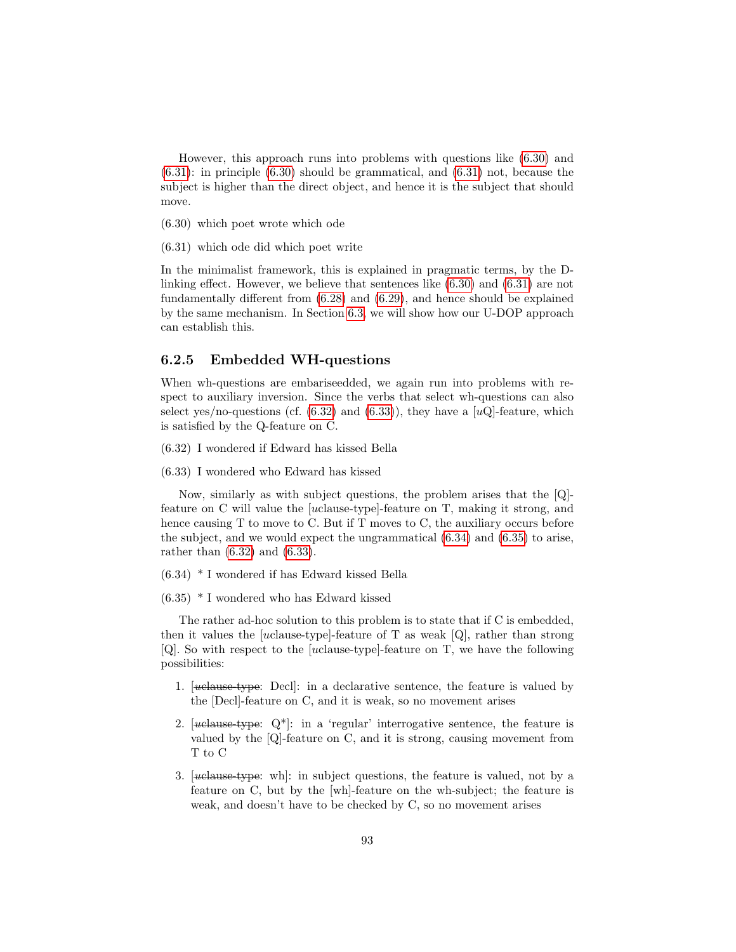However, this approach runs into problems with questions like [\(6.30\)](#page-94-0) and [\(6.31\)](#page-94-1): in principle [\(6.30\)](#page-94-0) should be grammatical, and [\(6.31\)](#page-94-1) not, because the subject is higher than the direct object, and hence it is the subject that should move.

<span id="page-94-0"></span>(6.30) which poet wrote which ode

<span id="page-94-1"></span>(6.31) which ode did which poet write

In the minimalist framework, this is explained in pragmatic terms, by the Dlinking effect. However, we believe that sentences like [\(6.30\)](#page-94-0) and [\(6.31\)](#page-94-1) are not fundamentally different from [\(6.28\)](#page-93-1) and [\(6.29\)](#page-93-2), and hence should be explained by the same mechanism. In Section [6.3,](#page-101-0) we will show how our U-DOP approach can establish this.

#### 6.2.5 Embedded WH-questions

When wh-questions are embariseedded, we again run into problems with respect to auxiliary inversion. Since the verbs that select wh-questions can also select yes/no-questions (cf.  $(6.32)$  and  $(6.33)$ ), they have a [uQ]-feature, which is satisfied by the Q-feature on C.

<span id="page-94-2"></span>(6.32) I wondered if Edward has kissed Bella

<span id="page-94-3"></span>(6.33) I wondered who Edward has kissed

Now, similarly as with subject questions, the problem arises that the [Q] feature on C will value the [uclause-type]-feature on T, making it strong, and hence causing T to move to C. But if T moves to C, the auxiliary occurs before the subject, and we would expect the ungrammatical [\(6.34\)](#page-94-4) and [\(6.35\)](#page-94-5) to arise, rather than [\(6.32\)](#page-94-2) and [\(6.33\)](#page-94-3).

- <span id="page-94-4"></span>(6.34) \* I wondered if has Edward kissed Bella
- <span id="page-94-5"></span>(6.35) \* I wondered who has Edward kissed

The rather ad-hoc solution to this problem is to state that if C is embedded, then it values the [uclause-type]-feature of T as weak [Q], rather than strong [Q]. So with respect to the [uclause-type]-feature on T, we have the following possibilities:

- 1. [uclause-type: Decl]: in a declarative sentence, the feature is valued by the [Decl]-feature on C, and it is weak, so no movement arises
- 2.  $[*ucleus*-type: Q<sup>*</sup>]:$  in a 'regular' interrogative sentence, the feature is valued by the [Q]-feature on C, and it is strong, causing movement from T to C
- 3.  $[$ uelause-type: wh]: in subject questions, the feature is valued, not by a feature on C, but by the [wh]-feature on the wh-subject; the feature is weak, and doesn't have to be checked by C, so no movement arises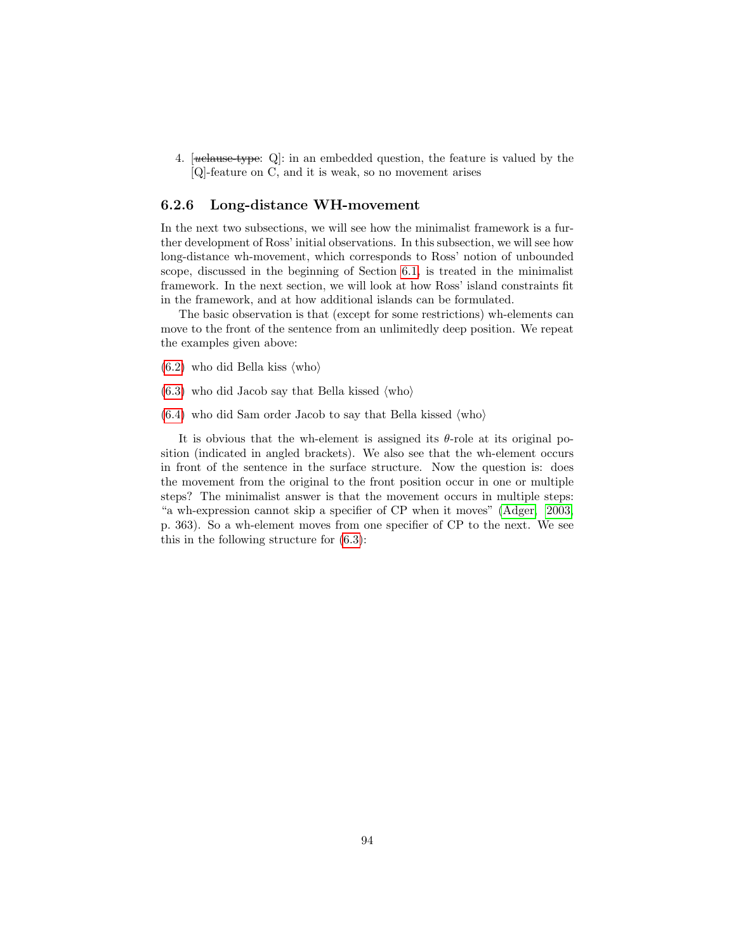4.  $[*ucleu*sec-type: Q]: in an embedded question, the feature is valued by the$ [Q]-feature on C, and it is weak, so no movement arises

#### 6.2.6 Long-distance WH-movement

In the next two subsections, we will see how the minimalist framework is a further development of Ross' initial observations. In this subsection, we will see how long-distance wh-movement, which corresponds to Ross' notion of unbounded scope, discussed in the beginning of Section [6.1,](#page-80-1) is treated in the minimalist framework. In the next section, we will look at how Ross' island constraints fit in the framework, and at how additional islands can be formulated.

The basic observation is that (except for some restrictions) wh-elements can move to the front of the sentence from an unlimitedly deep position. We repeat the examples given above:

- $(6.2)$  who did Bella kiss  $\langle$ who $\rangle$
- $(6.3)$  who did Jacob say that Bella kissed  $\langle \text{who} \rangle$
- $(6.4)$  who did Sam order Jacob to say that Bella kissed  $\langle \text{who} \rangle$

It is obvious that the wh-element is assigned its  $\theta$ -role at its original position (indicated in angled brackets). We also see that the wh-element occurs in front of the sentence in the surface structure. Now the question is: does the movement from the original to the front position occur in one or multiple steps? The minimalist answer is that the movement occurs in multiple steps: "a wh-expression cannot skip a specifier of CP when it moves" [\(Adger, 2003,](#page-145-0) p. 363). So a wh-element moves from one specifier of CP to the next. We see this in the following structure for [\(6.3\)](#page-81-3):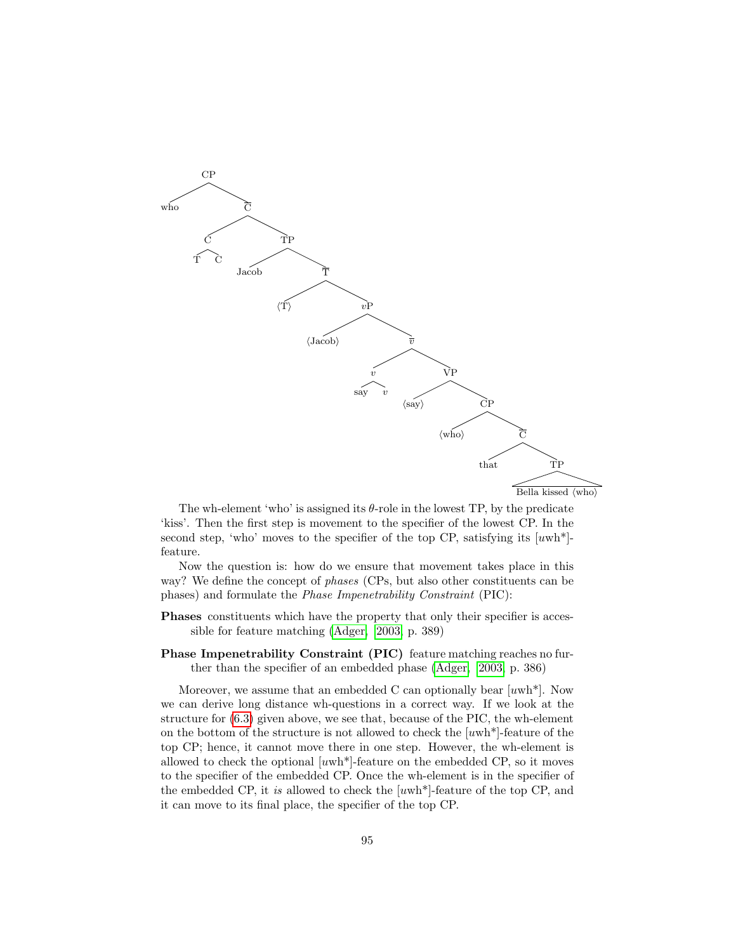

The wh-element 'who' is assigned its  $\theta$ -role in the lowest TP, by the predicate 'kiss'. Then the first step is movement to the specifier of the lowest CP. In the second step, 'who' moves to the specifier of the top CP, satisfying its  $[uwh*]$ feature.

Now the question is: how do we ensure that movement takes place in this way? We define the concept of phases (CPs, but also other constituents can be phases) and formulate the Phase Impenetrability Constraint (PIC):

Phases constituents which have the property that only their specifier is accessible for feature matching [\(Adger, 2003,](#page-145-0) p. 389)

Phase Impenetrability Constraint (PIC) feature matching reaches no further than the specifier of an embedded phase [\(Adger, 2003,](#page-145-0) p. 386)

Moreover, we assume that an embedded C can optionally bear  $[uwh^*]$ . Now we can derive long distance wh-questions in a correct way. If we look at the structure for [\(6.3\)](#page-81-3) given above, we see that, because of the PIC, the wh-element on the bottom of the structure is not allowed to check the  $[uwh*]$ -feature of the top CP; hence, it cannot move there in one step. However, the wh-element is allowed to check the optional  $[uwh*]$ -feature on the embedded CP, so it moves to the specifier of the embedded CP. Once the wh-element is in the specifier of the embedded CP, it is allowed to check the  $[uwh^*]$ -feature of the top CP, and it can move to its final place, the specifier of the top CP.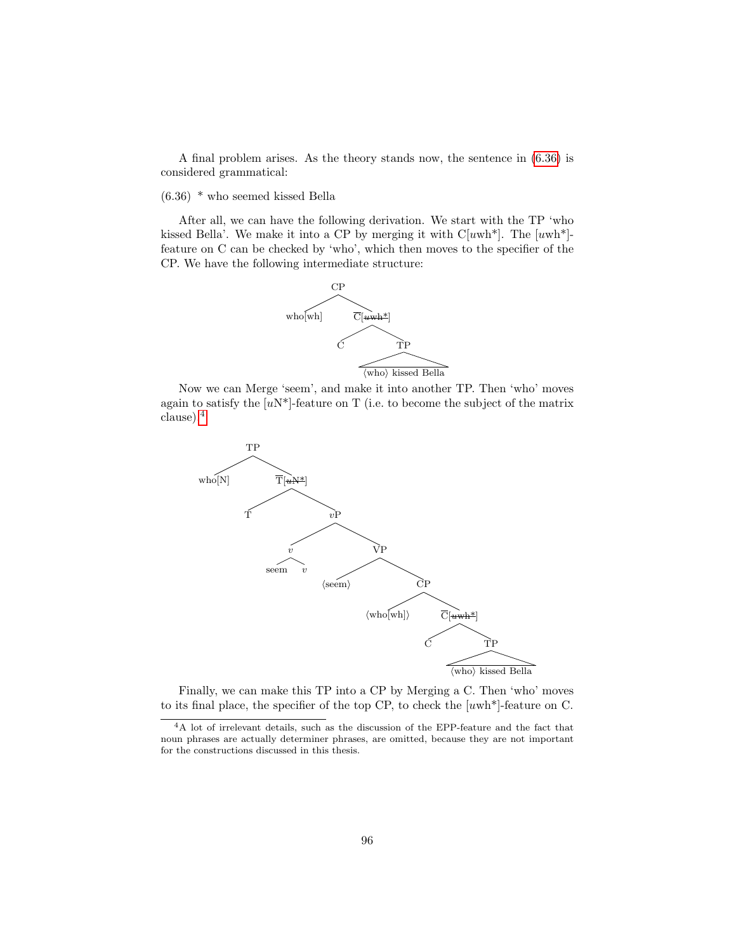A final problem arises. As the theory stands now, the sentence in [\(6.36\)](#page-97-0) is considered grammatical:

<span id="page-97-0"></span>(6.36) \* who seemed kissed Bella

After all, we can have the following derivation. We start with the TP 'who kissed Bella'. We make it into a CP by merging it with  $C[uwh^*]$ . The  $[uwh^*]$ feature on C can be checked by 'who', which then moves to the specifier of the CP. We have the following intermediate structure:



Now we can Merge 'seem', and make it into another TP. Then 'who' moves again to satisfy the  $[uN^*]$ -feature on T (i.e. to become the subject of the matrix clause).[4](#page-97-1)



Finally, we can make this TP into a CP by Merging a C. Then 'who' moves to its final place, the specifier of the top CP, to check the [uwh\*]-feature on C.

<span id="page-97-1"></span> ${}^{4}{\rm A}$  lot of irrelevant details, such as the discussion of the EPP-feature and the fact that noun phrases are actually determiner phrases, are omitted, because they are not important for the constructions discussed in this thesis.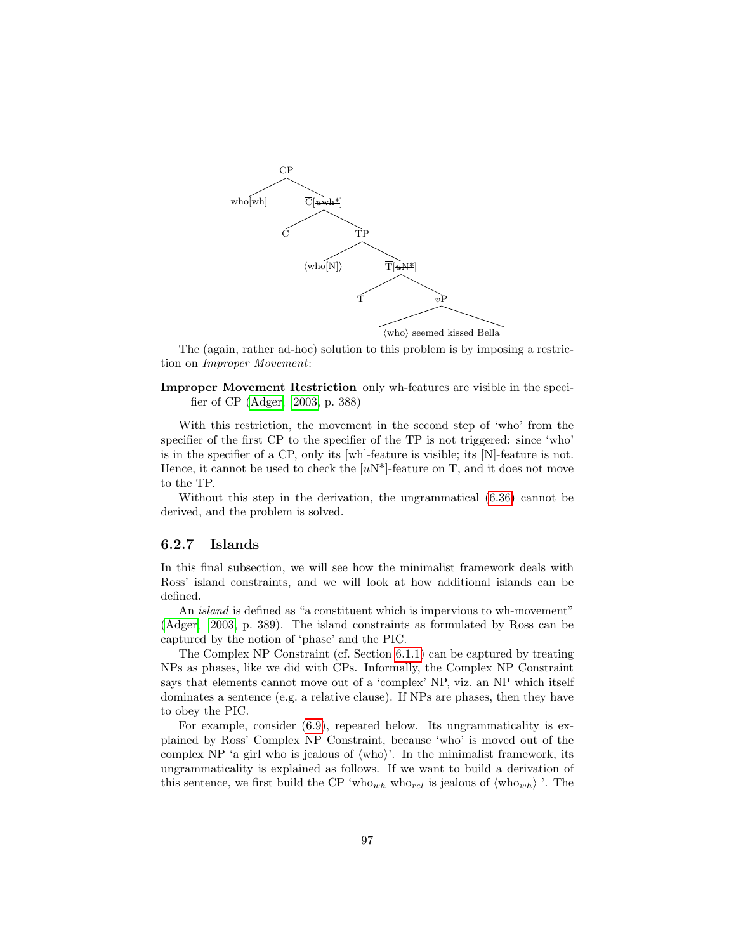

The (again, rather ad-hoc) solution to this problem is by imposing a restriction on Improper Movement:

Improper Movement Restriction only wh-features are visible in the specifier of CP [\(Adger, 2003,](#page-145-0) p. 388)

With this restriction, the movement in the second step of 'who' from the specifier of the first CP to the specifier of the TP is not triggered: since 'who' is in the specifier of a CP, only its [wh]-feature is visible; its [N]-feature is not. Hence, it cannot be used to check the  $[uN^*]$ -feature on T, and it does not move to the TP.

Without this step in the derivation, the ungrammatical [\(6.36\)](#page-97-0) cannot be derived, and the problem is solved.

#### 6.2.7 Islands

In this final subsection, we will see how the minimalist framework deals with Ross' island constraints, and we will look at how additional islands can be defined.

An *island* is defined as "a constituent which is impervious to wh-movement" [\(Adger, 2003,](#page-145-0) p. 389). The island constraints as formulated by Ross can be captured by the notion of 'phase' and the PIC.

The Complex NP Constraint (cf. Section [6.1.1\)](#page-82-2) can be captured by treating NPs as phases, like we did with CPs. Informally, the Complex NP Constraint says that elements cannot move out of a 'complex' NP, viz. an NP which itself dominates a sentence (e.g. a relative clause). If NPs are phases, then they have to obey the PIC.

For example, consider [\(6.9\)](#page-82-1), repeated below. Its ungrammaticality is explained by Ross' Complex NP Constraint, because 'who' is moved out of the complex NP 'a girl who is jealous of  $\langle \text{who} \rangle$ '. In the minimalist framework, its ungrammaticality is explained as follows. If we want to build a derivation of this sentence, we first build the CP 'who<sub>wh</sub> who<sub>rel</sub> is jealous of  $\langle \text{who}_{wh} \rangle$ '. The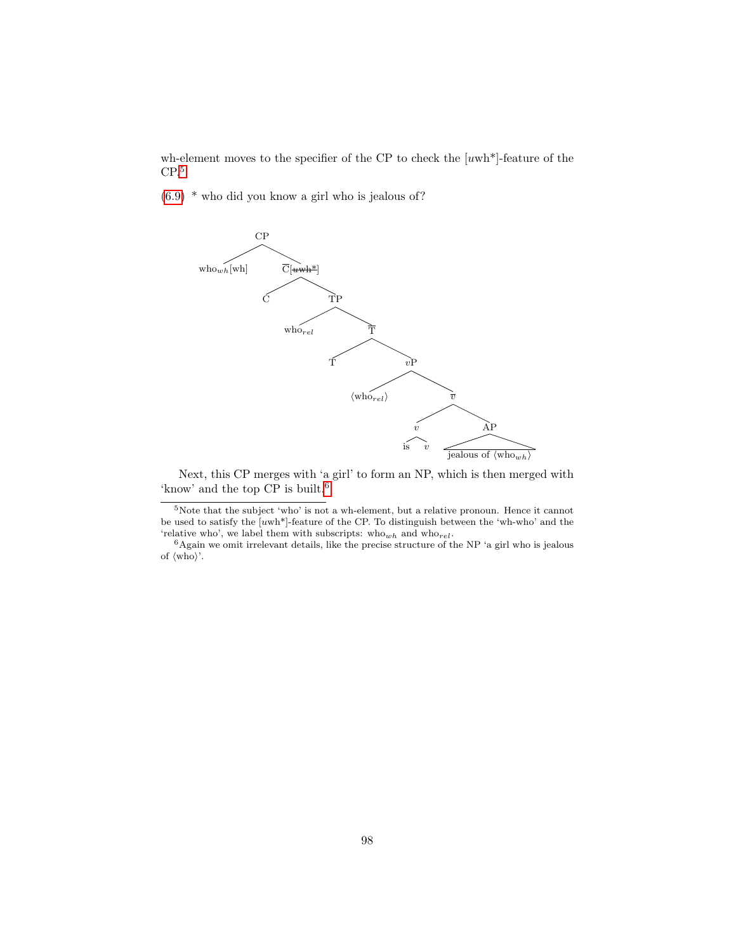wh-element moves to the specifier of the CP to check the  $[uwh*]$ -feature of the  $CP<sup>5</sup>$  $CP<sup>5</sup>$  $CP<sup>5</sup>$ 

[\(6.9\)](#page-82-1) \* who did you know a girl who is jealous of?



Next, this CP merges with 'a girl' to form an NP, which is then merged with 'know' and the top CP is built.<sup>[6](#page-99-1)</sup>

<span id="page-99-0"></span> $5$ Note that the subject 'who' is not a wh-element, but a relative pronoun. Hence it cannot be used to satisfy the [uwh\*]-feature of the CP. To distinguish between the 'wh-who' and the 'relative who', we label them with subscripts:  $\mathrm{who}_{wh}$  and  $\mathrm{who}_{rel}.$ 

<span id="page-99-1"></span> $6$ Again we omit irrelevant details, like the precise structure of the NP 'a girl who is jealous of  $\langle \text{who} \rangle$ .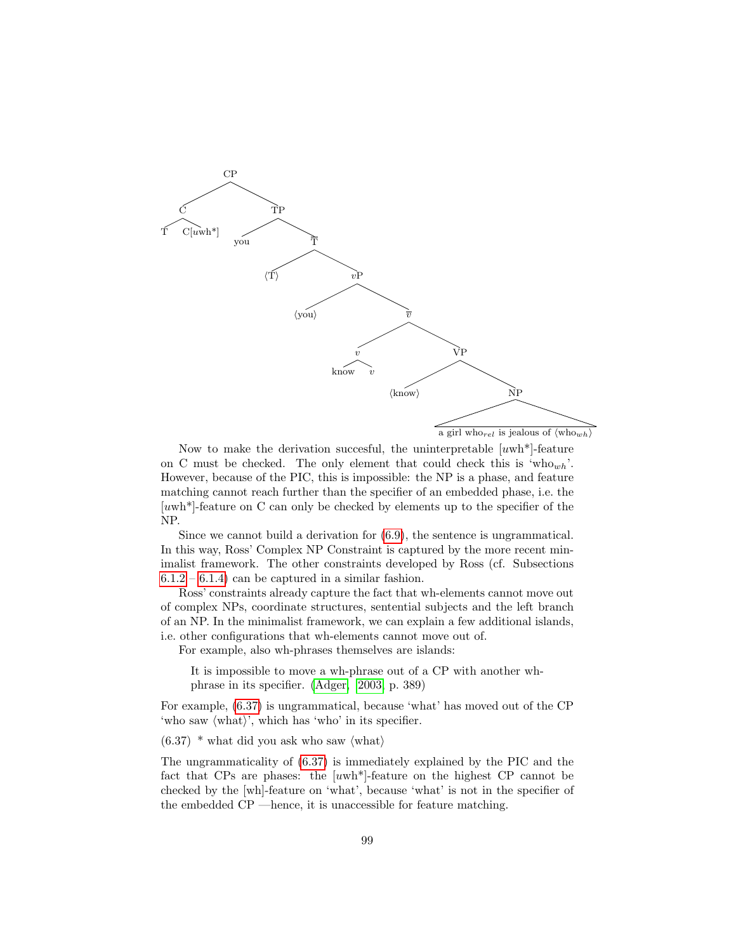

a girl who<sub>rel</sub> is jealous of  $\langle \text{who}_{wh} \rangle$ 

Now to make the derivation succesful, the uninterpretable  $[uwh*]$ -feature on C must be checked. The only element that could check this is 'who<sub>wh</sub>'. However, because of the PIC, this is impossible: the NP is a phase, and feature matching cannot reach further than the specifier of an embedded phase, i.e. the [uwh\*]-feature on C can only be checked by elements up to the specifier of the NP.

Since we cannot build a derivation for [\(6.9\)](#page-82-1), the sentence is ungrammatical. In this way, Ross' Complex NP Constraint is captured by the more recent minimalist framework. The other constraints developed by Ross (cf. Subsections  $6.1.2 - 6.1.4$  $6.1.2 - 6.1.4$  can be captured in a similar fashion.

Ross' constraints already capture the fact that wh-elements cannot move out of complex NPs, coordinate structures, sentential subjects and the left branch of an NP. In the minimalist framework, we can explain a few additional islands, i.e. other configurations that wh-elements cannot move out of.

For example, also wh-phrases themselves are islands:

It is impossible to move a wh-phrase out of a CP with another whphrase in its specifier. [\(Adger, 2003,](#page-145-0) p. 389)

For example, [\(6.37\)](#page-100-0) is ungrammatical, because 'what' has moved out of the CP 'who saw  $\langle \text{what}\rangle$ ', which has 'who' in its specifier.

<span id="page-100-0"></span> $(6.37)$  \* what did you ask who saw  $\langle \text{what} \rangle$ 

The ungrammaticality of [\(6.37\)](#page-100-0) is immediately explained by the PIC and the fact that CPs are phases: the [uwh\*]-feature on the highest CP cannot be checked by the [wh]-feature on 'what', because 'what' is not in the specifier of the embedded CP —hence, it is unaccessible for feature matching.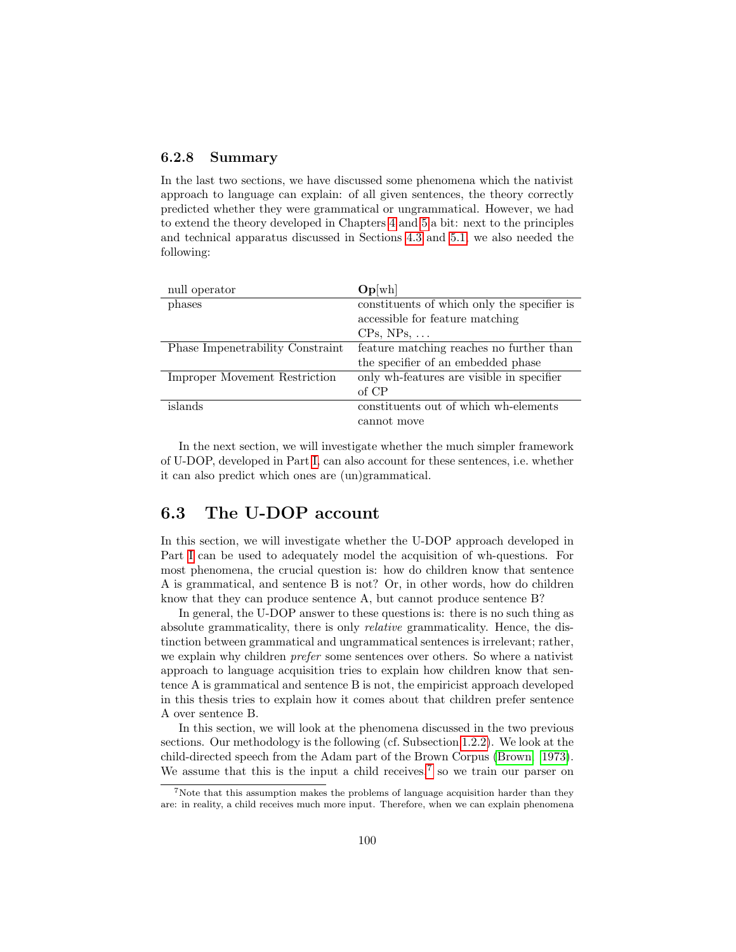#### 6.2.8 Summary

In the last two sections, we have discussed some phenomena which the nativist approach to language can explain: of all given sentences, the theory correctly predicted whether they were grammatical or ungrammatical. However, we had to extend the theory developed in Chapters [4](#page-55-0) and [5](#page-71-1) a bit: next to the principles and technical apparatus discussed in Sections [4.3](#page-69-0) and [5.1,](#page-72-0) we also needed the following:

| null operator                 | Op[wh]                                      |
|-------------------------------|---------------------------------------------|
| phases                        | constituents of which only the specifier is |
|                               | accessible for feature matching             |
|                               | $CPs$ , $NPs$ ,                             |
| Phase Imperature Constraint   | feature matching reaches no further than    |
|                               | the specifier of an embedded phase          |
| Improper Movement Restriction | only wh-features are visible in specifier   |
|                               | of CP                                       |
| islands                       | constituents out of which wh-elements       |
|                               | cannot move                                 |

In the next section, we will investigate whether the much simpler framework of U-DOP, developed in Part [I,](#page-13-0) can also account for these sentences, i.e. whether it can also predict which ones are (un)grammatical.

# <span id="page-101-0"></span>6.3 The U-DOP account

In this section, we will investigate whether the U-DOP approach developed in Part [I](#page-13-0) can be used to adequately model the acquisition of wh-questions. For most phenomena, the crucial question is: how do children know that sentence A is grammatical, and sentence B is not? Or, in other words, how do children know that they can produce sentence A, but cannot produce sentence B?

In general, the U-DOP answer to these questions is: there is no such thing as absolute grammaticality, there is only relative grammaticality. Hence, the distinction between grammatical and ungrammatical sentences is irrelevant; rather, we explain why children prefer some sentences over others. So where a nativist approach to language acquisition tries to explain how children know that sentence A is grammatical and sentence B is not, the empiricist approach developed in this thesis tries to explain how it comes about that children prefer sentence A over sentence B.

In this section, we will look at the phenomena discussed in the two previous sections. Our methodology is the following (cf. Subsection [1.2.2\)](#page-9-0). We look at the child-directed speech from the Adam part of the Brown Corpus [\(Brown, 1973\)](#page-146-0). We assume that this is the input a child receives,<sup>[7](#page-101-1)</sup> so we train our parser on

<span id="page-101-1"></span><sup>7</sup>Note that this assumption makes the problems of language acquisition harder than they are: in reality, a child receives much more input. Therefore, when we can explain phenomena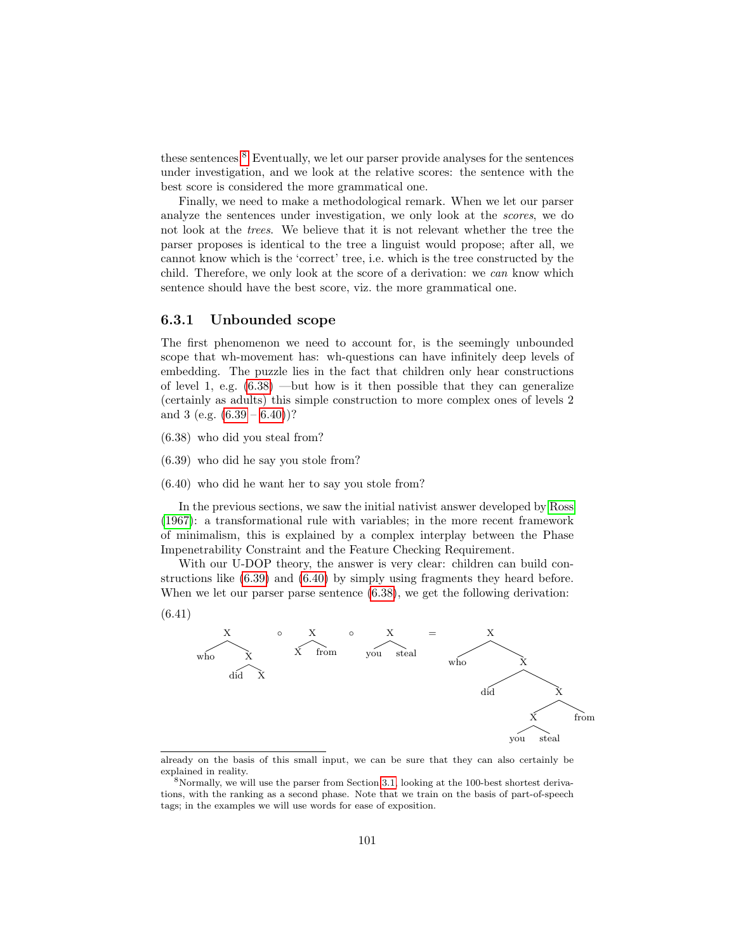these sentences.[8](#page-102-1) Eventually, we let our parser provide analyses for the sentences under investigation, and we look at the relative scores: the sentence with the best score is considered the more grammatical one.

Finally, we need to make a methodological remark. When we let our parser analyze the sentences under investigation, we only look at the scores, we do not look at the trees. We believe that it is not relevant whether the tree the parser proposes is identical to the tree a linguist would propose; after all, we cannot know which is the 'correct' tree, i.e. which is the tree constructed by the child. Therefore, we only look at the score of a derivation: we can know which sentence should have the best score, viz. the more grammatical one.

#### <span id="page-102-0"></span>6.3.1 Unbounded scope

The first phenomenon we need to account for, is the seemingly unbounded scope that wh-movement has: wh-questions can have infinitely deep levels of embedding. The puzzle lies in the fact that children only hear constructions of level 1, e.g.  $(6.38)$  —but how is it then possible that they can generalize (certainly as adults) this simple construction to more complex ones of levels 2 and 3 (e.g.  $(6.39 - 6.40)$  $(6.39 - 6.40)$  $(6.39 - 6.40)$ )?

- <span id="page-102-2"></span>(6.38) who did you steal from?
- <span id="page-102-3"></span>(6.39) who did he say you stole from?
- <span id="page-102-4"></span>(6.40) who did he want her to say you stole from?

In the previous sections, we saw the initial nativist answer developed by [Ross](#page-147-0) [\(1967\)](#page-147-0): a transformational rule with variables; in the more recent framework of minimalism, this is explained by a complex interplay between the Phase Impenetrability Constraint and the Feature Checking Requirement.

With our U-DOP theory, the answer is very clear: children can build constructions like [\(6.39\)](#page-102-3) and [\(6.40\)](#page-102-4) by simply using fragments they heard before. When we let our parser parse sentence  $(6.38)$ , we get the following derivation:





already on the basis of this small input, we can be sure that they can also certainly be explained in reality.

<span id="page-102-1"></span><sup>8</sup>Normally, we will use the parser from Section [3.1,](#page-28-0) looking at the 100-best shortest derivations, with the ranking as a second phase. Note that we train on the basis of part-of-speech tags; in the examples we will use words for ease of exposition.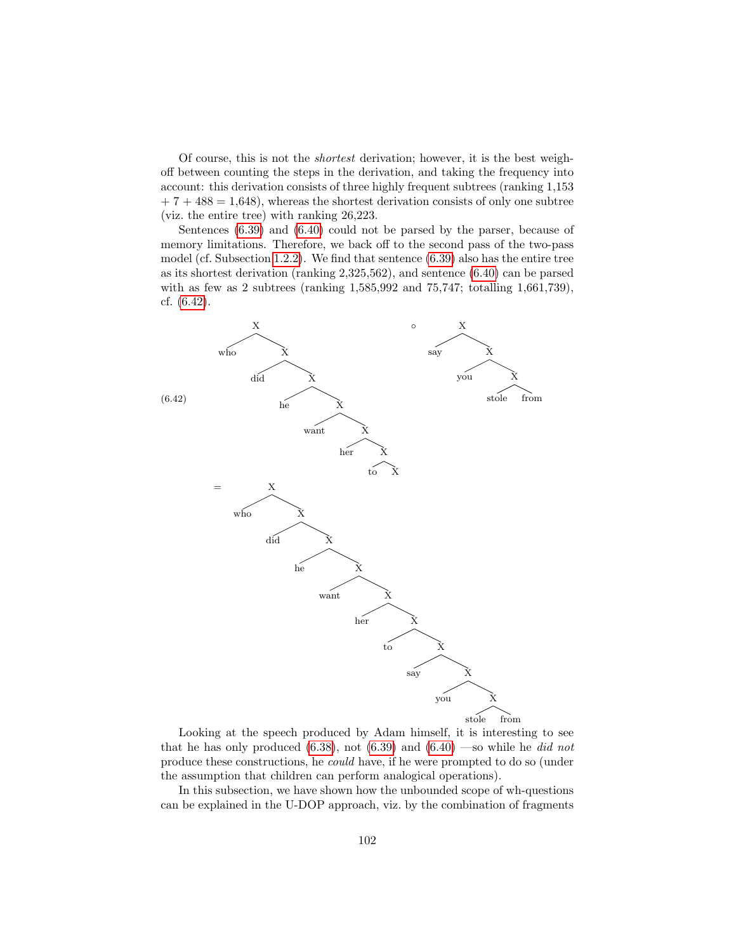Of course, this is not the shortest derivation; however, it is the best weighoff between counting the steps in the derivation, and taking the frequency into account: this derivation consists of three highly frequent subtrees (ranking 1,153  $+ 7 + 488 = 1,648$ , whereas the shortest derivation consists of only one subtree (viz. the entire tree) with ranking 26,223.

Sentences [\(6.39\)](#page-102-3) and [\(6.40\)](#page-102-4) could not be parsed by the parser, because of memory limitations. Therefore, we back off to the second pass of the two-pass model (cf. Subsection [1.2.2\)](#page-9-0). We find that sentence [\(6.39\)](#page-102-3) also has the entire tree as its shortest derivation (ranking 2,325,562), and sentence [\(6.40\)](#page-102-4) can be parsed with as few as 2 subtrees (ranking 1,585,992 and 75,747; totalling 1,661,739), cf. [\(6.42\)](#page-103-0).

<span id="page-103-0"></span>

Looking at the speech produced by Adam himself, it is interesting to see that he has only produced [\(6.38\)](#page-102-2), not [\(6.39\)](#page-102-3) and [\(6.40\)](#page-102-4) —so while he did not produce these constructions, he could have, if he were prompted to do so (under the assumption that children can perform analogical operations).

In this subsection, we have shown how the unbounded scope of wh-questions can be explained in the U-DOP approach, viz. by the combination of fragments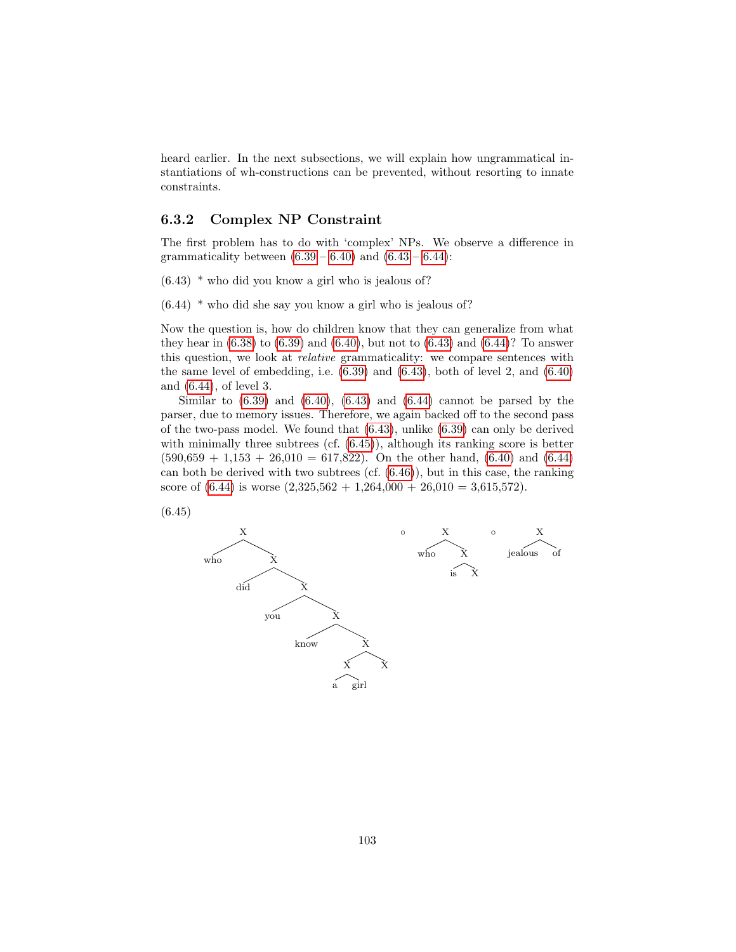heard earlier. In the next subsections, we will explain how ungrammatical instantiations of wh-constructions can be prevented, without resorting to innate constraints.

#### 6.3.2 Complex NP Constraint

The first problem has to do with 'complex' NPs. We observe a difference in grammaticality between  $(6.39 - 6.40)$  $(6.39 - 6.40)$  $(6.39 - 6.40)$  and  $(6.43 - 6.44)$  $(6.43 - 6.44)$  $(6.43 - 6.44)$ :

- <span id="page-104-0"></span>(6.43) \* who did you know a girl who is jealous of?
- <span id="page-104-1"></span>(6.44) \* who did she say you know a girl who is jealous of?

Now the question is, how do children know that they can generalize from what they hear in  $(6.38)$  to  $(6.39)$  and  $(6.40)$ , but not to  $(6.43)$  and  $(6.44)$ ? To answer this question, we look at relative grammaticality: we compare sentences with the same level of embedding, i.e.  $(6.39)$  and  $(6.43)$ , both of level 2, and  $(6.40)$ and [\(6.44\)](#page-104-1), of level 3.

Similar to  $(6.39)$  and  $(6.40)$ ,  $(6.43)$  and  $(6.44)$  cannot be parsed by the parser, due to memory issues. Therefore, we again backed off to the second pass of the two-pass model. We found that [\(6.43\)](#page-104-0), unlike [\(6.39\)](#page-102-3) can only be derived with minimally three subtrees (cf.  $(6.45)$ ), although its ranking score is better  $(590,659 + 1,153 + 26,010 = 617,822)$ . On the other hand,  $(6.40)$  and  $(6.44)$ can both be derived with two subtrees  $(cf. (6.46))$  $(cf. (6.46))$  $(cf. (6.46))$ , but in this case, the ranking score of  $(6.44)$  is worse  $(2,325,562 + 1,264,000 + 26,010 = 3,615,572)$ .

<span id="page-104-2"></span>

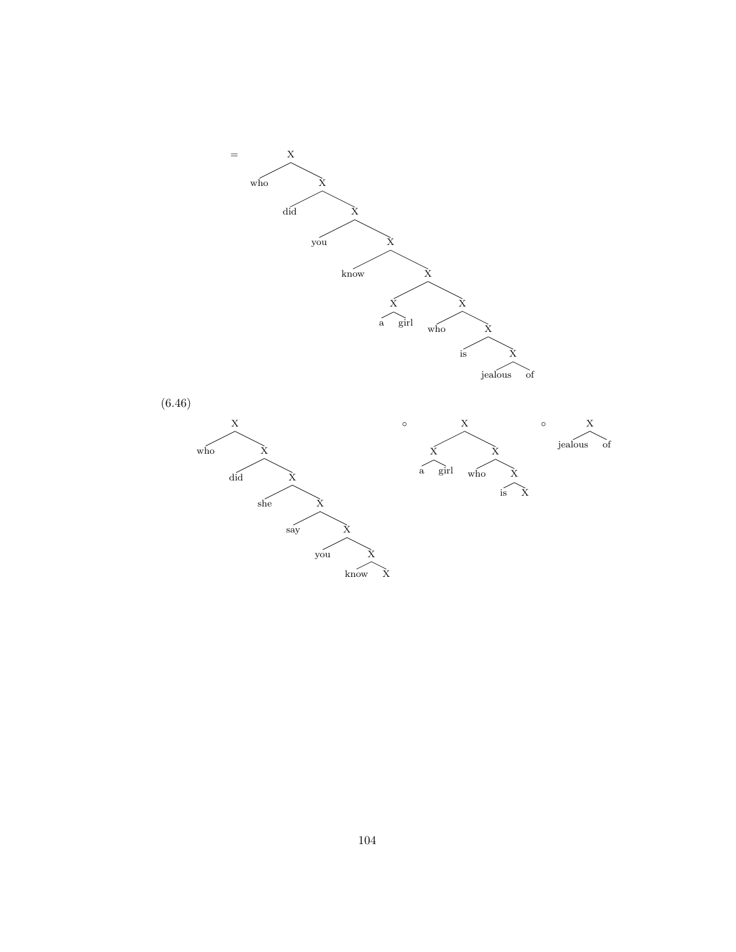<span id="page-105-0"></span>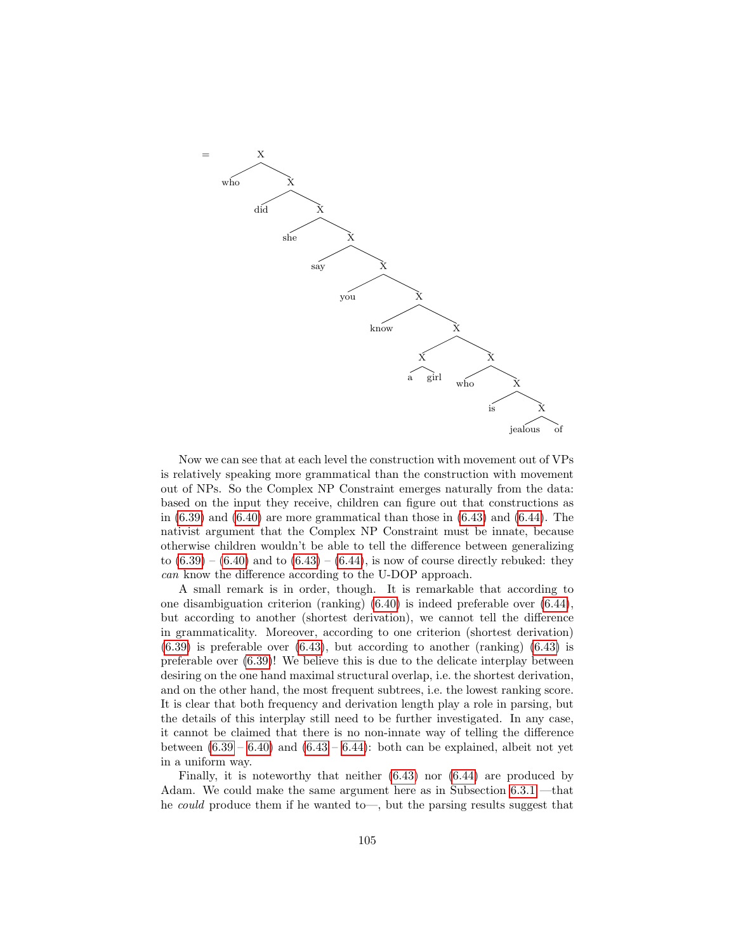

Now we can see that at each level the construction with movement out of VPs is relatively speaking more grammatical than the construction with movement out of NPs. So the Complex NP Constraint emerges naturally from the data: based on the input they receive, children can figure out that constructions as in  $(6.39)$  and  $(6.40)$  are more grammatical than those in  $(6.43)$  and  $(6.44)$ . The nativist argument that the Complex NP Constraint must be innate, because otherwise children wouldn't be able to tell the difference between generalizing to  $(6.39) - (6.40)$  $(6.39) - (6.40)$  $(6.39) - (6.40)$  and to  $(6.43) - (6.44)$  $(6.43) - (6.44)$  $(6.43) - (6.44)$ , is now of course directly rebuked: they can know the difference according to the U-DOP approach.

A small remark is in order, though. It is remarkable that according to one disambiguation criterion (ranking) [\(6.40\)](#page-102-4) is indeed preferable over [\(6.44\)](#page-104-1), but according to another (shortest derivation), we cannot tell the difference in grammaticality. Moreover, according to one criterion (shortest derivation)  $(6.39)$  is preferable over  $(6.43)$ , but according to another (ranking)  $(6.43)$  is preferable over [\(6.39\)](#page-102-3)! We believe this is due to the delicate interplay between desiring on the one hand maximal structural overlap, i.e. the shortest derivation, and on the other hand, the most frequent subtrees, i.e. the lowest ranking score. It is clear that both frequency and derivation length play a role in parsing, but the details of this interplay still need to be further investigated. In any case, it cannot be claimed that there is no non-innate way of telling the difference between  $(6.39 - 6.40)$  $(6.39 - 6.40)$  $(6.39 - 6.40)$  and  $(6.43 - 6.44)$  $(6.43 - 6.44)$  $(6.43 - 6.44)$ : both can be explained, albeit not yet in a uniform way.

Finally, it is noteworthy that neither [\(6.43\)](#page-104-0) nor [\(6.44\)](#page-104-1) are produced by Adam. We could make the same argument here as in Subsection [6.3.1](#page-102-0) —that he could produce them if he wanted to—, but the parsing results suggest that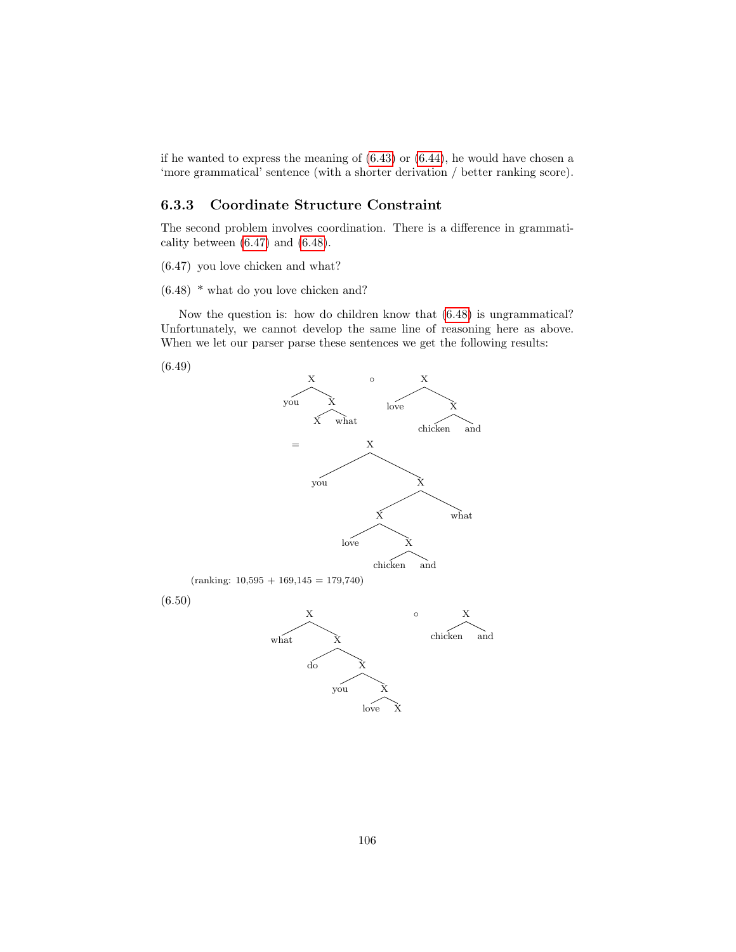if he wanted to express the meaning of [\(6.43\)](#page-104-0) or [\(6.44\)](#page-104-1), he would have chosen a 'more grammatical' sentence (with a shorter derivation / better ranking score).

#### 6.3.3 Coordinate Structure Constraint

The second problem involves coordination. There is a difference in grammaticality between [\(6.47\)](#page-107-0) and [\(6.48\)](#page-107-1).

<span id="page-107-0"></span>(6.47) you love chicken and what?

<span id="page-107-1"></span>(6.48) \* what do you love chicken and?

Now the question is: how do children know that [\(6.48\)](#page-107-1) is ungrammatical? Unfortunately, we cannot develop the same line of reasoning here as above. When we let our parser parse these sentences we get the following results:



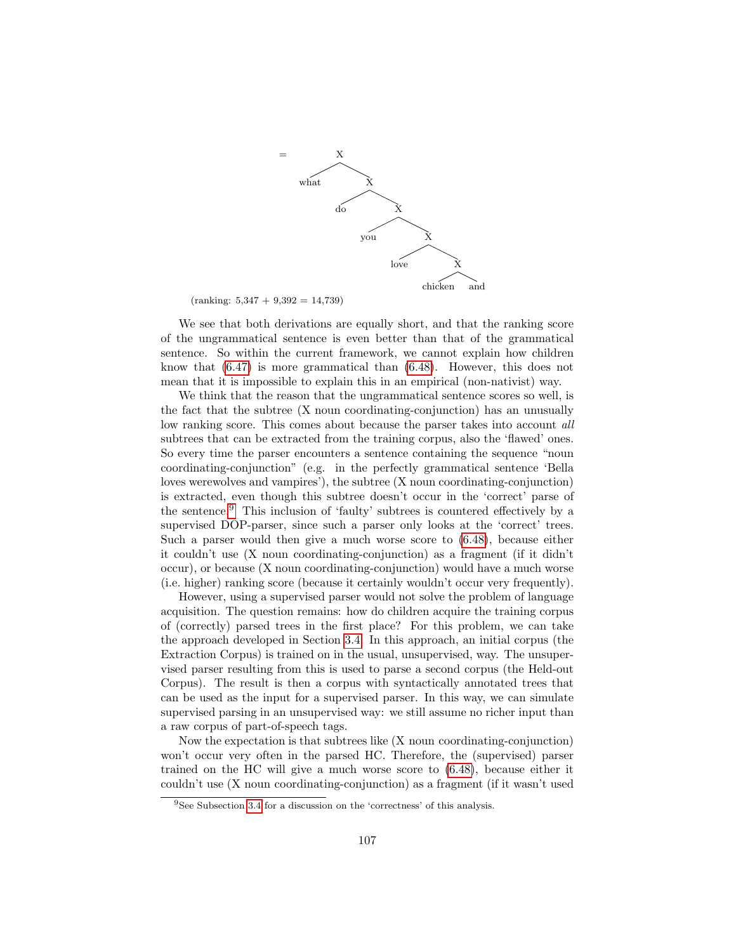

 $(ranking: 5,347 + 9,392 = 14,739)$ 

We see that both derivations are equally short, and that the ranking score of the ungrammatical sentence is even better than that of the grammatical sentence. So within the current framework, we cannot explain how children know that [\(6.47\)](#page-107-0) is more grammatical than [\(6.48\)](#page-107-1). However, this does not mean that it is impossible to explain this in an empirical (non-nativist) way.

We think that the reason that the ungrammatical sentence scores so well, is the fact that the subtree (X noun coordinating-conjunction) has an unusually low ranking score. This comes about because the parser takes into account all subtrees that can be extracted from the training corpus, also the 'flawed' ones. So every time the parser encounters a sentence containing the sequence "noun coordinating-conjunction" (e.g. in the perfectly grammatical sentence 'Bella loves werewolves and vampires'), the subtree (X noun coordinating-conjunction) is extracted, even though this subtree doesn't occur in the 'correct' parse of the sentence.[9](#page-108-0) This inclusion of 'faulty' subtrees is countered effectively by a supervised DOP-parser, since such a parser only looks at the 'correct' trees. Such a parser would then give a much worse score to [\(6.48\)](#page-107-1), because either it couldn't use (X noun coordinating-conjunction) as a fragment (if it didn't occur), or because (X noun coordinating-conjunction) would have a much worse (i.e. higher) ranking score (because it certainly wouldn't occur very frequently).

However, using a supervised parser would not solve the problem of language acquisition. The question remains: how do children acquire the training corpus of (correctly) parsed trees in the first place? For this problem, we can take the approach developed in Section [3.4.](#page-46-0) In this approach, an initial corpus (the Extraction Corpus) is trained on in the usual, unsupervised, way. The unsupervised parser resulting from this is used to parse a second corpus (the Held-out Corpus). The result is then a corpus with syntactically annotated trees that can be used as the input for a supervised parser. In this way, we can simulate supervised parsing in an unsupervised way: we still assume no richer input than a raw corpus of part-of-speech tags.

Now the expectation is that subtrees like (X noun coordinating-conjunction) won't occur very often in the parsed HC. Therefore, the (supervised) parser trained on the HC will give a much worse score to [\(6.48\)](#page-107-1), because either it couldn't use (X noun coordinating-conjunction) as a fragment (if it wasn't used

<span id="page-108-0"></span><sup>&</sup>lt;sup>9</sup>See Subsection [3.4](#page-46-0) for a discussion on the 'correctness' of this analysis.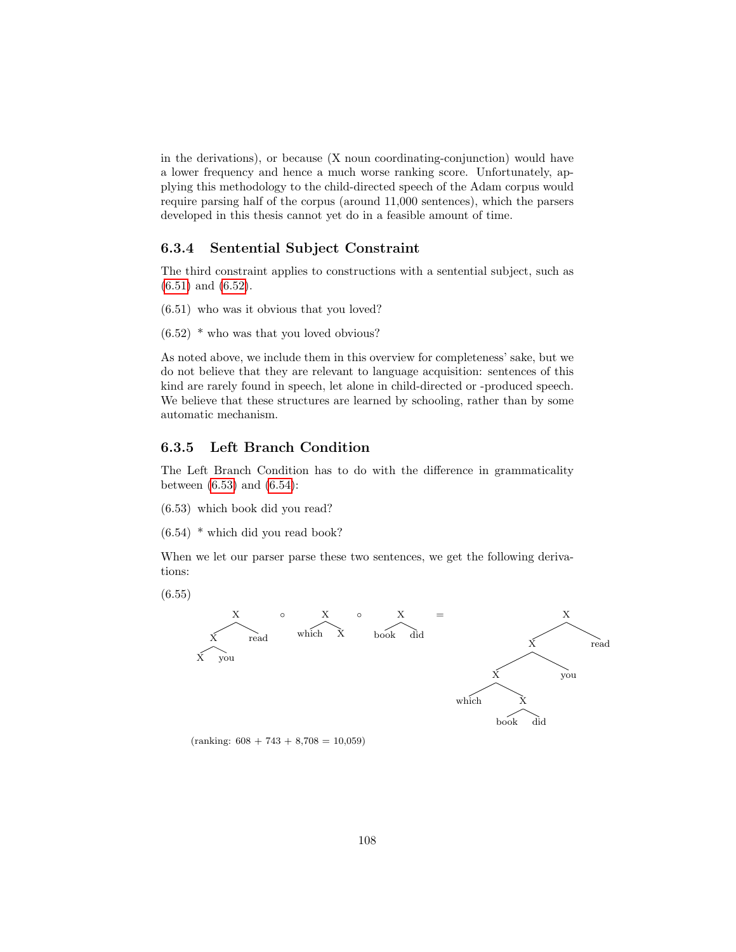in the derivations), or because (X noun coordinating-conjunction) would have a lower frequency and hence a much worse ranking score. Unfortunately, applying this methodology to the child-directed speech of the Adam corpus would require parsing half of the corpus (around 11,000 sentences), which the parsers developed in this thesis cannot yet do in a feasible amount of time.

#### 6.3.4 Sentential Subject Constraint

The third constraint applies to constructions with a sentential subject, such as [\(6.51\)](#page-109-0) and [\(6.52\)](#page-109-1).

- <span id="page-109-0"></span>(6.51) who was it obvious that you loved?
- <span id="page-109-1"></span> $(6.52)$  \* who was that you loved obvious?

As noted above, we include them in this overview for completeness' sake, but we do not believe that they are relevant to language acquisition: sentences of this kind are rarely found in speech, let alone in child-directed or -produced speech. We believe that these structures are learned by schooling, rather than by some automatic mechanism.

#### 6.3.5 Left Branch Condition

The Left Branch Condition has to do with the difference in grammaticality between [\(6.53\)](#page-109-2) and [\(6.54\)](#page-109-3):

- <span id="page-109-2"></span>(6.53) which book did you read?
- <span id="page-109-3"></span>(6.54) \* which did you read book?

When we let our parser parse these two sentences, we get the following derivations:

(6.55)



 $(ranking: 608 + 743 + 8,708 = 10,059)$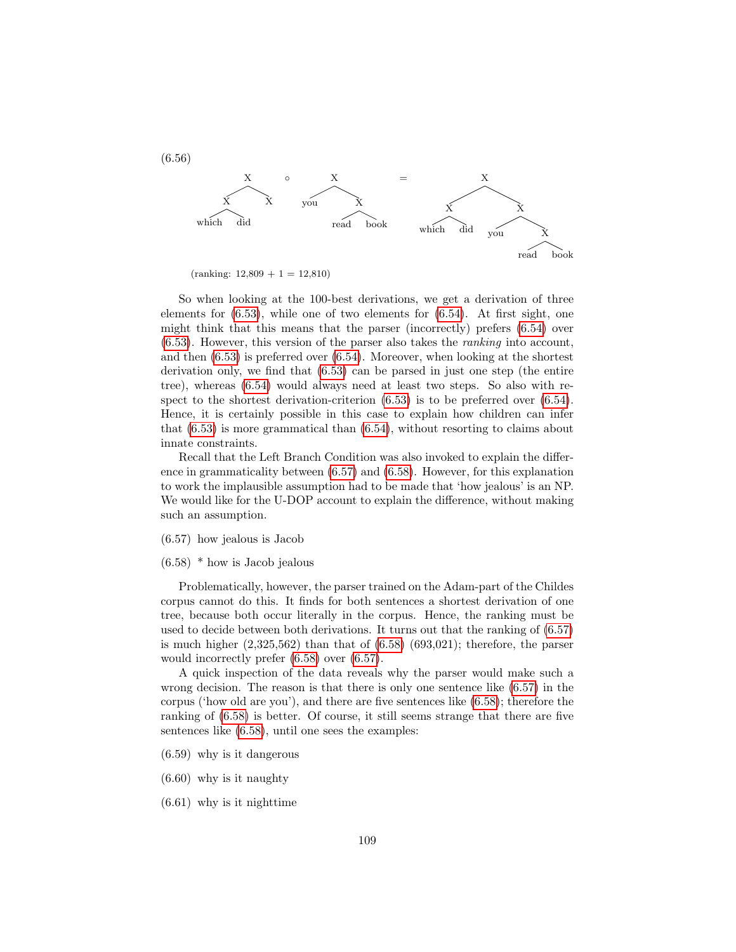

 $(ranking: 12,809 + 1 = 12,810)$ 

So when looking at the 100-best derivations, we get a derivation of three elements for  $(6.53)$ , while one of two elements for  $(6.54)$ . At first sight, one might think that this means that the parser (incorrectly) prefers [\(6.54\)](#page-109-3) over [\(6.53\)](#page-109-2). However, this version of the parser also takes the ranking into account, and then [\(6.53\)](#page-109-2) is preferred over [\(6.54\)](#page-109-3). Moreover, when looking at the shortest derivation only, we find that [\(6.53\)](#page-109-2) can be parsed in just one step (the entire tree), whereas [\(6.54\)](#page-109-3) would always need at least two steps. So also with respect to the shortest derivation-criterion  $(6.53)$  is to be preferred over  $(6.54)$ . Hence, it is certainly possible in this case to explain how children can infer that  $(6.53)$  is more grammatical than  $(6.54)$ , without resorting to claims about innate constraints.

Recall that the Left Branch Condition was also invoked to explain the difference in grammaticality between [\(6.57\)](#page-110-0) and [\(6.58\)](#page-110-1). However, for this explanation to work the implausible assumption had to be made that 'how jealous' is an NP. We would like for the U-DOP account to explain the difference, without making such an assumption.

#### <span id="page-110-0"></span>(6.57) how jealous is Jacob

#### <span id="page-110-1"></span> $(6.58)$  \* how is Jacob jealous

Problematically, however, the parser trained on the Adam-part of the Childes corpus cannot do this. It finds for both sentences a shortest derivation of one tree, because both occur literally in the corpus. Hence, the ranking must be used to decide between both derivations. It turns out that the ranking of [\(6.57\)](#page-110-0) is much higher  $(2,325,562)$  than that of  $(6.58)$   $(693,021)$ ; therefore, the parser would incorrectly prefer [\(6.58\)](#page-110-1) over [\(6.57\)](#page-110-0).

A quick inspection of the data reveals why the parser would make such a wrong decision. The reason is that there is only one sentence like [\(6.57\)](#page-110-0) in the corpus ('how old are you'), and there are five sentences like [\(6.58\)](#page-110-1); therefore the ranking of [\(6.58\)](#page-110-1) is better. Of course, it still seems strange that there are five sentences like [\(6.58\)](#page-110-1), until one sees the examples:

- (6.59) why is it dangerous
- (6.60) why is it naughty
- (6.61) why is it nighttime

(6.56)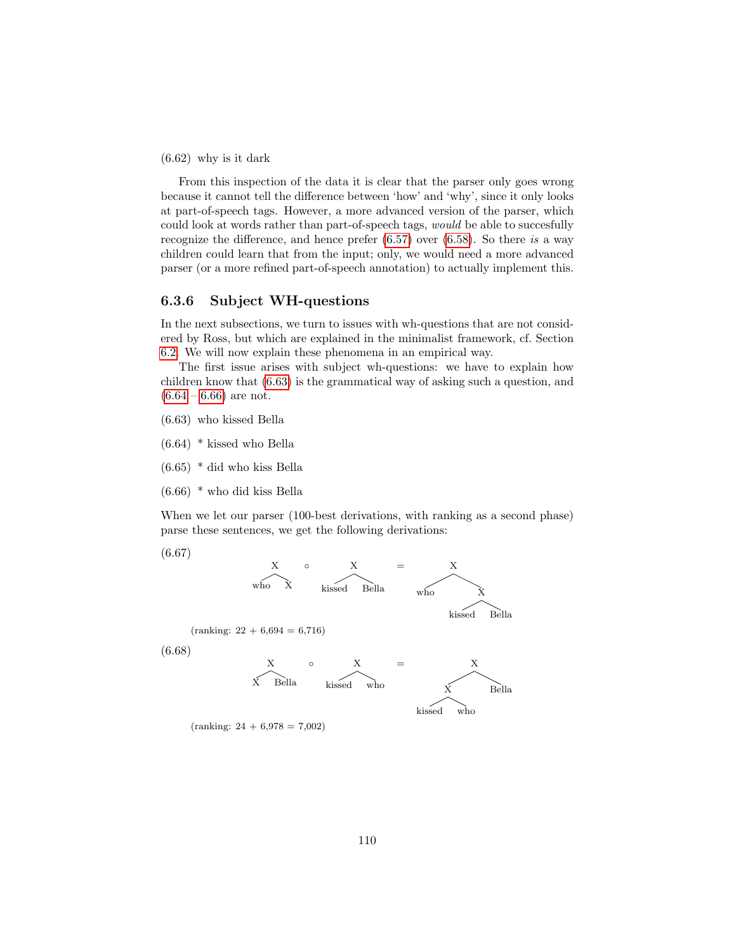(6.62) why is it dark

From this inspection of the data it is clear that the parser only goes wrong because it cannot tell the difference between 'how' and 'why', since it only looks at part-of-speech tags. However, a more advanced version of the parser, which could look at words rather than part-of-speech tags, would be able to succesfully recognize the difference, and hence prefer  $(6.57)$  over  $(6.58)$ . So there is a way children could learn that from the input; only, we would need a more advanced parser (or a more refined part-of-speech annotation) to actually implement this.

#### 6.3.6 Subject WH-questions

In the next subsections, we turn to issues with wh-questions that are not considered by Ross, but which are explained in the minimalist framework, cf. Section [6.2.](#page-86-0) We will now explain these phenomena in an empirical way.

The first issue arises with subject wh-questions: we have to explain how children know that [\(6.63\)](#page-111-0) is the grammatical way of asking such a question, and  $(6.64 - 6.66)$  $(6.64 - 6.66)$  $(6.64 - 6.66)$  are not.

- <span id="page-111-0"></span>(6.63) who kissed Bella
- <span id="page-111-1"></span>(6.64) \* kissed who Bella
- (6.65) \* did who kiss Bella
- <span id="page-111-2"></span>(6.66) \* who did kiss Bella

When we let our parser (100-best derivations, with ranking as a second phase) parse these sentences, we get the following derivations:

(6.67)



 $(ranking: 24 + 6,978 = 7,002)$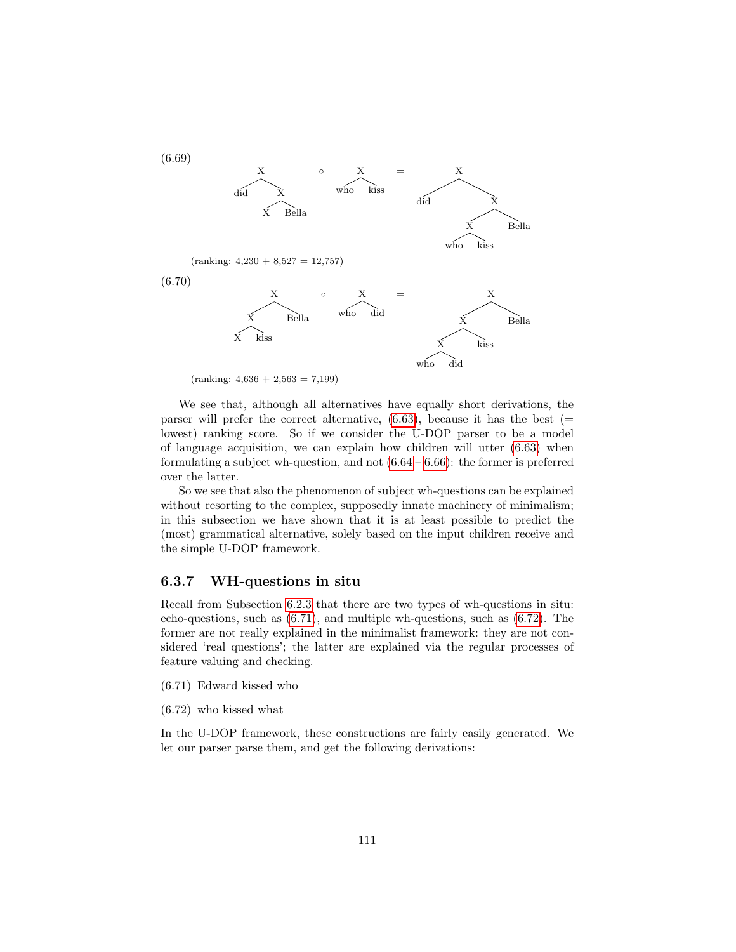

 $(ranking: 4,636 + 2,563 = 7,199)$ 

We see that, although all alternatives have equally short derivations, the parser will prefer the correct alternative,  $(6.63)$ , because it has the best (= lowest) ranking score. So if we consider the U-DOP parser to be a model of language acquisition, we can explain how children will utter [\(6.63\)](#page-111-0) when formulating a subject wh-question, and not  $(6.64 - 6.66)$  $(6.64 - 6.66)$  $(6.64 - 6.66)$ : the former is preferred over the latter.

So we see that also the phenomenon of subject wh-questions can be explained without resorting to the complex, supposedly innate machinery of minimalism; in this subsection we have shown that it is at least possible to predict the (most) grammatical alternative, solely based on the input children receive and the simple U-DOP framework.

## 6.3.7 WH-questions in situ

Recall from Subsection [6.2.3](#page-91-0) that there are two types of wh-questions in situ: echo-questions, such as [\(6.71\)](#page-112-0), and multiple wh-questions, such as [\(6.72\)](#page-112-1). The former are not really explained in the minimalist framework: they are not considered 'real questions'; the latter are explained via the regular processes of feature valuing and checking.

- <span id="page-112-0"></span>(6.71) Edward kissed who
- <span id="page-112-1"></span>(6.72) who kissed what

In the U-DOP framework, these constructions are fairly easily generated. We let our parser parse them, and get the following derivations: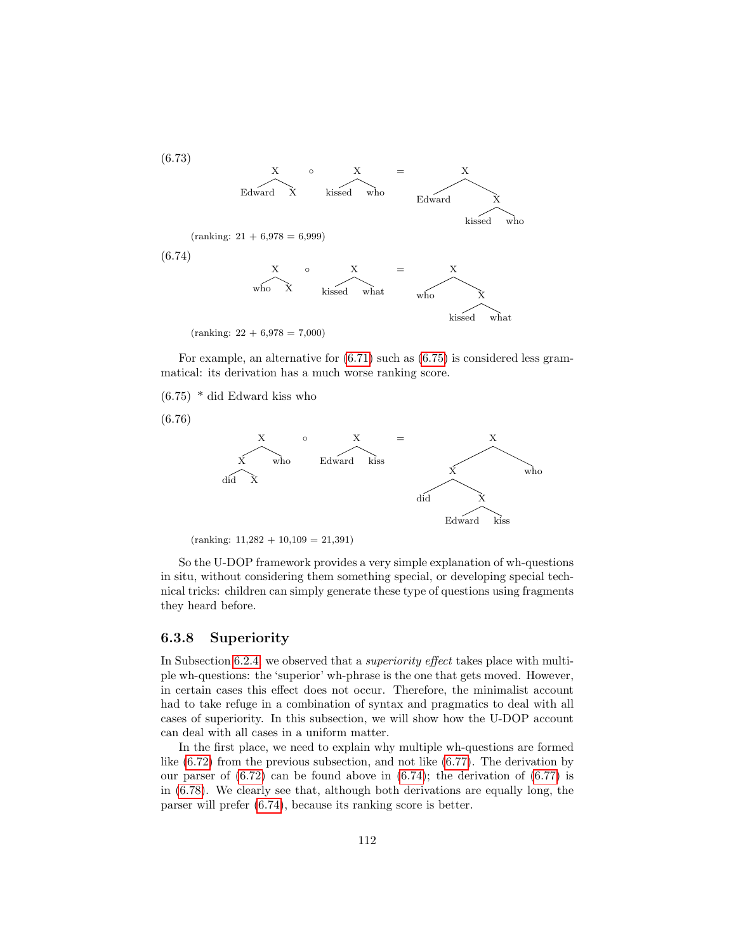(6.73)

<span id="page-113-1"></span>

For example, an alternative for  $(6.71)$  such as  $(6.75)$  is considered less grammatical: its derivation has a much worse ranking score.

<span id="page-113-0"></span>(6.75) \* did Edward kiss who

(6.76)



 $(ranking: 11,282 + 10,109 = 21,391)$ 

So the U-DOP framework provides a very simple explanation of wh-questions in situ, without considering them something special, or developing special technical tricks: children can simply generate these type of questions using fragments they heard before.

### 6.3.8 Superiority

In Subsection [6.2.4,](#page-93-0) we observed that a *superiority effect* takes place with multiple wh-questions: the 'superior' wh-phrase is the one that gets moved. However, in certain cases this effect does not occur. Therefore, the minimalist account had to take refuge in a combination of syntax and pragmatics to deal with all cases of superiority. In this subsection, we will show how the U-DOP account can deal with all cases in a uniform matter.

In the first place, we need to explain why multiple wh-questions are formed like  $(6.72)$  from the previous subsection, and not like  $(6.77)$ . The derivation by our parser of  $(6.72)$  can be found above in  $(6.74)$ ; the derivation of  $(6.77)$  is in [\(6.78\)](#page-114-1). We clearly see that, although both derivations are equally long, the parser will prefer [\(6.74\)](#page-113-1), because its ranking score is better.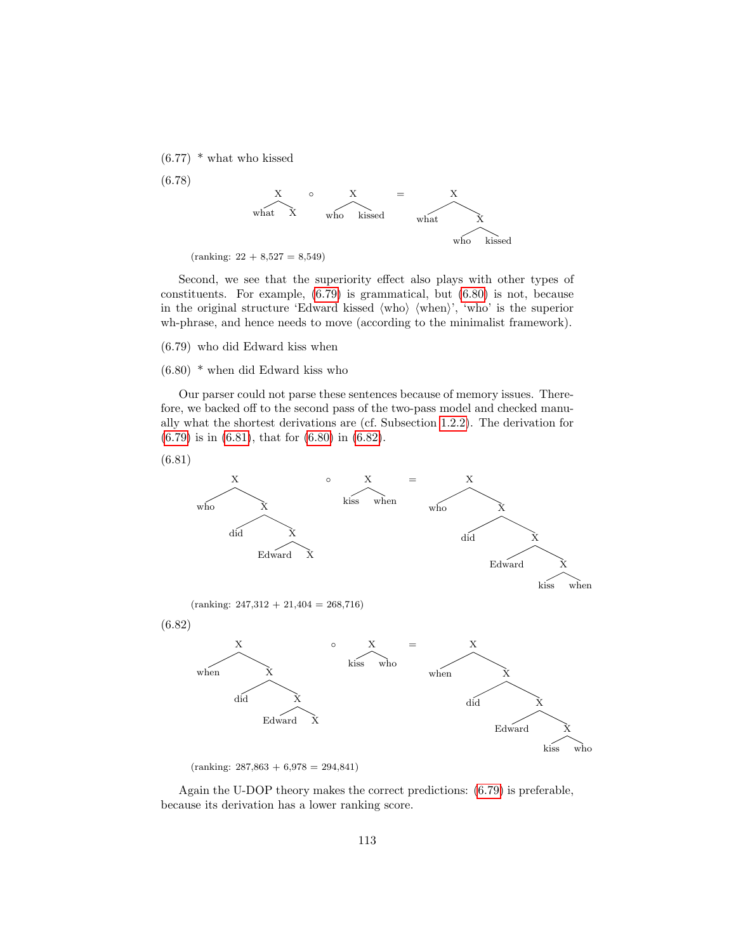<span id="page-114-0"></span> $(6.77)$  \* what who kissed

<span id="page-114-1"></span>(6.78)



 $(ranking: 22 + 8,527 = 8,549)$ 

Second, we see that the superiority effect also plays with other types of constituents. For example, [\(6.79\)](#page-114-2) is grammatical, but [\(6.80\)](#page-114-3) is not, because in the original structure 'Edward kissed  $\langle \text{who} \rangle$   $\langle \text{when} \rangle$ ',  $\langle \text{who} \rangle$  is the superior wh-phrase, and hence needs to move (according to the minimalist framework).

<span id="page-114-2"></span>(6.79) who did Edward kiss when

#### <span id="page-114-3"></span>(6.80) \* when did Edward kiss who

Our parser could not parse these sentences because of memory issues. Therefore, we backed off to the second pass of the two-pass model and checked manually what the shortest derivations are (cf. Subsection [1.2.2\)](#page-9-0). The derivation for [\(6.79\)](#page-114-2) is in [\(6.81\)](#page-114-4), that for [\(6.80\)](#page-114-3) in [\(6.82\)](#page-114-5).

<span id="page-114-4"></span>(6.81)

<span id="page-114-5"></span>

 $(ranking: 287,863 + 6,978 = 294,841)$ 

Again the U-DOP theory makes the correct predictions: [\(6.79\)](#page-114-2) is preferable, because its derivation has a lower ranking score.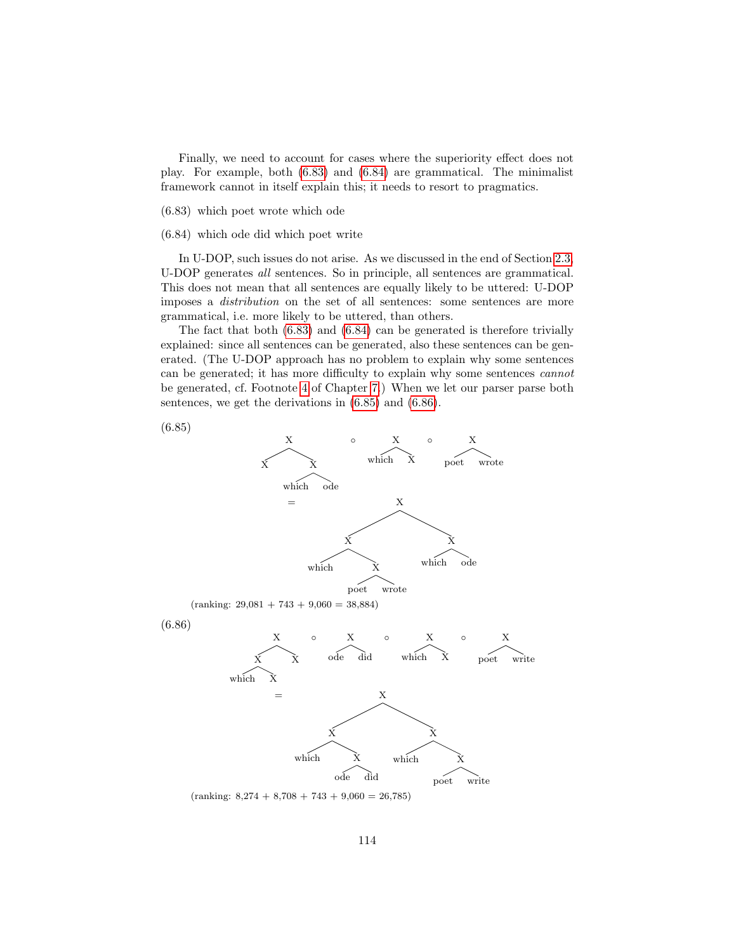Finally, we need to account for cases where the superiority effect does not play. For example, both [\(6.83\)](#page-115-0) and [\(6.84\)](#page-115-1) are grammatical. The minimalist framework cannot in itself explain this; it needs to resort to pragmatics.

<span id="page-115-0"></span>(6.83) which poet wrote which ode

<span id="page-115-1"></span>(6.84) which ode did which poet write

In U-DOP, such issues do not arise. As we discussed in the end of Section [2.3,](#page-24-0) U-DOP generates all sentences. So in principle, all sentences are grammatical. This does not mean that all sentences are equally likely to be uttered: U-DOP imposes a distribution on the set of all sentences: some sentences are more grammatical, i.e. more likely to be uttered, than others.

The fact that both [\(6.83\)](#page-115-0) and [\(6.84\)](#page-115-1) can be generated is therefore trivially explained: since all sentences can be generated, also these sentences can be generated. (The U-DOP approach has no problem to explain why some sentences can be generated; it has more difficulty to explain why some sentences cannot be generated, cf. Footnote [4](#page-137-0) of Chapter [7.](#page-120-0)) When we let our parser parse both sentences, we get the derivations in [\(6.85\)](#page-115-2) and [\(6.86\)](#page-115-3).

<span id="page-115-2"></span>



<span id="page-115-3"></span> $(ranking: 8,274 + 8,708 + 743 + 9,060 = 26,785)$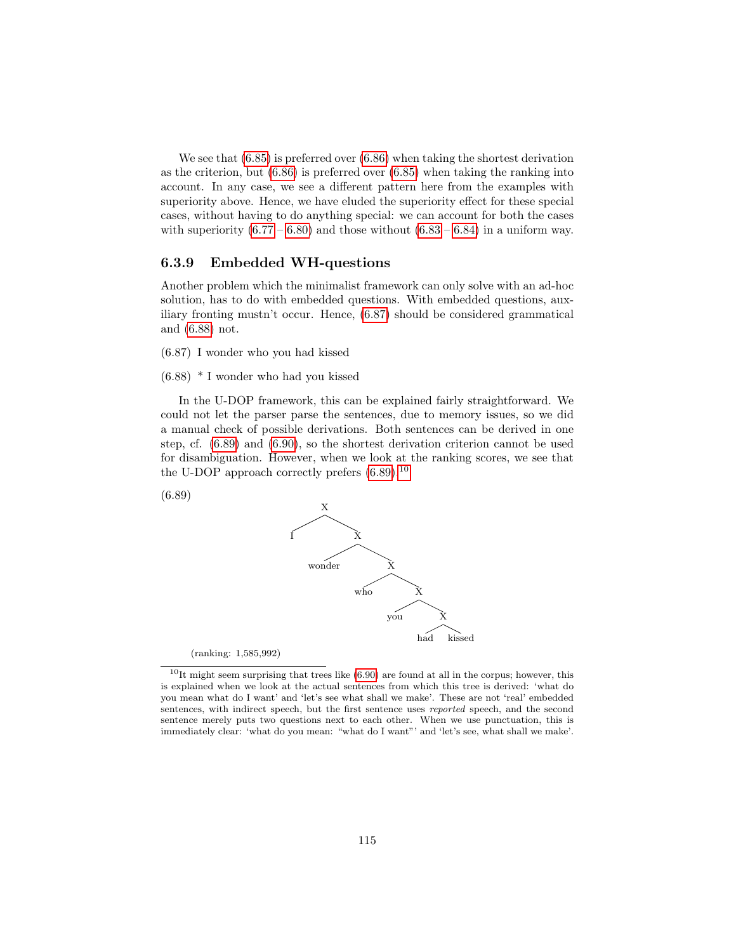We see that [\(6.85\)](#page-115-2) is preferred over [\(6.86\)](#page-115-3) when taking the shortest derivation as the criterion, but [\(6.86\)](#page-115-3) is preferred over [\(6.85\)](#page-115-2) when taking the ranking into account. In any case, we see a different pattern here from the examples with superiority above. Hence, we have eluded the superiority effect for these special cases, without having to do anything special: we can account for both the cases with superiority  $(6.77 - 6.80)$  $(6.77 - 6.80)$  $(6.77 - 6.80)$  and those without  $(6.83 - 6.84)$  $(6.83 - 6.84)$  $(6.83 - 6.84)$  in a uniform way.

## 6.3.9 Embedded WH-questions

Another problem which the minimalist framework can only solve with an ad-hoc solution, has to do with embedded questions. With embedded questions, auxiliary fronting mustn't occur. Hence, [\(6.87\)](#page-116-0) should be considered grammatical and [\(6.88\)](#page-116-1) not.

- <span id="page-116-0"></span>(6.87) I wonder who you had kissed
- <span id="page-116-1"></span>(6.88) \* I wonder who had you kissed

In the U-DOP framework, this can be explained fairly straightforward. We could not let the parser parse the sentences, due to memory issues, so we did a manual check of possible derivations. Both sentences can be derived in one step, cf. [\(6.89\)](#page-116-2) and [\(6.90\)](#page-117-0), so the shortest derivation criterion cannot be used for disambiguation. However, when we look at the ranking scores, we see that the U-DOP approach correctly prefers  $(6.89).^{10}$  $(6.89).^{10}$  $(6.89).^{10}$  $(6.89).^{10}$ 

<span id="page-116-2"></span>



<span id="page-116-3"></span> $10$ It might seem surprising that trees like [\(6.90\)](#page-117-0) are found at all in the corpus; however, this is explained when we look at the actual sentences from which this tree is derived: 'what do you mean what do I want' and 'let's see what shall we make'. These are not 'real' embedded sentences, with indirect speech, but the first sentence uses reported speech, and the second sentence merely puts two questions next to each other. When we use punctuation, this is immediately clear: 'what do you mean: "what do I want"' and 'let's see, what shall we make'.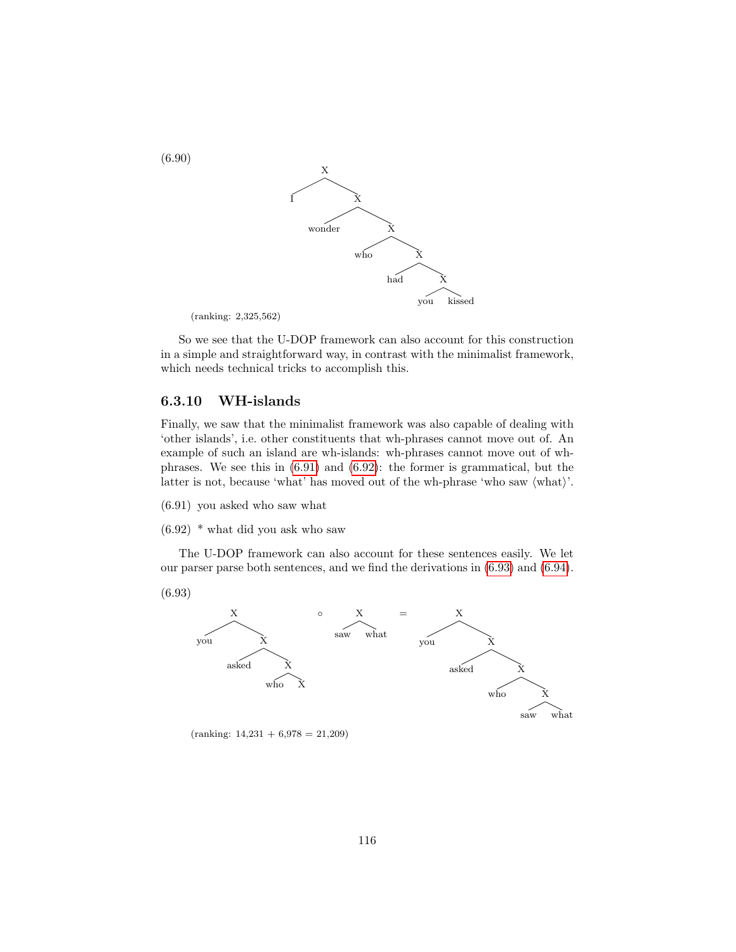<span id="page-117-0"></span>

(ranking: 2,325,562)

So we see that the U-DOP framework can also account for this construction in a simple and straightforward way, in contrast with the minimalist framework, which needs technical tricks to accomplish this.

### 6.3.10 WH-islands

Finally, we saw that the minimalist framework was also capable of dealing with 'other islands', i.e. other constituents that wh-phrases cannot move out of. An example of such an island are wh-islands: wh-phrases cannot move out of whphrases. We see this in [\(6.91\)](#page-117-1) and [\(6.92\)](#page-117-2): the former is grammatical, but the latter is not, because 'what' has moved out of the wh-phrase 'who saw  $\langle \text{what}\rangle$ '.

- <span id="page-117-1"></span>(6.91) you asked who saw what
- <span id="page-117-2"></span>(6.92) \* what did you ask who saw

The U-DOP framework can also account for these sentences easily. We let our parser parse both sentences, and we find the derivations in [\(6.93\)](#page-117-3) and [\(6.94\)](#page-118-0).

<span id="page-117-3"></span>(6.93)



 $(ranking: 14,231 + 6,978 = 21,209)$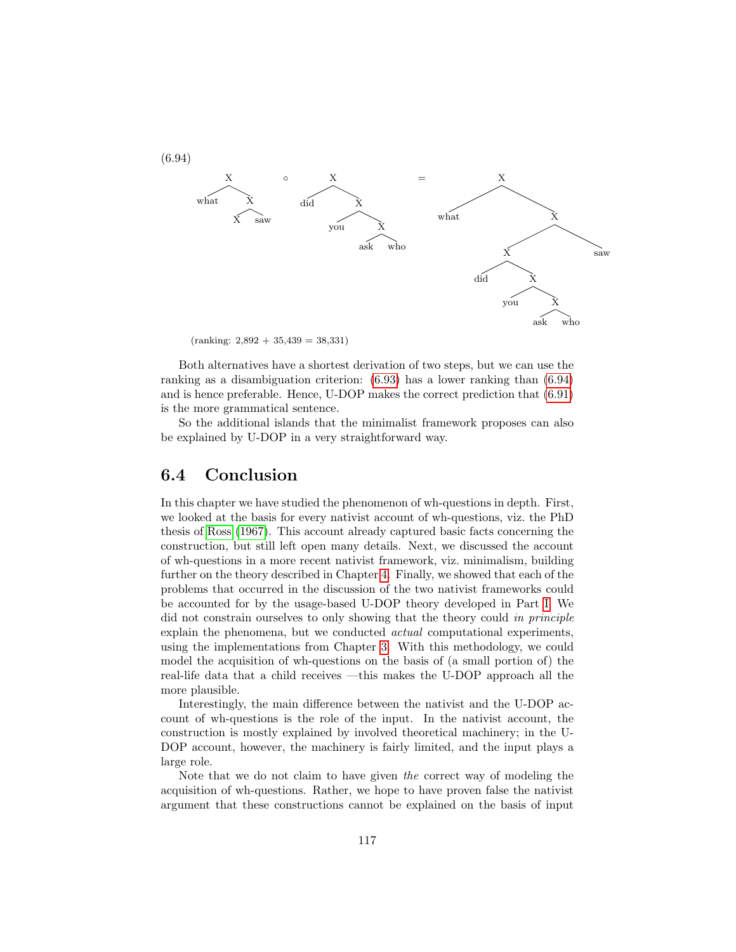<span id="page-118-0"></span>

 $(ranking: 2,892 + 35,439 = 38,331)$ 

Both alternatives have a shortest derivation of two steps, but we can use the ranking as a disambiguation criterion: [\(6.93\)](#page-117-3) has a lower ranking than [\(6.94\)](#page-118-0) and is hence preferable. Hence, U-DOP makes the correct prediction that [\(6.91\)](#page-117-1) is the more grammatical sentence.

So the additional islands that the minimalist framework proposes can also be explained by U-DOP in a very straightforward way.

## 6.4 Conclusion

In this chapter we have studied the phenomenon of wh-questions in depth. First, we looked at the basis for every nativist account of wh-questions, viz. the PhD thesis of [Ross](#page-147-0) [\(1967\)](#page-147-0). This account already captured basic facts concerning the construction, but still left open many details. Next, we discussed the account of wh-questions in a more recent nativist framework, viz. minimalism, building further on the theory described in Chapter [4.](#page-55-0) Finally, we showed that each of the problems that occurred in the discussion of the two nativist frameworks could be accounted for by the usage-based U-DOP theory developed in Part [I.](#page-13-0) We did not constrain ourselves to only showing that the theory could in principle explain the phenomena, but we conducted actual computational experiments, using the implementations from Chapter [3.](#page-28-0) With this methodology, we could model the acquisition of wh-questions on the basis of (a small portion of) the real-life data that a child receives —this makes the U-DOP approach all the more plausible.

Interestingly, the main difference between the nativist and the U-DOP account of wh-questions is the role of the input. In the nativist account, the construction is mostly explained by involved theoretical machinery; in the U-DOP account, however, the machinery is fairly limited, and the input plays a large role.

Note that we do not claim to have given the correct way of modeling the acquisition of wh-questions. Rather, we hope to have proven false the nativist argument that these constructions cannot be explained on the basis of input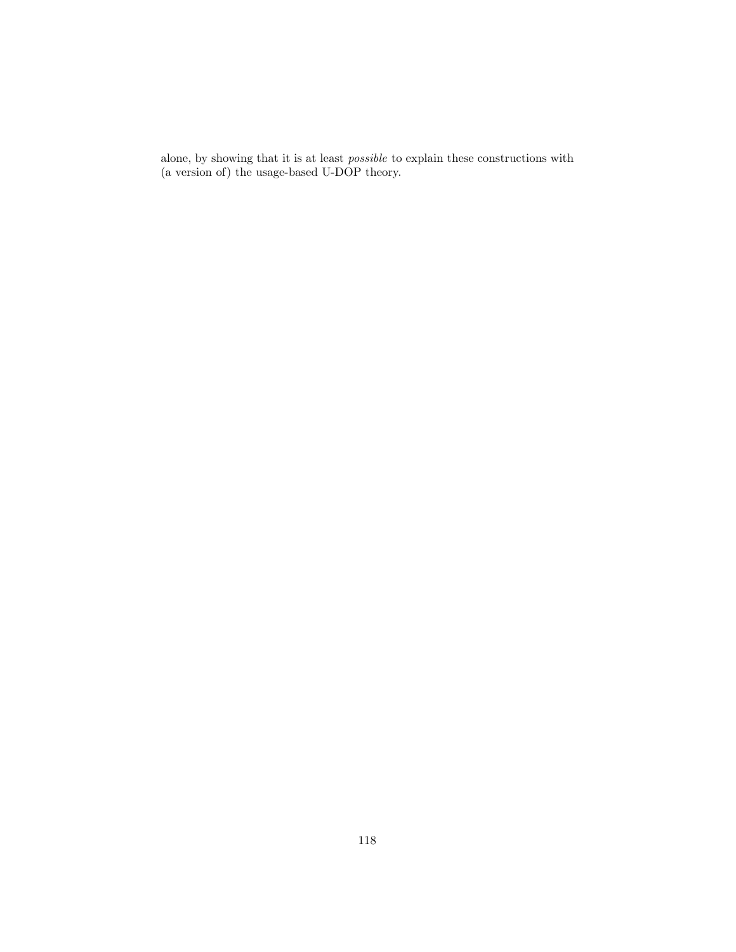alone, by showing that it is at least possible to explain these constructions with (a version of) the usage-based U-DOP theory.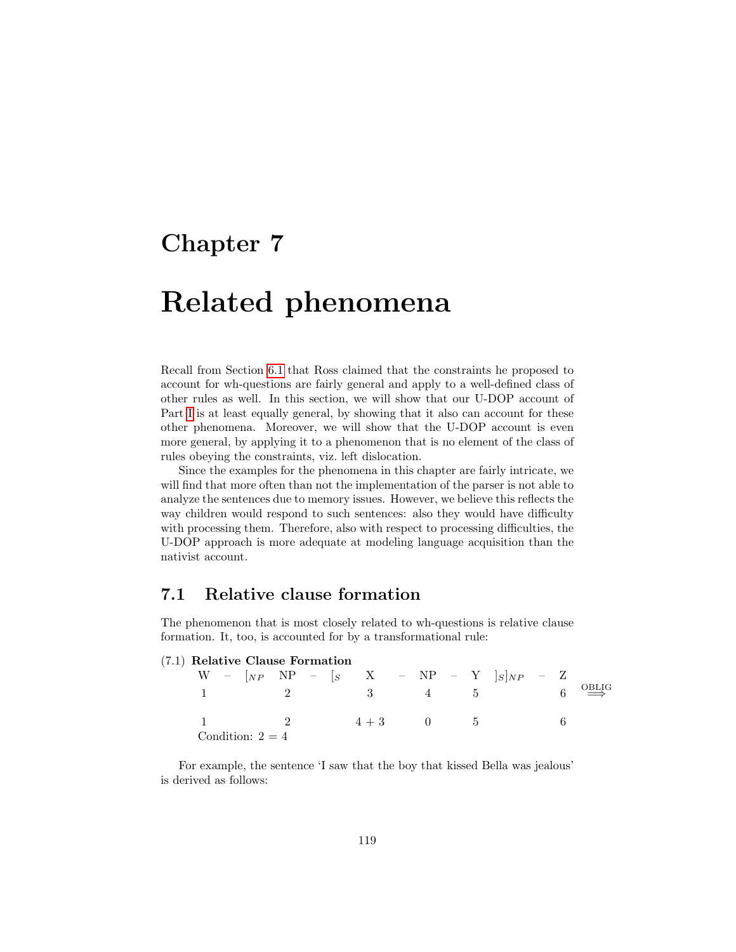## <span id="page-120-0"></span>Chapter 7

# Related phenomena

Recall from Section [6.1](#page-80-0) that Ross claimed that the constraints he proposed to account for wh-questions are fairly general and apply to a well-defined class of other rules as well. In this section, we will show that our U-DOP account of Part [I](#page-13-0) is at least equally general, by showing that it also can account for these other phenomena. Moreover, we will show that the U-DOP account is even more general, by applying it to a phenomenon that is no element of the class of rules obeying the constraints, viz. left dislocation.

Since the examples for the phenomena in this chapter are fairly intricate, we will find that more often than not the implementation of the parser is not able to analyze the sentences due to memory issues. However, we believe this reflects the way children would respond to such sentences: also they would have difficulty with processing them. Therefore, also with respect to processing difficulties, the U-DOP approach is more adequate at modeling language acquisition than the nativist account.

## 7.1 Relative clause formation

The phenomenon that is most closely related to wh-questions is relative clause formation. It, too, is accounted for by a transformational rule:

| (7.1) Relative Clause Formation |  |                |  |  |               |  |  |  |  |                                                        |  |                                |
|---------------------------------|--|----------------|--|--|---------------|--|--|--|--|--------------------------------------------------------|--|--------------------------------|
|                                 |  |                |  |  |               |  |  |  |  | $W - [_{NP} NP - [_{S} X - NP - NP - Y]_{S}]_{NP} - Z$ |  |                                |
|                                 |  | $\overline{2}$ |  |  |               |  |  |  |  | $3 \qquad \qquad 4 \qquad \qquad 5$                    |  | $6 \stackrel{\text{OBLIG}}{=}$ |
|                                 |  |                |  |  | $4 + 3 = 0$ 5 |  |  |  |  |                                                        |  |                                |
| Condition: $2 = 4$              |  |                |  |  |               |  |  |  |  |                                                        |  |                                |

For example, the sentence 'I saw that the boy that kissed Bella was jealous' is derived as follows: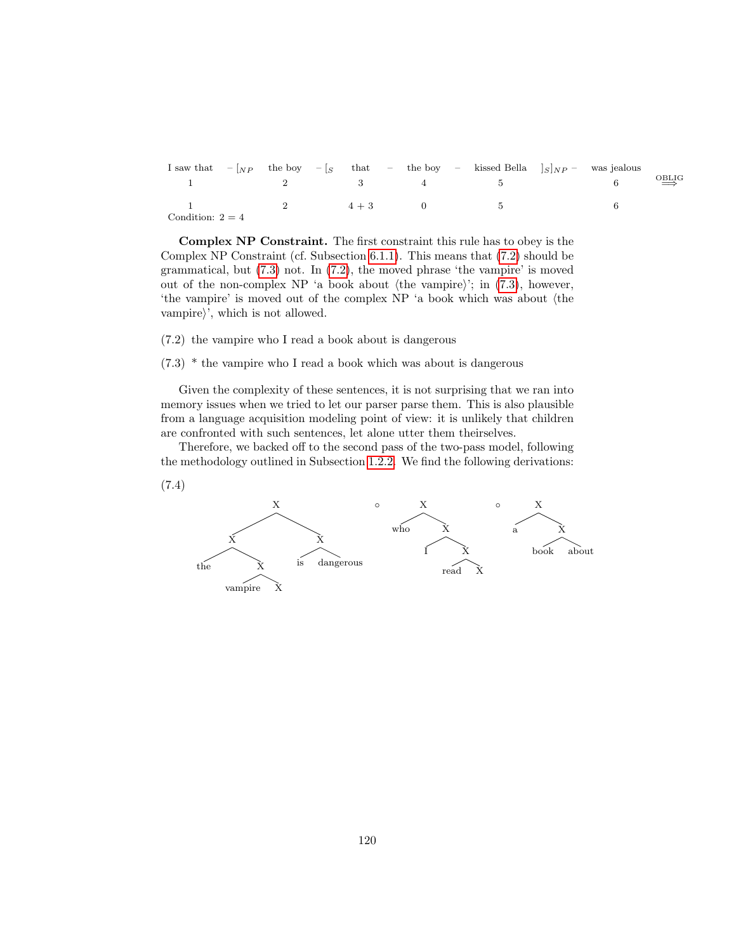|                    |                                                 |                              |         |              | I saw that $- _{NP}$ the boy $- _{S}$ that $-$ the boy $-$ kissed Bella $ _{S} _{NP}$ - was jealous |  |                                                                                       |
|--------------------|-------------------------------------------------|------------------------------|---------|--------------|-----------------------------------------------------------------------------------------------------|--|---------------------------------------------------------------------------------------|
|                    | the contract of the contract of the contract of | 2 3 3                        |         |              | $\frac{4}{5}$ 5                                                                                     |  | $\overrightarrow{O}$ <sub>D</sub> <sub>D</sub> <sub>D</sub> <sub>D</sub> <sub>D</sub> |
|                    |                                                 | $\sim$ 2 $\sim$ 0.000 $\sim$ | $4 + 3$ | $\mathbf{U}$ |                                                                                                     |  |                                                                                       |
| Condition: $2 = 4$ |                                                 |                              |         |              |                                                                                                     |  |                                                                                       |

Complex NP Constraint. The first constraint this rule has to obey is the Complex NP Constraint (cf. Subsection [6.1.1\)](#page-82-0). This means that [\(7.2\)](#page-121-0) should be grammatical, but [\(7.3\)](#page-121-1) not. In [\(7.2\)](#page-121-0), the moved phrase 'the vampire' is moved out of the non-complex NP 'a book about  $\langle$  the vampire $\rangle$ '; in [\(7.3\)](#page-121-1), however, 'the vampire' is moved out of the complex NP 'a book which was about (the vampire $\rangle'$ , which is not allowed.

<span id="page-121-0"></span>(7.2) the vampire who I read a book about is dangerous

<span id="page-121-1"></span>(7.3) \* the vampire who I read a book which was about is dangerous

Given the complexity of these sentences, it is not surprising that we ran into memory issues when we tried to let our parser parse them. This is also plausible from a language acquisition modeling point of view: it is unlikely that children are confronted with such sentences, let alone utter them theirselves.

Therefore, we backed off to the second pass of the two-pass model, following the methodology outlined in Subsection [1.2.2.](#page-9-0) We find the following derivations:

<span id="page-121-2"></span>(7.4)

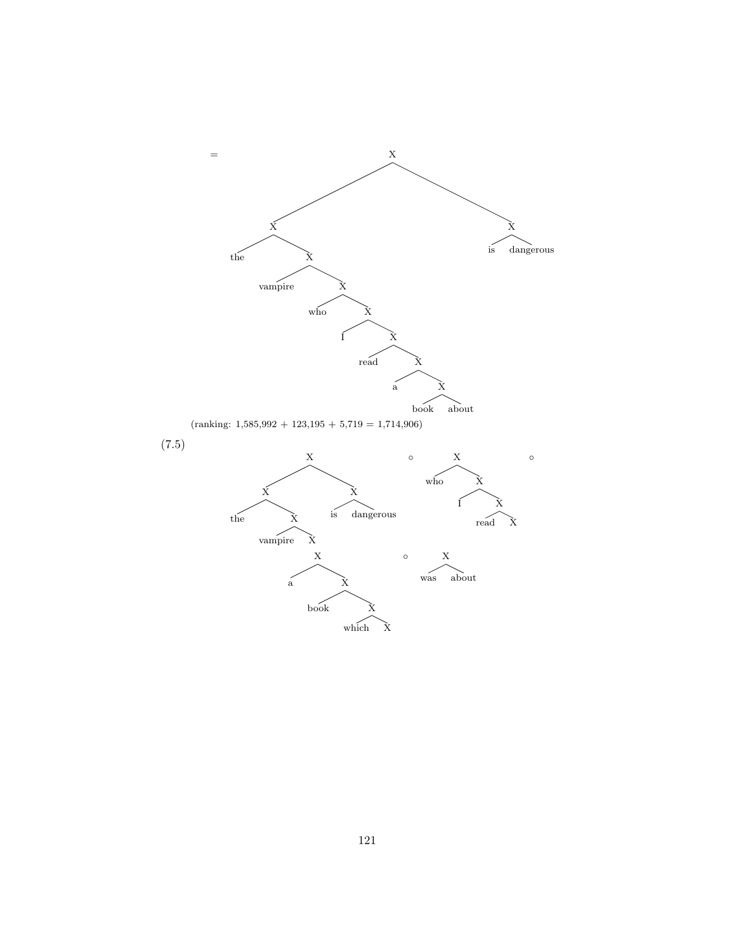<span id="page-122-0"></span>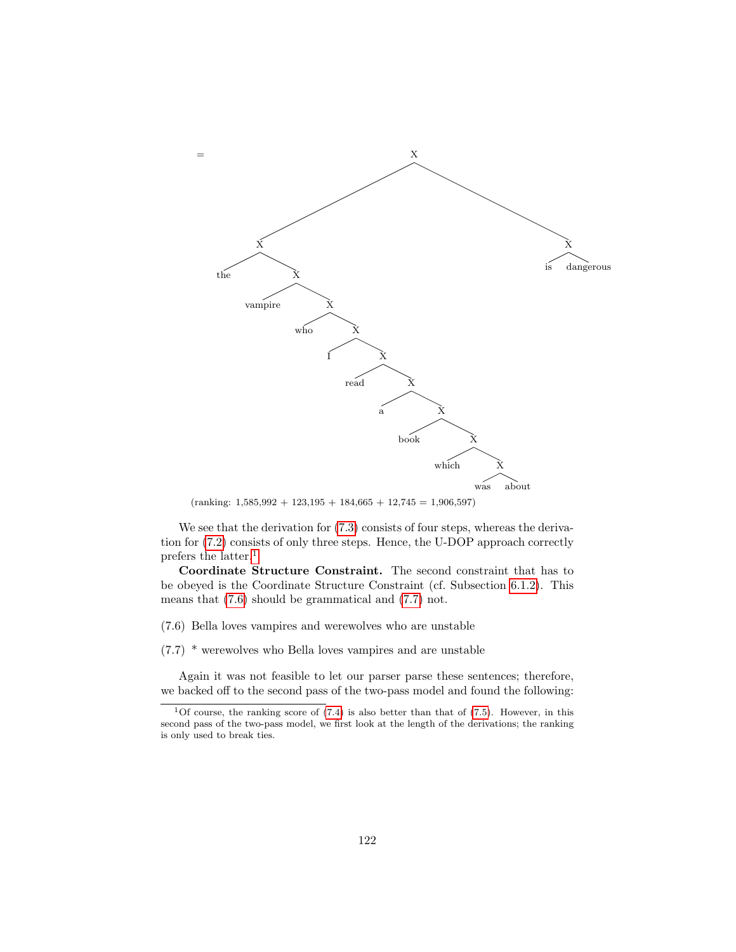

 $(ranking: 1,585,992 + 123,195 + 184,665 + 12,745 = 1,906,597)$ 

We see that the derivation for  $(7.3)$  consists of four steps, whereas the derivation for [\(7.2\)](#page-121-0) consists of only three steps. Hence, the U-DOP approach correctly prefers the latter.[1](#page-123-0)

Coordinate Structure Constraint. The second constraint that has to be obeyed is the Coordinate Structure Constraint (cf. Subsection [6.1.2\)](#page-83-0). This means that [\(7.6\)](#page-123-1) should be grammatical and [\(7.7\)](#page-123-2) not.

<span id="page-123-1"></span>(7.6) Bella loves vampires and werewolves who are unstable

<span id="page-123-2"></span>(7.7) \* werewolves who Bella loves vampires and are unstable

Again it was not feasible to let our parser parse these sentences; therefore, we backed off to the second pass of the two-pass model and found the following:

<span id="page-123-0"></span><sup>&</sup>lt;sup>1</sup>Of course, the ranking score of  $(7.4)$  is also better than that of  $(7.5)$ . However, in this second pass of the two-pass model, we first look at the length of the derivations; the ranking is only used to break ties.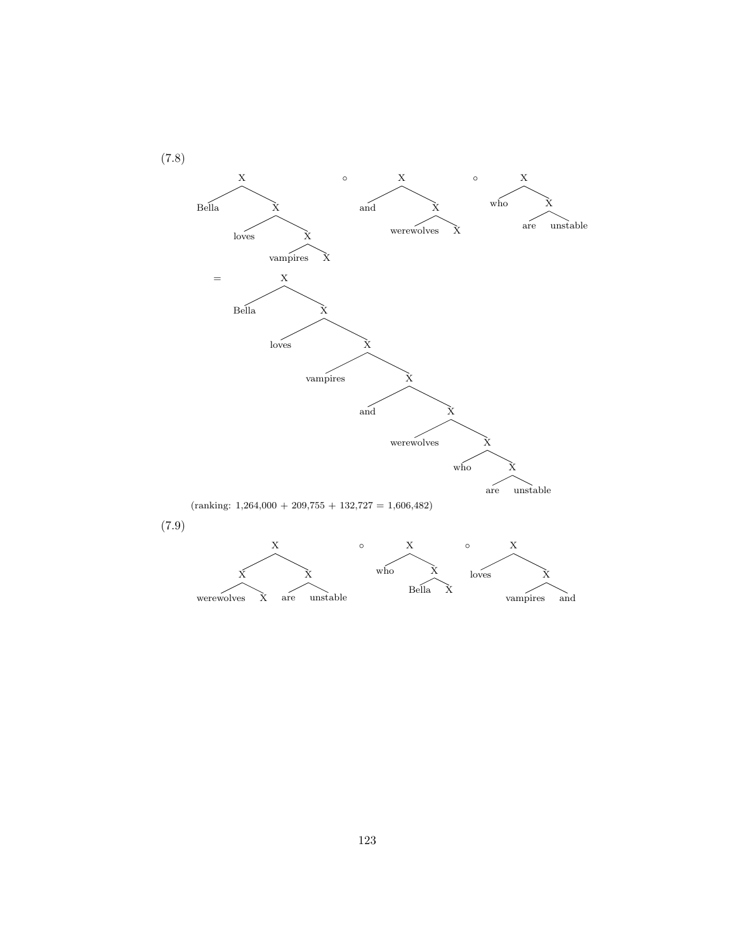<span id="page-124-1"></span><span id="page-124-0"></span>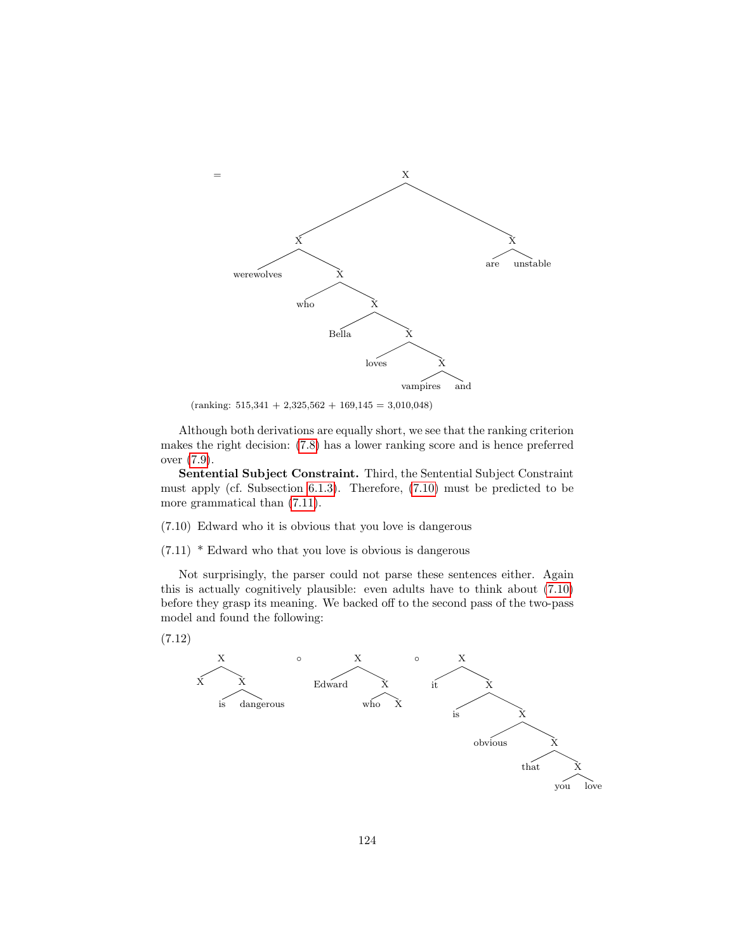

 $(ranking: 515,341 + 2,325,562 + 169,145 = 3,010,048)$ 

Although both derivations are equally short, we see that the ranking criterion makes the right decision: [\(7.8\)](#page-124-0) has a lower ranking score and is hence preferred over [\(7.9\)](#page-124-1).

Sentential Subject Constraint. Third, the Sentential Subject Constraint must apply (cf. Subsection [6.1.3\)](#page-84-0). Therefore, [\(7.10\)](#page-125-0) must be predicted to be more grammatical than  $(7.11)$ .

<span id="page-125-0"></span>(7.10) Edward who it is obvious that you love is dangerous

<span id="page-125-1"></span>(7.11) \* Edward who that you love is obvious is dangerous

Not surprisingly, the parser could not parse these sentences either. Again this is actually cognitively plausible: even adults have to think about [\(7.10\)](#page-125-0) before they grasp its meaning. We backed off to the second pass of the two-pass model and found the following:

<span id="page-125-2"></span>(7.12)

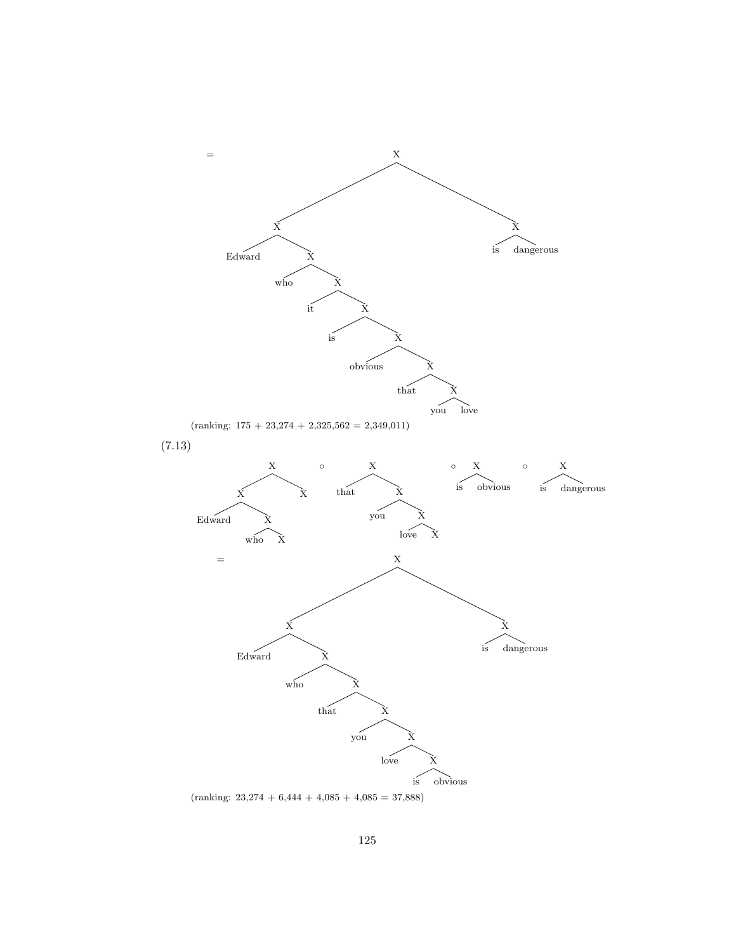<span id="page-126-0"></span>

 $(ranking: 23,274 + 6,444 + 4,085 + 4,085 = 37,888)$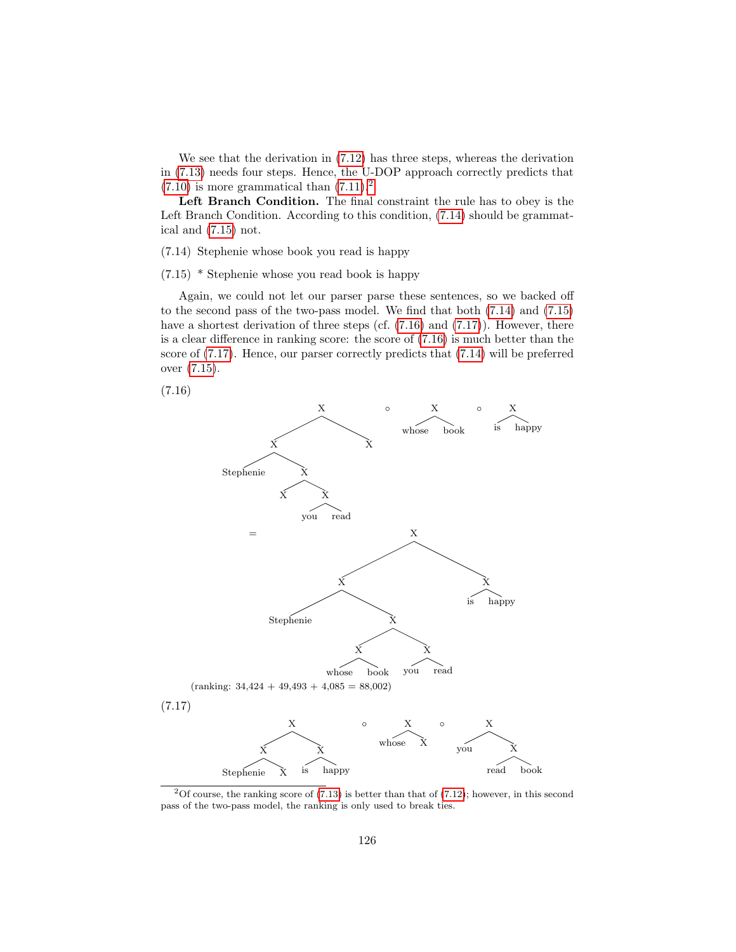We see that the derivation in [\(7.12\)](#page-125-2) has three steps, whereas the derivation in [\(7.13\)](#page-126-0) needs four steps. Hence, the U-DOP approach correctly predicts that  $(7.10)$  is more grammatical than  $(7.11).<sup>2</sup>$  $(7.11).<sup>2</sup>$  $(7.11).<sup>2</sup>$  $(7.11).<sup>2</sup>$ 

Left Branch Condition. The final constraint the rule has to obey is the Left Branch Condition. According to this condition, [\(7.14\)](#page-127-1) should be grammatical and [\(7.15\)](#page-127-2) not.

<span id="page-127-1"></span>(7.14) Stephenie whose book you read is happy

<span id="page-127-2"></span>(7.15) \* Stephenie whose you read book is happy

Again, we could not let our parser parse these sentences, so we backed off to the second pass of the two-pass model. We find that both [\(7.14\)](#page-127-1) and [\(7.15\)](#page-127-2) have a shortest derivation of three steps (cf.  $(7.16)$ ) and  $(7.17)$ ). However, there is a clear difference in ranking score: the score of  $(7.16)$  is much better than the score of [\(7.17\)](#page-127-4). Hence, our parser correctly predicts that [\(7.14\)](#page-127-1) will be preferred over [\(7.15\)](#page-127-2).

<span id="page-127-3"></span>(7.16)



<span id="page-127-4"></span><span id="page-127-0"></span><sup>&</sup>lt;sup>2</sup>Of course, the ranking score of  $(7.13)$  is better than that of  $(7.12)$ ; however, in this second pass of the two-pass model, the ranking is only used to break ties.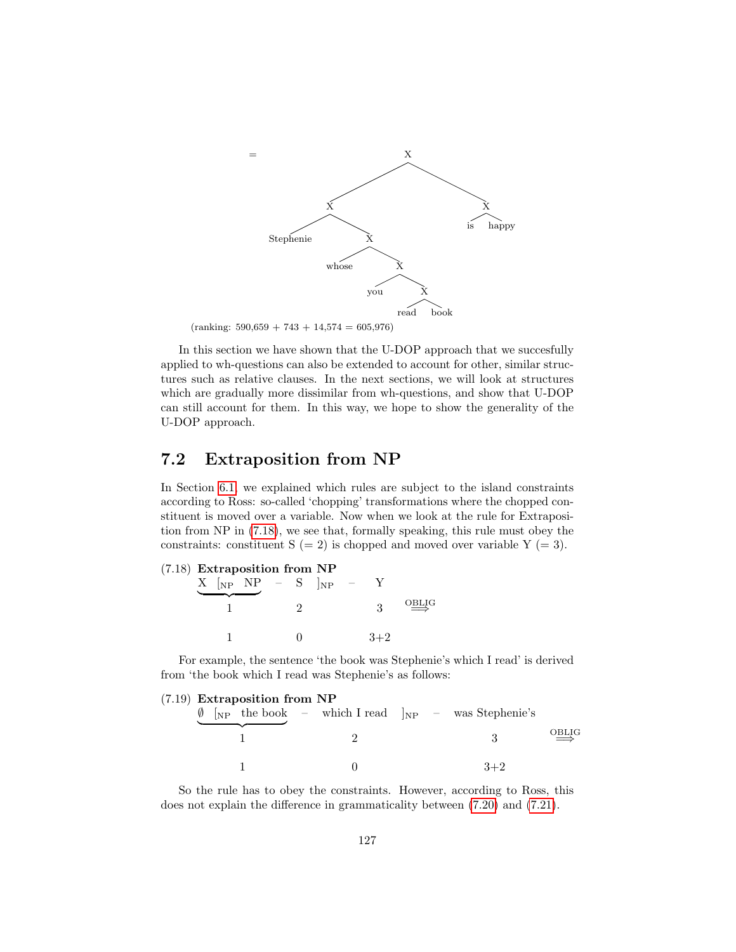

 $(ranking: 590,659 + 743 + 14,574 = 605,976)$ 

In this section we have shown that the U-DOP approach that we succesfully applied to wh-questions can also be extended to account for other, similar structures such as relative clauses. In the next sections, we will look at structures which are gradually more dissimilar from wh-questions, and show that U-DOP can still account for them. In this way, we hope to show the generality of the U-DOP approach.

## 7.2 Extraposition from NP

In Section [6.1,](#page-80-0) we explained which rules are subject to the island constraints according to Ross: so-called 'chopping' transformations where the chopped constituent is moved over a variable. Now when we look at the rule for Extraposition from NP in [\(7.18\)](#page-128-0), we see that, formally speaking, this rule must obey the constraints: constituent  $S (= 2)$  is chopped and moved over variable  $Y (= 3)$ .

<span id="page-128-0"></span>

| $(7.18)$ Extraposition from NP |  |  |  |  |                                                                                       |  |  |                                        |
|--------------------------------|--|--|--|--|---------------------------------------------------------------------------------------|--|--|----------------------------------------|
|                                |  |  |  |  | $X$ $\begin{bmatrix} NP & - & S \end{bmatrix}$ $\begin{bmatrix} NP & - \end{bmatrix}$ |  |  |                                        |
|                                |  |  |  |  |                                                                                       |  |  | $\overline{\mathcal{O}_{\text{BLIG}}}$ |
|                                |  |  |  |  |                                                                                       |  |  |                                        |

For example, the sentence 'the book was Stephenie's which I read' is derived from 'the book which I read was Stephenie's as follows:

| $(7.19)$ Extraposition from NP |                                                                |       |                                        |
|--------------------------------|----------------------------------------------------------------|-------|----------------------------------------|
|                                | $\oint$ [NP the book - which I read $ _{NP}$ - was Stephenie's |       |                                        |
|                                |                                                                |       | $\overline{\mathcal{O}_{\text{BLIG}}}$ |
|                                |                                                                | $3+2$ |                                        |

So the rule has to obey the constraints. However, according to Ross, this does not explain the difference in grammaticality between [\(7.20\)](#page-129-0) and [\(7.21\)](#page-129-1).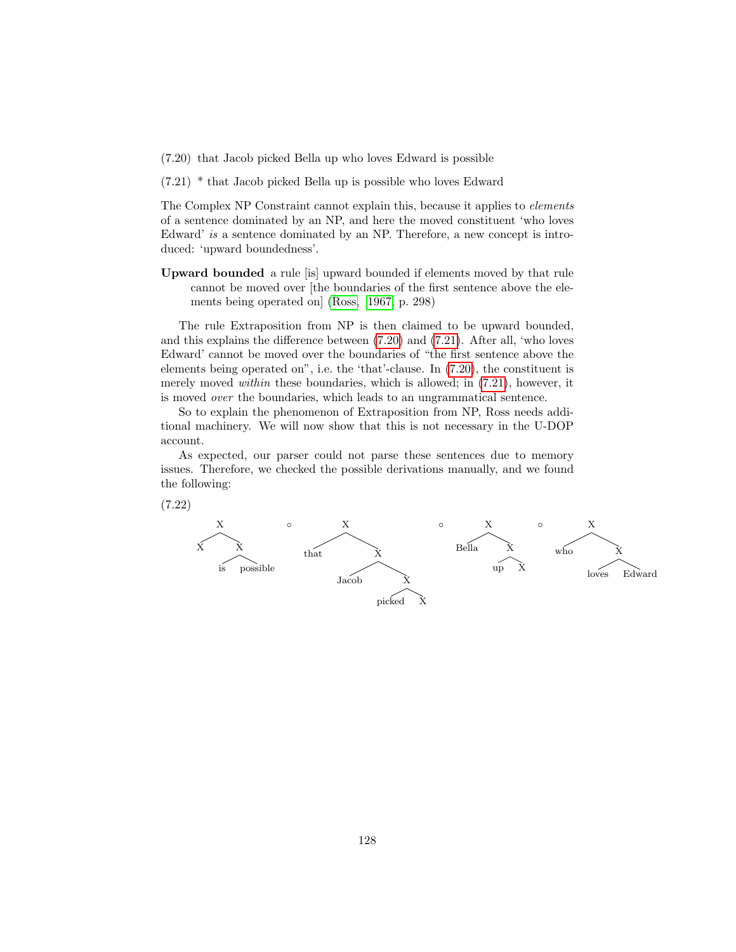- <span id="page-129-0"></span>(7.20) that Jacob picked Bella up who loves Edward is possible
- <span id="page-129-1"></span>(7.21) \* that Jacob picked Bella up is possible who loves Edward

The Complex NP Constraint cannot explain this, because it applies to elements of a sentence dominated by an NP, and here the moved constituent 'who loves Edward' is a sentence dominated by an NP. Therefore, a new concept is introduced: 'upward boundedness'.

Upward bounded a rule [is] upward bounded if elements moved by that rule cannot be moved over [the boundaries of the first sentence above the elements being operated on] [\(Ross, 1967,](#page-147-0) p. 298)

The rule Extraposition from NP is then claimed to be upward bounded, and this explains the difference between [\(7.20\)](#page-129-0) and [\(7.21\)](#page-129-1). After all, 'who loves Edward' cannot be moved over the boundaries of "the first sentence above the elements being operated on", i.e. the 'that'-clause. In [\(7.20\)](#page-129-0), the constituent is merely moved within these boundaries, which is allowed; in [\(7.21\)](#page-129-1), however, it is moved over the boundaries, which leads to an ungrammatical sentence.

So to explain the phenomenon of Extraposition from NP, Ross needs additional machinery. We will now show that this is not necessary in the U-DOP account.

As expected, our parser could not parse these sentences due to memory issues. Therefore, we checked the possible derivations manually, and we found the following:

<span id="page-129-2"></span>

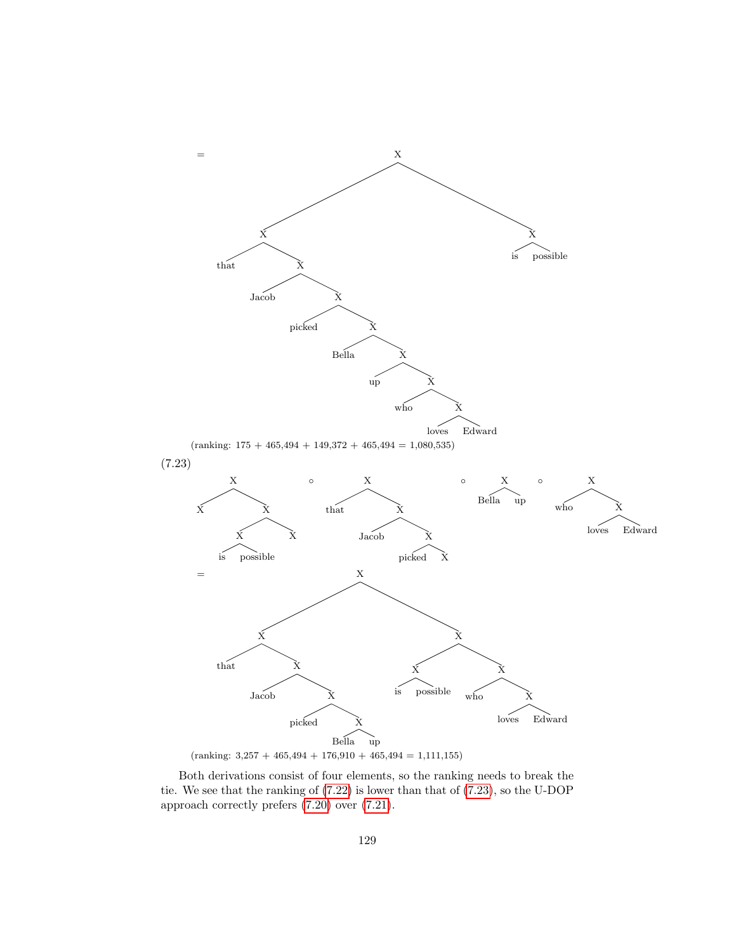

<span id="page-130-0"></span> $(ranking: 3,257 + 465,494 + 176,910 + 465,494 = 1,111,155)$ 

Both derivations consist of four elements, so the ranking needs to break the tie. We see that the ranking of [\(7.22\)](#page-129-2) is lower than that of [\(7.23\)](#page-130-0), so the U-DOP approach correctly prefers [\(7.20\)](#page-129-0) over [\(7.21\)](#page-129-1).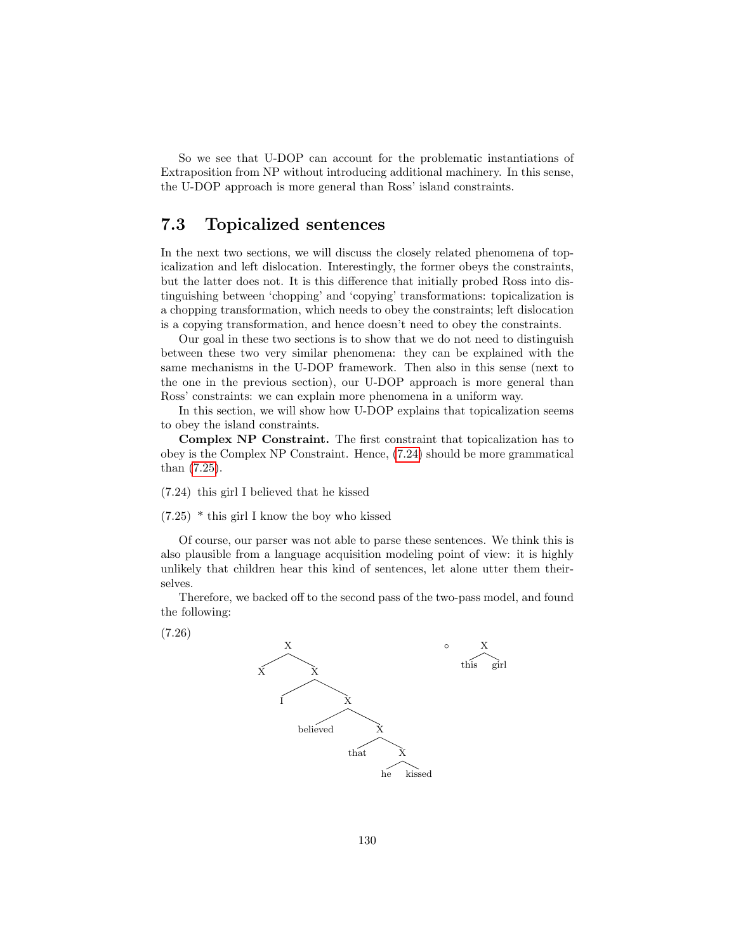So we see that U-DOP can account for the problematic instantiations of Extraposition from NP without introducing additional machinery. In this sense, the U-DOP approach is more general than Ross' island constraints.

## <span id="page-131-3"></span>7.3 Topicalized sentences

In the next two sections, we will discuss the closely related phenomena of topicalization and left dislocation. Interestingly, the former obeys the constraints, but the latter does not. It is this difference that initially probed Ross into distinguishing between 'chopping' and 'copying' transformations: topicalization is a chopping transformation, which needs to obey the constraints; left dislocation is a copying transformation, and hence doesn't need to obey the constraints.

Our goal in these two sections is to show that we do not need to distinguish between these two very similar phenomena: they can be explained with the same mechanisms in the U-DOP framework. Then also in this sense (next to the one in the previous section), our U-DOP approach is more general than Ross' constraints: we can explain more phenomena in a uniform way.

In this section, we will show how U-DOP explains that topicalization seems to obey the island constraints.

Complex NP Constraint. The first constraint that topicalization has to obey is the Complex NP Constraint. Hence, [\(7.24\)](#page-131-0) should be more grammatical than [\(7.25\)](#page-131-1).

<span id="page-131-0"></span>(7.24) this girl I believed that he kissed

<span id="page-131-1"></span>(7.25) \* this girl I know the boy who kissed

Of course, our parser was not able to parse these sentences. We think this is also plausible from a language acquisition modeling point of view: it is highly unlikely that children hear this kind of sentences, let alone utter them theirselves.

Therefore, we backed off to the second pass of the two-pass model, and found the following:

<span id="page-131-2"></span>(7.26)

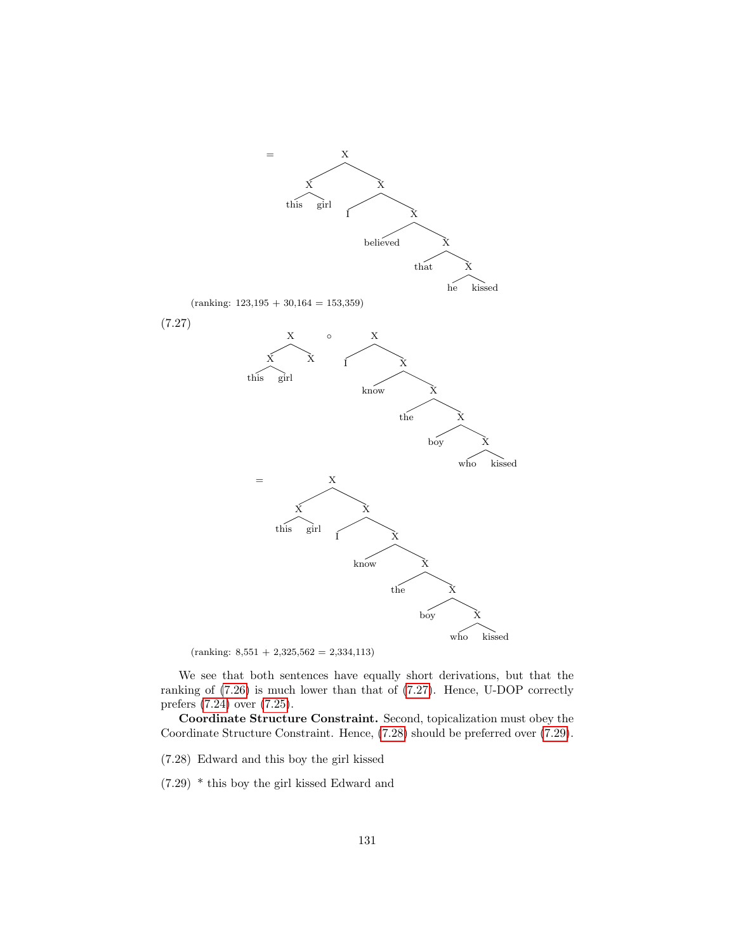<span id="page-132-0"></span>

 $(ranking: 8,551 + 2,325,562 = 2,334,113)$ 

We see that both sentences have equally short derivations, but that the ranking of [\(7.26\)](#page-131-2) is much lower than that of [\(7.27\)](#page-132-0). Hence, U-DOP correctly prefers [\(7.24\)](#page-131-0) over [\(7.25\)](#page-131-1).

Coordinate Structure Constraint. Second, topicalization must obey the Coordinate Structure Constraint. Hence, [\(7.28\)](#page-132-1) should be preferred over [\(7.29\)](#page-132-2).

<span id="page-132-1"></span>(7.28) Edward and this boy the girl kissed

<span id="page-132-2"></span>(7.29) \* this boy the girl kissed Edward and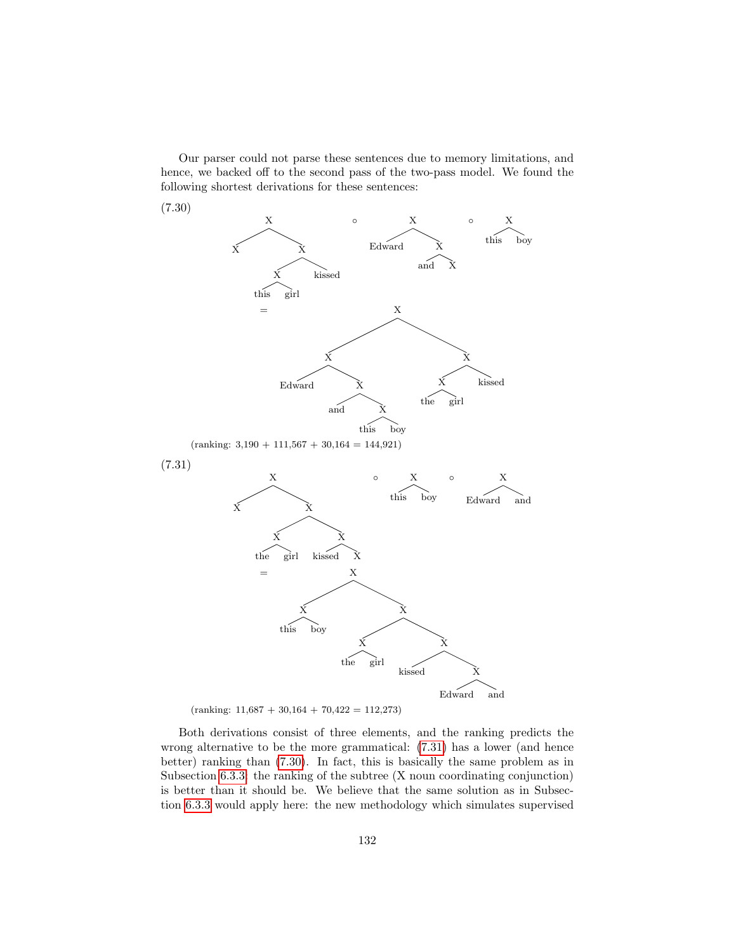Our parser could not parse these sentences due to memory limitations, and hence, we backed off to the second pass of the two-pass model. We found the following shortest derivations for these sentences:

<span id="page-133-1"></span><span id="page-133-0"></span>

Both derivations consist of three elements, and the ranking predicts the wrong alternative to be the more grammatical: [\(7.31\)](#page-133-0) has a lower (and hence better) ranking than [\(7.30\)](#page-133-1). In fact, this is basically the same problem as in Subsection [6.3.3:](#page-107-2) the ranking of the subtree (X noun coordinating conjunction) is better than it should be. We believe that the same solution as in Subsection [6.3.3](#page-107-2) would apply here: the new methodology which simulates supervised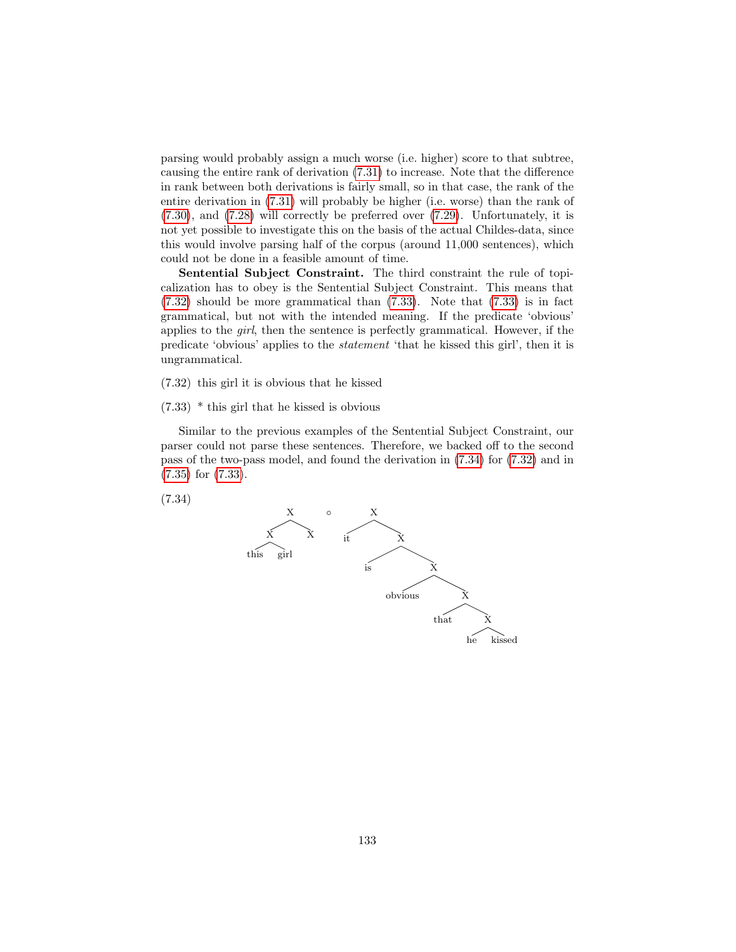parsing would probably assign a much worse (i.e. higher) score to that subtree, causing the entire rank of derivation [\(7.31\)](#page-133-0) to increase. Note that the difference in rank between both derivations is fairly small, so in that case, the rank of the entire derivation in [\(7.31\)](#page-133-0) will probably be higher (i.e. worse) than the rank of [\(7.30\)](#page-133-1), and [\(7.28\)](#page-132-1) will correctly be preferred over [\(7.29\)](#page-132-2). Unfortunately, it is not yet possible to investigate this on the basis of the actual Childes-data, since this would involve parsing half of the corpus (around 11,000 sentences), which could not be done in a feasible amount of time.

Sentential Subject Constraint. The third constraint the rule of topicalization has to obey is the Sentential Subject Constraint. This means that [\(7.32\)](#page-134-0) should be more grammatical than [\(7.33\)](#page-134-1). Note that [\(7.33\)](#page-134-1) is in fact grammatical, but not with the intended meaning. If the predicate 'obvious' applies to the girl, then the sentence is perfectly grammatical. However, if the predicate 'obvious' applies to the statement 'that he kissed this girl', then it is ungrammatical.

<span id="page-134-0"></span>(7.32) this girl it is obvious that he kissed

<span id="page-134-1"></span>(7.33) \* this girl that he kissed is obvious

Similar to the previous examples of the Sentential Subject Constraint, our parser could not parse these sentences. Therefore, we backed off to the second pass of the two-pass model, and found the derivation in [\(7.34\)](#page-134-2) for [\(7.32\)](#page-134-0) and in [\(7.35\)](#page-135-0) for [\(7.33\)](#page-134-1).

<span id="page-134-2"></span>(7.34)

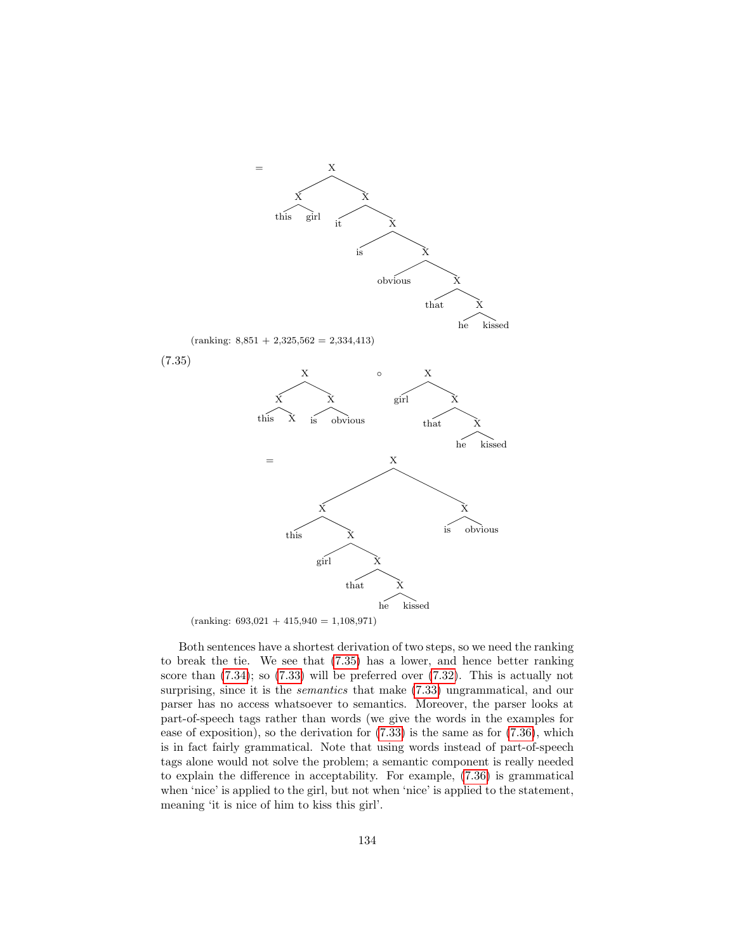<span id="page-135-0"></span>

 $(ranking: 693,021 + 415,940 = 1,108,971)$ 

Both sentences have a shortest derivation of two steps, so we need the ranking to break the tie. We see that [\(7.35\)](#page-135-0) has a lower, and hence better ranking score than  $(7.34)$ ; so  $(7.33)$  will be preferred over  $(7.32)$ . This is actually not surprising, since it is the *semantics* that make  $(7.33)$  ungrammatical, and our parser has no access whatsoever to semantics. Moreover, the parser looks at part-of-speech tags rather than words (we give the words in the examples for ease of exposition), so the derivation for [\(7.33\)](#page-134-1) is the same as for [\(7.36\)](#page-136-0), which is in fact fairly grammatical. Note that using words instead of part-of-speech tags alone would not solve the problem; a semantic component is really needed to explain the difference in acceptability. For example, [\(7.36\)](#page-136-0) is grammatical when 'nice' is applied to the girl, but not when 'nice' is applied to the statement, meaning 'it is nice of him to kiss this girl'.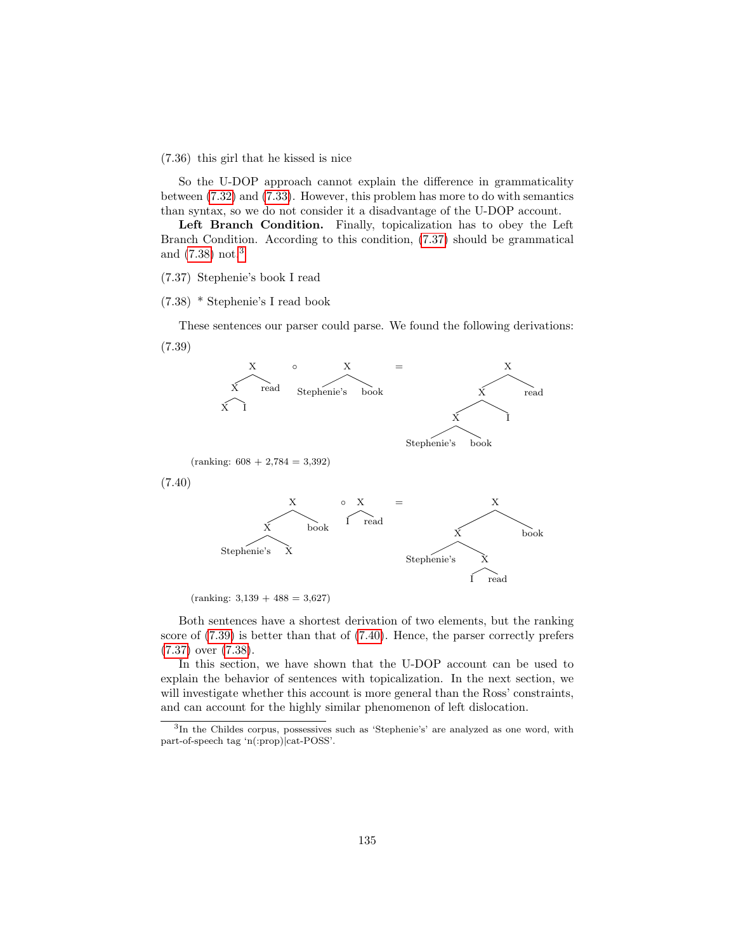<span id="page-136-0"></span>(7.36) this girl that he kissed is nice

So the U-DOP approach cannot explain the difference in grammaticality between [\(7.32\)](#page-134-0) and [\(7.33\)](#page-134-1). However, this problem has more to do with semantics than syntax, so we do not consider it a disadvantage of the U-DOP account.

Left Branch Condition. Finally, topicalization has to obey the Left Branch Condition. According to this condition, [\(7.37\)](#page-136-1) should be grammatical and [\(7.38\)](#page-136-2) not.[3](#page-136-3)

#### <span id="page-136-1"></span>(7.37) Stephenie's book I read

#### <span id="page-136-2"></span>(7.38) \* Stephenie's I read book

<span id="page-136-4"></span>These sentences our parser could parse. We found the following derivations: (7.39)

<span id="page-136-5"></span>

 $(ranking: 3,139 + 488 = 3,627)$ 

Both sentences have a shortest derivation of two elements, but the ranking score of [\(7.39\)](#page-136-4) is better than that of [\(7.40\)](#page-136-5). Hence, the parser correctly prefers [\(7.37\)](#page-136-1) over [\(7.38\)](#page-136-2).

I read

In this section, we have shown that the U-DOP account can be used to explain the behavior of sentences with topicalization. In the next section, we will investigate whether this account is more general than the Ross' constraints, and can account for the highly similar phenomenon of left dislocation.

<span id="page-136-3"></span><sup>3</sup> In the Childes corpus, possessives such as 'Stephenie's' are analyzed as one word, with part-of-speech tag 'n(:prop)|cat-POSS'.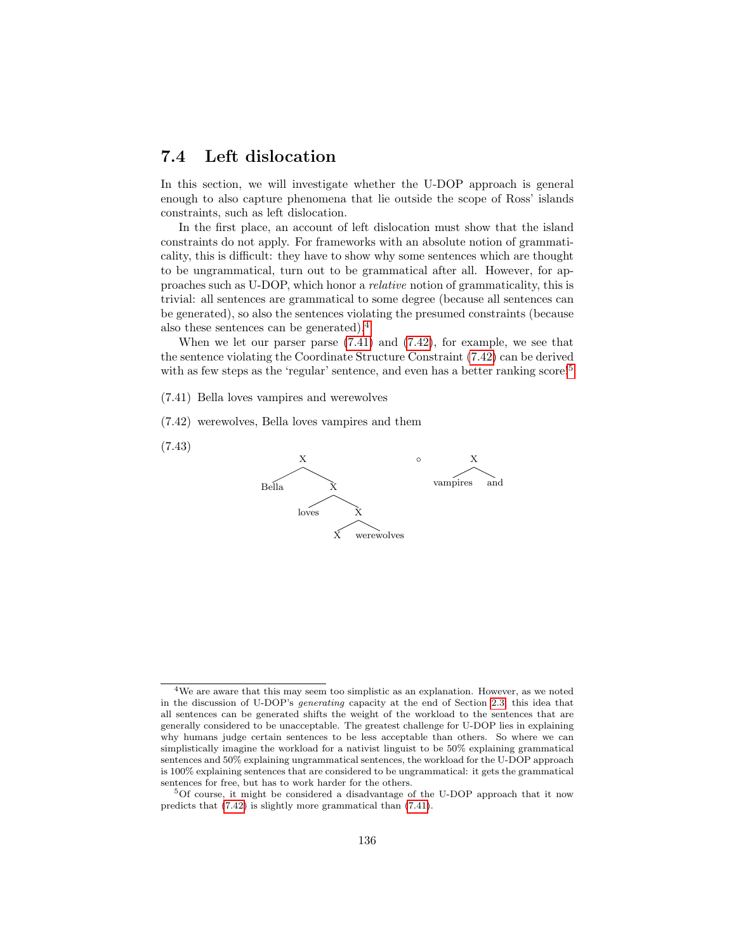## 7.4 Left dislocation

In this section, we will investigate whether the U-DOP approach is general enough to also capture phenomena that lie outside the scope of Ross' islands constraints, such as left dislocation.

In the first place, an account of left dislocation must show that the island constraints do not apply. For frameworks with an absolute notion of grammaticality, this is difficult: they have to show why some sentences which are thought to be ungrammatical, turn out to be grammatical after all. However, for approaches such as U-DOP, which honor a relative notion of grammaticality, this is trivial: all sentences are grammatical to some degree (because all sentences can be generated), so also the sentences violating the presumed constraints (because also these sentences can be generated).[4](#page-137-0)

When we let our parser parse  $(7.41)$  and  $(7.42)$ , for example, we see that the sentence violating the Coordinate Structure Constraint [\(7.42\)](#page-137-2) can be derived with as few steps as the 'regular' sentence, and even has a better ranking score!<sup>[5](#page-137-3)</sup>

<span id="page-137-1"></span>(7.41) Bella loves vampires and werewolves

<span id="page-137-2"></span>(7.42) werewolves, Bella loves vampires and them





<span id="page-137-0"></span><sup>4</sup>We are aware that this may seem too simplistic as an explanation. However, as we noted in the discussion of U-DOP's generating capacity at the end of Section [2.3,](#page-24-0) this idea that all sentences can be generated shifts the weight of the workload to the sentences that are generally considered to be unacceptable. The greatest challenge for U-DOP lies in explaining why humans judge certain sentences to be less acceptable than others. So where we can simplistically imagine the workload for a nativist linguist to be 50% explaining grammatical sentences and 50% explaining ungrammatical sentences, the workload for the U-DOP approach is 100% explaining sentences that are considered to be ungrammatical: it gets the grammatical sentences for free, but has to work harder for the others.

<span id="page-137-3"></span><sup>5</sup>Of course, it might be considered a disadvantage of the U-DOP approach that it now predicts that [\(7.42\)](#page-137-2) is slightly more grammatical than [\(7.41\)](#page-137-1).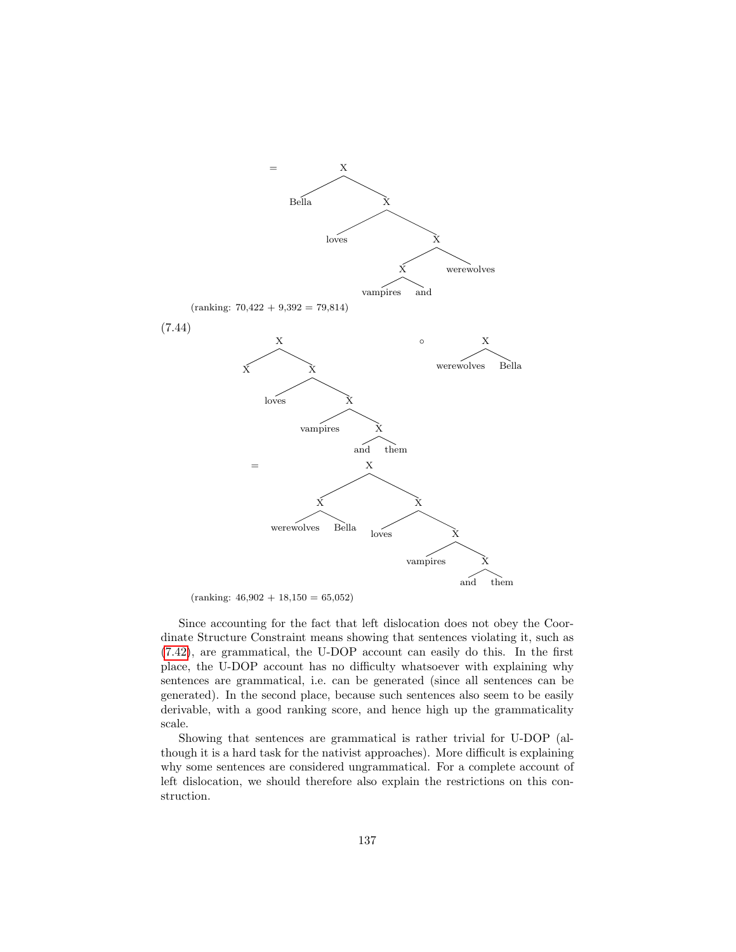

 $(ranking: 46,902 + 18,150 = 65,052)$ 

Since accounting for the fact that left dislocation does not obey the Coordinate Structure Constraint means showing that sentences violating it, such as [\(7.42\)](#page-137-2), are grammatical, the U-DOP account can easily do this. In the first place, the U-DOP account has no difficulty whatsoever with explaining why sentences are grammatical, i.e. can be generated (since all sentences can be generated). In the second place, because such sentences also seem to be easily derivable, with a good ranking score, and hence high up the grammaticality scale.

Showing that sentences are grammatical is rather trivial for U-DOP (although it is a hard task for the nativist approaches). More difficult is explaining why some sentences are considered ungrammatical. For a complete account of left dislocation, we should therefore also explain the restrictions on this construction.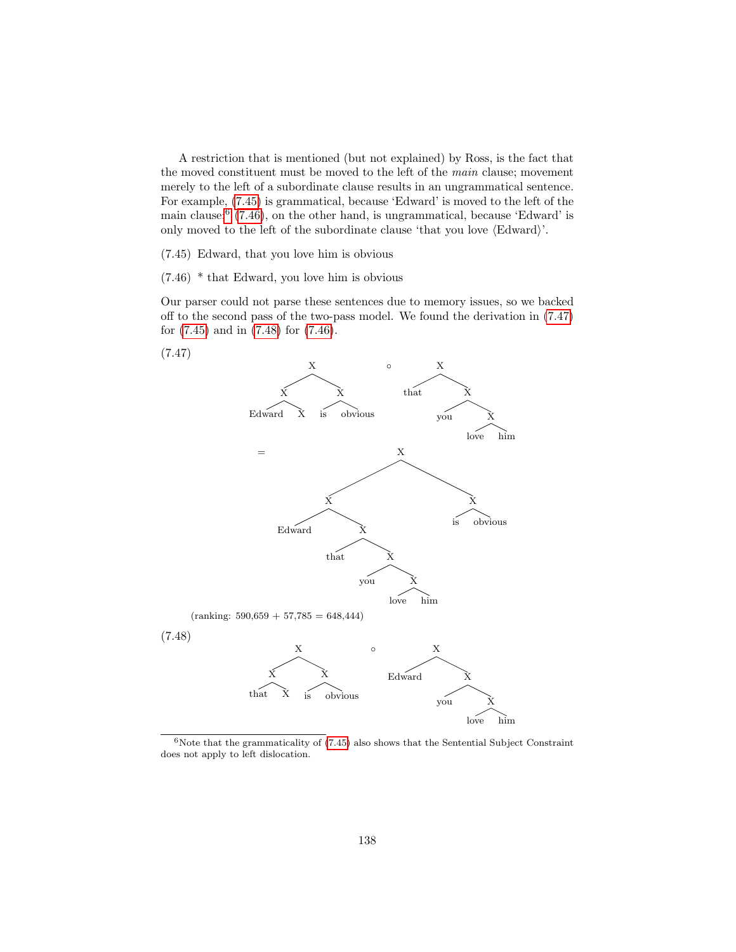A restriction that is mentioned (but not explained) by Ross, is the fact that the moved constituent must be moved to the left of the main clause; movement merely to the left of a subordinate clause results in an ungrammatical sentence. For example, [\(7.45\)](#page-139-0) is grammatical, because 'Edward' is moved to the left of the main clause;  $(7.46)$  $(7.46)$  $(7.46)$ , on the other hand, is ungrammatical, because 'Edward' is only moved to the left of the subordinate clause 'that you love  $\langle$ Edward $\rangle$ '.

<span id="page-139-0"></span>(7.45) Edward, that you love him is obvious

<span id="page-139-2"></span>(7.46) \* that Edward, you love him is obvious

Our parser could not parse these sentences due to memory issues, so we backed off to the second pass of the two-pass model. We found the derivation in [\(7.47\)](#page-139-3) for [\(7.45\)](#page-139-0) and in [\(7.48\)](#page-139-4) for [\(7.46\)](#page-139-2).

<span id="page-139-3"></span>



<span id="page-139-4"></span><span id="page-139-1"></span> $6$ Note that the grammaticality of  $(7.45)$  also shows that the Sentential Subject Constraint does not apply to left dislocation.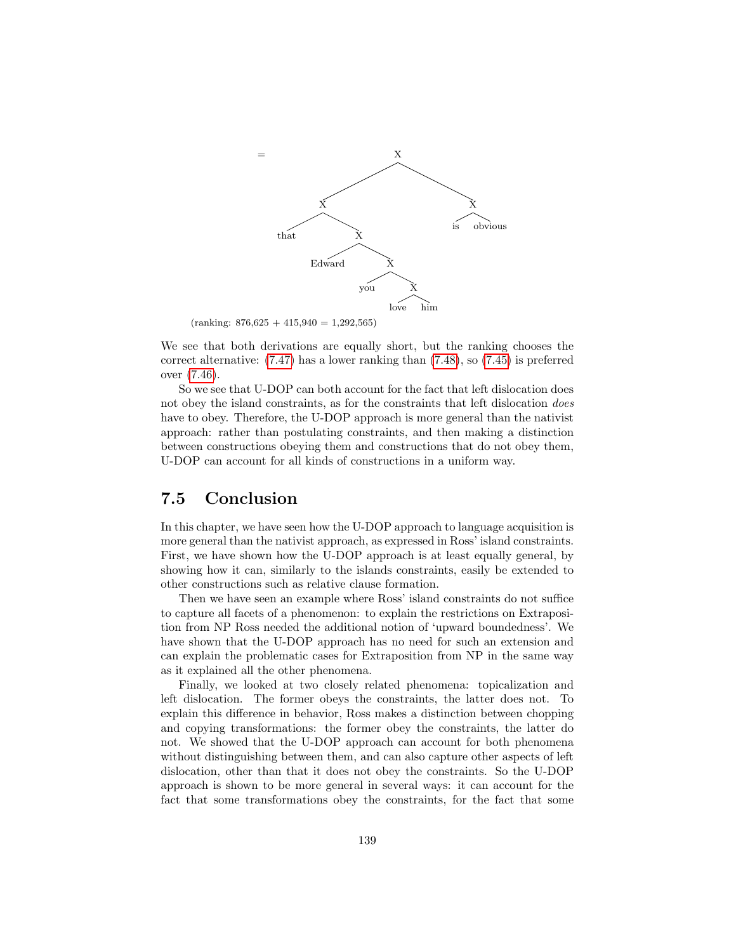

 $(ranking: 876,625 + 415,940 = 1,292,565)$ 

We see that both derivations are equally short, but the ranking chooses the correct alternative: [\(7.47\)](#page-139-3) has a lower ranking than [\(7.48\)](#page-139-4), so [\(7.45\)](#page-139-0) is preferred over [\(7.46\)](#page-139-2).

So we see that U-DOP can both account for the fact that left dislocation does not obey the island constraints, as for the constraints that left dislocation does have to obey. Therefore, the U-DOP approach is more general than the nativist approach: rather than postulating constraints, and then making a distinction between constructions obeying them and constructions that do not obey them, U-DOP can account for all kinds of constructions in a uniform way.

## 7.5 Conclusion

In this chapter, we have seen how the U-DOP approach to language acquisition is more general than the nativist approach, as expressed in Ross' island constraints. First, we have shown how the U-DOP approach is at least equally general, by showing how it can, similarly to the islands constraints, easily be extended to other constructions such as relative clause formation.

Then we have seen an example where Ross' island constraints do not suffice to capture all facets of a phenomenon: to explain the restrictions on Extraposition from NP Ross needed the additional notion of 'upward boundedness'. We have shown that the U-DOP approach has no need for such an extension and can explain the problematic cases for Extraposition from NP in the same way as it explained all the other phenomena.

Finally, we looked at two closely related phenomena: topicalization and left dislocation. The former obeys the constraints, the latter does not. To explain this difference in behavior, Ross makes a distinction between chopping and copying transformations: the former obey the constraints, the latter do not. We showed that the U-DOP approach can account for both phenomena without distinguishing between them, and can also capture other aspects of left dislocation, other than that it does not obey the constraints. So the U-DOP approach is shown to be more general in several ways: it can account for the fact that some transformations obey the constraints, for the fact that some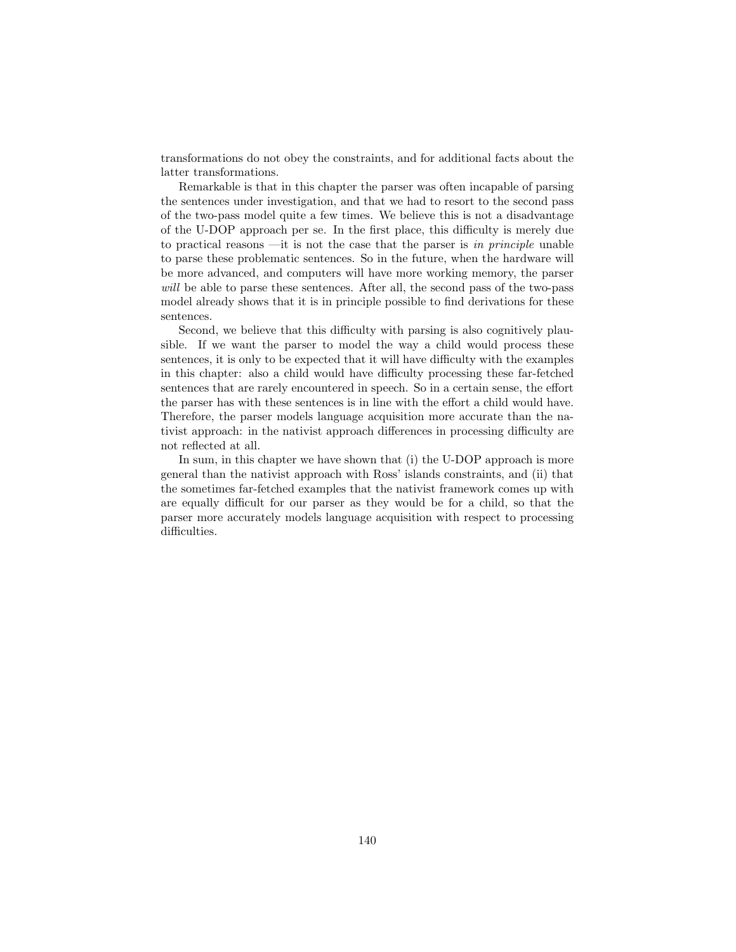transformations do not obey the constraints, and for additional facts about the latter transformations.

Remarkable is that in this chapter the parser was often incapable of parsing the sentences under investigation, and that we had to resort to the second pass of the two-pass model quite a few times. We believe this is not a disadvantage of the U-DOP approach per se. In the first place, this difficulty is merely due to practical reasons —it is not the case that the parser is in principle unable to parse these problematic sentences. So in the future, when the hardware will be more advanced, and computers will have more working memory, the parser will be able to parse these sentences. After all, the second pass of the two-pass model already shows that it is in principle possible to find derivations for these sentences.

Second, we believe that this difficulty with parsing is also cognitively plausible. If we want the parser to model the way a child would process these sentences, it is only to be expected that it will have difficulty with the examples in this chapter: also a child would have difficulty processing these far-fetched sentences that are rarely encountered in speech. So in a certain sense, the effort the parser has with these sentences is in line with the effort a child would have. Therefore, the parser models language acquisition more accurate than the nativist approach: in the nativist approach differences in processing difficulty are not reflected at all.

In sum, in this chapter we have shown that (i) the U-DOP approach is more general than the nativist approach with Ross' islands constraints, and (ii) that the sometimes far-fetched examples that the nativist framework comes up with are equally difficult for our parser as they would be for a child, so that the parser more accurately models language acquisition with respect to processing difficulties.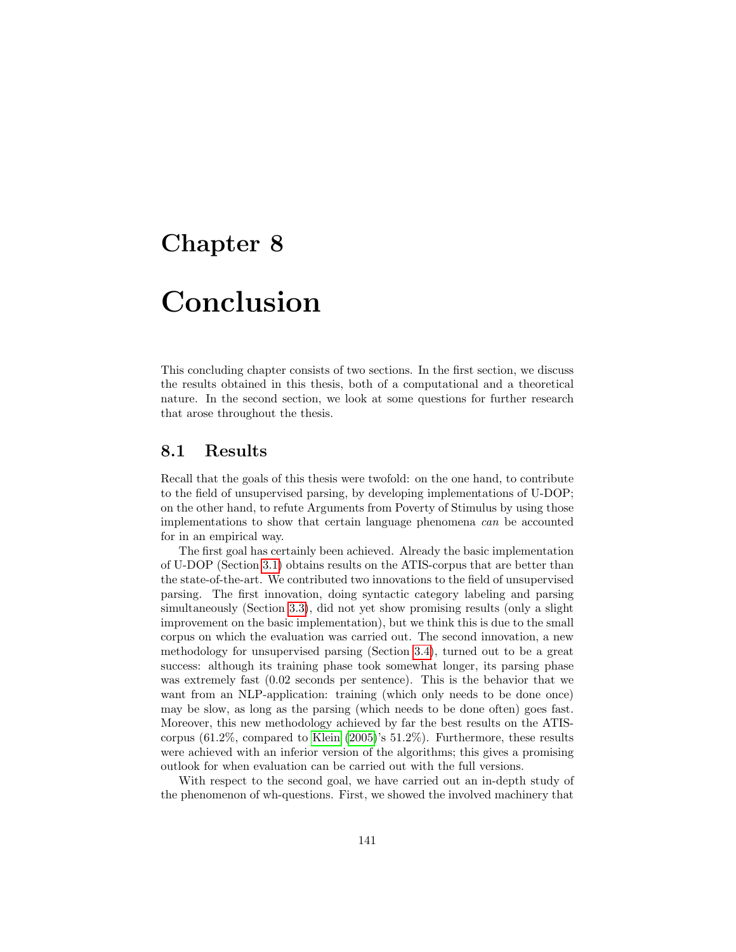## Chapter 8

# Conclusion

This concluding chapter consists of two sections. In the first section, we discuss the results obtained in this thesis, both of a computational and a theoretical nature. In the second section, we look at some questions for further research that arose throughout the thesis.

## 8.1 Results

Recall that the goals of this thesis were twofold: on the one hand, to contribute to the field of unsupervised parsing, by developing implementations of U-DOP; on the other hand, to refute Arguments from Poverty of Stimulus by using those implementations to show that certain language phenomena can be accounted for in an empirical way.

The first goal has certainly been achieved. Already the basic implementation of U-DOP (Section [3.1\)](#page-28-1) obtains results on the ATIS-corpus that are better than the state-of-the-art. We contributed two innovations to the field of unsupervised parsing. The first innovation, doing syntactic category labeling and parsing simultaneously (Section [3.3\)](#page-41-0), did not yet show promising results (only a slight improvement on the basic implementation), but we think this is due to the small corpus on which the evaluation was carried out. The second innovation, a new methodology for unsupervised parsing (Section [3.4\)](#page-46-0), turned out to be a great success: although its training phase took somewhat longer, its parsing phase was extremely fast (0.02 seconds per sentence). This is the behavior that we want from an NLP-application: training (which only needs to be done once) may be slow, as long as the parsing (which needs to be done often) goes fast. Moreover, this new methodology achieved by far the best results on the ATIScorpus (61.2%, compared to [Klein](#page-146-0) [\(2005\)](#page-146-0)'s 51.2%). Furthermore, these results were achieved with an inferior version of the algorithms; this gives a promising outlook for when evaluation can be carried out with the full versions.

With respect to the second goal, we have carried out an in-depth study of the phenomenon of wh-questions. First, we showed the involved machinery that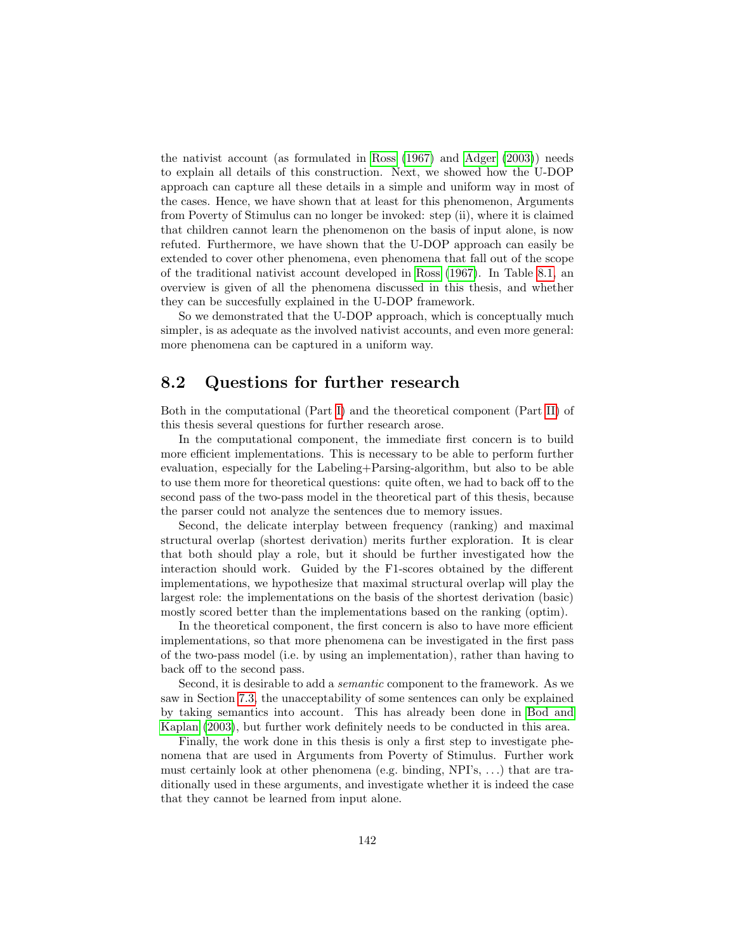the nativist account (as formulated in [Ross](#page-147-0) [\(1967\)](#page-147-0) and [Adger](#page-145-0) [\(2003\)](#page-145-0)) needs to explain all details of this construction. Next, we showed how the U-DOP approach can capture all these details in a simple and uniform way in most of the cases. Hence, we have shown that at least for this phenomenon, Arguments from Poverty of Stimulus can no longer be invoked: step (ii), where it is claimed that children cannot learn the phenomenon on the basis of input alone, is now refuted. Furthermore, we have shown that the U-DOP approach can easily be extended to cover other phenomena, even phenomena that fall out of the scope of the traditional nativist account developed in [Ross](#page-147-0) [\(1967\)](#page-147-0). In Table [8.1,](#page-144-0) an overview is given of all the phenomena discussed in this thesis, and whether they can be succesfully explained in the U-DOP framework.

So we demonstrated that the U-DOP approach, which is conceptually much simpler, is as adequate as the involved nativist accounts, and even more general: more phenomena can be captured in a uniform way.

## 8.2 Questions for further research

Both in the computational (Part [I\)](#page-13-0) and the theoretical component (Part [II\)](#page-53-0) of this thesis several questions for further research arose.

In the computational component, the immediate first concern is to build more efficient implementations. This is necessary to be able to perform further evaluation, especially for the Labeling+Parsing-algorithm, but also to be able to use them more for theoretical questions: quite often, we had to back off to the second pass of the two-pass model in the theoretical part of this thesis, because the parser could not analyze the sentences due to memory issues.

Second, the delicate interplay between frequency (ranking) and maximal structural overlap (shortest derivation) merits further exploration. It is clear that both should play a role, but it should be further investigated how the interaction should work. Guided by the F1-scores obtained by the different implementations, we hypothesize that maximal structural overlap will play the largest role: the implementations on the basis of the shortest derivation (basic) mostly scored better than the implementations based on the ranking (optim).

In the theoretical component, the first concern is also to have more efficient implementations, so that more phenomena can be investigated in the first pass of the two-pass model (i.e. by using an implementation), rather than having to back off to the second pass.

Second, it is desirable to add a semantic component to the framework. As we saw in Section [7.3,](#page-131-3) the unacceptability of some sentences can only be explained by taking semantics into account. This has already been done in [Bod and](#page-145-1) [Kaplan](#page-145-1) [\(2003\)](#page-145-1), but further work definitely needs to be conducted in this area.

Finally, the work done in this thesis is only a first step to investigate phenomena that are used in Arguments from Poverty of Stimulus. Further work must certainly look at other phenomena (e.g. binding, NPI's, . . .) that are traditionally used in these arguments, and investigate whether it is indeed the case that they cannot be learned from input alone.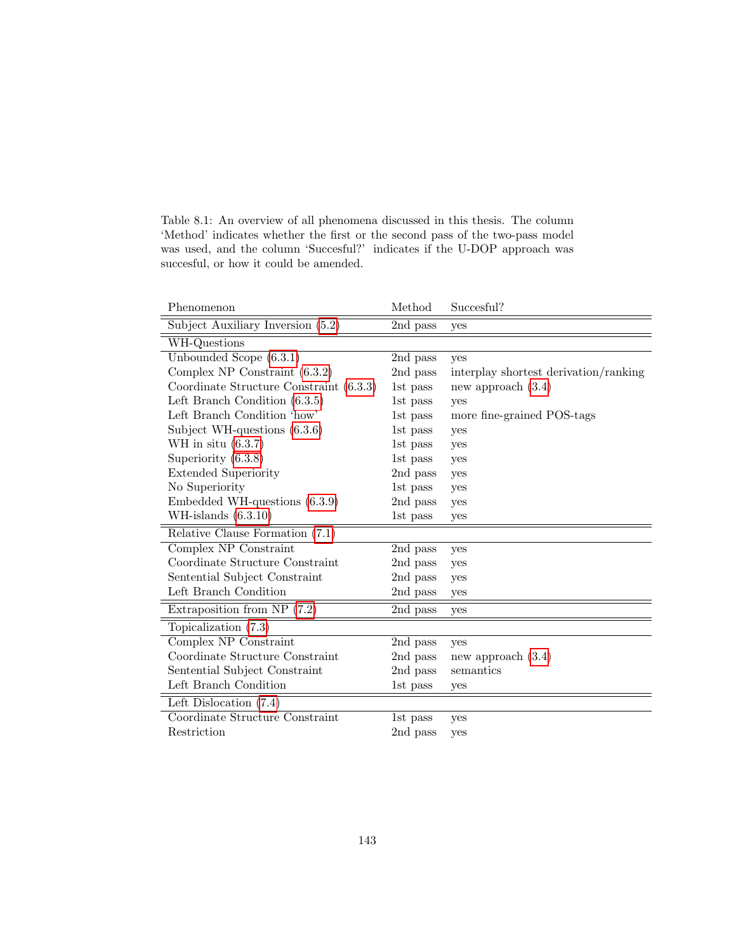Table 8.1: An overview of all phenomena discussed in this thesis. The column 'Method' indicates whether the first or the second pass of the two-pass model was used, and the column 'Succesful?' indicates if the U-DOP approach was succesful, or how it could be amended.

| Phenomenon                              | Method   | Succesful?                            |
|-----------------------------------------|----------|---------------------------------------|
| Subject Auxiliary Inversion (5.2)       | 2nd pass | yes                                   |
| WH-Questions                            |          |                                       |
| Unbounded Scope $(6.3.1)$               | 2nd pass | yes                                   |
| Complex NP Constraint $(6.3.2)$         | 2nd pass | interplay shortest derivation/ranking |
| Coordinate Structure Constraint (6.3.3) | 1st pass | new approach $(3.4)$                  |
| Left Branch Condition $(6.3.5)$         | 1st pass | yes                                   |
| Left Branch Condition 'how'             | 1st pass | more fine-grained POS-tags            |
| Subject WH-questions $(6.3.6)$          | 1st pass | yes                                   |
| WH in situ $(6.3.7)$                    | 1st pass | yes                                   |
| Superiority $(6.3.8)$                   | 1st pass | yes                                   |
| <b>Extended Superiority</b>             | 2nd pass | yes                                   |
| No Superiority                          | 1st pass | yes                                   |
| Embedded WH-questions $(6.3.9)$         | 2nd pass | yes                                   |
| WH-islands $(6.3.10)$                   | 1st pass | yes                                   |
| Relative Clause Formation (7.1)         |          |                                       |
| Complex NP Constraint                   | 2nd pass | yes                                   |
| Coordinate Structure Constraint         | 2nd pass | yes                                   |
| Sentential Subject Constraint           | 2nd pass | yes                                   |
| Left Branch Condition                   | 2nd pass | yes                                   |
| Extraposition from NP $(7.2)$           | 2nd pass | yes                                   |
| Topicalization (7.3)                    |          |                                       |
| Complex NP Constraint                   | 2nd pass | yes                                   |
| Coordinate Structure Constraint         | 2nd pass | new approach $(3.4)$                  |
| Sentential Subject Constraint           | 2nd pass | semantics                             |
| Left Branch Condition                   | 1st pass | yes                                   |
| Left Dislocation $(7.4)$                |          |                                       |
| Coordinate Structure Constraint         | 1st pass | yes                                   |
| Restriction                             | 2nd pass | yes                                   |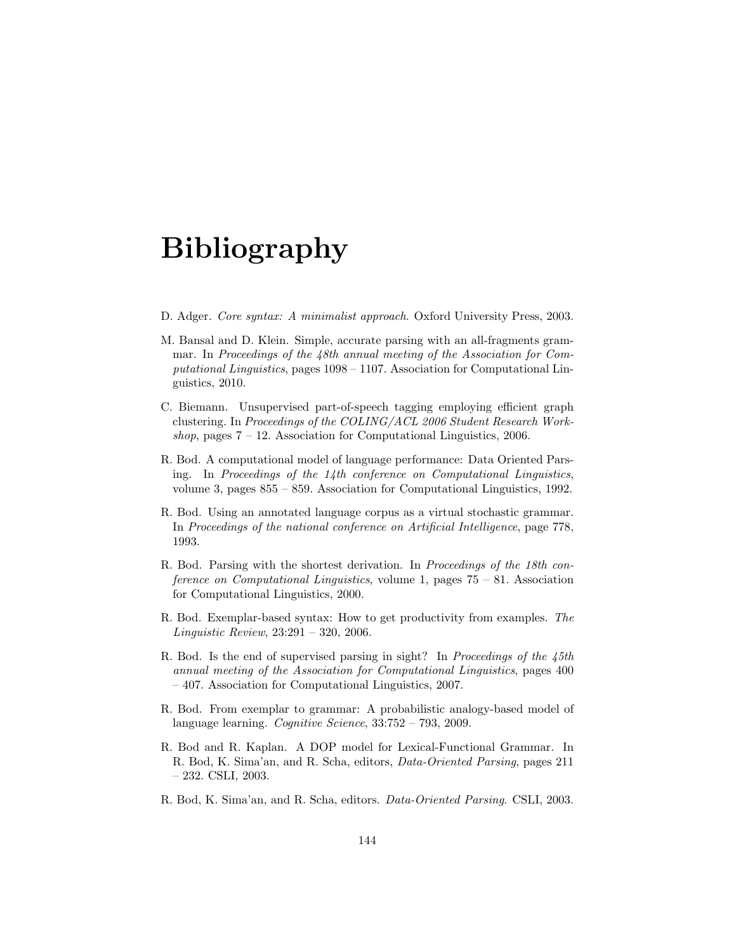### Bibliography

- D. Adger. Core syntax: A minimalist approach. Oxford University Press, 2003.
- M. Bansal and D. Klein. Simple, accurate parsing with an all-fragments grammar. In Proceedings of the 48th annual meeting of the Association for Computational Linguistics, pages 1098 – 1107. Association for Computational Linguistics, 2010.
- C. Biemann. Unsupervised part-of-speech tagging employing efficient graph clustering. In Proceedings of the COLING/ACL 2006 Student Research Workshop, pages  $7 - 12$ . Association for Computational Linguistics, 2006.
- R. Bod. A computational model of language performance: Data Oriented Parsing. In Proceedings of the 14th conference on Computational Linguistics, volume 3, pages  $855 - 859$ . Association for Computational Linguistics, 1992.
- R. Bod. Using an annotated language corpus as a virtual stochastic grammar. In Proceedings of the national conference on Artificial Intelligence, page 778, 1993.
- R. Bod. Parsing with the shortest derivation. In Proceedings of the 18th conference on Computational Linguistics, volume 1, pages  $75 - 81$ . Association for Computational Linguistics, 2000.
- R. Bod. Exemplar-based syntax: How to get productivity from examples. The Linguistic Review, 23:291 – 320, 2006.
- R. Bod. Is the end of supervised parsing in sight? In Proceedings of the 45th annual meeting of the Association for Computational Linguistics, pages 400 – 407. Association for Computational Linguistics, 2007.
- R. Bod. From exemplar to grammar: A probabilistic analogy-based model of language learning. Cognitive Science, 33:752 – 793, 2009.
- R. Bod and R. Kaplan. A DOP model for Lexical-Functional Grammar. In R. Bod, K. Sima'an, and R. Scha, editors, Data-Oriented Parsing, pages 211  $-232.$  CSLI, 2003.
- R. Bod, K. Sima'an, and R. Scha, editors. Data-Oriented Parsing. CSLI, 2003.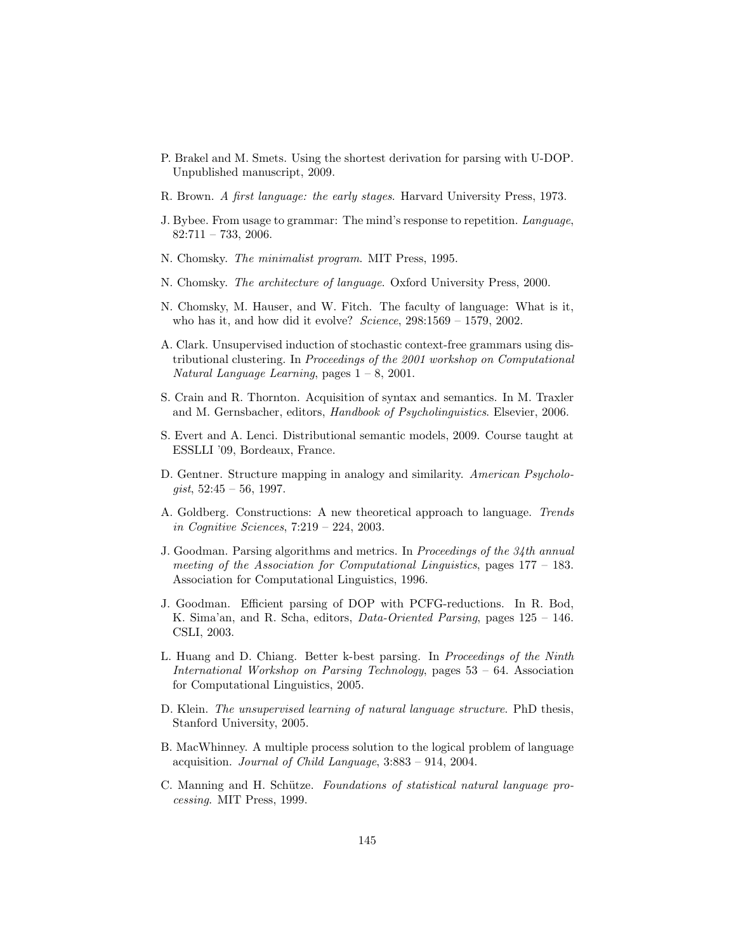- P. Brakel and M. Smets. Using the shortest derivation for parsing with U-DOP. Unpublished manuscript, 2009.
- R. Brown. A first language: the early stages. Harvard University Press, 1973.
- J. Bybee. From usage to grammar: The mind's response to repetition. Language,  $82:711 - 733, 2006.$
- N. Chomsky. The minimalist program. MIT Press, 1995.
- N. Chomsky. The architecture of language. Oxford University Press, 2000.
- N. Chomsky, M. Hauser, and W. Fitch. The faculty of language: What is it, who has it, and how did it evolve? Science,  $298:1569 - 1579$ ,  $2002$ .
- A. Clark. Unsupervised induction of stochastic context-free grammars using distributional clustering. In Proceedings of the 2001 workshop on Computational Natural Language Learning, pages  $1 - 8$ , 2001.
- S. Crain and R. Thornton. Acquisition of syntax and semantics. In M. Traxler and M. Gernsbacher, editors, Handbook of Psycholinguistics. Elsevier, 2006.
- S. Evert and A. Lenci. Distributional semantic models, 2009. Course taught at ESSLLI '09, Bordeaux, France.
- D. Gentner. Structure mapping in analogy and similarity. American Psycholo $qist, 52:45 - 56, 1997.$
- A. Goldberg. Constructions: A new theoretical approach to language. Trends in Cognitive Sciences, 7:219 – 224, 2003.
- J. Goodman. Parsing algorithms and metrics. In Proceedings of the 34th annual meeting of the Association for Computational Linguistics, pages  $177 - 183$ . Association for Computational Linguistics, 1996.
- J. Goodman. Efficient parsing of DOP with PCFG-reductions. In R. Bod, K. Sima'an, and R. Scha, editors, Data-Oriented Parsing, pages 125 – 146. CSLI, 2003.
- L. Huang and D. Chiang. Better k-best parsing. In Proceedings of the Ninth International Workshop on Parsing Technology, pages 53 – 64. Association for Computational Linguistics, 2005.
- D. Klein. The unsupervised learning of natural language structure. PhD thesis, Stanford University, 2005.
- B. MacWhinney. A multiple process solution to the logical problem of language acquisition. Journal of Child Language, 3:883 – 914, 2004.
- C. Manning and H. Schütze. Foundations of statistical natural language processing. MIT Press, 1999.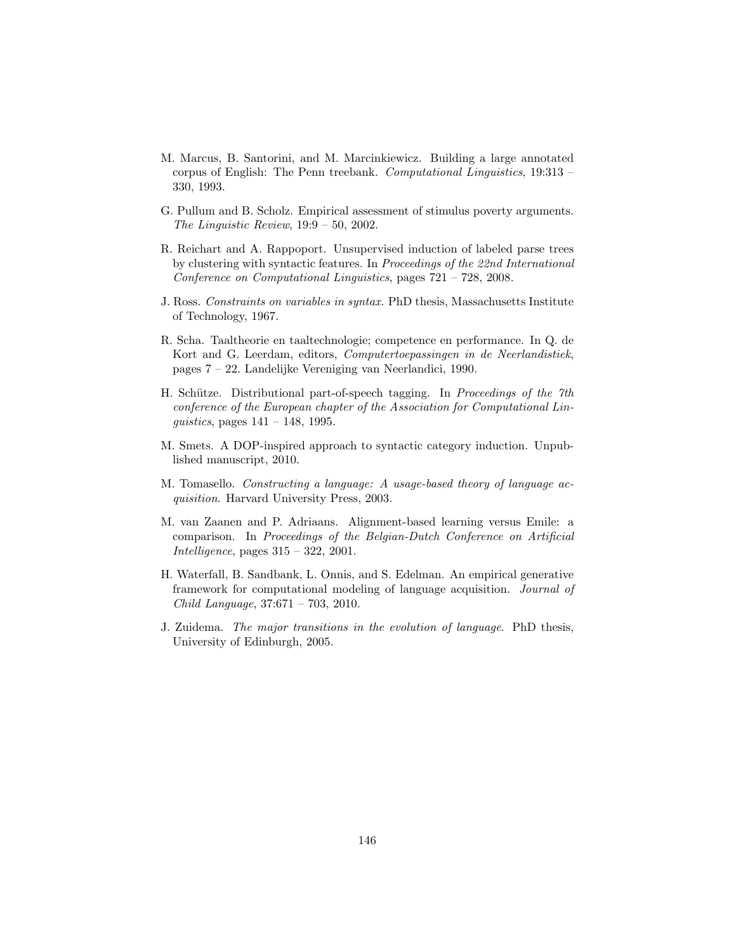- M. Marcus, B. Santorini, and M. Marcinkiewicz. Building a large annotated corpus of English: The Penn treebank. Computational Linguistics, 19:313 – 330, 1993.
- G. Pullum and B. Scholz. Empirical assessment of stimulus poverty arguments. The Linguistic Review,  $19:9-50$ , 2002.
- R. Reichart and A. Rappoport. Unsupervised induction of labeled parse trees by clustering with syntactic features. In Proceedings of the 22nd International Conference on Computational Linguistics, pages 721 – 728, 2008.
- J. Ross. Constraints on variables in syntax. PhD thesis, Massachusetts Institute of Technology, 1967.
- R. Scha. Taaltheorie en taaltechnologie; competence en performance. In Q. de Kort and G. Leerdam, editors, Computertoepassingen in de Neerlandistiek, pages 7 – 22. Landelijke Vereniging van Neerlandici, 1990.
- H. Schütze. Distributional part-of-speech tagging. In Proceedings of the 7th conference of the European chapter of the Association for Computational Linquistics, pages  $141 - 148$ , 1995.
- M. Smets. A DOP-inspired approach to syntactic category induction. Unpublished manuscript, 2010.
- M. Tomasello. Constructing a language: A usage-based theory of language acquisition. Harvard University Press, 2003.
- M. van Zaanen and P. Adriaans. Alignment-based learning versus Emile: a comparison. In Proceedings of the Belgian-Dutch Conference on Artificial Intelligence, pages 315 – 322, 2001.
- H. Waterfall, B. Sandbank, L. Onnis, and S. Edelman. An empirical generative framework for computational modeling of language acquisition. Journal of Child Language, 37:671 – 703, 2010.
- J. Zuidema. The major transitions in the evolution of language. PhD thesis, University of Edinburgh, 2005.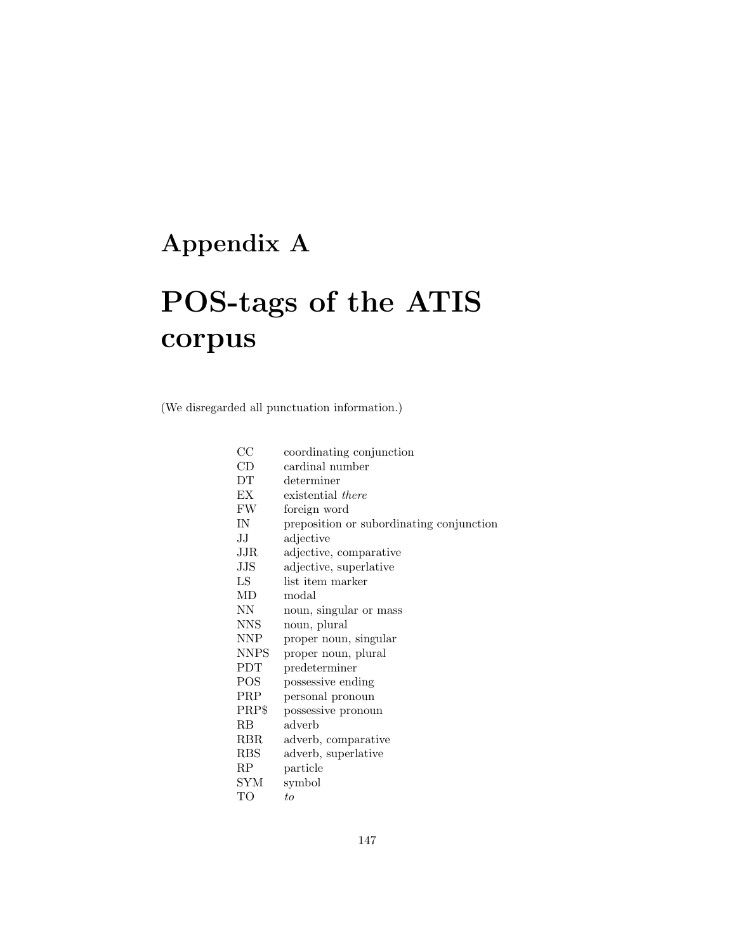### Appendix A

# POS-tags of the ATIS corpus

(We disregarded all punctuation information.)

| $_{\rm CC}$                 | coordinating conjunction                 |
|-----------------------------|------------------------------------------|
| CD                          | cardinal number                          |
| DT                          | determiner                               |
| EХ                          | existential <i>there</i>                 |
| FW                          | foreign word                             |
| IN                          | preposition or subordinating conjunction |
| $_{\rm JJ}$                 | adjective                                |
| JJR                         | adjective, comparative                   |
| JJS                         | adjective, superlative                   |
| LS                          | list item marker                         |
| <b>MD</b>                   | modal                                    |
| NN                          | noun, singular or mass                   |
| <b>NNS</b>                  | noun, plural                             |
| $\ensuremath{\mathrm{NNP}}$ | proper noun, singular                    |
| <b>NNPS</b>                 | proper noun, plural                      |
| <b>PDT</b>                  | predeterminer                            |
| <b>POS</b>                  | possessive ending                        |
| PRP                         | personal pronoun                         |
| PRP\$                       | possessive pronoun                       |
| RB                          | adverb                                   |
| <b>RBR</b>                  | adverb, comparative                      |
| <b>RBS</b>                  | adverb, superlative                      |
| RP                          | particle                                 |
| SYM                         | symbol                                   |
| TО                          | tо                                       |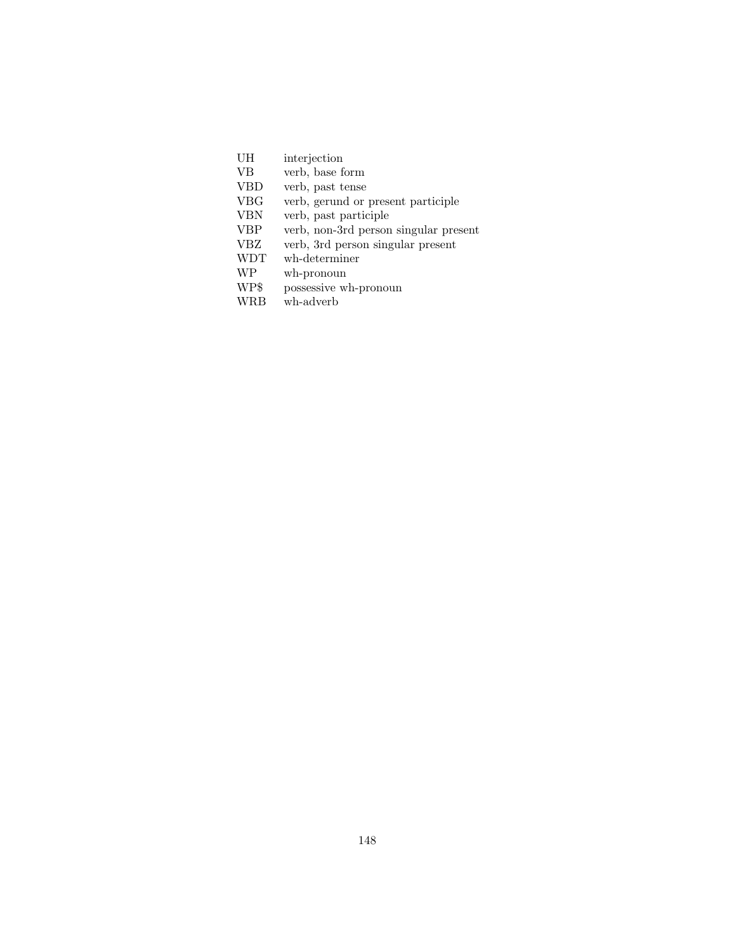| UH | interjection |
|----|--------------|
|    |              |

- VB verb, base form
- VBD verb, past tense
- VBG verb, gerund or present participle<br>VBN verb, past participle
- $\operatorname{verb},$  past participle
- VBP verb, non-3rd person singular present
- VBZ verb, 3rd person singular present
- WDT wh-determiner<br>WP wh-pronoun
- WP wh-pronoun<br>WP\$ possessive w
- $\,$  possessive wh-pronoun
- WRB wh-adverb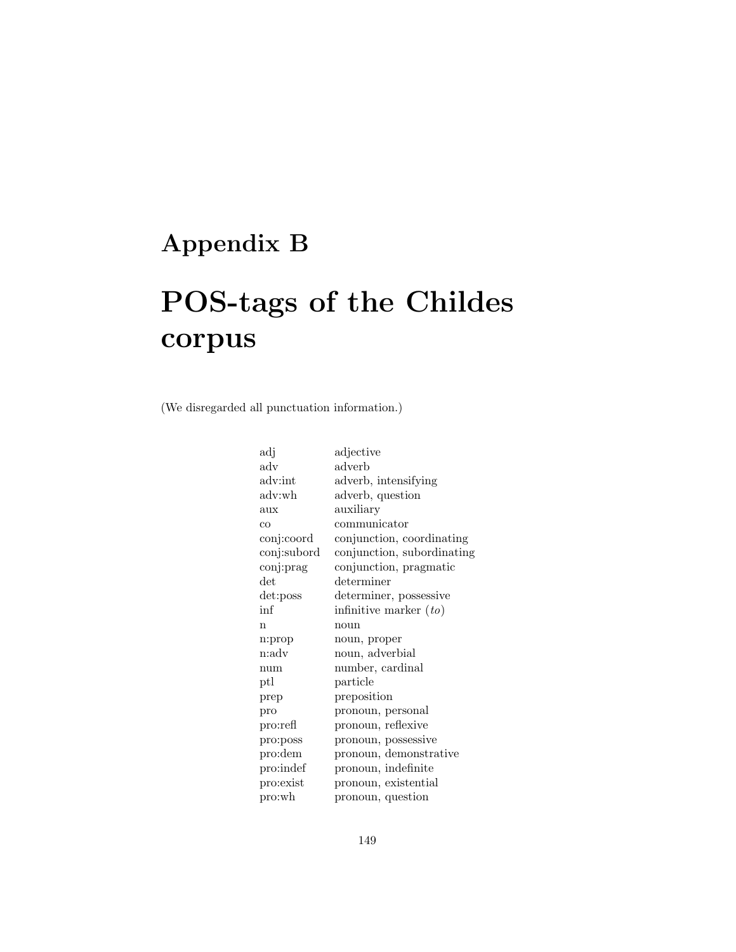### Appendix B

## POS-tags of the Childes corpus

(We disregarded all punctuation information.)

| adj         | adjective                  |
|-------------|----------------------------|
| adv         | adverb                     |
| adv:int     | adverb, intensifying       |
| adv:wh      | adverb, question           |
| aux         | auxiliary                  |
| CO          | communicator               |
| conj:coord  | conjunction, coordinating  |
| conj:subord | conjunction, subordinating |
| conj:prag   | conjunction, pragmatic     |
| det         | determiner                 |
| det:poss    | determiner, possessive     |
| inf         | infinitive marker $(to)$   |
| n           | noun                       |
| n:prop      | noun, proper               |
| n:adv       | noun, adverbial            |
| num         | number, cardinal           |
| ptl         | particle                   |
| prep        | preposition                |
| pro         | pronoun, personal          |
| pro:refl    | pronoun, reflexive         |
| pro:poss    | pronoun, possessive        |
| pro:dem     | pronoun, demonstrative     |
| pro:indef   | pronoun, indefinite        |
| pro:exist   | pronoun, existential       |
| pro:wh      | pronoun, question          |